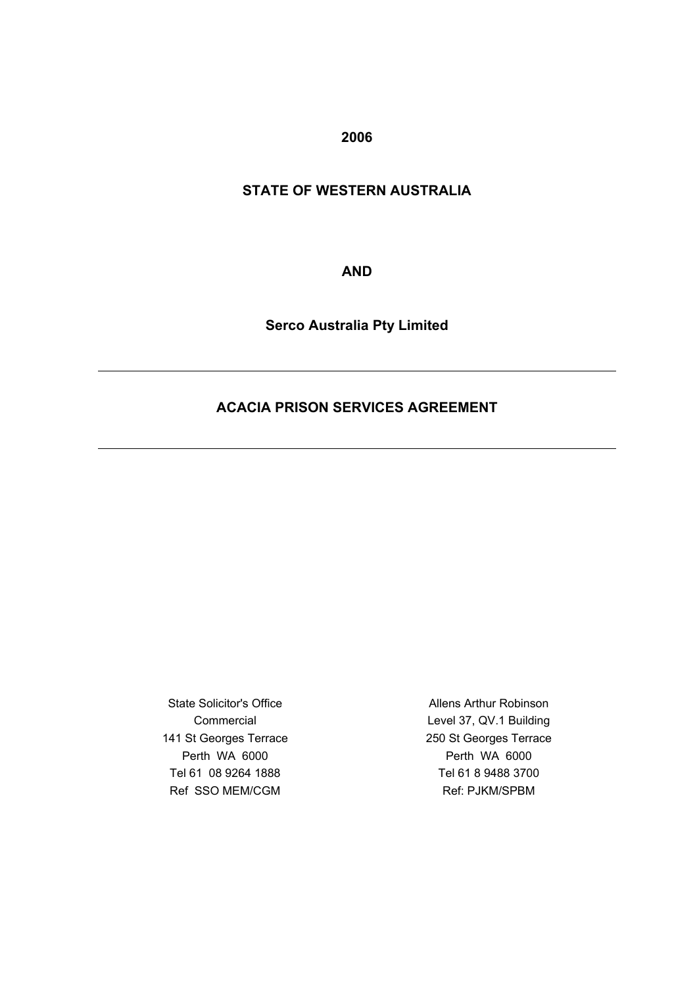**2006**

# **STATE OF WESTERN AUSTRALIA**

**AND**

**Serco Australia Pty Limited**

# **ACACIA PRISON SERVICES AGREEMENT**

State Solicitor's Office Commercial 141 St Georges Terrace Perth WA 6000 Tel 61 08 9264 1888 Ref SSO MEM/CGM

Allens Arthur Robinson Level 37, QV.1 Building 250 St Georges Terrace Perth WA 6000 Tel 61 8 9488 3700 Ref: PJKM/SPBM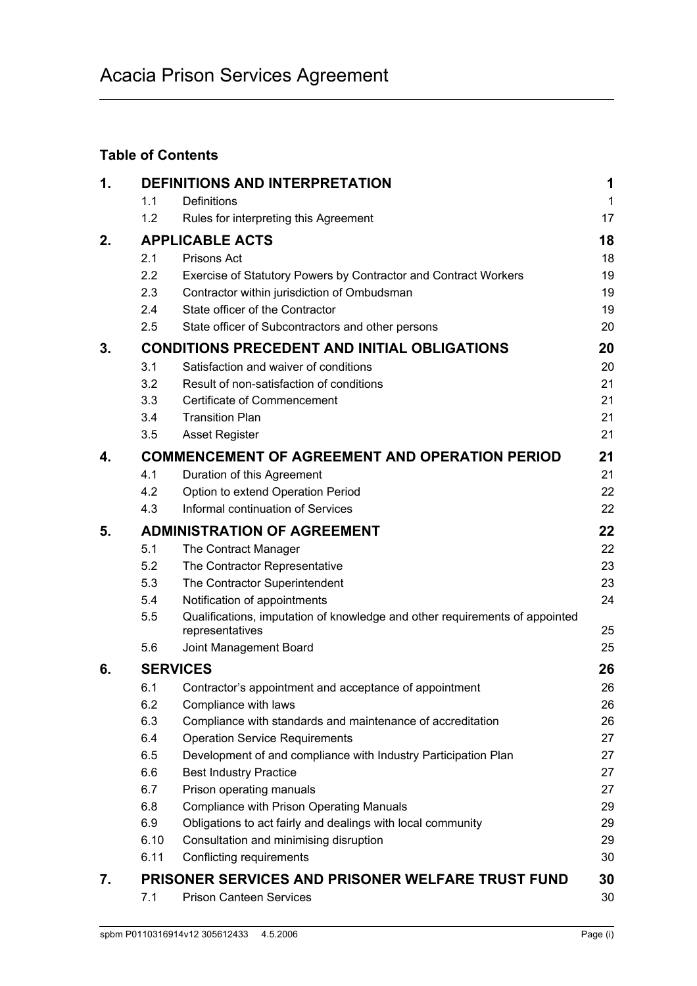# **Table of Contents**

| 1. |                                    | <b>DEFINITIONS AND INTERPRETATION</b>                                                          | 1            |
|----|------------------------------------|------------------------------------------------------------------------------------------------|--------------|
|    | 1.1                                | Definitions                                                                                    | $\mathbf{1}$ |
|    | 1.2                                | Rules for interpreting this Agreement                                                          | 17           |
| 2. |                                    | <b>APPLICABLE ACTS</b>                                                                         | 18           |
|    | 2.1                                | Prisons Act                                                                                    | 18           |
|    | 2.2                                | Exercise of Statutory Powers by Contractor and Contract Workers                                | 19           |
|    | 2.3                                | Contractor within jurisdiction of Ombudsman                                                    | 19           |
|    | 2.4                                | State officer of the Contractor                                                                | 19           |
|    | 2.5                                | State officer of Subcontractors and other persons                                              | 20           |
| 3. |                                    | <b>CONDITIONS PRECEDENT AND INITIAL OBLIGATIONS</b>                                            | 20           |
|    | 3.1                                | Satisfaction and waiver of conditions                                                          | 20           |
|    | 3.2                                | Result of non-satisfaction of conditions                                                       | 21           |
|    | 3.3                                | Certificate of Commencement                                                                    | 21           |
|    | 3.4                                | <b>Transition Plan</b>                                                                         | 21           |
|    | 3.5                                | <b>Asset Register</b>                                                                          | 21           |
| 4. |                                    | <b>COMMENCEMENT OF AGREEMENT AND OPERATION PERIOD</b>                                          | 21           |
|    | 4.1                                | Duration of this Agreement                                                                     | 21           |
|    | 4.2                                | Option to extend Operation Period                                                              | 22           |
|    | 4.3                                | Informal continuation of Services                                                              | 22           |
| 5. | <b>ADMINISTRATION OF AGREEMENT</b> |                                                                                                |              |
|    | 5.1                                | The Contract Manager                                                                           | 22           |
|    | 5.2                                | The Contractor Representative                                                                  | 23           |
|    | 5.3                                | The Contractor Superintendent                                                                  | 23           |
|    | 5.4                                | Notification of appointments                                                                   | 24           |
|    | 5.5                                | Qualifications, imputation of knowledge and other requirements of appointed<br>representatives | 25           |
|    | 5.6                                | Joint Management Board                                                                         | 25           |
| 6. |                                    | <b>SERVICES</b>                                                                                | 26           |
|    | 6.1                                | Contractor's appointment and acceptance of appointment                                         | 26           |
|    | 6.2                                | Compliance with laws                                                                           | 26           |
|    | 6.3                                | Compliance with standards and maintenance of accreditation                                     | 26           |
|    | 6.4                                | <b>Operation Service Requirements</b>                                                          | 27           |
|    | 6.5                                | Development of and compliance with Industry Participation Plan                                 | 27           |
|    | 6.6                                | <b>Best Industry Practice</b>                                                                  | 27           |
|    | 6.7                                | Prison operating manuals                                                                       | 27           |
|    | 6.8                                | Compliance with Prison Operating Manuals                                                       | 29           |
|    | 6.9                                | Obligations to act fairly and dealings with local community                                    | 29           |
|    | 6.10                               | Consultation and minimising disruption                                                         | 29           |
|    | 6.11                               | Conflicting requirements                                                                       | 30           |
| 7. |                                    | <b>PRISONER SERVICES AND PRISONER WELFARE TRUST FUND</b>                                       | 30           |
|    | 7.1                                | <b>Prison Canteen Services</b>                                                                 | 30           |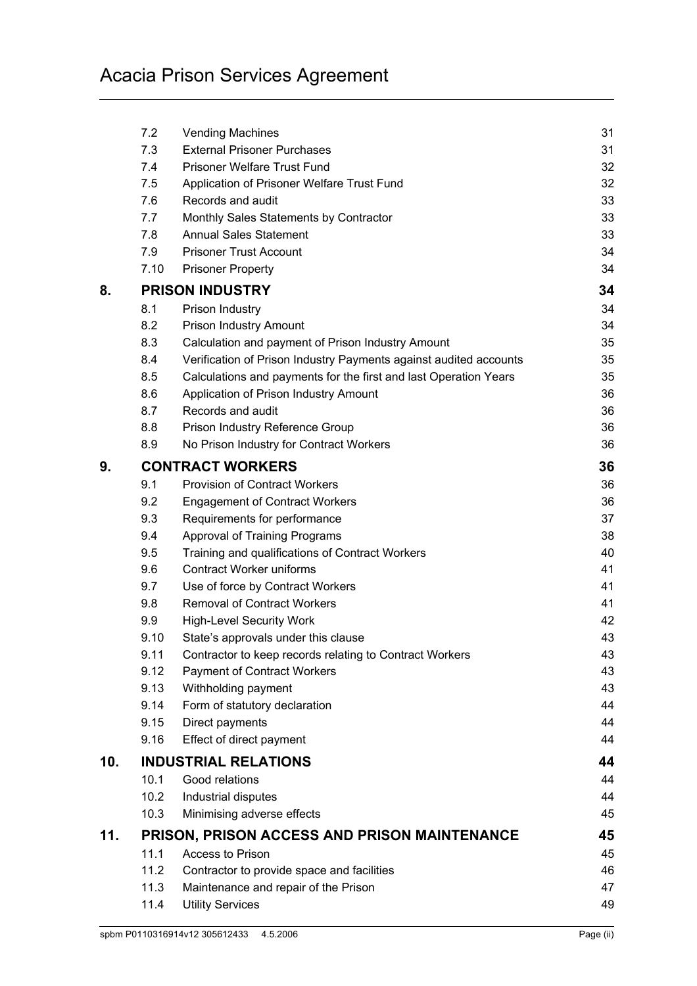|     | 7.2  | <b>Vending Machines</b>                                           | 31 |
|-----|------|-------------------------------------------------------------------|----|
|     | 7.3  | <b>External Prisoner Purchases</b>                                | 31 |
|     | 7.4  | <b>Prisoner Welfare Trust Fund</b>                                | 32 |
|     | 7.5  | Application of Prisoner Welfare Trust Fund                        | 32 |
|     | 7.6  | Records and audit                                                 | 33 |
|     | 7.7  | Monthly Sales Statements by Contractor                            | 33 |
|     | 7.8  | <b>Annual Sales Statement</b>                                     | 33 |
|     | 7.9  | <b>Prisoner Trust Account</b>                                     | 34 |
|     | 7.10 | <b>Prisoner Property</b>                                          | 34 |
| 8.  |      | <b>PRISON INDUSTRY</b>                                            | 34 |
|     | 8.1  | Prison Industry                                                   | 34 |
|     | 8.2  | Prison Industry Amount                                            | 34 |
|     | 8.3  | Calculation and payment of Prison Industry Amount                 | 35 |
|     | 8.4  | Verification of Prison Industry Payments against audited accounts | 35 |
|     | 8.5  | Calculations and payments for the first and last Operation Years  | 35 |
|     | 8.6  | Application of Prison Industry Amount                             | 36 |
|     | 8.7  | Records and audit                                                 | 36 |
|     | 8.8  | Prison Industry Reference Group                                   | 36 |
|     | 8.9  | No Prison Industry for Contract Workers                           | 36 |
| 9.  |      | <b>CONTRACT WORKERS</b>                                           | 36 |
|     | 9.1  | <b>Provision of Contract Workers</b>                              | 36 |
|     | 9.2  | <b>Engagement of Contract Workers</b>                             | 36 |
|     | 9.3  | Requirements for performance                                      | 37 |
|     | 9.4  | <b>Approval of Training Programs</b>                              | 38 |
|     | 9.5  | Training and qualifications of Contract Workers                   | 40 |
|     | 9.6  | <b>Contract Worker uniforms</b>                                   | 41 |
|     | 9.7  | Use of force by Contract Workers                                  | 41 |
|     | 9.8  | <b>Removal of Contract Workers</b>                                | 41 |
|     | 9.9  | <b>High-Level Security Work</b>                                   | 42 |
|     | 9.10 | State's approvals under this clause                               | 43 |
|     | 9.11 | Contractor to keep records relating to Contract Workers           | 43 |
|     | 9.12 | <b>Payment of Contract Workers</b>                                | 43 |
|     | 9.13 | Withholding payment                                               | 43 |
|     | 9.14 | Form of statutory declaration                                     | 44 |
|     | 9.15 | Direct payments                                                   | 44 |
|     | 9.16 | Effect of direct payment                                          | 44 |
| 10. |      | <b>INDUSTRIAL RELATIONS</b>                                       | 44 |
|     | 10.1 | Good relations                                                    | 44 |
|     | 10.2 | Industrial disputes                                               | 44 |
|     | 10.3 | Minimising adverse effects                                        | 45 |
| 11. |      | <b>PRISON, PRISON ACCESS AND PRISON MAINTENANCE</b>               | 45 |
|     | 11.1 | Access to Prison                                                  | 45 |
|     | 11.2 | Contractor to provide space and facilities                        | 46 |
|     | 11.3 | Maintenance and repair of the Prison                              | 47 |
|     | 11.4 | <b>Utility Services</b>                                           | 49 |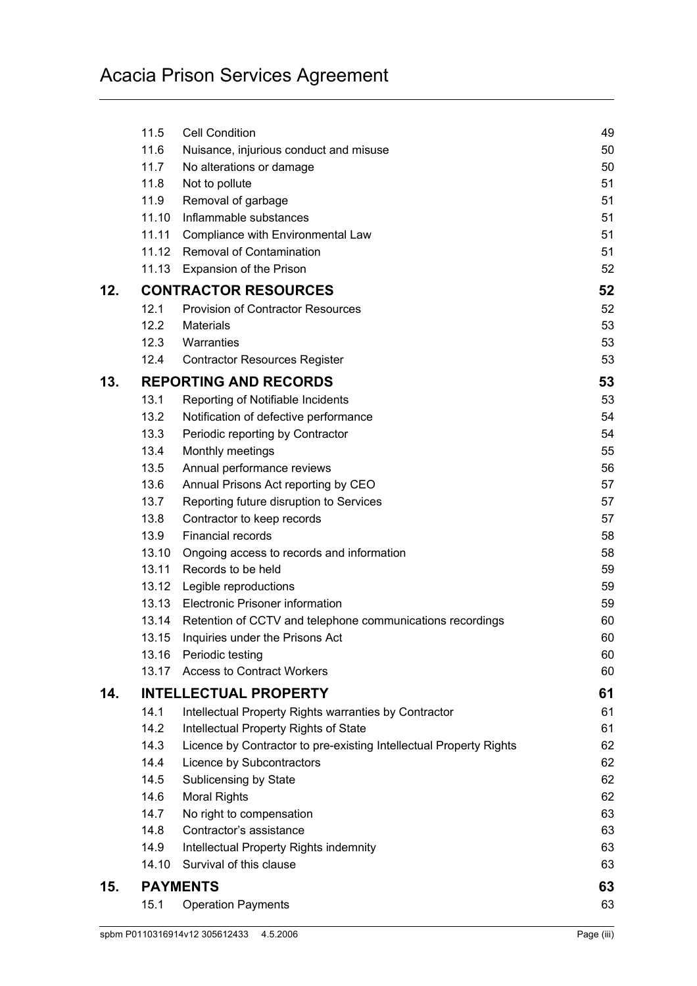|     | 11.5  | <b>Cell Condition</b>                                              | 49 |
|-----|-------|--------------------------------------------------------------------|----|
|     | 11.6  | Nuisance, injurious conduct and misuse                             | 50 |
|     | 11.7  | No alterations or damage                                           | 50 |
|     | 11.8  | Not to pollute                                                     | 51 |
|     | 11.9  | Removal of garbage                                                 | 51 |
|     |       | 11.10 Inflammable substances                                       | 51 |
|     | 11.11 | Compliance with Environmental Law                                  | 51 |
|     |       | 11.12 Removal of Contamination                                     | 51 |
|     |       | 11.13 Expansion of the Prison                                      | 52 |
| 12. |       | <b>CONTRACTOR RESOURCES</b>                                        | 52 |
|     | 12.1  | <b>Provision of Contractor Resources</b>                           | 52 |
|     | 12.2  | <b>Materials</b>                                                   | 53 |
|     | 12.3  | Warranties                                                         | 53 |
|     | 12.4  | <b>Contractor Resources Register</b>                               | 53 |
| 13. |       | <b>REPORTING AND RECORDS</b>                                       | 53 |
|     | 13.1  | Reporting of Notifiable Incidents                                  | 53 |
|     | 13.2  | Notification of defective performance                              | 54 |
|     | 13.3  | Periodic reporting by Contractor                                   | 54 |
|     | 13.4  | Monthly meetings                                                   | 55 |
|     | 13.5  | Annual performance reviews                                         | 56 |
|     | 13.6  | Annual Prisons Act reporting by CEO                                | 57 |
|     | 13.7  | Reporting future disruption to Services                            | 57 |
|     | 13.8  | Contractor to keep records                                         | 57 |
|     | 13.9  | Financial records                                                  | 58 |
|     | 13.10 | Ongoing access to records and information                          | 58 |
|     | 13.11 | Records to be held                                                 | 59 |
|     | 13.12 | Legible reproductions                                              | 59 |
|     |       | 13.13 Electronic Prisoner information                              | 59 |
|     |       | 13.14 Retention of CCTV and telephone communications recordings    | 60 |
|     | 13.15 | Inquiries under the Prisons Act                                    | 60 |
|     | 13.16 | Periodic testing                                                   | 60 |
|     | 13.17 | <b>Access to Contract Workers</b>                                  | 60 |
| 14. |       | <b>INTELLECTUAL PROPERTY</b>                                       | 61 |
|     | 14.1  | Intellectual Property Rights warranties by Contractor              | 61 |
|     | 14.2  | Intellectual Property Rights of State                              | 61 |
|     | 14.3  | Licence by Contractor to pre-existing Intellectual Property Rights | 62 |
|     | 14.4  | Licence by Subcontractors                                          | 62 |
|     | 14.5  | Sublicensing by State                                              | 62 |
|     | 14.6  | <b>Moral Rights</b>                                                | 62 |
|     | 14.7  | No right to compensation                                           | 63 |
|     | 14.8  | Contractor's assistance                                            | 63 |
|     | 14.9  | Intellectual Property Rights indemnity                             | 63 |
|     | 14.10 | Survival of this clause                                            | 63 |
| 15. |       | <b>PAYMENTS</b>                                                    | 63 |
|     | 15.1  | <b>Operation Payments</b>                                          | 63 |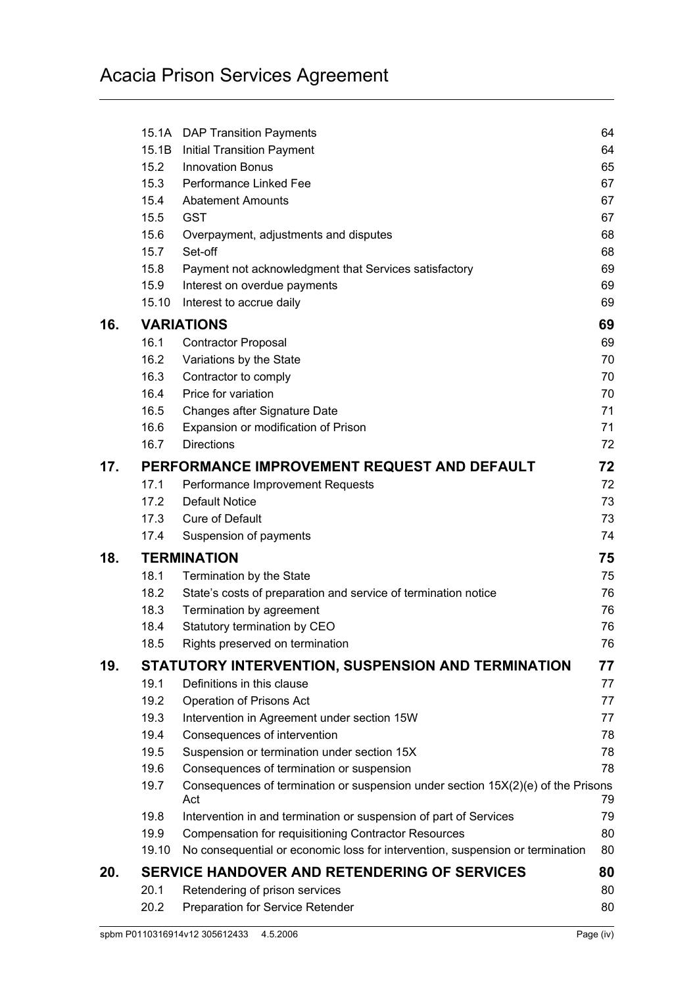|     |       | 15.1A DAP Transition Payments                                                           | 64 |
|-----|-------|-----------------------------------------------------------------------------------------|----|
|     | 15.1B | <b>Initial Transition Payment</b>                                                       | 64 |
|     | 15.2  | <b>Innovation Bonus</b>                                                                 | 65 |
|     | 15.3  | Performance Linked Fee                                                                  | 67 |
|     | 15.4  | <b>Abatement Amounts</b>                                                                | 67 |
|     | 15.5  | <b>GST</b>                                                                              | 67 |
|     | 15.6  | Overpayment, adjustments and disputes                                                   | 68 |
|     | 15.7  | Set-off                                                                                 | 68 |
|     | 15.8  | Payment not acknowledgment that Services satisfactory                                   | 69 |
|     | 15.9  | Interest on overdue payments                                                            | 69 |
|     | 15.10 | Interest to accrue daily                                                                | 69 |
| 16. |       | <b>VARIATIONS</b>                                                                       | 69 |
|     | 16.1  | <b>Contractor Proposal</b>                                                              | 69 |
|     | 16.2  | Variations by the State                                                                 | 70 |
|     | 16.3  | Contractor to comply                                                                    | 70 |
|     | 16.4  | Price for variation                                                                     | 70 |
|     | 16.5  | Changes after Signature Date                                                            | 71 |
|     | 16.6  | Expansion or modification of Prison                                                     | 71 |
|     | 16.7  | <b>Directions</b>                                                                       | 72 |
| 17. |       | PERFORMANCE IMPROVEMENT REQUEST AND DEFAULT                                             | 72 |
|     | 17.1  | Performance Improvement Requests                                                        | 72 |
|     | 17.2  | <b>Default Notice</b>                                                                   | 73 |
|     | 17.3  | <b>Cure of Default</b>                                                                  | 73 |
|     | 17.4  | Suspension of payments                                                                  | 74 |
| 18. |       | <b>TERMINATION</b>                                                                      | 75 |
|     | 18.1  | Termination by the State                                                                | 75 |
|     | 18.2  | State's costs of preparation and service of termination notice                          | 76 |
|     | 18.3  | Termination by agreement                                                                | 76 |
|     | 18.4  | Statutory termination by CEO                                                            | 76 |
|     | 18.5  | Rights preserved on termination                                                         | 76 |
| 19. |       | STATUTORY INTERVENTION, SUSPENSION AND TERMINATION                                      | 77 |
|     | 19.1  | Definitions in this clause                                                              | 77 |
|     | 19.2  | Operation of Prisons Act                                                                | 77 |
|     | 19.3  | Intervention in Agreement under section 15W                                             | 77 |
|     | 19.4  | Consequences of intervention                                                            | 78 |
|     | 19.5  | Suspension or termination under section 15X                                             | 78 |
|     | 19.6  | Consequences of termination or suspension                                               | 78 |
|     | 19.7  | Consequences of termination or suspension under section 15X(2)(e) of the Prisons<br>Act | 79 |
|     | 19.8  | Intervention in and termination or suspension of part of Services                       | 79 |
|     | 19.9  | <b>Compensation for requisitioning Contractor Resources</b>                             | 80 |
|     | 19.10 | No consequential or economic loss for intervention, suspension or termination           | 80 |
| 20. |       | SERVICE HANDOVER AND RETENDERING OF SERVICES                                            | 80 |
|     | 20.1  | Retendering of prison services                                                          | 80 |
|     | 20.2  | Preparation for Service Retender                                                        | 80 |
|     |       |                                                                                         |    |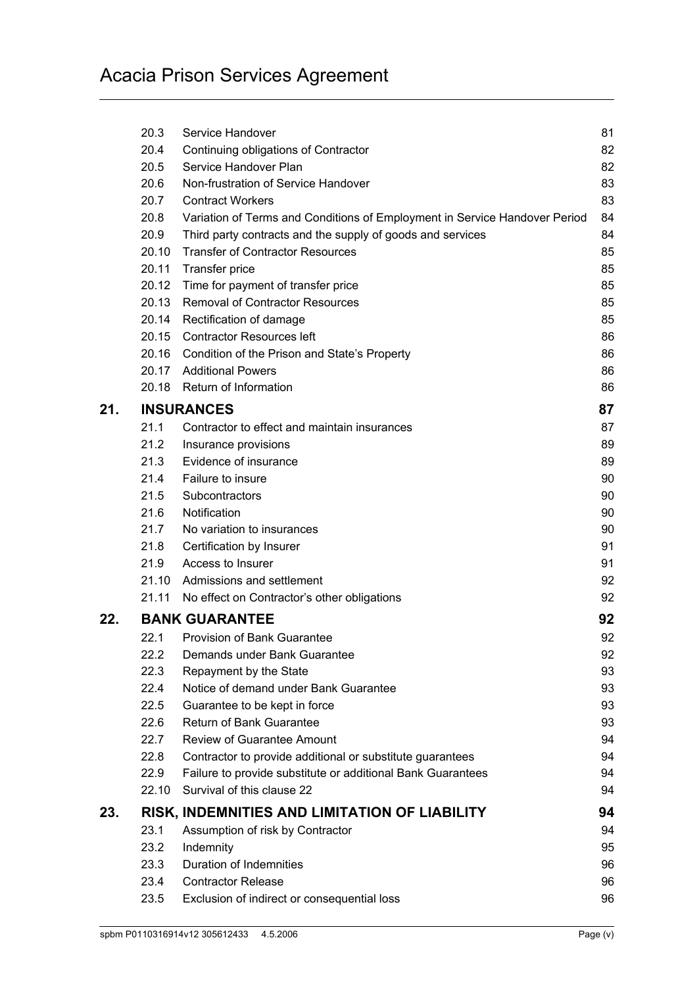|     | 20.3  | Service Handover                                                           | 81 |
|-----|-------|----------------------------------------------------------------------------|----|
|     | 20.4  | Continuing obligations of Contractor                                       | 82 |
|     | 20.5  | Service Handover Plan                                                      | 82 |
|     | 20.6  | Non-frustration of Service Handover                                        | 83 |
|     | 20.7  | <b>Contract Workers</b>                                                    | 83 |
|     | 20.8  | Variation of Terms and Conditions of Employment in Service Handover Period | 84 |
|     | 20.9  | Third party contracts and the supply of goods and services                 | 84 |
|     | 20.10 | <b>Transfer of Contractor Resources</b>                                    | 85 |
|     | 20.11 | Transfer price                                                             | 85 |
|     | 20.12 | Time for payment of transfer price                                         | 85 |
|     |       | 20.13 Removal of Contractor Resources                                      | 85 |
|     | 20.14 | Rectification of damage                                                    | 85 |
|     |       | 20.15 Contractor Resources left                                            | 86 |
|     |       | 20.16 Condition of the Prison and State's Property                         | 86 |
|     |       | 20.17 Additional Powers                                                    | 86 |
|     |       | 20.18 Return of Information                                                | 86 |
| 21. |       | <b>INSURANCES</b>                                                          | 87 |
|     | 21.1  | Contractor to effect and maintain insurances                               | 87 |
|     | 21.2  | Insurance provisions                                                       | 89 |
|     | 21.3  | Evidence of insurance                                                      | 89 |
|     | 21.4  | Failure to insure                                                          | 90 |
|     | 21.5  | Subcontractors                                                             | 90 |
|     | 21.6  | Notification                                                               | 90 |
|     | 21.7  | No variation to insurances                                                 | 90 |
|     | 21.8  | Certification by Insurer                                                   | 91 |
|     | 21.9  | Access to Insurer                                                          | 91 |
|     | 21.10 | Admissions and settlement                                                  | 92 |
|     | 21.11 | No effect on Contractor's other obligations                                | 92 |
| 22. |       | <b>BANK GUARANTEE</b>                                                      | 92 |
|     | 22.1  | <b>Provision of Bank Guarantee</b>                                         | 92 |
|     | 22.2  | Demands under Bank Guarantee                                               | 92 |
|     | 22.3  | Repayment by the State                                                     | 93 |
|     | 22.4  | Notice of demand under Bank Guarantee                                      | 93 |
|     | 22.5  | Guarantee to be kept in force                                              | 93 |
|     | 22.6  | Return of Bank Guarantee                                                   | 93 |
|     | 22.7  | <b>Review of Guarantee Amount</b>                                          | 94 |
|     | 22.8  | Contractor to provide additional or substitute guarantees                  | 94 |
|     | 22.9  | Failure to provide substitute or additional Bank Guarantees                | 94 |
|     | 22.10 | Survival of this clause 22                                                 | 94 |
| 23. |       | RISK, INDEMNITIES AND LIMITATION OF LIABILITY                              | 94 |
|     | 23.1  | Assumption of risk by Contractor                                           | 94 |
|     | 23.2  | Indemnity                                                                  | 95 |
|     | 23.3  | Duration of Indemnities                                                    | 96 |
|     | 23.4  | <b>Contractor Release</b>                                                  | 96 |
|     | 23.5  | Exclusion of indirect or consequential loss                                | 96 |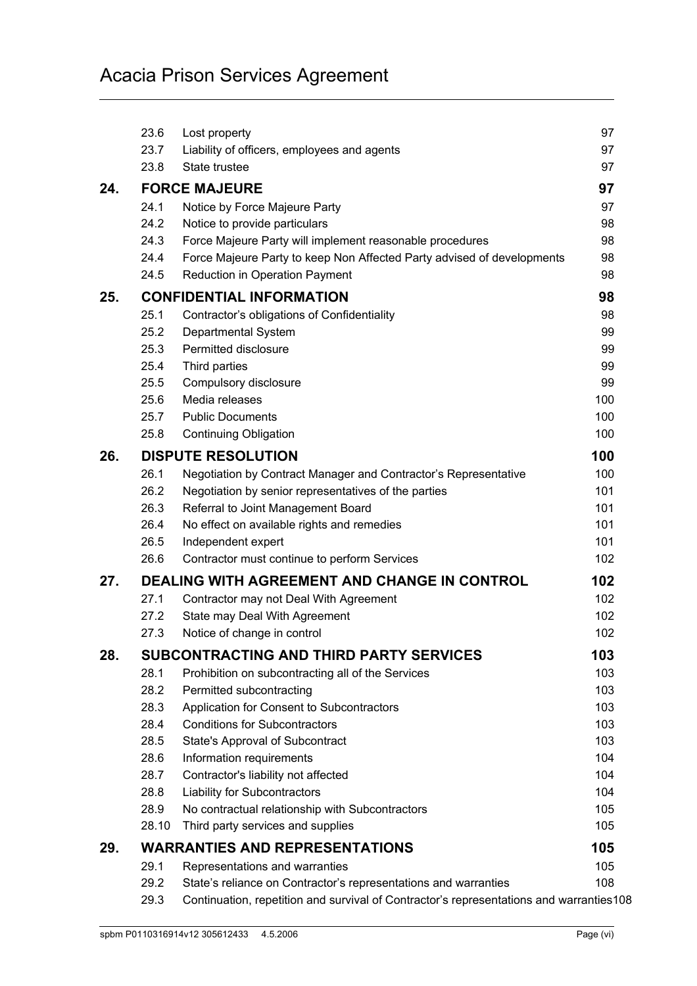|     | 23.6  | Lost property                                                                           | 97  |
|-----|-------|-----------------------------------------------------------------------------------------|-----|
|     | 23.7  | Liability of officers, employees and agents                                             | 97  |
|     | 23.8  | State trustee                                                                           | 97  |
| 24. |       | <b>FORCE MAJEURE</b>                                                                    | 97  |
|     | 24.1  | Notice by Force Majeure Party                                                           | 97  |
|     | 24.2  | Notice to provide particulars                                                           | 98  |
|     | 24.3  | Force Majeure Party will implement reasonable procedures                                | 98  |
|     | 24.4  | Force Majeure Party to keep Non Affected Party advised of developments                  | 98  |
|     | 24.5  | <b>Reduction in Operation Payment</b>                                                   | 98  |
| 25. |       | <b>CONFIDENTIAL INFORMATION</b>                                                         | 98  |
|     | 25.1  | Contractor's obligations of Confidentiality                                             | 98  |
|     | 25.2  | Departmental System                                                                     | 99  |
|     | 25.3  | Permitted disclosure                                                                    | 99  |
|     | 25.4  | Third parties                                                                           | 99  |
|     | 25.5  | Compulsory disclosure                                                                   | 99  |
|     | 25.6  | Media releases                                                                          | 100 |
|     | 25.7  | <b>Public Documents</b>                                                                 | 100 |
|     | 25.8  | <b>Continuing Obligation</b>                                                            | 100 |
| 26. |       | <b>DISPUTE RESOLUTION</b>                                                               | 100 |
|     | 26.1  | Negotiation by Contract Manager and Contractor's Representative                         | 100 |
|     | 26.2  | Negotiation by senior representatives of the parties                                    | 101 |
|     | 26.3  | Referral to Joint Management Board                                                      | 101 |
|     | 26.4  | No effect on available rights and remedies                                              | 101 |
|     | 26.5  | Independent expert                                                                      | 101 |
|     | 26.6  | Contractor must continue to perform Services                                            | 102 |
| 27. |       | <b>DEALING WITH AGREEMENT AND CHANGE IN CONTROL</b>                                     | 102 |
|     | 27.1  | Contractor may not Deal With Agreement                                                  | 102 |
|     | 27.2  | State may Deal With Agreement                                                           | 102 |
|     | 27.3  | Notice of change in control                                                             | 102 |
| 28. |       | <b>SUBCONTRACTING AND THIRD PARTY SERVICES</b>                                          | 103 |
|     | 28.1  | Prohibition on subcontracting all of the Services                                       | 103 |
|     | 28.2  | Permitted subcontracting                                                                | 103 |
|     | 28.3  | Application for Consent to Subcontractors                                               | 103 |
|     | 28.4  | <b>Conditions for Subcontractors</b>                                                    | 103 |
|     | 28.5  | State's Approval of Subcontract                                                         | 103 |
|     | 28.6  | Information requirements                                                                | 104 |
|     | 28.7  | Contractor's liability not affected                                                     | 104 |
|     | 28.8  | <b>Liability for Subcontractors</b>                                                     | 104 |
|     | 28.9  | No contractual relationship with Subcontractors                                         | 105 |
|     | 28.10 | Third party services and supplies                                                       | 105 |
| 29. |       | <b>WARRANTIES AND REPRESENTATIONS</b>                                                   | 105 |
|     | 29.1  | Representations and warranties                                                          | 105 |
|     | 29.2  | State's reliance on Contractor's representations and warranties                         | 108 |
|     | 29.3  | Continuation, repetition and survival of Contractor's representations and warranties108 |     |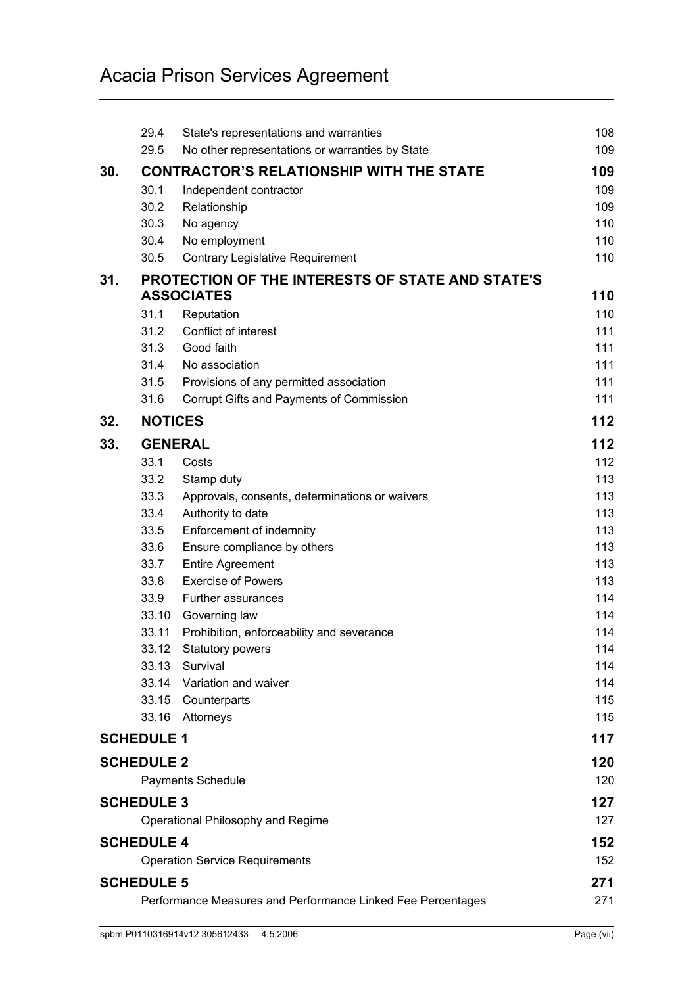|                                                             | 29.4              | State's representations and warranties                                              | 108        |
|-------------------------------------------------------------|-------------------|-------------------------------------------------------------------------------------|------------|
|                                                             | 29.5              | No other representations or warranties by State                                     | 109        |
| 30.                                                         |                   | <b>CONTRACTOR'S RELATIONSHIP WITH THE STATE</b>                                     | 109        |
|                                                             | 30.1              | Independent contractor                                                              | 109        |
|                                                             | 30.2              | Relationship                                                                        | 109        |
|                                                             | 30.3              | No agency                                                                           | 110        |
|                                                             | 30.4              | No employment                                                                       | 110        |
|                                                             | 30.5              | <b>Contrary Legislative Requirement</b>                                             | 110        |
| 31.                                                         |                   | <b>PROTECTION OF THE INTERESTS OF STATE AND STATE'S</b>                             |            |
|                                                             |                   | <b>ASSOCIATES</b>                                                                   | 110        |
|                                                             | 31.1              | Reputation                                                                          | 110        |
|                                                             | 31.2              | Conflict of interest                                                                | 111        |
|                                                             | 31.3<br>31.4      | Good faith<br>No association                                                        | 111<br>111 |
|                                                             | 31.5              |                                                                                     | 111        |
|                                                             | 31.6              | Provisions of any permitted association<br>Corrupt Gifts and Payments of Commission | 111        |
|                                                             |                   |                                                                                     |            |
| 32.                                                         | <b>NOTICES</b>    |                                                                                     | 112        |
| 33.                                                         |                   | <b>GENERAL</b>                                                                      | 112        |
|                                                             | 33.1              | Costs                                                                               | 112        |
|                                                             | 33.2              | Stamp duty                                                                          | 113        |
|                                                             | 33.3              | Approvals, consents, determinations or waivers                                      | 113        |
|                                                             | 33.4              | Authority to date                                                                   | 113        |
|                                                             | 33.5              | Enforcement of indemnity                                                            | 113        |
|                                                             | 33.6              | Ensure compliance by others                                                         | 113        |
|                                                             | 33.7              | <b>Entire Agreement</b>                                                             | 113        |
|                                                             | 33.8              | <b>Exercise of Powers</b>                                                           | 113        |
|                                                             | 33.9              | Further assurances                                                                  | 114        |
|                                                             | 33.10             | Governing law                                                                       | 114        |
|                                                             | 33.11             | Prohibition, enforceability and severance                                           | 114<br>114 |
|                                                             | 33.12<br>33.13    | <b>Statutory powers</b><br>Survival                                                 | 114        |
|                                                             | 33.14             | Variation and waiver                                                                | 114        |
|                                                             | 33.15             | Counterparts                                                                        | 115        |
|                                                             | 33.16             | Attorneys                                                                           | 115        |
|                                                             | <b>SCHEDULE 1</b> |                                                                                     | 117        |
|                                                             |                   |                                                                                     |            |
|                                                             | <b>SCHEDULE 2</b> |                                                                                     | 120        |
|                                                             |                   | <b>Payments Schedule</b>                                                            | 120        |
|                                                             | <b>SCHEDULE 3</b> |                                                                                     | 127        |
|                                                             |                   | Operational Philosophy and Regime                                                   | 127        |
|                                                             | <b>SCHEDULE 4</b> |                                                                                     | 152        |
|                                                             |                   | <b>Operation Service Requirements</b>                                               | 152        |
|                                                             | <b>SCHEDULE 5</b> |                                                                                     | 271        |
| Performance Measures and Performance Linked Fee Percentages |                   |                                                                                     | 271        |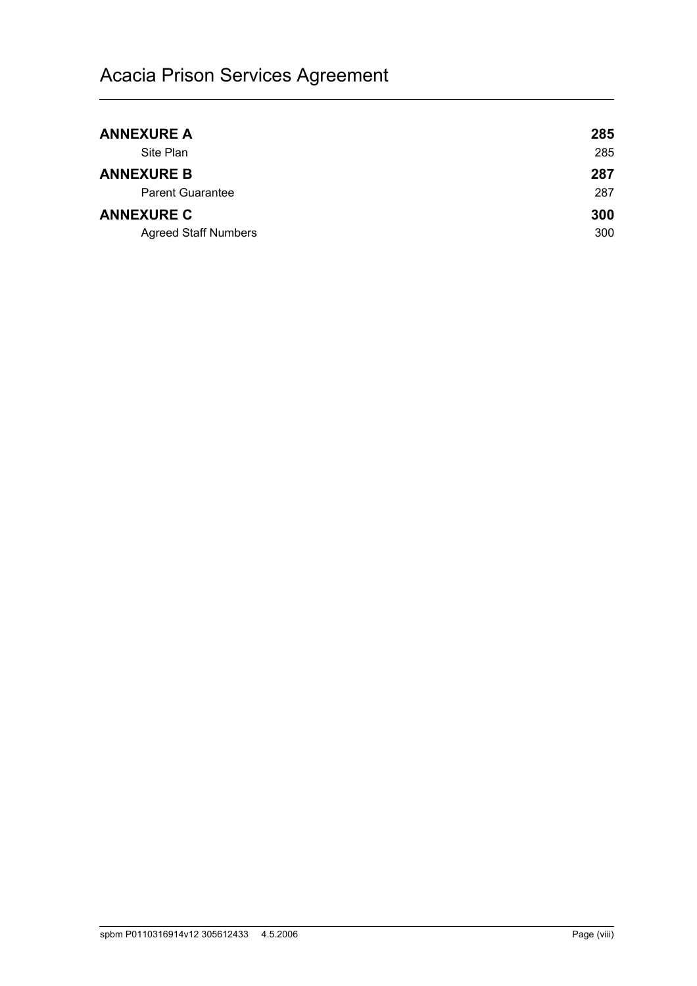| <b>ANNEXURE A</b>           | 285 |
|-----------------------------|-----|
| Site Plan                   | 285 |
| <b>ANNEXURE B</b>           | 287 |
| <b>Parent Guarantee</b>     | 287 |
| <b>ANNEXURE C</b>           | 300 |
| <b>Agreed Staff Numbers</b> | 300 |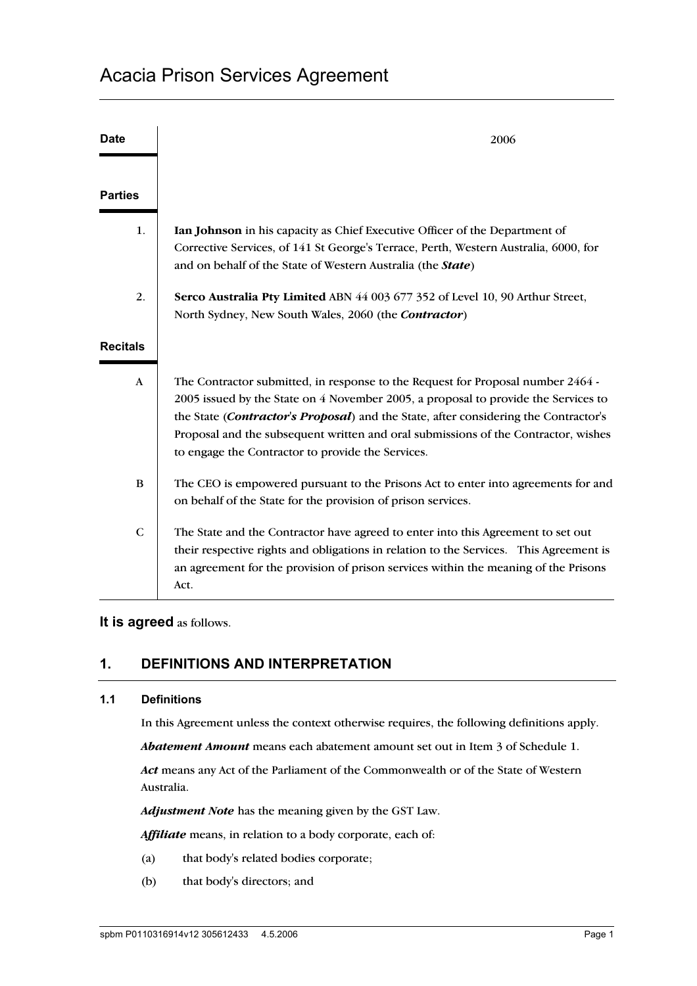| <b>Date</b>     | 2006                                                                                                                                                                                                                                                                                                                                                                                                    |
|-----------------|---------------------------------------------------------------------------------------------------------------------------------------------------------------------------------------------------------------------------------------------------------------------------------------------------------------------------------------------------------------------------------------------------------|
| <b>Parties</b>  |                                                                                                                                                                                                                                                                                                                                                                                                         |
| 1.              | Ian Johnson in his capacity as Chief Executive Officer of the Department of<br>Corrective Services, of 141 St George's Terrace, Perth, Western Australia, 6000, for<br>and on behalf of the State of Western Australia (the State)                                                                                                                                                                      |
| 2.              | Serco Australia Pty Limited ABN 44 003 677 352 of Level 10, 90 Arthur Street,<br>North Sydney, New South Wales, 2060 (the Contractor)                                                                                                                                                                                                                                                                   |
| <b>Recitals</b> |                                                                                                                                                                                                                                                                                                                                                                                                         |
| $\mathbf{A}$    | The Contractor submitted, in response to the Request for Proposal number 2464 -<br>2005 issued by the State on 4 November 2005, a proposal to provide the Services to<br>the State (Contractor's Proposal) and the State, after considering the Contractor's<br>Proposal and the subsequent written and oral submissions of the Contractor, wishes<br>to engage the Contractor to provide the Services. |
| B               | The CEO is empowered pursuant to the Prisons Act to enter into agreements for and<br>on behalf of the State for the provision of prison services.                                                                                                                                                                                                                                                       |
| $\mathsf{C}$    | The State and the Contractor have agreed to enter into this Agreement to set out<br>their respective rights and obligations in relation to the Services. This Agreement is<br>an agreement for the provision of prison services within the meaning of the Prisons<br>Act.                                                                                                                               |

## **It is agreed** as follows.

# **1. DEFINITIONS AND INTERPRETATION**

## **1.1 Definitions**

In this Agreement unless the context otherwise requires, the following definitions apply.

*Abatement Amount* means each abatement amount set out in Item 3 of Schedule 1.

*Act* means any Act of the Parliament of the Commonwealth or of the State of Western Australia.

*Adjustment Note* has the meaning given by the GST Law.

*Affiliate* means, in relation to a body corporate, each of:

- (a) that body's related bodies corporate;
- (b) that body's directors; and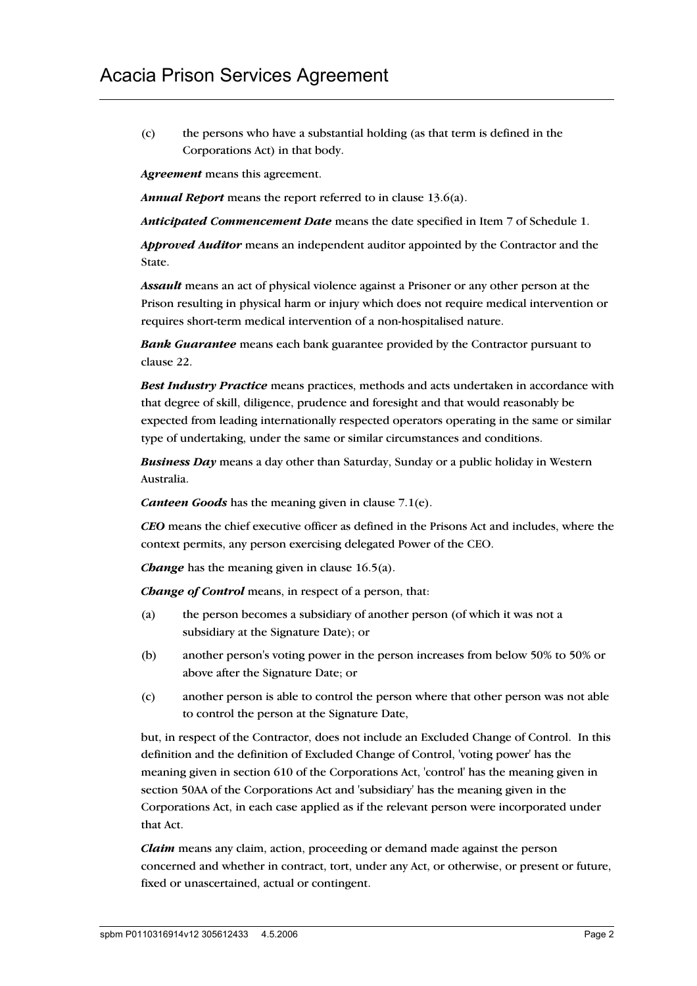(c) the persons who have a substantial holding (as that term is defined in the Corporations Act) in that body.

*Agreement* means this agreement.

*Annual Report* means the report referred to in clause 13.6(a).

*Anticipated Commencement Date* means the date specified in Item 7 of Schedule 1.

*Approved Auditor* means an independent auditor appointed by the Contractor and the State.

*Assault* means an act of physical violence against a Prisoner or any other person at the Prison resulting in physical harm or injury which does not require medical intervention or requires short-term medical intervention of a non-hospitalised nature.

*Bank Guarantee* means each bank guarantee provided by the Contractor pursuant to clause 22.

*Best Industry Practice* means practices, methods and acts undertaken in accordance with that degree of skill, diligence, prudence and foresight and that would reasonably be expected from leading internationally respected operators operating in the same or similar type of undertaking, under the same or similar circumstances and conditions.

*Business Day* means a day other than Saturday, Sunday or a public holiday in Western Australia.

*Canteen Goods* has the meaning given in clause 7.1(e).

*CEO* means the chief executive officer as defined in the Prisons Act and includes, where the context permits, any person exercising delegated Power of the CEO.

*Change* has the meaning given in clause 16.5(a).

*Change of Control* means, in respect of a person, that:

- (a) the person becomes a subsidiary of another person (of which it was not a subsidiary at the Signature Date); or
- (b) another person's voting power in the person increases from below 50% to 50% or above after the Signature Date; or
- (c) another person is able to control the person where that other person was not able to control the person at the Signature Date,

but, in respect of the Contractor, does not include an Excluded Change of Control. In this definition and the definition of Excluded Change of Control, 'voting power' has the meaning given in section 610 of the Corporations Act, 'control' has the meaning given in section 50AA of the Corporations Act and 'subsidiary' has the meaning given in the Corporations Act, in each case applied as if the relevant person were incorporated under that Act.

*Claim* means any claim, action, proceeding or demand made against the person concerned and whether in contract, tort, under any Act, or otherwise, or present or future, fixed or unascertained, actual or contingent.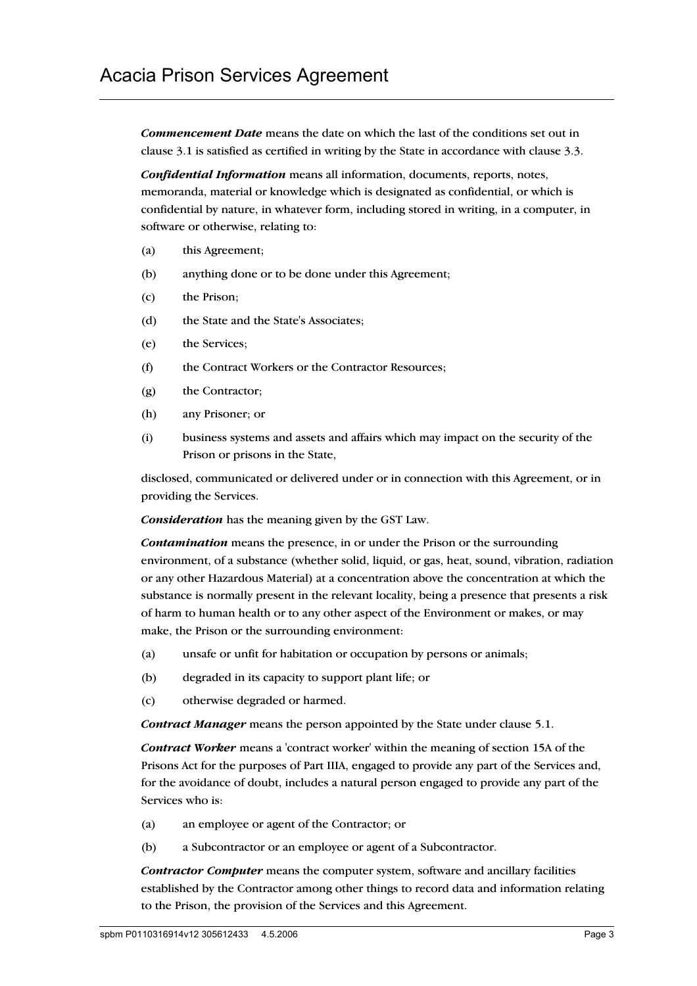*Commencement Date* means the date on which the last of the conditions set out in clause 3.1 is satisfied as certified in writing by the State in accordance with clause 3.3.

*Confidential Information* means all information, documents, reports, notes, memoranda, material or knowledge which is designated as confidential, or which is confidential by nature, in whatever form, including stored in writing, in a computer, in software or otherwise, relating to:

- (a) this Agreement;
- (b) anything done or to be done under this Agreement;
- (c) the Prison;
- (d) the State and the State's Associates;
- (e) the Services;
- (f) the Contract Workers or the Contractor Resources;
- (g) the Contractor;
- (h) any Prisoner; or
- (i) business systems and assets and affairs which may impact on the security of the Prison or prisons in the State,

disclosed, communicated or delivered under or in connection with this Agreement, or in providing the Services.

*Consideration* has the meaning given by the GST Law.

*Contamination* means the presence, in or under the Prison or the surrounding environment, of a substance (whether solid, liquid, or gas, heat, sound, vibration, radiation or any other Hazardous Material) at a concentration above the concentration at which the substance is normally present in the relevant locality, being a presence that presents a risk of harm to human health or to any other aspect of the Environment or makes, or may make, the Prison or the surrounding environment:

- (a) unsafe or unfit for habitation or occupation by persons or animals;
- (b) degraded in its capacity to support plant life; or
- (c) otherwise degraded or harmed.

*Contract Manager* means the person appointed by the State under clause 5.1.

*Contract Worker* means a 'contract worker' within the meaning of section 15A of the Prisons Act for the purposes of Part IIIA, engaged to provide any part of the Services and, for the avoidance of doubt, includes a natural person engaged to provide any part of the Services who is:

- (a) an employee or agent of the Contractor; or
- (b) a Subcontractor or an employee or agent of a Subcontractor.

*Contractor Computer* means the computer system, software and ancillary facilities established by the Contractor among other things to record data and information relating to the Prison, the provision of the Services and this Agreement.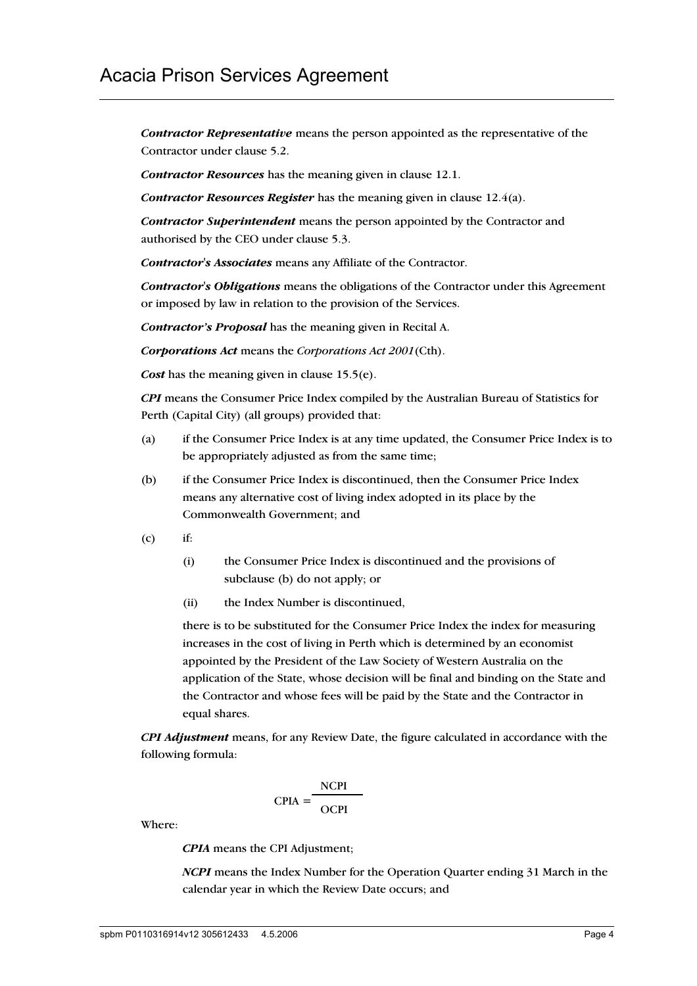*Contractor Representative* means the person appointed as the representative of the Contractor under clause 5.2.

*Contractor Resources* has the meaning given in clause 12.1.

*Contractor Resources Register* has the meaning given in clause 12.4(a).

*Contractor Superintendent* means the person appointed by the Contractor and authorised by the CEO under clause 5.3.

*Contractor's Associates* means any Affiliate of the Contractor.

*Contractor's Obligations* means the obligations of the Contractor under this Agreement or imposed by law in relation to the provision of the Services.

*Contractor's Proposal* has the meaning given in Recital A.

*Corporations Act* means the *Corporations Act 2001*(Cth).

*Cost* has the meaning given in clause 15.5(e).

*CPI* means the Consumer Price Index compiled by the Australian Bureau of Statistics for Perth (Capital City) (all groups) provided that:

- (a) if the Consumer Price Index is at any time updated, the Consumer Price Index is to be appropriately adjusted as from the same time;
- (b) if the Consumer Price Index is discontinued, then the Consumer Price Index means any alternative cost of living index adopted in its place by the Commonwealth Government; and
- $(c)$  if:
	- (i) the Consumer Price Index is discontinued and the provisions of subclause (b) do not apply; or
	- (ii) the Index Number is discontinued,

there is to be substituted for the Consumer Price Index the index for measuring increases in the cost of living in Perth which is determined by an economist appointed by the President of the Law Society of Western Australia on the application of the State, whose decision will be final and binding on the State and the Contractor and whose fees will be paid by the State and the Contractor in equal shares.

*CPI Adjustment* means, for any Review Date, the figure calculated in accordance with the following formula:

$$
CPIA = \frac{NCPI}{OCPI}
$$

Where:

*CPIA* means the CPI Adjustment;

*NCPI* means the Index Number for the Operation Quarter ending 31 March in the calendar year in which the Review Date occurs; and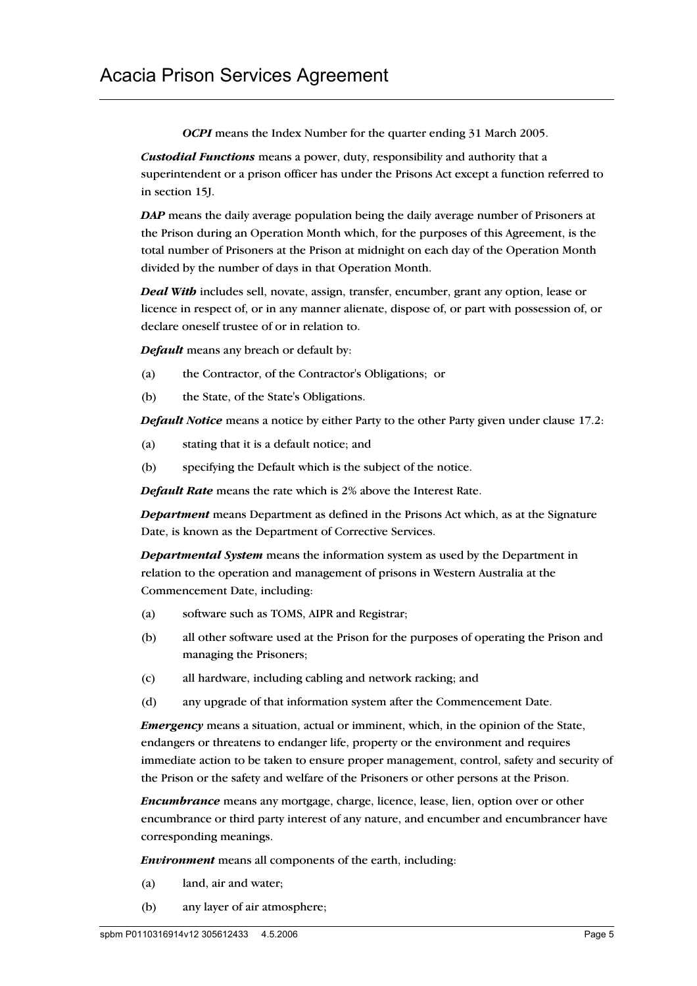*OCPI* means the Index Number for the quarter ending 31 March 2005.

*Custodial Functions* means a power, duty, responsibility and authority that a superintendent or a prison officer has under the Prisons Act except a function referred to in section 15J.

*DAP* means the daily average population being the daily average number of Prisoners at the Prison during an Operation Month which, for the purposes of this Agreement, is the total number of Prisoners at the Prison at midnight on each day of the Operation Month divided by the number of days in that Operation Month.

*Deal With* includes sell, novate, assign, transfer, encumber, grant any option, lease or licence in respect of, or in any manner alienate, dispose of, or part with possession of, or declare oneself trustee of or in relation to.

*Default* means any breach or default by:

- (a) the Contractor, of the Contractor's Obligations; or
- (b) the State, of the State's Obligations.

*Default Notice* means a notice by either Party to the other Party given under clause 17.2:

- (a) stating that it is a default notice; and
- (b) specifying the Default which is the subject of the notice.

*Default Rate* means the rate which is 2% above the Interest Rate.

*Department* means Department as defined in the Prisons Act which, as at the Signature Date, is known as the Department of Corrective Services.

*Departmental System* means the information system as used by the Department in relation to the operation and management of prisons in Western Australia at the Commencement Date, including:

- (a) software such as TOMS, AIPR and Registrar;
- (b) all other software used at the Prison for the purposes of operating the Prison and managing the Prisoners;
- (c) all hardware, including cabling and network racking; and
- (d) any upgrade of that information system after the Commencement Date.

*Emergency* means a situation, actual or imminent, which, in the opinion of the State, endangers or threatens to endanger life, property or the environment and requires immediate action to be taken to ensure proper management, control, safety and security of the Prison or the safety and welfare of the Prisoners or other persons at the Prison.

*Encumbrance* means any mortgage, charge, licence, lease, lien, option over or other encumbrance or third party interest of any nature, and encumber and encumbrancer have corresponding meanings.

*Environment* means all components of the earth, including:

- (a) land, air and water;
- (b) any layer of air atmosphere;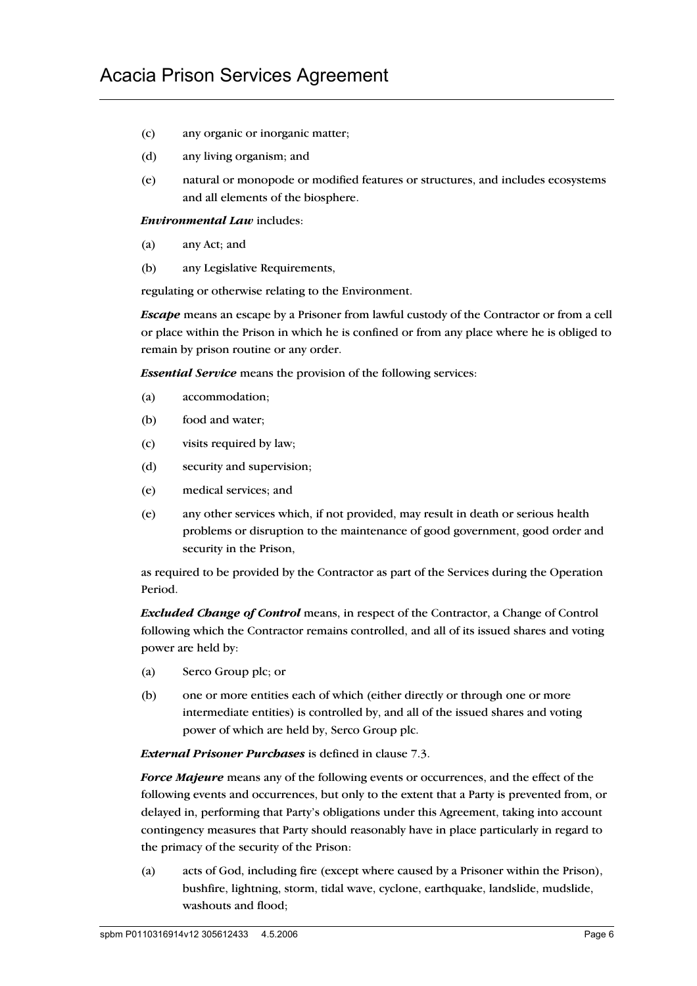- (c) any organic or inorganic matter;
- (d) any living organism; and
- (e) natural or monopode or modified features or structures, and includes ecosystems and all elements of the biosphere.

*Environmental Law* includes:

- (a) any Act; and
- (b) any Legislative Requirements,

regulating or otherwise relating to the Environment.

*Escape* means an escape by a Prisoner from lawful custody of the Contractor or from a cell or place within the Prison in which he is confined or from any place where he is obliged to remain by prison routine or any order.

*Essential Service* means the provision of the following services:

- (a) accommodation;
- (b) food and water;
- (c) visits required by law;
- (d) security and supervision;
- (e) medical services; and
- (e) any other services which, if not provided, may result in death or serious health problems or disruption to the maintenance of good government, good order and security in the Prison,

as required to be provided by the Contractor as part of the Services during the Operation Period.

*Excluded Change of Control* means, in respect of the Contractor, a Change of Control following which the Contractor remains controlled, and all of its issued shares and voting power are held by:

- (a) Serco Group plc; or
- (b) one or more entities each of which (either directly or through one or more intermediate entities) is controlled by, and all of the issued shares and voting power of which are held by, Serco Group plc.

*External Prisoner Purchases* is defined in clause 7.3.

*Force Majeure* means any of the following events or occurrences, and the effect of the following events and occurrences, but only to the extent that a Party is prevented from, or delayed in, performing that Party's obligations under this Agreement, taking into account contingency measures that Party should reasonably have in place particularly in regard to the primacy of the security of the Prison:

(a) acts of God, including fire (except where caused by a Prisoner within the Prison), bushfire, lightning, storm, tidal wave, cyclone, earthquake, landslide, mudslide, washouts and flood;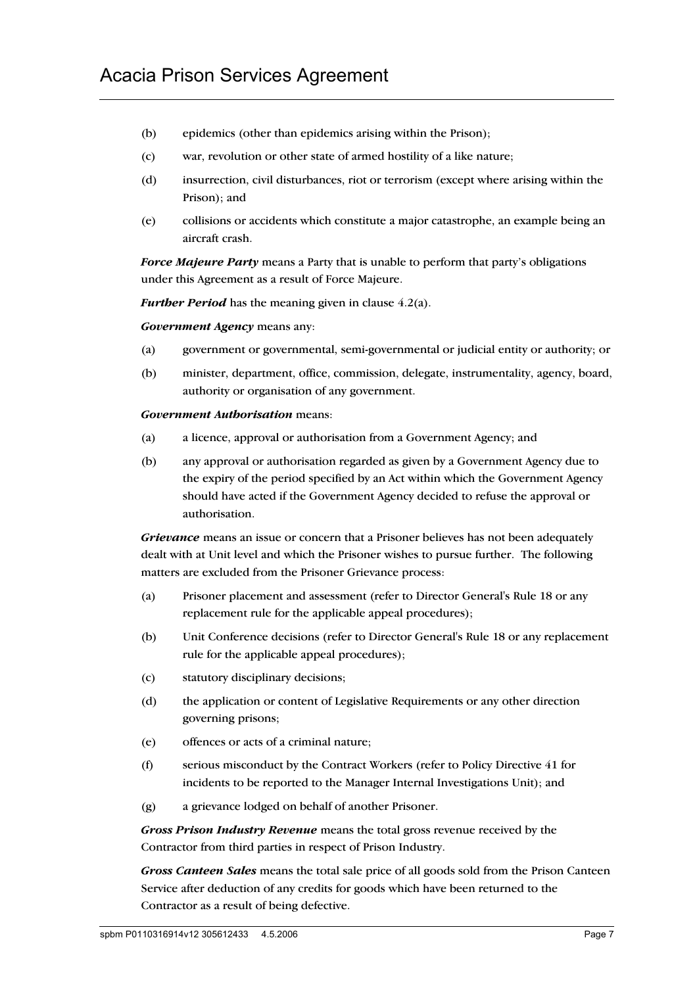- (b) epidemics (other than epidemics arising within the Prison);
- (c) war, revolution or other state of armed hostility of a like nature;
- (d) insurrection, civil disturbances, riot or terrorism (except where arising within the Prison); and
- (e) collisions or accidents which constitute a major catastrophe, an example being an aircraft crash.

*Force Majeure Party* means a Party that is unable to perform that party's obligations under this Agreement as a result of Force Majeure.

*Further Period* has the meaning given in clause 4.2(a).

*Government Agency* means any:

- (a) government or governmental, semi-governmental or judicial entity or authority; or
- (b) minister, department, office, commission, delegate, instrumentality, agency, board, authority or organisation of any government.

### *Government Authorisation* means:

- (a) a licence, approval or authorisation from a Government Agency; and
- (b) any approval or authorisation regarded as given by a Government Agency due to the expiry of the period specified by an Act within which the Government Agency should have acted if the Government Agency decided to refuse the approval or authorisation.

*Grievance* means an issue or concern that a Prisoner believes has not been adequately dealt with at Unit level and which the Prisoner wishes to pursue further. The following matters are excluded from the Prisoner Grievance process:

- (a) Prisoner placement and assessment (refer to Director General's Rule 18 or any replacement rule for the applicable appeal procedures);
- (b) Unit Conference decisions (refer to Director General's Rule 18 or any replacement rule for the applicable appeal procedures);
- (c) statutory disciplinary decisions;
- (d) the application or content of Legislative Requirements or any other direction governing prisons;
- (e) offences or acts of a criminal nature;
- (f) serious misconduct by the Contract Workers (refer to Policy Directive 41 for incidents to be reported to the Manager Internal Investigations Unit); and
- (g) a grievance lodged on behalf of another Prisoner.

*Gross Prison Industry Revenue* means the total gross revenue received by the Contractor from third parties in respect of Prison Industry.

*Gross Canteen Sales* means the total sale price of all goods sold from the Prison Canteen Service after deduction of any credits for goods which have been returned to the Contractor as a result of being defective.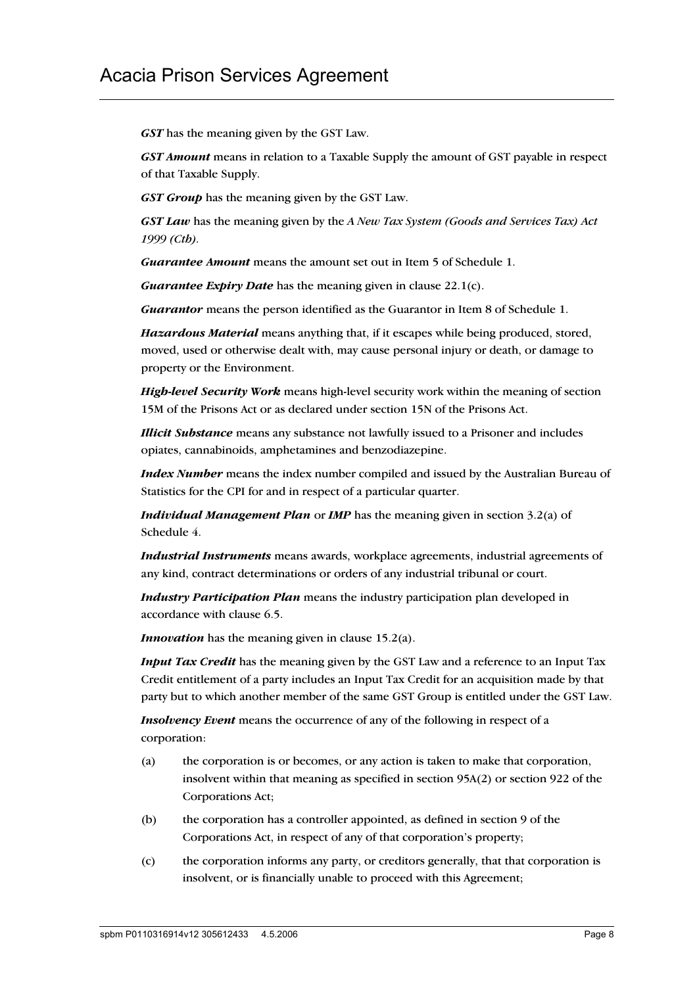*GST* has the meaning given by the GST Law.

*GST Amount* means in relation to a Taxable Supply the amount of GST payable in respect of that Taxable Supply.

*GST Group* has the meaning given by the GST Law.

*GST Law* has the meaning given by the *A New Tax System (Goods and Services Tax) Act 1999 (Cth).*

*Guarantee Amount* means the amount set out in Item 5 of Schedule 1.

*Guarantee Expiry Date* has the meaning given in clause 22.1(c).

*Guarantor* means the person identified as the Guarantor in Item 8 of Schedule 1.

*Hazardous Material* means anything that, if it escapes while being produced, stored, moved, used or otherwise dealt with, may cause personal injury or death, or damage to property or the Environment.

*High-level Security Work* means high-level security work within the meaning of section 15M of the Prisons Act or as declared under section 15N of the Prisons Act.

*Illicit Substance* means any substance not lawfully issued to a Prisoner and includes opiates, cannabinoids, amphetamines and benzodiazepine.

*Index Number* means the index number compiled and issued by the Australian Bureau of Statistics for the CPI for and in respect of a particular quarter.

*Individual Management Plan* or *IMP* has the meaning given in section 3.2(a) of Schedule 4.

*Industrial Instruments* means awards, workplace agreements, industrial agreements of any kind, contract determinations or orders of any industrial tribunal or court.

*Industry Participation Plan* means the industry participation plan developed in accordance with clause 6.5.

*Innovation* has the meaning given in clause 15.2(a).

*Input Tax Credit* has the meaning given by the GST Law and a reference to an Input Tax Credit entitlement of a party includes an Input Tax Credit for an acquisition made by that party but to which another member of the same GST Group is entitled under the GST Law.

*Insolvency Event* means the occurrence of any of the following in respect of a corporation:

- (a) the corporation is or becomes, or any action is taken to make that corporation, insolvent within that meaning as specified in section 95A(2) or section 922 of the Corporations Act;
- (b) the corporation has a controller appointed, as defined in section 9 of the Corporations Act, in respect of any of that corporation's property;
- (c) the corporation informs any party, or creditors generally, that that corporation is insolvent, or is financially unable to proceed with this Agreement;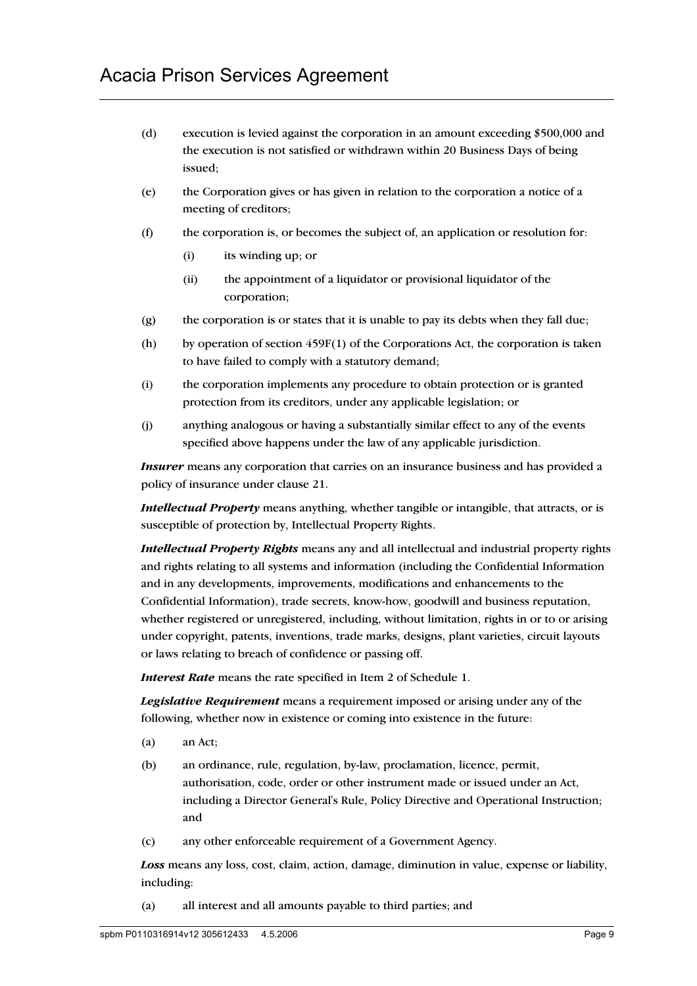- (d) execution is levied against the corporation in an amount exceeding \$500,000 and the execution is not satisfied or withdrawn within 20 Business Days of being issued;
- (e) the Corporation gives or has given in relation to the corporation a notice of a meeting of creditors;
- (f) the corporation is, or becomes the subject of, an application or resolution for:
	- (i) its winding up; or
	- (ii) the appointment of a liquidator or provisional liquidator of the corporation;
- (g) the corporation is or states that it is unable to pay its debts when they fall due;
- (h) by operation of section 459F(1) of the Corporations Act, the corporation is taken to have failed to comply with a statutory demand;
- (i) the corporation implements any procedure to obtain protection or is granted protection from its creditors, under any applicable legislation; or
- (j) anything analogous or having a substantially similar effect to any of the events specified above happens under the law of any applicable jurisdiction.

*Insurer* means any corporation that carries on an insurance business and has provided a policy of insurance under clause 21.

*Intellectual Property* means anything, whether tangible or intangible, that attracts, or is susceptible of protection by, Intellectual Property Rights.

*Intellectual Property Rights* means any and all intellectual and industrial property rights and rights relating to all systems and information (including the Confidential Information and in any developments, improvements, modifications and enhancements to the Confidential Information), trade secrets, know-how, goodwill and business reputation, whether registered or unregistered, including, without limitation, rights in or to or arising under copyright, patents, inventions, trade marks, designs, plant varieties, circuit layouts or laws relating to breach of confidence or passing off.

*Interest Rate* means the rate specified in Item 2 of Schedule 1.

*Legislative Requirement* means a requirement imposed or arising under any of the following, whether now in existence or coming into existence in the future:

- (a) an Act;
- (b) an ordinance, rule, regulation, by-law, proclamation, licence, permit, authorisation, code, order or other instrument made or issued under an Act, including a Director General's Rule, Policy Directive and Operational Instruction; and
- (c) any other enforceable requirement of a Government Agency.

*Loss* means any loss, cost, claim, action, damage, diminution in value, expense or liability, including:

(a) all interest and all amounts payable to third parties; and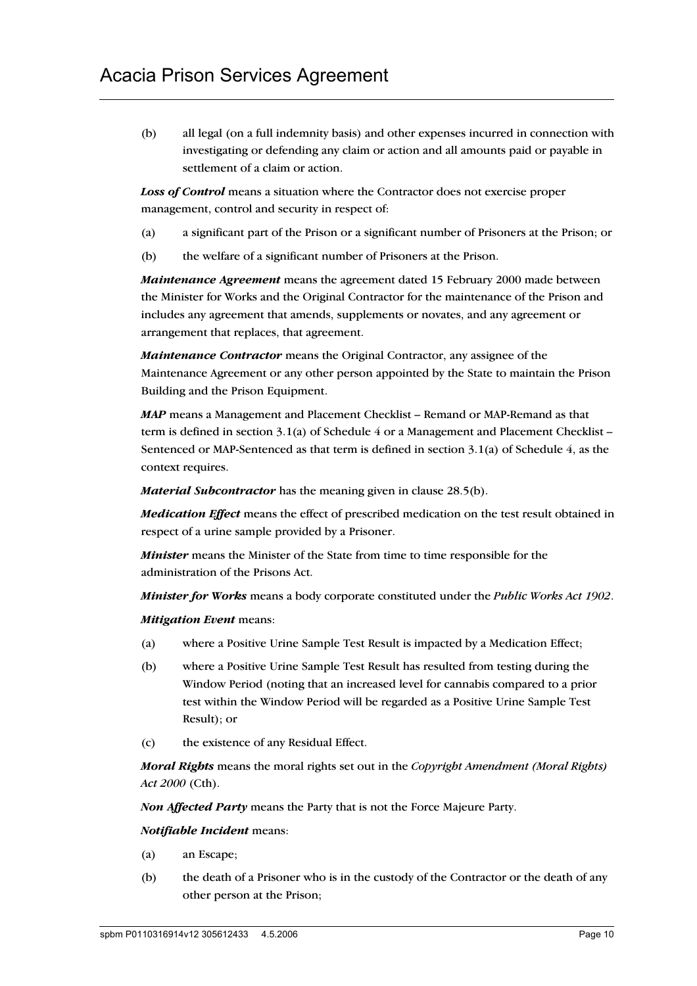(b) all legal (on a full indemnity basis) and other expenses incurred in connection with investigating or defending any claim or action and all amounts paid or payable in settlement of a claim or action.

*Loss of Control* means a situation where the Contractor does not exercise proper management, control and security in respect of:

- (a) a significant part of the Prison or a significant number of Prisoners at the Prison; or
- (b) the welfare of a significant number of Prisoners at the Prison.

*Maintenance Agreement* means the agreement dated 15 February 2000 made between the Minister for Works and the Original Contractor for the maintenance of the Prison and includes any agreement that amends, supplements or novates, and any agreement or arrangement that replaces, that agreement.

*Maintenance Contractor* means the Original Contractor, any assignee of the Maintenance Agreement or any other person appointed by the State to maintain the Prison Building and the Prison Equipment.

*MAP* means a Management and Placement Checklist – Remand or MAP-Remand as that term is defined in section 3.1(a) of Schedule 4 or a Management and Placement Checklist – Sentenced or MAP-Sentenced as that term is defined in section 3.1(a) of Schedule 4, as the context requires.

*Material Subcontractor* has the meaning given in clause 28.5(b).

*Medication Effect* means the effect of prescribed medication on the test result obtained in respect of a urine sample provided by a Prisoner.

*Minister* means the Minister of the State from time to time responsible for the administration of the Prisons Act.

*Minister for Works* means a body corporate constituted under the *Public Works Act 1902*.

*Mitigation Event* means:

- (a) where a Positive Urine Sample Test Result is impacted by a Medication Effect;
- (b) where a Positive Urine Sample Test Result has resulted from testing during the Window Period (noting that an increased level for cannabis compared to a prior test within the Window Period will be regarded as a Positive Urine Sample Test Result); or
- (c) the existence of any Residual Effect.

*Moral Rights* means the moral rights set out in the *Copyright Amendment (Moral Rights) Act 2000* (Cth).

*Non Affected Party* means the Party that is not the Force Majeure Party.

#### *Notifiable Incident* means:

- (a) an Escape;
- (b) the death of a Prisoner who is in the custody of the Contractor or the death of any other person at the Prison;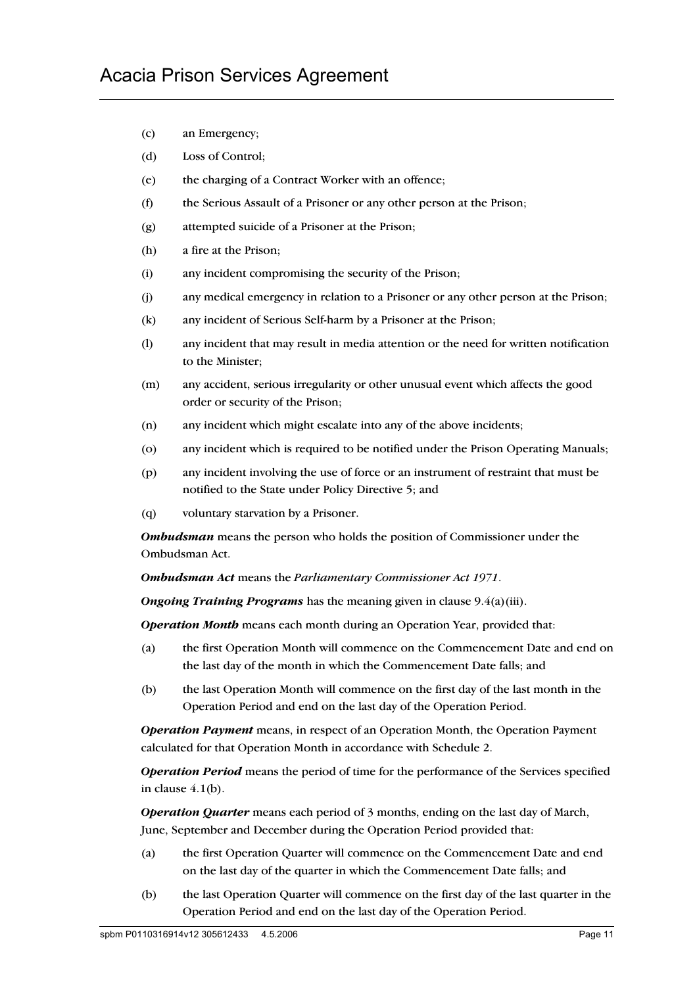- (c) an Emergency;
- (d) Loss of Control;
- (e) the charging of a Contract Worker with an offence;
- (f) the Serious Assault of a Prisoner or any other person at the Prison;
- (g) attempted suicide of a Prisoner at the Prison;
- (h) a fire at the Prison;
- (i) any incident compromising the security of the Prison;
- (j) any medical emergency in relation to a Prisoner or any other person at the Prison;
- (k) any incident of Serious Self-harm by a Prisoner at the Prison;
- (l) any incident that may result in media attention or the need for written notification to the Minister;
- (m) any accident, serious irregularity or other unusual event which affects the good order or security of the Prison;
- (n) any incident which might escalate into any of the above incidents;
- (o) any incident which is required to be notified under the Prison Operating Manuals;
- (p) any incident involving the use of force or an instrument of restraint that must be notified to the State under Policy Directive 5; and
- (q) voluntary starvation by a Prisoner.

*Ombudsman* means the person who holds the position of Commissioner under the Ombudsman Act.

*Ombudsman Act* means the *Parliamentary Commissioner Act 1971*.

*Ongoing Training Programs* has the meaning given in clause 9.4(a)(iii).

*Operation Month* means each month during an Operation Year, provided that:

- (a) the first Operation Month will commence on the Commencement Date and end on the last day of the month in which the Commencement Date falls; and
- (b) the last Operation Month will commence on the first day of the last month in the Operation Period and end on the last day of the Operation Period.

*Operation Payment* means, in respect of an Operation Month, the Operation Payment calculated for that Operation Month in accordance with Schedule 2.

*Operation Period* means the period of time for the performance of the Services specified in clause 4.1(b).

*Operation Quarter* means each period of 3 months, ending on the last day of March, June, September and December during the Operation Period provided that:

- (a) the first Operation Quarter will commence on the Commencement Date and end on the last day of the quarter in which the Commencement Date falls; and
- (b) the last Operation Quarter will commence on the first day of the last quarter in the Operation Period and end on the last day of the Operation Period.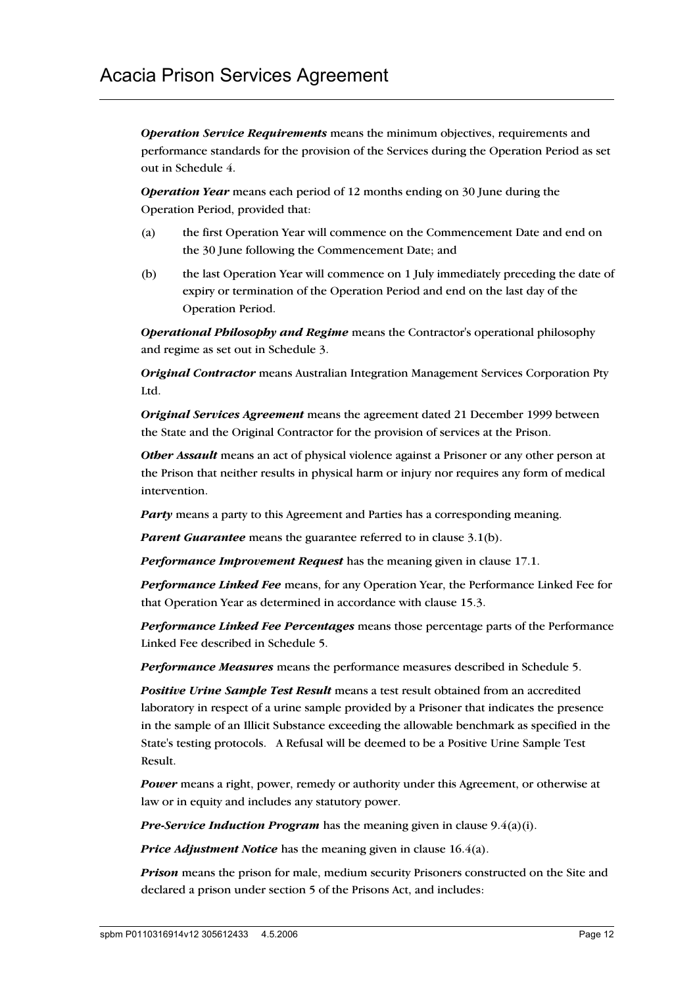*Operation Service Requirements* means the minimum objectives, requirements and performance standards for the provision of the Services during the Operation Period as set out in Schedule 4.

*Operation Year* means each period of 12 months ending on 30 June during the Operation Period, provided that:

- (a) the first Operation Year will commence on the Commencement Date and end on the 30 June following the Commencement Date; and
- (b) the last Operation Year will commence on 1 July immediately preceding the date of expiry or termination of the Operation Period and end on the last day of the Operation Period.

*Operational Philosophy and Regime* means the Contractor's operational philosophy and regime as set out in Schedule 3.

*Original Contractor* means Australian Integration Management Services Corporation Pty Ltd.

*Original Services Agreement* means the agreement dated 21 December 1999 between the State and the Original Contractor for the provision of services at the Prison.

*Other Assault* means an act of physical violence against a Prisoner or any other person at the Prison that neither results in physical harm or injury nor requires any form of medical intervention.

*Party* means a party to this Agreement and Parties has a corresponding meaning.

*Parent Guarantee* means the guarantee referred to in clause 3.1(b).

*Performance Improvement Request* has the meaning given in clause 17.1.

*Performance Linked Fee* means, for any Operation Year, the Performance Linked Fee for that Operation Year as determined in accordance with clause 15.3.

*Performance Linked Fee Percentages* means those percentage parts of the Performance Linked Fee described in Schedule 5.

*Performance Measures* means the performance measures described in Schedule 5.

*Positive Urine Sample Test Result* means a test result obtained from an accredited laboratory in respect of a urine sample provided by a Prisoner that indicates the presence in the sample of an Illicit Substance exceeding the allowable benchmark as specified in the State's testing protocols. A Refusal will be deemed to be a Positive Urine Sample Test Result.

*Power* means a right, power, remedy or authority under this Agreement, or otherwise at law or in equity and includes any statutory power.

*Pre-Service Induction Program* has the meaning given in clause 9.4(a)(i).

*Price Adjustment Notice* has the meaning given in clause 16.4(a).

*Prison* means the prison for male, medium security Prisoners constructed on the Site and declared a prison under section 5 of the Prisons Act, and includes: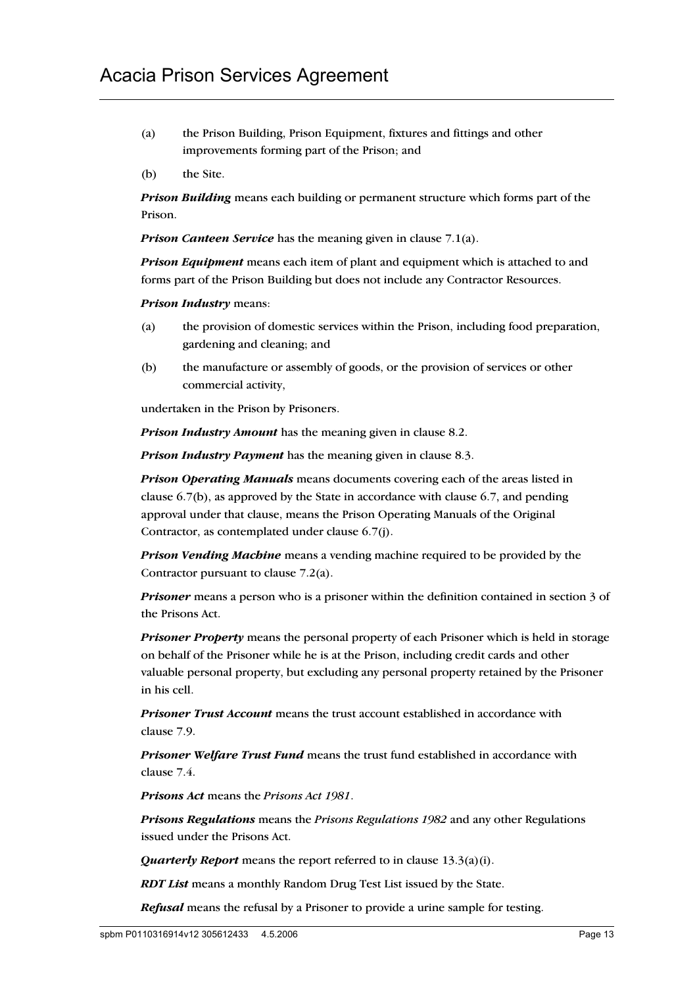- (a) the Prison Building, Prison Equipment, fixtures and fittings and other improvements forming part of the Prison; and
- (b) the Site.

*Prison Building* means each building or permanent structure which forms part of the Prison.

*Prison Canteen Service* has the meaning given in clause 7.1(a).

*Prison Equipment* means each item of plant and equipment which is attached to and forms part of the Prison Building but does not include any Contractor Resources.

*Prison Industry* means:

- (a) the provision of domestic services within the Prison, including food preparation, gardening and cleaning; and
- (b) the manufacture or assembly of goods, or the provision of services or other commercial activity,

undertaken in the Prison by Prisoners.

*Prison Industry Amount* has the meaning given in clause 8.2.

*Prison Industry Payment* has the meaning given in clause 8.3.

*Prison Operating Manuals* means documents covering each of the areas listed in clause 6.7(b), as approved by the State in accordance with clause 6.7, and pending approval under that clause, means the Prison Operating Manuals of the Original Contractor, as contemplated under clause 6.7(j).

*Prison Vending Machine* means a vending machine required to be provided by the Contractor pursuant to clause 7.2(a).

*Prisoner* means a person who is a prisoner within the definition contained in section 3 of the Prisons Act.

*Prisoner Property* means the personal property of each Prisoner which is held in storage on behalf of the Prisoner while he is at the Prison, including credit cards and other valuable personal property, but excluding any personal property retained by the Prisoner in his cell.

*Prisoner Trust Account* means the trust account established in accordance with clause 7.9.

*Prisoner Welfare Trust Fund* means the trust fund established in accordance with clause 7.4.

*Prisons Act* means the *Prisons Act 1981*.

*Prisons Regulations* means the *Prisons Regulations 1982* and any other Regulations issued under the Prisons Act.

*Quarterly Report* means the report referred to in clause 13.3(a)(i).

*RDT List* means a monthly Random Drug Test List issued by the State.

*Refusal* means the refusal by a Prisoner to provide a urine sample for testing.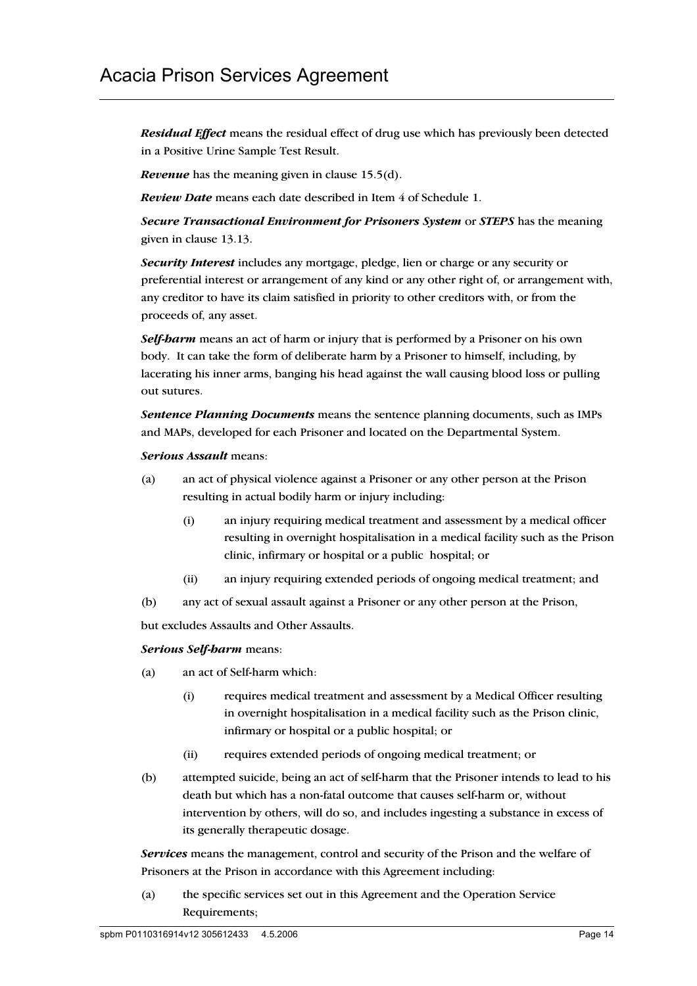*Residual Effect* means the residual effect of drug use which has previously been detected in a Positive Urine Sample Test Result.

*Revenue* has the meaning given in clause 15.5(d).

*Review Date* means each date described in Item 4 of Schedule 1.

*Secure Transactional Environment for Prisoners System* or *STEPS* has the meaning given in clause 13.13.

*Security Interest* includes any mortgage, pledge, lien or charge or any security or preferential interest or arrangement of any kind or any other right of, or arrangement with, any creditor to have its claim satisfied in priority to other creditors with, or from the proceeds of, any asset.

*Self-harm* means an act of harm or injury that is performed by a Prisoner on his own body. It can take the form of deliberate harm by a Prisoner to himself, including, by lacerating his inner arms, banging his head against the wall causing blood loss or pulling out sutures.

*Sentence Planning Documents* means the sentence planning documents, such as IMPs and MAPs, developed for each Prisoner and located on the Departmental System.

#### *Serious Assault* means:

- (a) an act of physical violence against a Prisoner or any other person at the Prison resulting in actual bodily harm or injury including:
	- (i) an injury requiring medical treatment and assessment by a medical officer resulting in overnight hospitalisation in a medical facility such as the Prison clinic, infirmary or hospital or a public hospital; or
	- (ii) an injury requiring extended periods of ongoing medical treatment; and
- (b) any act of sexual assault against a Prisoner or any other person at the Prison,

but excludes Assaults and Other Assaults.

### *Serious Self-harm* means:

- (a) an act of Self-harm which:
	- (i) requires medical treatment and assessment by a Medical Officer resulting in overnight hospitalisation in a medical facility such as the Prison clinic, infirmary or hospital or a public hospital; or
	- (ii) requires extended periods of ongoing medical treatment; or
- (b) attempted suicide, being an act of self-harm that the Prisoner intends to lead to his death but which has a non-fatal outcome that causes self-harm or, without intervention by others, will do so, and includes ingesting a substance in excess of its generally therapeutic dosage.

*Services* means the management, control and security of the Prison and the welfare of Prisoners at the Prison in accordance with this Agreement including:

(a) the specific services set out in this Agreement and the Operation Service Requirements;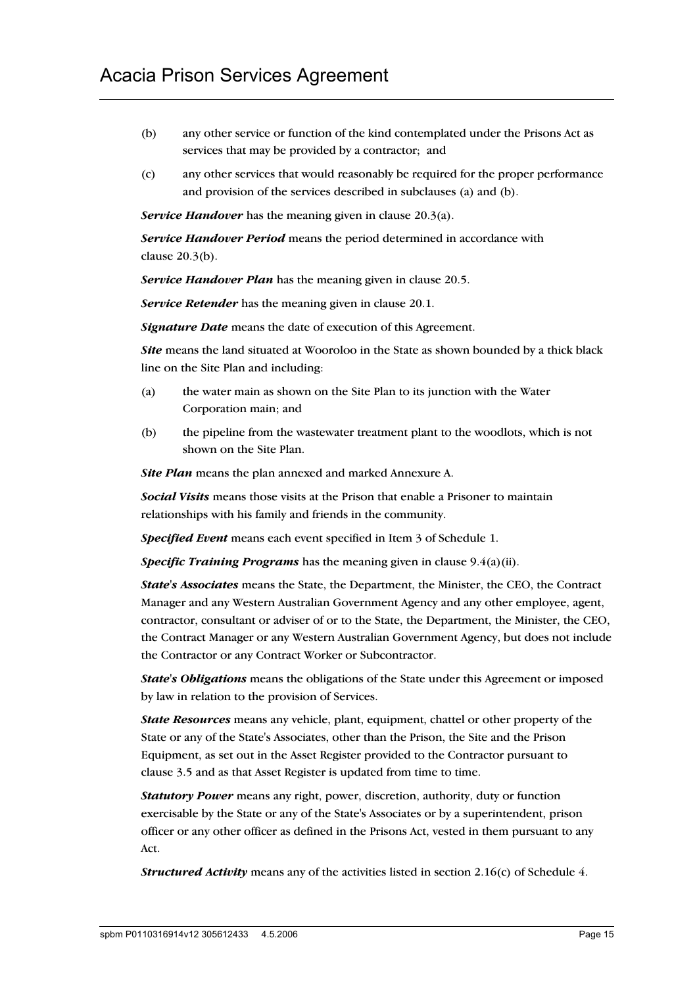- (b) any other service or function of the kind contemplated under the Prisons Act as services that may be provided by a contractor; and
- (c) any other services that would reasonably be required for the proper performance and provision of the services described in subclauses (a) and (b).

*Service Handover* has the meaning given in clause 20.3(a).

*Service Handover Period* means the period determined in accordance with clause 20.3(b).

*Service Handover Plan* has the meaning given in clause 20.5.

*Service Retender* has the meaning given in clause 20.1.

*Signature Date* means the date of execution of this Agreement.

*Site* means the land situated at Wooroloo in the State as shown bounded by a thick black line on the Site Plan and including:

- (a) the water main as shown on the Site Plan to its junction with the Water Corporation main; and
- (b) the pipeline from the wastewater treatment plant to the woodlots, which is not shown on the Site Plan.

*Site Plan* means the plan annexed and marked Annexure A.

*Social Visits* means those visits at the Prison that enable a Prisoner to maintain relationships with his family and friends in the community.

*Specified Event* means each event specified in Item 3 of Schedule 1.

*Specific Training Programs* has the meaning given in clause 9.4(a)(ii).

*State's Associates* means the State, the Department, the Minister, the CEO, the Contract Manager and any Western Australian Government Agency and any other employee, agent, contractor, consultant or adviser of or to the State, the Department, the Minister, the CEO, the Contract Manager or any Western Australian Government Agency, but does not include the Contractor or any Contract Worker or Subcontractor.

*State's Obligations* means the obligations of the State under this Agreement or imposed by law in relation to the provision of Services.

*State Resources* means any vehicle, plant, equipment, chattel or other property of the State or any of the State's Associates, other than the Prison, the Site and the Prison Equipment, as set out in the Asset Register provided to the Contractor pursuant to clause 3.5 and as that Asset Register is updated from time to time.

*Statutory Power* means any right, power, discretion, authority, duty or function exercisable by the State or any of the State's Associates or by a superintendent, prison officer or any other officer as defined in the Prisons Act, vested in them pursuant to any Act.

*Structured Activity* means any of the activities listed in section 2.16(c) of Schedule 4.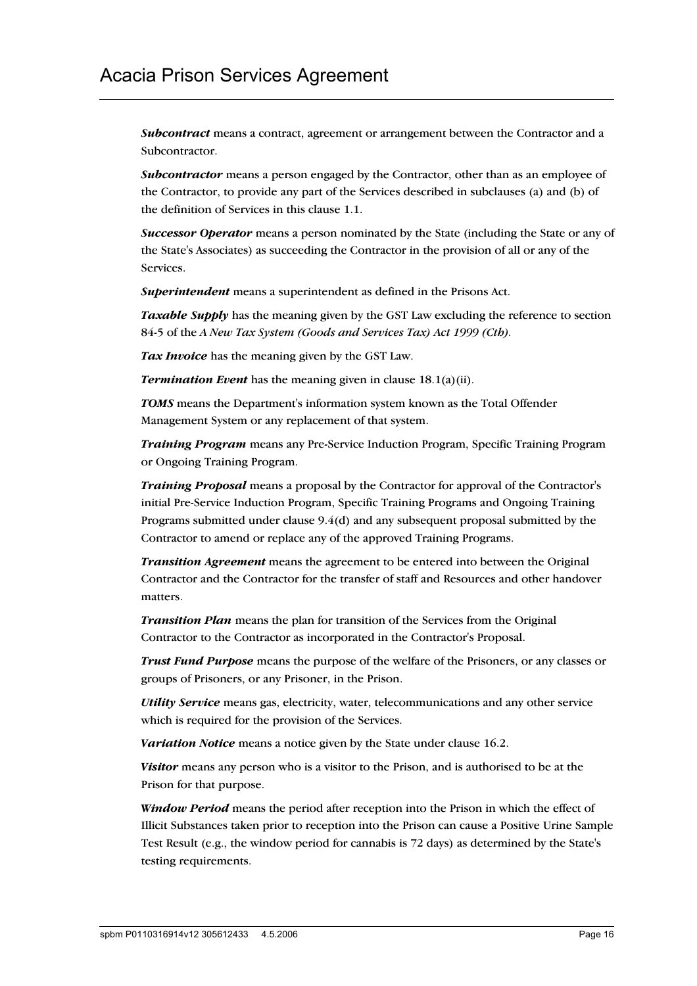*Subcontract* means a contract, agreement or arrangement between the Contractor and a Subcontractor.

*Subcontractor* means a person engaged by the Contractor, other than as an employee of the Contractor, to provide any part of the Services described in subclauses (a) and (b) of the definition of Services in this clause 1.1.

*Successor Operator* means a person nominated by the State (including the State or any of the State's Associates) as succeeding the Contractor in the provision of all or any of the Services.

*Superintendent* means a superintendent as defined in the Prisons Act.

*Taxable Supply* has the meaning given by the GST Law excluding the reference to section 84-5 of the *A New Tax System (Goods and Services Tax) Act 1999 (Cth).*

*Tax Invoice* has the meaning given by the GST Law.

*Termination Event* has the meaning given in clause 18.1(a)(ii).

*TOMS* means the Department's information system known as the Total Offender Management System or any replacement of that system.

*Training Program* means any Pre-Service Induction Program, Specific Training Program or Ongoing Training Program.

*Training Proposal* means a proposal by the Contractor for approval of the Contractor's initial Pre-Service Induction Program, Specific Training Programs and Ongoing Training Programs submitted under clause 9.4(d) and any subsequent proposal submitted by the Contractor to amend or replace any of the approved Training Programs.

*Transition Agreement* means the agreement to be entered into between the Original Contractor and the Contractor for the transfer of staff and Resources and other handover matters.

*Transition Plan* means the plan for transition of the Services from the Original Contractor to the Contractor as incorporated in the Contractor's Proposal.

*Trust Fund Purpose* means the purpose of the welfare of the Prisoners, or any classes or groups of Prisoners, or any Prisoner, in the Prison.

*Utility Service* means gas, electricity, water, telecommunications and any other service which is required for the provision of the Services.

*Variation Notice* means a notice given by the State under clause 16.2.

*Visitor* means any person who is a visitor to the Prison, and is authorised to be at the Prison for that purpose.

*Window Period* means the period after reception into the Prison in which the effect of Illicit Substances taken prior to reception into the Prison can cause a Positive Urine Sample Test Result (e.g., the window period for cannabis is 72 days) as determined by the State's testing requirements.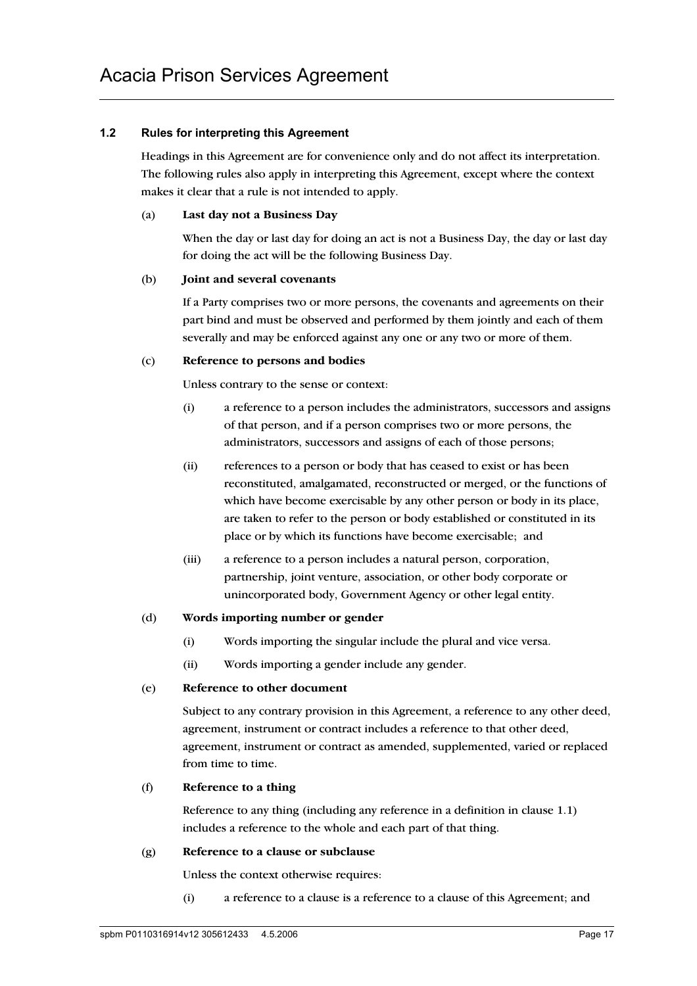### **1.2 Rules for interpreting this Agreement**

Headings in this Agreement are for convenience only and do not affect its interpretation. The following rules also apply in interpreting this Agreement, except where the context makes it clear that a rule is not intended to apply.

### (a) **Last day not a Business Day**

When the day or last day for doing an act is not a Business Day, the day or last day for doing the act will be the following Business Day.

#### (b) **Joint and several covenants**

If a Party comprises two or more persons, the covenants and agreements on their part bind and must be observed and performed by them jointly and each of them severally and may be enforced against any one or any two or more of them.

### (c) **Reference to persons and bodies**

Unless contrary to the sense or context:

- (i) a reference to a person includes the administrators, successors and assigns of that person, and if a person comprises two or more persons, the administrators, successors and assigns of each of those persons;
- (ii) references to a person or body that has ceased to exist or has been reconstituted, amalgamated, reconstructed or merged, or the functions of which have become exercisable by any other person or body in its place, are taken to refer to the person or body established or constituted in its place or by which its functions have become exercisable; and
- (iii) a reference to a person includes a natural person, corporation, partnership, joint venture, association, or other body corporate or unincorporated body, Government Agency or other legal entity.

### (d) **Words importing number or gender**

- (i) Words importing the singular include the plural and vice versa.
- (ii) Words importing a gender include any gender.

### (e) **Reference to other document**

Subject to any contrary provision in this Agreement, a reference to any other deed, agreement, instrument or contract includes a reference to that other deed, agreement, instrument or contract as amended, supplemented, varied or replaced from time to time.

## (f) **Reference to a thing**

Reference to any thing (including any reference in a definition in clause 1.1) includes a reference to the whole and each part of that thing.

### (g) **Reference to a clause or subclause**

Unless the context otherwise requires:

(i) a reference to a clause is a reference to a clause of this Agreement; and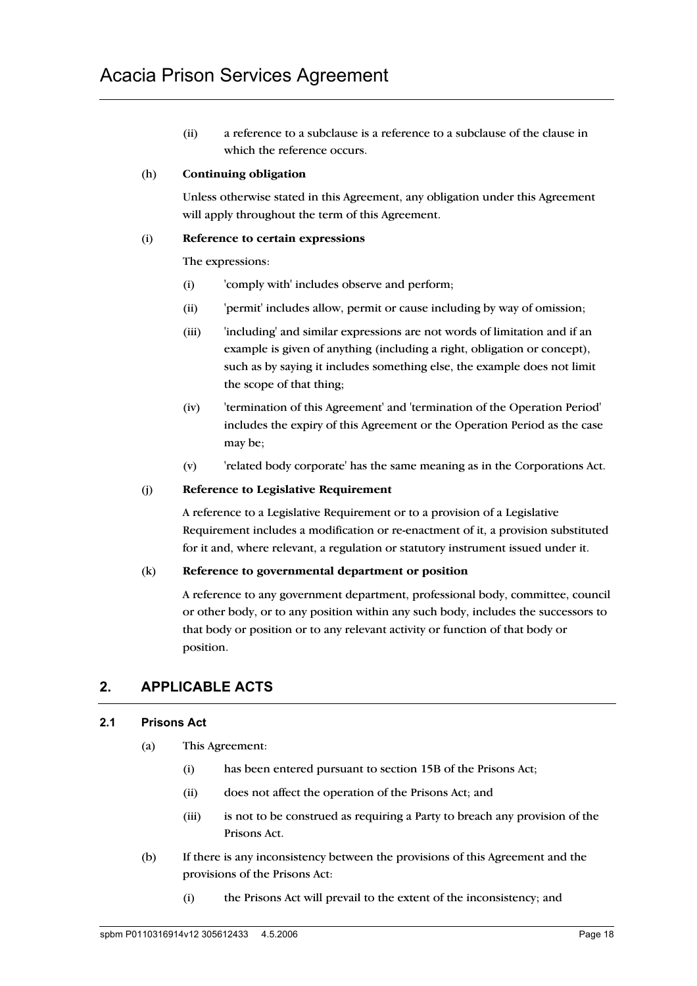(ii) a reference to a subclause is a reference to a subclause of the clause in which the reference occurs.

### (h) **Continuing obligation**

Unless otherwise stated in this Agreement, any obligation under this Agreement will apply throughout the term of this Agreement.

### (i) **Reference to certain expressions**

The expressions:

- (i) 'comply with' includes observe and perform;
- (ii) 'permit' includes allow, permit or cause including by way of omission;
- (iii) 'including' and similar expressions are not words of limitation and if an example is given of anything (including a right, obligation or concept), such as by saying it includes something else, the example does not limit the scope of that thing;
- (iv) 'termination of this Agreement' and 'termination of the Operation Period' includes the expiry of this Agreement or the Operation Period as the case may be;
- (v) 'related body corporate' has the same meaning as in the Corporations Act.

### (j) **Reference to Legislative Requirement**

A reference to a Legislative Requirement or to a provision of a Legislative Requirement includes a modification or re-enactment of it, a provision substituted for it and, where relevant, a regulation or statutory instrument issued under it.

### (k) **Reference to governmental department or position**

A reference to any government department, professional body, committee, council or other body, or to any position within any such body, includes the successors to that body or position or to any relevant activity or function of that body or position.

## **2. APPLICABLE ACTS**

### **2.1 Prisons Act**

- (a) This Agreement:
	- (i) has been entered pursuant to section 15B of the Prisons Act;
	- (ii) does not affect the operation of the Prisons Act; and
	- (iii) is not to be construed as requiring a Party to breach any provision of the Prisons Act.
- (b) If there is any inconsistency between the provisions of this Agreement and the provisions of the Prisons Act:
	- (i) the Prisons Act will prevail to the extent of the inconsistency; and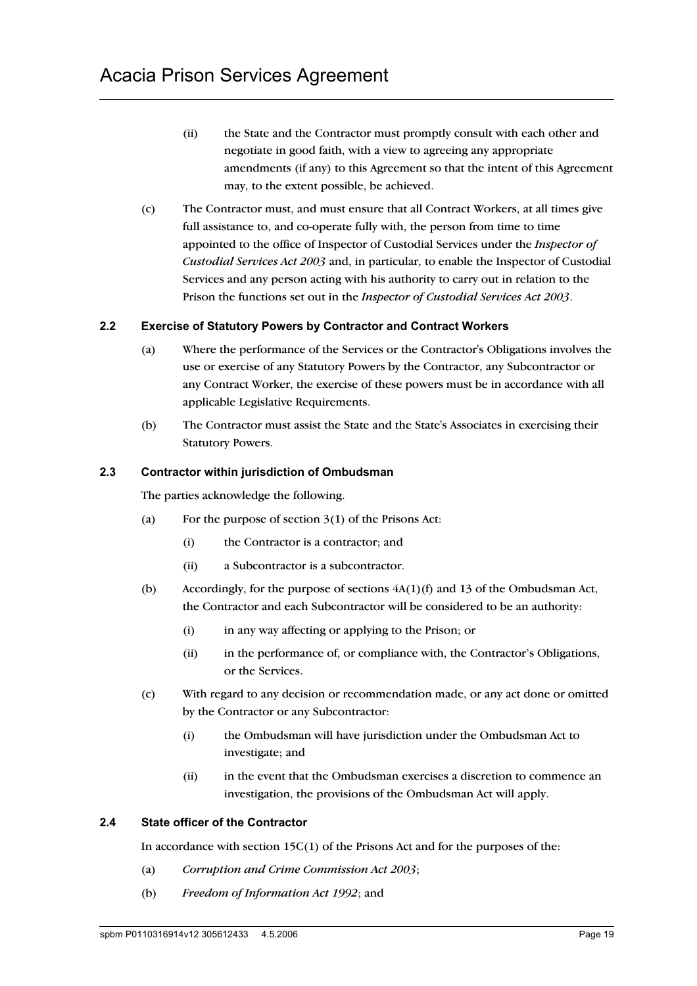- (ii) the State and the Contractor must promptly consult with each other and negotiate in good faith, with a view to agreeing any appropriate amendments (if any) to this Agreement so that the intent of this Agreement may, to the extent possible, be achieved.
- (c) The Contractor must, and must ensure that all Contract Workers, at all times give full assistance to, and co-operate fully with, the person from time to time appointed to the office of Inspector of Custodial Services under the *Inspector of Custodial Services Act 2003* and, in particular, to enable the Inspector of Custodial Services and any person acting with his authority to carry out in relation to the Prison the functions set out in the *Inspector of Custodial Services Act 2003*.

### **2.2 Exercise of Statutory Powers by Contractor and Contract Workers**

- (a) Where the performance of the Services or the Contractor's Obligations involves the use or exercise of any Statutory Powers by the Contractor, any Subcontractor or any Contract Worker, the exercise of these powers must be in accordance with all applicable Legislative Requirements.
- (b) The Contractor must assist the State and the State's Associates in exercising their Statutory Powers.

### **2.3 Contractor within jurisdiction of Ombudsman**

The parties acknowledge the following.

- (a) For the purpose of section  $3(1)$  of the Prisons Act:
	- (i) the Contractor is a contractor; and
	- (ii) a Subcontractor is a subcontractor.
- (b) Accordingly, for the purpose of sections 4A(1)(f) and 13 of the Ombudsman Act, the Contractor and each Subcontractor will be considered to be an authority:
	- (i) in any way affecting or applying to the Prison; or
	- (ii) in the performance of, or compliance with, the Contractor's Obligations, or the Services.
- (c) With regard to any decision or recommendation made, or any act done or omitted by the Contractor or any Subcontractor:
	- (i) the Ombudsman will have jurisdiction under the Ombudsman Act to investigate; and
	- (ii) in the event that the Ombudsman exercises a discretion to commence an investigation, the provisions of the Ombudsman Act will apply.

### **2.4 State officer of the Contractor**

In accordance with section 15C(1) of the Prisons Act and for the purposes of the:

- (a) *Corruption and Crime Commission Act 2003*;
- (b) *Freedom of Information Act 1992*; and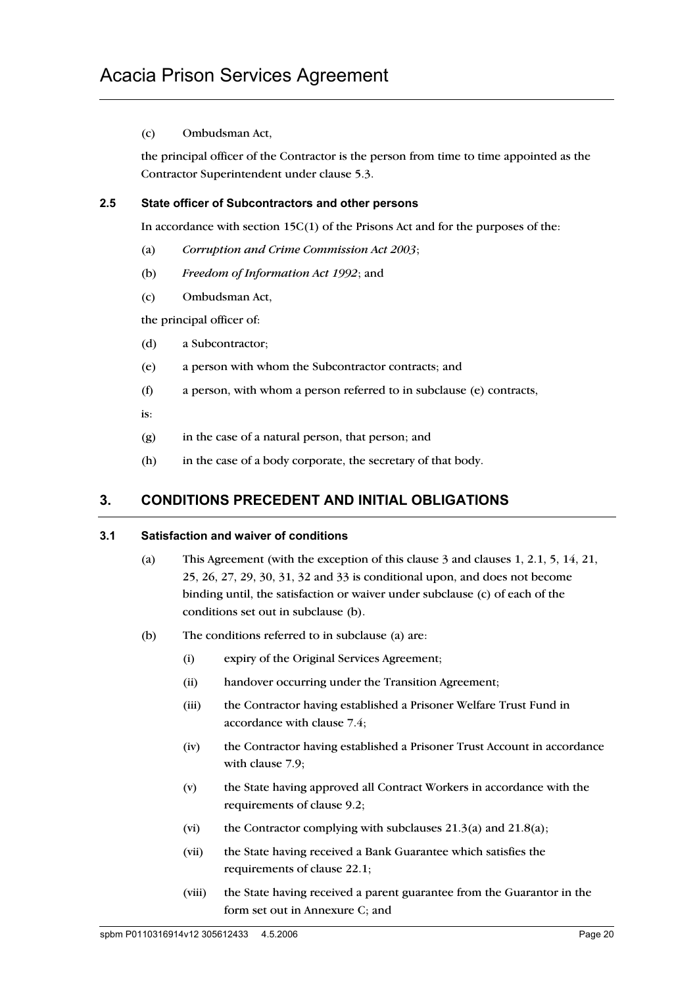## (c) Ombudsman Act,

the principal officer of the Contractor is the person from time to time appointed as the Contractor Superintendent under clause 5.3.

## **2.5 State officer of Subcontractors and other persons**

In accordance with section  $15C(1)$  of the Prisons Act and for the purposes of the:

- (a) *Corruption and Crime Commission Act 2003*;
- (b) *Freedom of Information Act 1992*; and
- (c) Ombudsman Act,

the principal officer of:

- (d) a Subcontractor;
- (e) a person with whom the Subcontractor contracts; and
- (f) a person, with whom a person referred to in subclause (e) contracts,
- is:
- (g) in the case of a natural person, that person; and
- (h) in the case of a body corporate, the secretary of that body.

## **3. CONDITIONS PRECEDENT AND INITIAL OBLIGATIONS**

### **3.1 Satisfaction and waiver of conditions**

- (a) This Agreement (with the exception of this clause 3 and clauses 1, 2.1, 5, 14, 21, 25, 26, 27, 29, 30, 31, 32 and 33 is conditional upon, and does not become binding until, the satisfaction or waiver under subclause (c) of each of the conditions set out in subclause (b).
- (b) The conditions referred to in subclause (a) are:
	- (i) expiry of the Original Services Agreement;
	- (ii) handover occurring under the Transition Agreement;
	- (iii) the Contractor having established a Prisoner Welfare Trust Fund in accordance with clause 7.4;
	- (iv) the Contractor having established a Prisoner Trust Account in accordance with clause 7.9;
	- (v) the State having approved all Contract Workers in accordance with the requirements of clause 9.2;
	- (vi) the Contractor complying with subclauses  $21.3(a)$  and  $21.8(a)$ ;
	- (vii) the State having received a Bank Guarantee which satisfies the requirements of clause 22.1;
	- (viii) the State having received a parent guarantee from the Guarantor in the form set out in Annexure C; and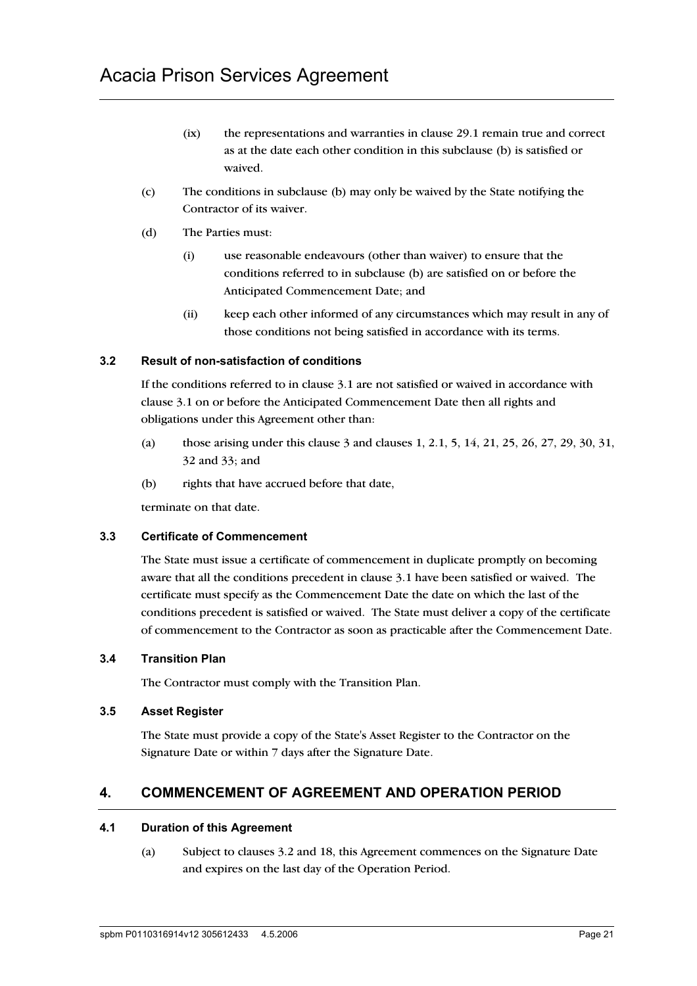- (ix) the representations and warranties in clause 29.1 remain true and correct as at the date each other condition in this subclause (b) is satisfied or waived.
- (c) The conditions in subclause (b) may only be waived by the State notifying the Contractor of its waiver.
- (d) The Parties must:
	- (i) use reasonable endeavours (other than waiver) to ensure that the conditions referred to in subclause (b) are satisfied on or before the Anticipated Commencement Date; and
	- (ii) keep each other informed of any circumstances which may result in any of those conditions not being satisfied in accordance with its terms.

## **3.2 Result of non-satisfaction of conditions**

If the conditions referred to in clause 3.1 are not satisfied or waived in accordance with clause 3.1 on or before the Anticipated Commencement Date then all rights and obligations under this Agreement other than:

- (a) those arising under this clause 3 and clauses 1, 2.1, 5, 14, 21, 25, 26, 27, 29, 30, 31, 32 and 33; and
- (b) rights that have accrued before that date,

terminate on that date.

## **3.3 Certificate of Commencement**

The State must issue a certificate of commencement in duplicate promptly on becoming aware that all the conditions precedent in clause 3.1 have been satisfied or waived. The certificate must specify as the Commencement Date the date on which the last of the conditions precedent is satisfied or waived. The State must deliver a copy of the certificate of commencement to the Contractor as soon as practicable after the Commencement Date.

## **3.4 Transition Plan**

The Contractor must comply with the Transition Plan.

## **3.5 Asset Register**

The State must provide a copy of the State's Asset Register to the Contractor on the Signature Date or within 7 days after the Signature Date.

## **4. COMMENCEMENT OF AGREEMENT AND OPERATION PERIOD**

### **4.1 Duration of this Agreement**

(a) Subject to clauses 3.2 and 18, this Agreement commences on the Signature Date and expires on the last day of the Operation Period.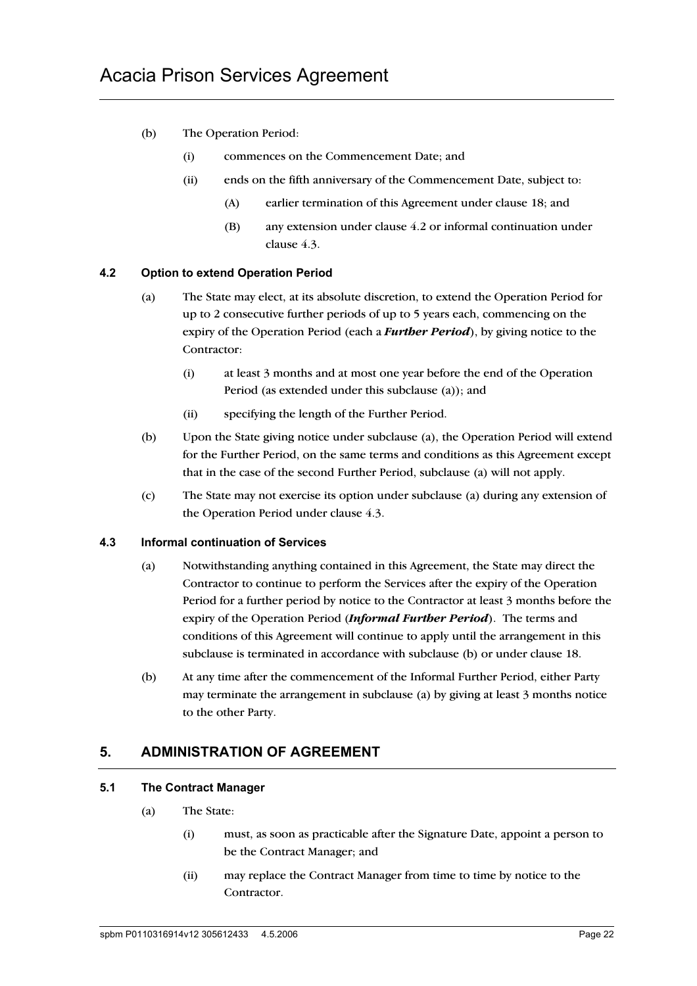- (b) The Operation Period:
	- (i) commences on the Commencement Date; and
	- (ii) ends on the fifth anniversary of the Commencement Date, subject to:
		- (A) earlier termination of this Agreement under clause 18; and
		- (B) any extension under clause 4.2 or informal continuation under clause 4.3.

### **4.2 Option to extend Operation Period**

- (a) The State may elect, at its absolute discretion, to extend the Operation Period for up to 2 consecutive further periods of up to 5 years each, commencing on the expiry of the Operation Period (each a *Further Period*), by giving notice to the Contractor:
	- (i) at least 3 months and at most one year before the end of the Operation Period (as extended under this subclause (a)); and
	- (ii) specifying the length of the Further Period.
- (b) Upon the State giving notice under subclause (a), the Operation Period will extend for the Further Period, on the same terms and conditions as this Agreement except that in the case of the second Further Period, subclause (a) will not apply.
- (c) The State may not exercise its option under subclause (a) during any extension of the Operation Period under clause 4.3.

### **4.3 Informal continuation of Services**

- (a) Notwithstanding anything contained in this Agreement, the State may direct the Contractor to continue to perform the Services after the expiry of the Operation Period for a further period by notice to the Contractor at least 3 months before the expiry of the Operation Period (*Informal Further Period*). The terms and conditions of this Agreement will continue to apply until the arrangement in this subclause is terminated in accordance with subclause (b) or under clause 18.
- (b) At any time after the commencement of the Informal Further Period, either Party may terminate the arrangement in subclause (a) by giving at least 3 months notice to the other Party.

# **5. ADMINISTRATION OF AGREEMENT**

## **5.1 The Contract Manager**

- (a) The State:
	- (i) must, as soon as practicable after the Signature Date, appoint a person to be the Contract Manager; and
	- (ii) may replace the Contract Manager from time to time by notice to the Contractor.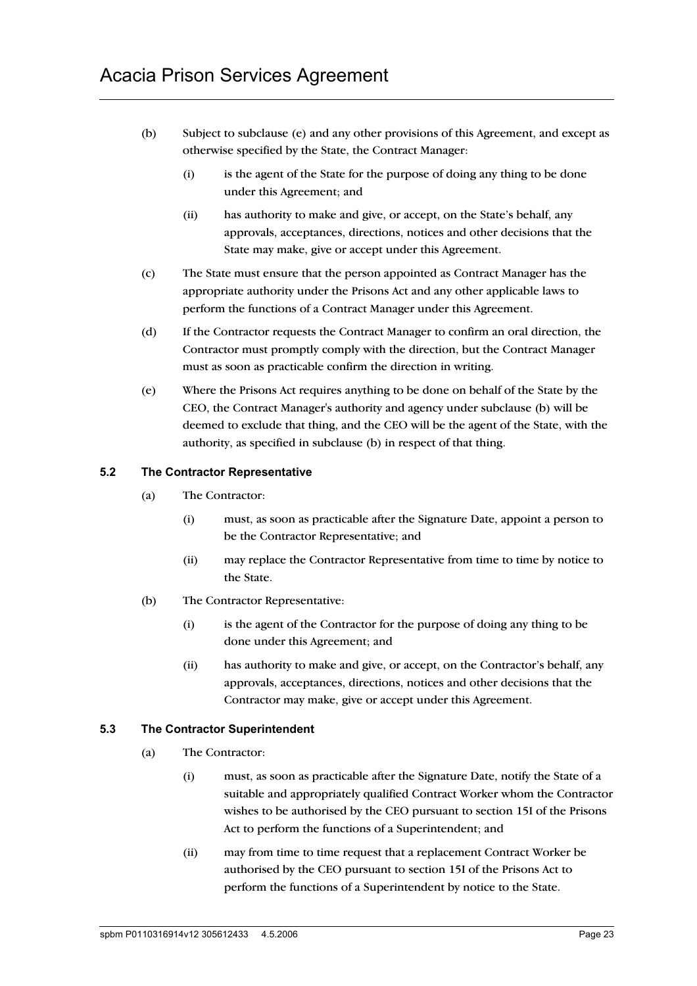- (b) Subject to subclause (e) and any other provisions of this Agreement, and except as otherwise specified by the State, the Contract Manager:
	- (i) is the agent of the State for the purpose of doing any thing to be done under this Agreement; and
	- (ii) has authority to make and give, or accept, on the State's behalf, any approvals, acceptances, directions, notices and other decisions that the State may make, give or accept under this Agreement.
- (c) The State must ensure that the person appointed as Contract Manager has the appropriate authority under the Prisons Act and any other applicable laws to perform the functions of a Contract Manager under this Agreement.
- (d) If the Contractor requests the Contract Manager to confirm an oral direction, the Contractor must promptly comply with the direction, but the Contract Manager must as soon as practicable confirm the direction in writing.
- (e) Where the Prisons Act requires anything to be done on behalf of the State by the CEO, the Contract Manager's authority and agency under subclause (b) will be deemed to exclude that thing, and the CEO will be the agent of the State, with the authority, as specified in subclause (b) in respect of that thing.

## **5.2 The Contractor Representative**

- (a) The Contractor:
	- (i) must, as soon as practicable after the Signature Date, appoint a person to be the Contractor Representative; and
	- (ii) may replace the Contractor Representative from time to time by notice to the State.
- (b) The Contractor Representative:
	- (i) is the agent of the Contractor for the purpose of doing any thing to be done under this Agreement; and
	- (ii) has authority to make and give, or accept, on the Contractor's behalf, any approvals, acceptances, directions, notices and other decisions that the Contractor may make, give or accept under this Agreement.

## **5.3 The Contractor Superintendent**

- (a) The Contractor:
	- (i) must, as soon as practicable after the Signature Date, notify the State of a suitable and appropriately qualified Contract Worker whom the Contractor wishes to be authorised by the CEO pursuant to section 15I of the Prisons Act to perform the functions of a Superintendent; and
	- (ii) may from time to time request that a replacement Contract Worker be authorised by the CEO pursuant to section 15I of the Prisons Act to perform the functions of a Superintendent by notice to the State.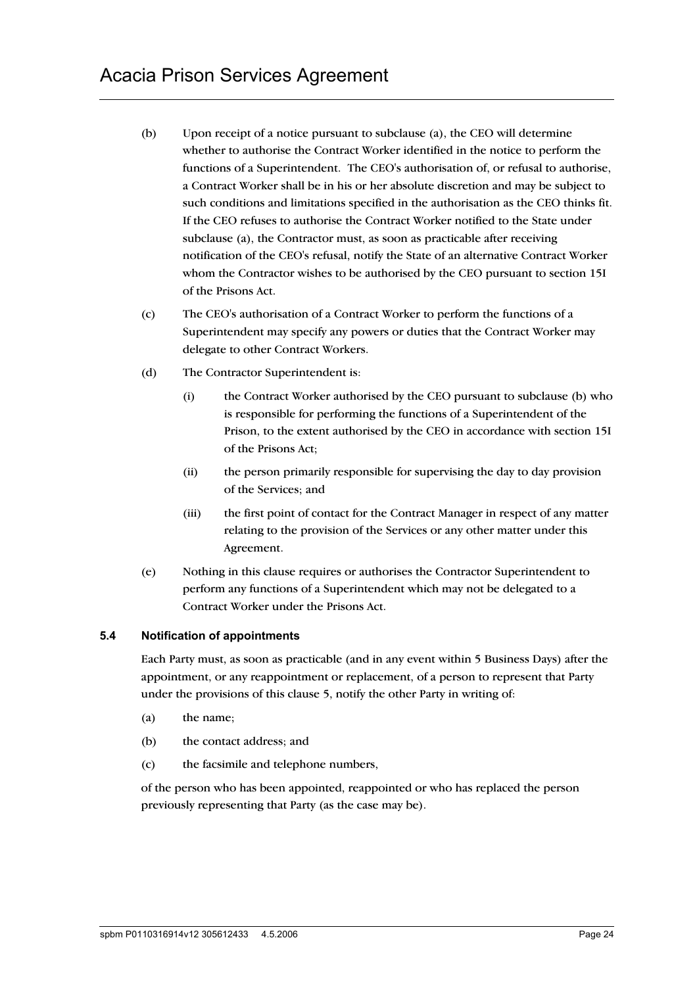- (b) Upon receipt of a notice pursuant to subclause (a), the CEO will determine whether to authorise the Contract Worker identified in the notice to perform the functions of a Superintendent. The CEO's authorisation of, or refusal to authorise, a Contract Worker shall be in his or her absolute discretion and may be subject to such conditions and limitations specified in the authorisation as the CEO thinks fit. If the CEO refuses to authorise the Contract Worker notified to the State under subclause (a), the Contractor must, as soon as practicable after receiving notification of the CEO's refusal, notify the State of an alternative Contract Worker whom the Contractor wishes to be authorised by the CEO pursuant to section 15I of the Prisons Act.
- (c) The CEO's authorisation of a Contract Worker to perform the functions of a Superintendent may specify any powers or duties that the Contract Worker may delegate to other Contract Workers.
- (d) The Contractor Superintendent is:
	- (i) the Contract Worker authorised by the CEO pursuant to subclause (b) who is responsible for performing the functions of a Superintendent of the Prison, to the extent authorised by the CEO in accordance with section 15I of the Prisons Act;
	- (ii) the person primarily responsible for supervising the day to day provision of the Services; and
	- (iii) the first point of contact for the Contract Manager in respect of any matter relating to the provision of the Services or any other matter under this Agreement.
- (e) Nothing in this clause requires or authorises the Contractor Superintendent to perform any functions of a Superintendent which may not be delegated to a Contract Worker under the Prisons Act.

## **5.4 Notification of appointments**

Each Party must, as soon as practicable (and in any event within 5 Business Days) after the appointment, or any reappointment or replacement, of a person to represent that Party under the provisions of this clause 5, notify the other Party in writing of:

- (a) the name;
- (b) the contact address; and
- (c) the facsimile and telephone numbers,

of the person who has been appointed, reappointed or who has replaced the person previously representing that Party (as the case may be).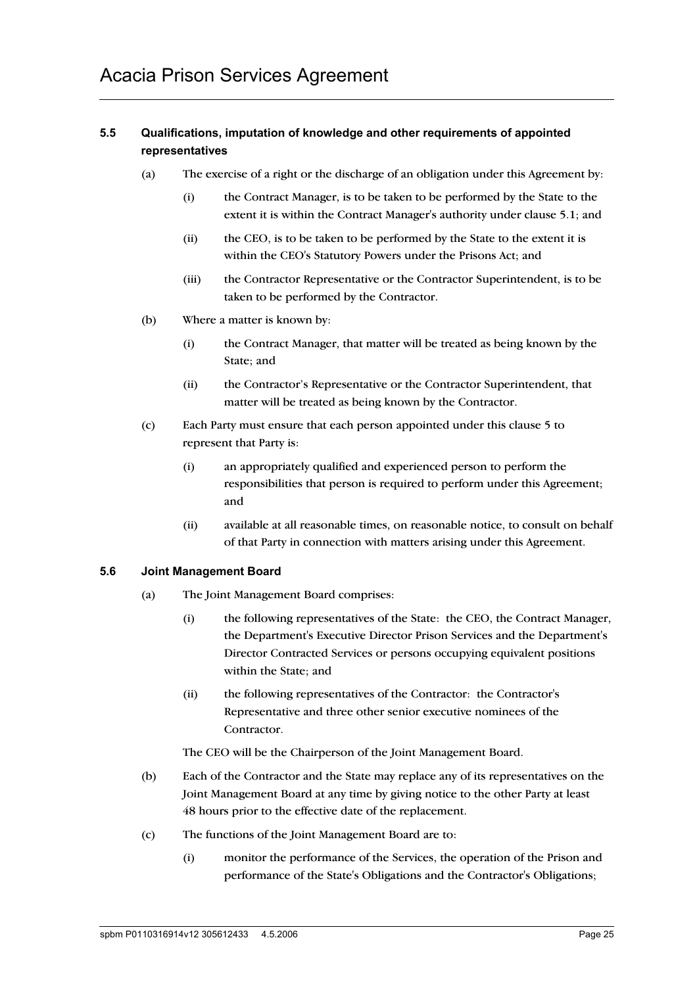## **5.5 Qualifications, imputation of knowledge and other requirements of appointed representatives**

- (a) The exercise of a right or the discharge of an obligation under this Agreement by:
	- (i) the Contract Manager, is to be taken to be performed by the State to the extent it is within the Contract Manager's authority under clause 5.1; and
	- (ii) the CEO, is to be taken to be performed by the State to the extent it is within the CEO's Statutory Powers under the Prisons Act; and
	- (iii) the Contractor Representative or the Contractor Superintendent, is to be taken to be performed by the Contractor.
- (b) Where a matter is known by:
	- (i) the Contract Manager, that matter will be treated as being known by the State; and
	- (ii) the Contractor's Representative or the Contractor Superintendent, that matter will be treated as being known by the Contractor.
- (c) Each Party must ensure that each person appointed under this clause 5 to represent that Party is:
	- (i) an appropriately qualified and experienced person to perform the responsibilities that person is required to perform under this Agreement; and
	- (ii) available at all reasonable times, on reasonable notice, to consult on behalf of that Party in connection with matters arising under this Agreement.

## **5.6 Joint Management Board**

- (a) The Joint Management Board comprises:
	- (i) the following representatives of the State: the CEO, the Contract Manager, the Department's Executive Director Prison Services and the Department's Director Contracted Services or persons occupying equivalent positions within the State; and
	- (ii) the following representatives of the Contractor: the Contractor's Representative and three other senior executive nominees of the Contractor.

The CEO will be the Chairperson of the Joint Management Board.

- (b) Each of the Contractor and the State may replace any of its representatives on the Joint Management Board at any time by giving notice to the other Party at least 48 hours prior to the effective date of the replacement.
- (c) The functions of the Joint Management Board are to:
	- (i) monitor the performance of the Services, the operation of the Prison and performance of the State's Obligations and the Contractor's Obligations;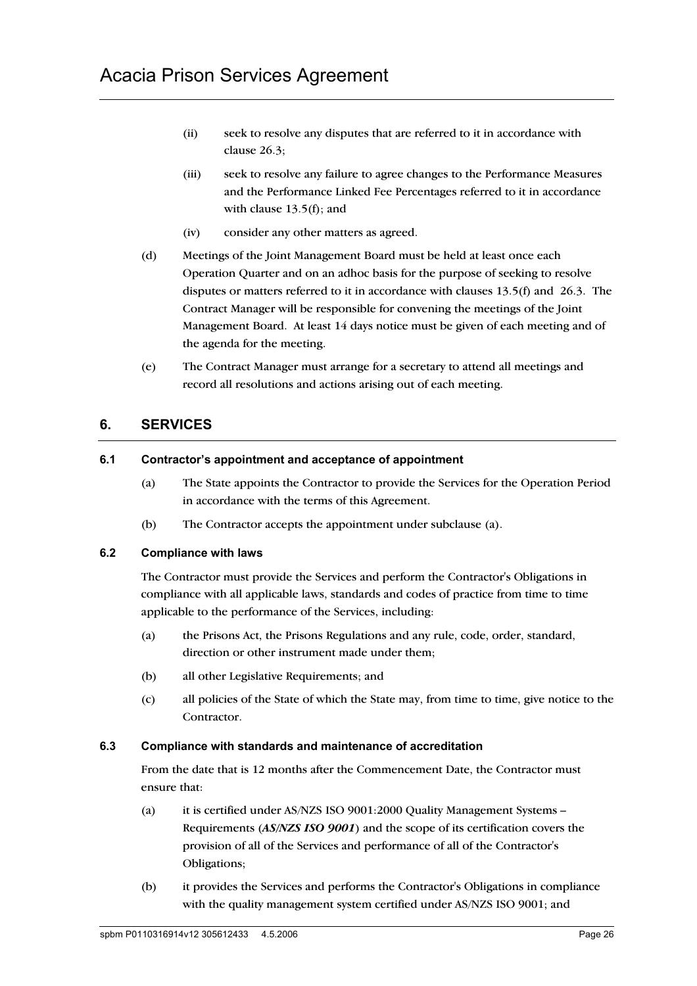- (ii) seek to resolve any disputes that are referred to it in accordance with clause 26.3;
- (iii) seek to resolve any failure to agree changes to the Performance Measures and the Performance Linked Fee Percentages referred to it in accordance with clause 13.5(f); and
- (iv) consider any other matters as agreed.
- (d) Meetings of the Joint Management Board must be held at least once each Operation Quarter and on an adhoc basis for the purpose of seeking to resolve disputes or matters referred to it in accordance with clauses 13.5(f) and 26.3. The Contract Manager will be responsible for convening the meetings of the Joint Management Board. At least 14 days notice must be given of each meeting and of the agenda for the meeting.
- (e) The Contract Manager must arrange for a secretary to attend all meetings and record all resolutions and actions arising out of each meeting.

## **6. SERVICES**

### **6.1 Contractor's appointment and acceptance of appointment**

- (a) The State appoints the Contractor to provide the Services for the Operation Period in accordance with the terms of this Agreement.
- (b) The Contractor accepts the appointment under subclause (a).

## **6.2 Compliance with laws**

The Contractor must provide the Services and perform the Contractor's Obligations in compliance with all applicable laws, standards and codes of practice from time to time applicable to the performance of the Services, including:

- (a) the Prisons Act, the Prisons Regulations and any rule, code, order, standard, direction or other instrument made under them;
- (b) all other Legislative Requirements; and
- (c) all policies of the State of which the State may, from time to time, give notice to the Contractor.

### **6.3 Compliance with standards and maintenance of accreditation**

From the date that is 12 months after the Commencement Date, the Contractor must ensure that:

- (a) it is certified under AS/NZS ISO 9001:2000 Quality Management Systems Requirements (*AS/NZS ISO 9001*) and the scope of its certification covers the provision of all of the Services and performance of all of the Contractor's Obligations;
- (b) it provides the Services and performs the Contractor's Obligations in compliance with the quality management system certified under AS/NZS ISO 9001; and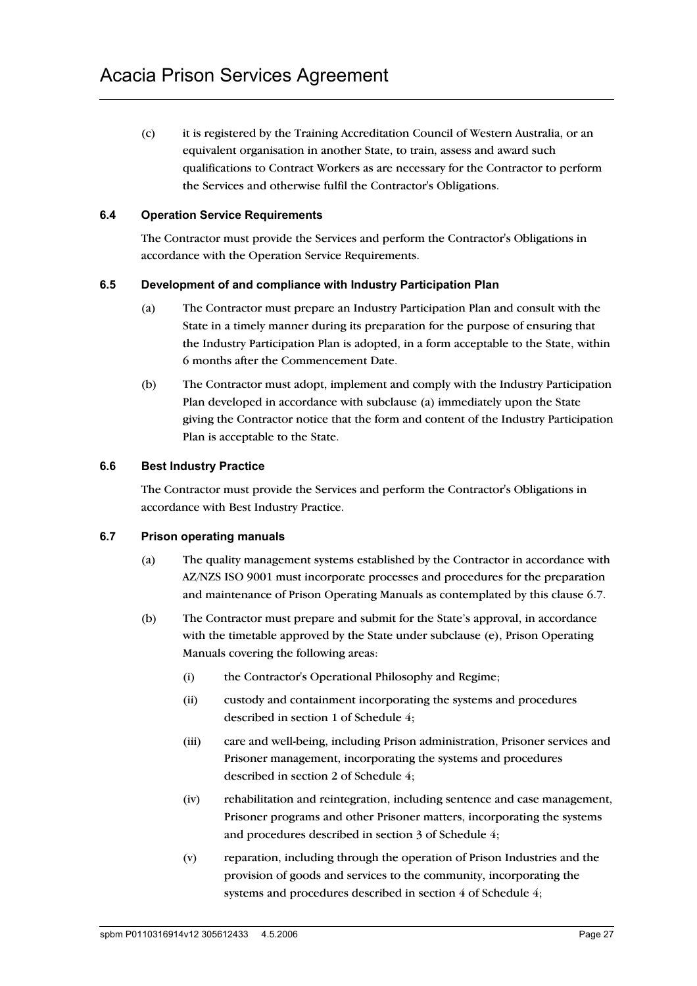(c) it is registered by the Training Accreditation Council of Western Australia, or an equivalent organisation in another State, to train, assess and award such qualifications to Contract Workers as are necessary for the Contractor to perform the Services and otherwise fulfil the Contractor's Obligations.

## **6.4 Operation Service Requirements**

The Contractor must provide the Services and perform the Contractor's Obligations in accordance with the Operation Service Requirements.

### **6.5 Development of and compliance with Industry Participation Plan**

- (a) The Contractor must prepare an Industry Participation Plan and consult with the State in a timely manner during its preparation for the purpose of ensuring that the Industry Participation Plan is adopted, in a form acceptable to the State, within 6 months after the Commencement Date.
- (b) The Contractor must adopt, implement and comply with the Industry Participation Plan developed in accordance with subclause (a) immediately upon the State giving the Contractor notice that the form and content of the Industry Participation Plan is acceptable to the State.

### **6.6 Best Industry Practice**

The Contractor must provide the Services and perform the Contractor's Obligations in accordance with Best Industry Practice.

### **6.7 Prison operating manuals**

- (a) The quality management systems established by the Contractor in accordance with AZ/NZS ISO 9001 must incorporate processes and procedures for the preparation and maintenance of Prison Operating Manuals as contemplated by this clause 6.7.
- (b) The Contractor must prepare and submit for the State's approval, in accordance with the timetable approved by the State under subclause (e), Prison Operating Manuals covering the following areas:
	- (i) the Contractor's Operational Philosophy and Regime;
	- (ii) custody and containment incorporating the systems and procedures described in section 1 of Schedule 4;
	- (iii) care and well-being, including Prison administration, Prisoner services and Prisoner management, incorporating the systems and procedures described in section 2 of Schedule 4;
	- (iv) rehabilitation and reintegration, including sentence and case management, Prisoner programs and other Prisoner matters, incorporating the systems and procedures described in section 3 of Schedule 4;
	- (v) reparation, including through the operation of Prison Industries and the provision of goods and services to the community, incorporating the systems and procedures described in section 4 of Schedule 4;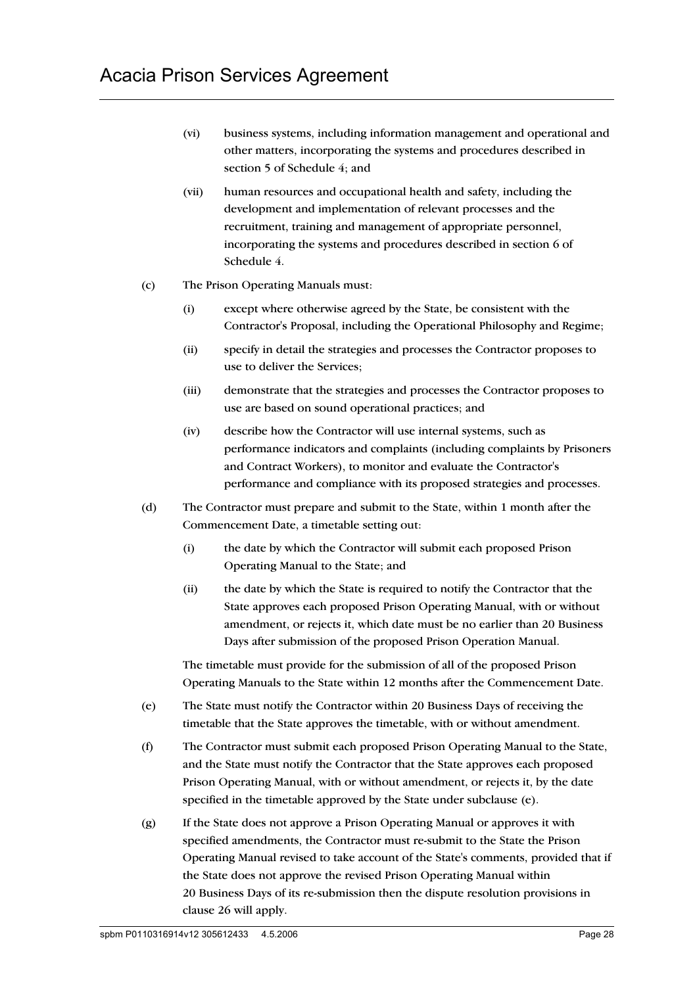- (vi) business systems, including information management and operational and other matters, incorporating the systems and procedures described in section 5 of Schedule 4; and
- (vii) human resources and occupational health and safety, including the development and implementation of relevant processes and the recruitment, training and management of appropriate personnel, incorporating the systems and procedures described in section 6 of Schedule 4.
- (c) The Prison Operating Manuals must:
	- (i) except where otherwise agreed by the State, be consistent with the Contractor's Proposal, including the Operational Philosophy and Regime;
	- (ii) specify in detail the strategies and processes the Contractor proposes to use to deliver the Services;
	- (iii) demonstrate that the strategies and processes the Contractor proposes to use are based on sound operational practices; and
	- (iv) describe how the Contractor will use internal systems, such as performance indicators and complaints (including complaints by Prisoners and Contract Workers), to monitor and evaluate the Contractor's performance and compliance with its proposed strategies and processes.
- (d) The Contractor must prepare and submit to the State, within 1 month after the Commencement Date, a timetable setting out:
	- (i) the date by which the Contractor will submit each proposed Prison Operating Manual to the State; and
	- (ii) the date by which the State is required to notify the Contractor that the State approves each proposed Prison Operating Manual, with or without amendment, or rejects it, which date must be no earlier than 20 Business Days after submission of the proposed Prison Operation Manual.

The timetable must provide for the submission of all of the proposed Prison Operating Manuals to the State within 12 months after the Commencement Date.

- (e) The State must notify the Contractor within 20 Business Days of receiving the timetable that the State approves the timetable, with or without amendment.
- (f) The Contractor must submit each proposed Prison Operating Manual to the State, and the State must notify the Contractor that the State approves each proposed Prison Operating Manual, with or without amendment, or rejects it, by the date specified in the timetable approved by the State under subclause (e).
- (g) If the State does not approve a Prison Operating Manual or approves it with specified amendments, the Contractor must re-submit to the State the Prison Operating Manual revised to take account of the State's comments, provided that if the State does not approve the revised Prison Operating Manual within 20 Business Days of its re-submission then the dispute resolution provisions in clause 26 will apply.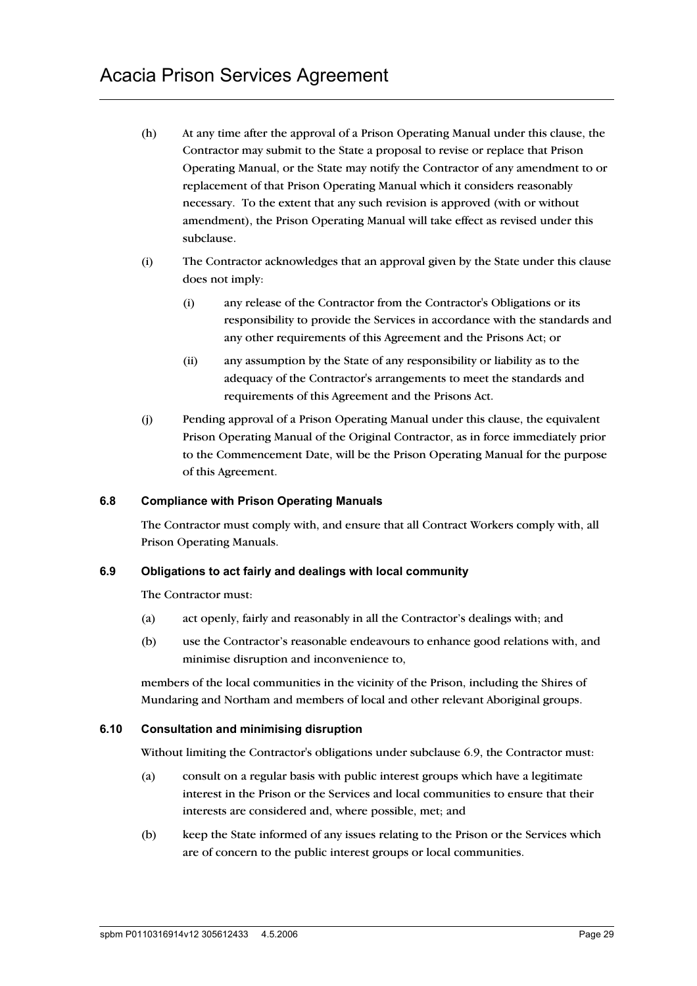- (h) At any time after the approval of a Prison Operating Manual under this clause, the Contractor may submit to the State a proposal to revise or replace that Prison Operating Manual, or the State may notify the Contractor of any amendment to or replacement of that Prison Operating Manual which it considers reasonably necessary. To the extent that any such revision is approved (with or without amendment), the Prison Operating Manual will take effect as revised under this subclause.
- (i) The Contractor acknowledges that an approval given by the State under this clause does not imply:
	- (i) any release of the Contractor from the Contractor's Obligations or its responsibility to provide the Services in accordance with the standards and any other requirements of this Agreement and the Prisons Act; or
	- (ii) any assumption by the State of any responsibility or liability as to the adequacy of the Contractor's arrangements to meet the standards and requirements of this Agreement and the Prisons Act.
- (j) Pending approval of a Prison Operating Manual under this clause, the equivalent Prison Operating Manual of the Original Contractor, as in force immediately prior to the Commencement Date, will be the Prison Operating Manual for the purpose of this Agreement.

## **6.8 Compliance with Prison Operating Manuals**

The Contractor must comply with, and ensure that all Contract Workers comply with, all Prison Operating Manuals.

#### **6.9 Obligations to act fairly and dealings with local community**

The Contractor must:

- (a) act openly, fairly and reasonably in all the Contractor's dealings with; and
- (b) use the Contractor's reasonable endeavours to enhance good relations with, and minimise disruption and inconvenience to,

members of the local communities in the vicinity of the Prison, including the Shires of Mundaring and Northam and members of local and other relevant Aboriginal groups.

#### **6.10 Consultation and minimising disruption**

Without limiting the Contractor's obligations under subclause 6.9, the Contractor must:

- (a) consult on a regular basis with public interest groups which have a legitimate interest in the Prison or the Services and local communities to ensure that their interests are considered and, where possible, met; and
- (b) keep the State informed of any issues relating to the Prison or the Services which are of concern to the public interest groups or local communities.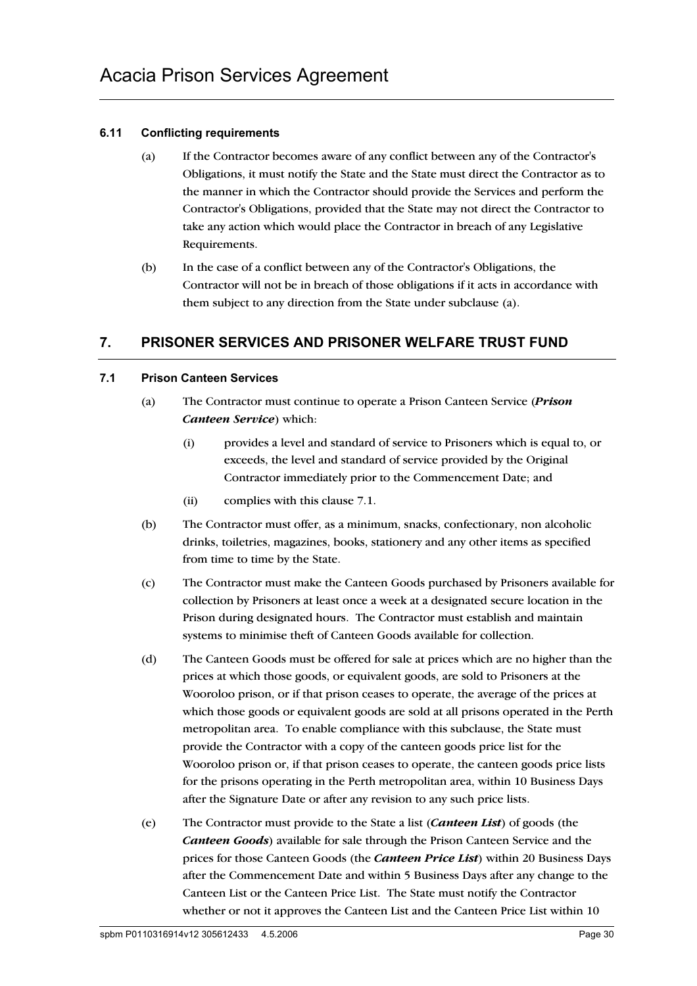## **6.11 Conflicting requirements**

- (a) If the Contractor becomes aware of any conflict between any of the Contractor's Obligations, it must notify the State and the State must direct the Contractor as to the manner in which the Contractor should provide the Services and perform the Contractor's Obligations, provided that the State may not direct the Contractor to take any action which would place the Contractor in breach of any Legislative Requirements.
- (b) In the case of a conflict between any of the Contractor's Obligations, the Contractor will not be in breach of those obligations if it acts in accordance with them subject to any direction from the State under subclause (a).

# **7. PRISONER SERVICES AND PRISONER WELFARE TRUST FUND**

## **7.1 Prison Canteen Services**

- (a) The Contractor must continue to operate a Prison Canteen Service (*Prison Canteen Service*) which:
	- (i) provides a level and standard of service to Prisoners which is equal to, or exceeds, the level and standard of service provided by the Original Contractor immediately prior to the Commencement Date; and
	- (ii) complies with this clause 7.1.
- (b) The Contractor must offer, as a minimum, snacks, confectionary, non alcoholic drinks, toiletries, magazines, books, stationery and any other items as specified from time to time by the State.
- (c) The Contractor must make the Canteen Goods purchased by Prisoners available for collection by Prisoners at least once a week at a designated secure location in the Prison during designated hours. The Contractor must establish and maintain systems to minimise theft of Canteen Goods available for collection.
- (d) The Canteen Goods must be offered for sale at prices which are no higher than the prices at which those goods, or equivalent goods, are sold to Prisoners at the Wooroloo prison, or if that prison ceases to operate, the average of the prices at which those goods or equivalent goods are sold at all prisons operated in the Perth metropolitan area. To enable compliance with this subclause, the State must provide the Contractor with a copy of the canteen goods price list for the Wooroloo prison or, if that prison ceases to operate, the canteen goods price lists for the prisons operating in the Perth metropolitan area, within 10 Business Days after the Signature Date or after any revision to any such price lists.
- (e) The Contractor must provide to the State a list (*Canteen List*) of goods (the *Canteen Goods*) available for sale through the Prison Canteen Service and the prices for those Canteen Goods (the *Canteen Price List*) within 20 Business Days after the Commencement Date and within 5 Business Days after any change to the Canteen List or the Canteen Price List. The State must notify the Contractor whether or not it approves the Canteen List and the Canteen Price List within 10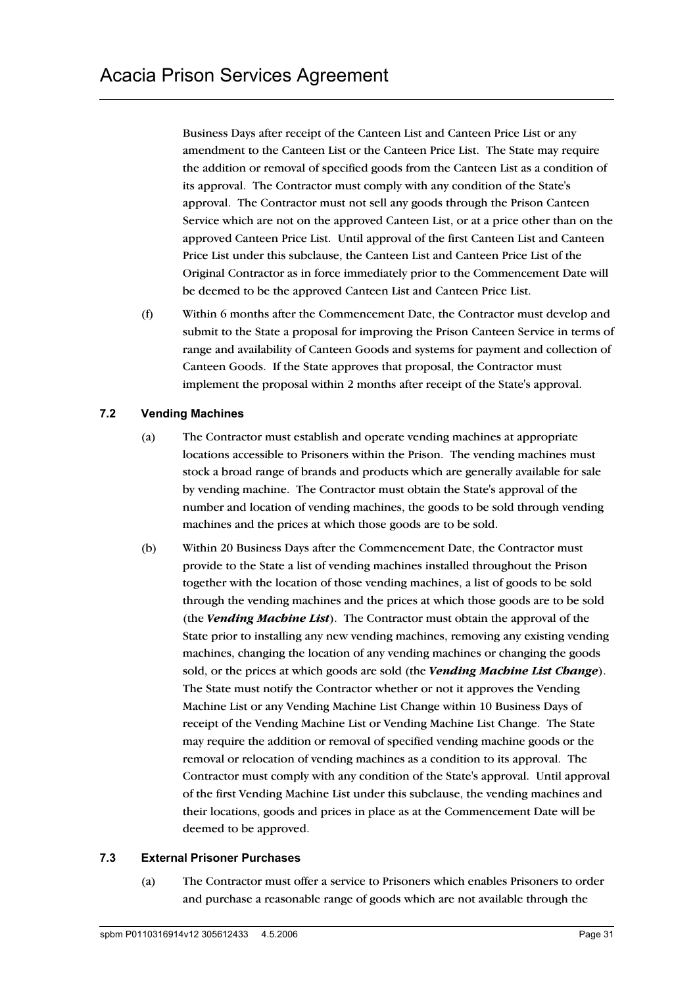Business Days after receipt of the Canteen List and Canteen Price List or any amendment to the Canteen List or the Canteen Price List. The State may require the addition or removal of specified goods from the Canteen List as a condition of its approval. The Contractor must comply with any condition of the State's approval. The Contractor must not sell any goods through the Prison Canteen Service which are not on the approved Canteen List, or at a price other than on the approved Canteen Price List. Until approval of the first Canteen List and Canteen Price List under this subclause, the Canteen List and Canteen Price List of the Original Contractor as in force immediately prior to the Commencement Date will be deemed to be the approved Canteen List and Canteen Price List.

(f) Within 6 months after the Commencement Date, the Contractor must develop and submit to the State a proposal for improving the Prison Canteen Service in terms of range and availability of Canteen Goods and systems for payment and collection of Canteen Goods. If the State approves that proposal, the Contractor must implement the proposal within 2 months after receipt of the State's approval.

## **7.2 Vending Machines**

- (a) The Contractor must establish and operate vending machines at appropriate locations accessible to Prisoners within the Prison. The vending machines must stock a broad range of brands and products which are generally available for sale by vending machine. The Contractor must obtain the State's approval of the number and location of vending machines, the goods to be sold through vending machines and the prices at which those goods are to be sold.
- (b) Within 20 Business Days after the Commencement Date, the Contractor must provide to the State a list of vending machines installed throughout the Prison together with the location of those vending machines, a list of goods to be sold through the vending machines and the prices at which those goods are to be sold (the *Vending Machine List*). The Contractor must obtain the approval of the State prior to installing any new vending machines, removing any existing vending machines, changing the location of any vending machines or changing the goods sold, or the prices at which goods are sold (the *Vending Machine List Change*). The State must notify the Contractor whether or not it approves the Vending Machine List or any Vending Machine List Change within 10 Business Days of receipt of the Vending Machine List or Vending Machine List Change. The State may require the addition or removal of specified vending machine goods or the removal or relocation of vending machines as a condition to its approval. The Contractor must comply with any condition of the State's approval. Until approval of the first Vending Machine List under this subclause, the vending machines and their locations, goods and prices in place as at the Commencement Date will be deemed to be approved.

## **7.3 External Prisoner Purchases**

(a) The Contractor must offer a service to Prisoners which enables Prisoners to order and purchase a reasonable range of goods which are not available through the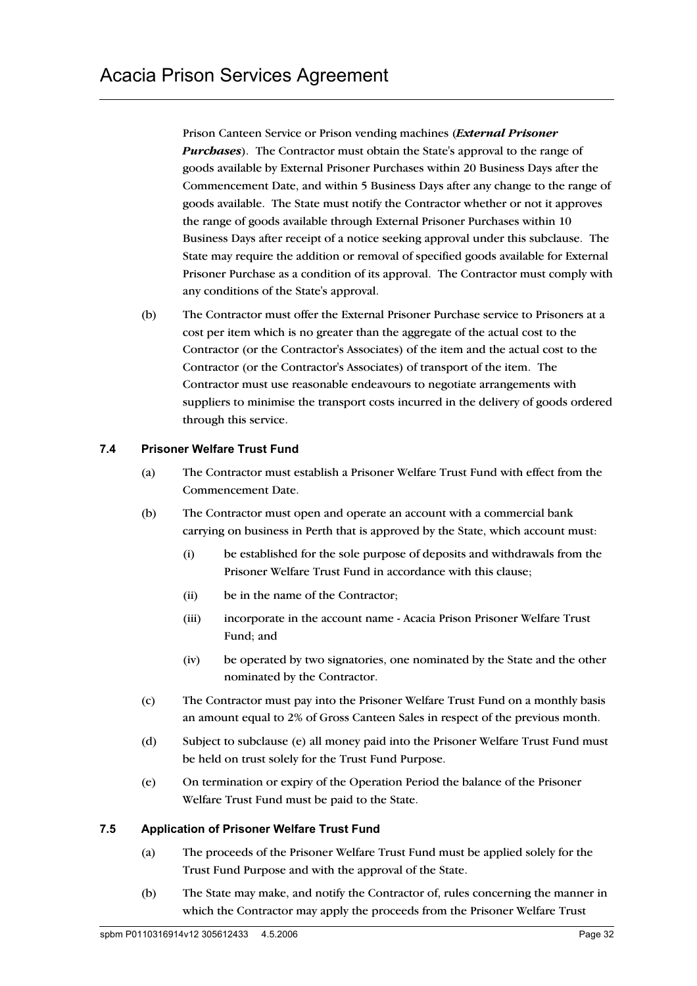Prison Canteen Service or Prison vending machines (*External Prisoner Purchases*). The Contractor must obtain the State's approval to the range of goods available by External Prisoner Purchases within 20 Business Days after the Commencement Date, and within 5 Business Days after any change to the range of goods available. The State must notify the Contractor whether or not it approves the range of goods available through External Prisoner Purchases within 10 Business Days after receipt of a notice seeking approval under this subclause. The State may require the addition or removal of specified goods available for External Prisoner Purchase as a condition of its approval. The Contractor must comply with any conditions of the State's approval.

(b) The Contractor must offer the External Prisoner Purchase service to Prisoners at a cost per item which is no greater than the aggregate of the actual cost to the Contractor (or the Contractor's Associates) of the item and the actual cost to the Contractor (or the Contractor's Associates) of transport of the item. The Contractor must use reasonable endeavours to negotiate arrangements with suppliers to minimise the transport costs incurred in the delivery of goods ordered through this service.

## **7.4 Prisoner Welfare Trust Fund**

- (a) The Contractor must establish a Prisoner Welfare Trust Fund with effect from the Commencement Date.
- (b) The Contractor must open and operate an account with a commercial bank carrying on business in Perth that is approved by the State, which account must:
	- (i) be established for the sole purpose of deposits and withdrawals from the Prisoner Welfare Trust Fund in accordance with this clause;
	- (ii) be in the name of the Contractor;
	- (iii) incorporate in the account name Acacia Prison Prisoner Welfare Trust Fund; and
	- (iv) be operated by two signatories, one nominated by the State and the other nominated by the Contractor.
- (c) The Contractor must pay into the Prisoner Welfare Trust Fund on a monthly basis an amount equal to 2% of Gross Canteen Sales in respect of the previous month.
- (d) Subject to subclause (e) all money paid into the Prisoner Welfare Trust Fund must be held on trust solely for the Trust Fund Purpose.
- (e) On termination or expiry of the Operation Period the balance of the Prisoner Welfare Trust Fund must be paid to the State.

## **7.5 Application of Prisoner Welfare Trust Fund**

- (a) The proceeds of the Prisoner Welfare Trust Fund must be applied solely for the Trust Fund Purpose and with the approval of the State.
- (b) The State may make, and notify the Contractor of, rules concerning the manner in which the Contractor may apply the proceeds from the Prisoner Welfare Trust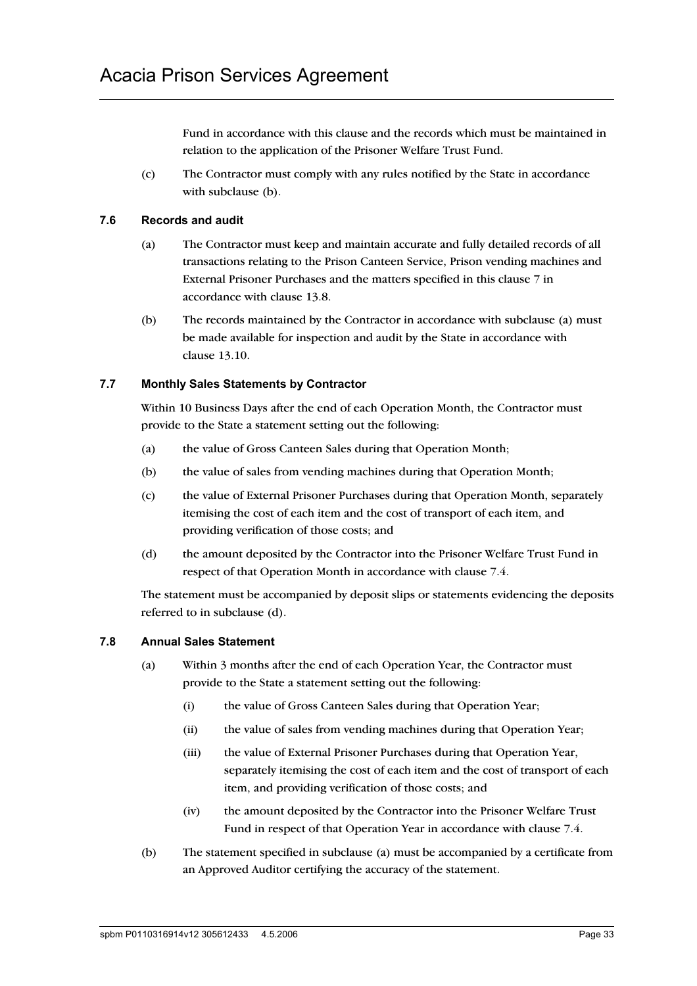Fund in accordance with this clause and the records which must be maintained in relation to the application of the Prisoner Welfare Trust Fund.

(c) The Contractor must comply with any rules notified by the State in accordance with subclause (b).

## **7.6 Records and audit**

- (a) The Contractor must keep and maintain accurate and fully detailed records of all transactions relating to the Prison Canteen Service, Prison vending machines and External Prisoner Purchases and the matters specified in this clause 7 in accordance with clause 13.8.
- (b) The records maintained by the Contractor in accordance with subclause (a) must be made available for inspection and audit by the State in accordance with clause 13.10.

## **7.7 Monthly Sales Statements by Contractor**

Within 10 Business Days after the end of each Operation Month, the Contractor must provide to the State a statement setting out the following:

- (a) the value of Gross Canteen Sales during that Operation Month;
- (b) the value of sales from vending machines during that Operation Month;
- (c) the value of External Prisoner Purchases during that Operation Month, separately itemising the cost of each item and the cost of transport of each item, and providing verification of those costs; and
- (d) the amount deposited by the Contractor into the Prisoner Welfare Trust Fund in respect of that Operation Month in accordance with clause 7.4.

The statement must be accompanied by deposit slips or statements evidencing the deposits referred to in subclause (d).

## **7.8 Annual Sales Statement**

- (a) Within 3 months after the end of each Operation Year, the Contractor must provide to the State a statement setting out the following:
	- (i) the value of Gross Canteen Sales during that Operation Year;
	- (ii) the value of sales from vending machines during that Operation Year;
	- (iii) the value of External Prisoner Purchases during that Operation Year, separately itemising the cost of each item and the cost of transport of each item, and providing verification of those costs; and
	- (iv) the amount deposited by the Contractor into the Prisoner Welfare Trust Fund in respect of that Operation Year in accordance with clause 7.4.
- (b) The statement specified in subclause (a) must be accompanied by a certificate from an Approved Auditor certifying the accuracy of the statement.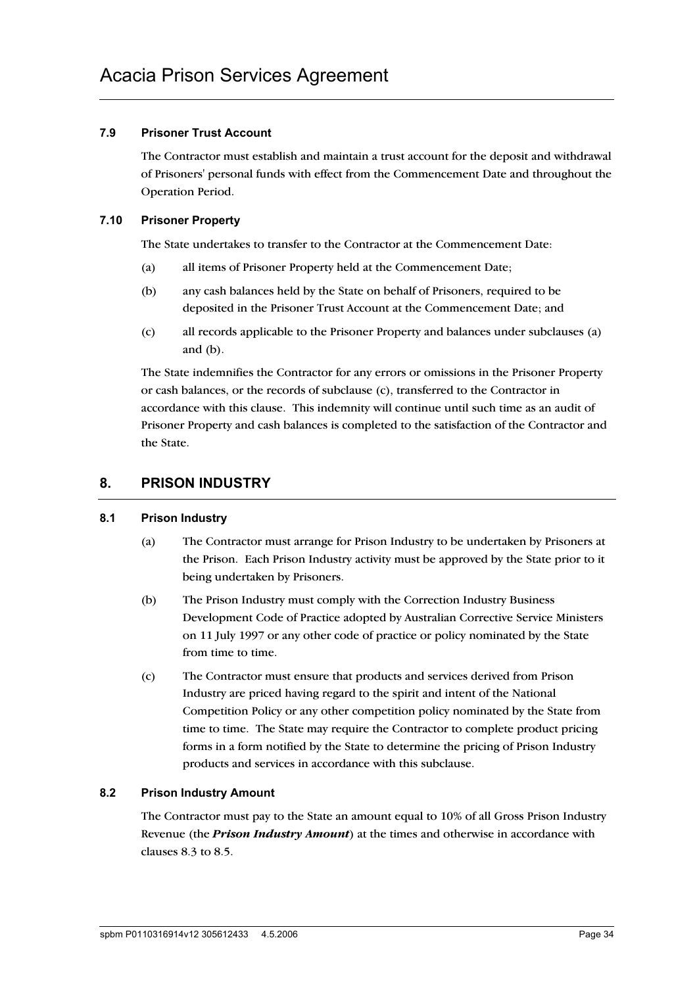## **7.9 Prisoner Trust Account**

The Contractor must establish and maintain a trust account for the deposit and withdrawal of Prisoners' personal funds with effect from the Commencement Date and throughout the Operation Period.

## **7.10 Prisoner Property**

The State undertakes to transfer to the Contractor at the Commencement Date:

- (a) all items of Prisoner Property held at the Commencement Date;
- (b) any cash balances held by the State on behalf of Prisoners, required to be deposited in the Prisoner Trust Account at the Commencement Date; and
- (c) all records applicable to the Prisoner Property and balances under subclauses (a) and (b).

The State indemnifies the Contractor for any errors or omissions in the Prisoner Property or cash balances, or the records of subclause (c), transferred to the Contractor in accordance with this clause. This indemnity will continue until such time as an audit of Prisoner Property and cash balances is completed to the satisfaction of the Contractor and the State.

## **8. PRISON INDUSTRY**

## **8.1 Prison Industry**

- (a) The Contractor must arrange for Prison Industry to be undertaken by Prisoners at the Prison. Each Prison Industry activity must be approved by the State prior to it being undertaken by Prisoners.
- (b) The Prison Industry must comply with the Correction Industry Business Development Code of Practice adopted by Australian Corrective Service Ministers on 11 July 1997 or any other code of practice or policy nominated by the State from time to time.
- (c) The Contractor must ensure that products and services derived from Prison Industry are priced having regard to the spirit and intent of the National Competition Policy or any other competition policy nominated by the State from time to time. The State may require the Contractor to complete product pricing forms in a form notified by the State to determine the pricing of Prison Industry products and services in accordance with this subclause.

## **8.2 Prison Industry Amount**

The Contractor must pay to the State an amount equal to 10% of all Gross Prison Industry Revenue (the *Prison Industry Amount*) at the times and otherwise in accordance with clauses 8.3 to 8.5.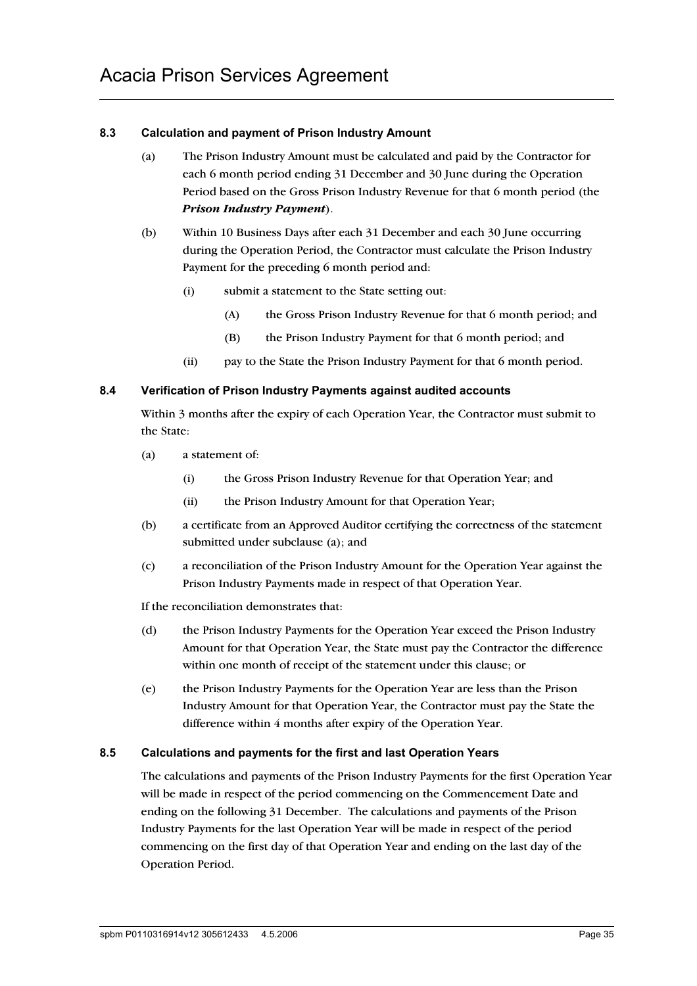## **8.3 Calculation and payment of Prison Industry Amount**

- (a) The Prison Industry Amount must be calculated and paid by the Contractor for each 6 month period ending 31 December and 30 June during the Operation Period based on the Gross Prison Industry Revenue for that 6 month period (the *Prison Industry Payment*).
- (b) Within 10 Business Days after each 31 December and each 30 June occurring during the Operation Period, the Contractor must calculate the Prison Industry Payment for the preceding 6 month period and:
	- (i) submit a statement to the State setting out:
		- (A) the Gross Prison Industry Revenue for that 6 month period; and
		- (B) the Prison Industry Payment for that 6 month period; and
	- (ii) pay to the State the Prison Industry Payment for that 6 month period.

## **8.4 Verification of Prison Industry Payments against audited accounts**

Within 3 months after the expiry of each Operation Year, the Contractor must submit to the State:

- (a) a statement of:
	- (i) the Gross Prison Industry Revenue for that Operation Year; and
	- (ii) the Prison Industry Amount for that Operation Year;
- (b) a certificate from an Approved Auditor certifying the correctness of the statement submitted under subclause (a); and
- (c) a reconciliation of the Prison Industry Amount for the Operation Year against the Prison Industry Payments made in respect of that Operation Year.

If the reconciliation demonstrates that:

- (d) the Prison Industry Payments for the Operation Year exceed the Prison Industry Amount for that Operation Year, the State must pay the Contractor the difference within one month of receipt of the statement under this clause; or
- (e) the Prison Industry Payments for the Operation Year are less than the Prison Industry Amount for that Operation Year, the Contractor must pay the State the difference within 4 months after expiry of the Operation Year.

## **8.5 Calculations and payments for the first and last Operation Years**

The calculations and payments of the Prison Industry Payments for the first Operation Year will be made in respect of the period commencing on the Commencement Date and ending on the following 31 December. The calculations and payments of the Prison Industry Payments for the last Operation Year will be made in respect of the period commencing on the first day of that Operation Year and ending on the last day of the Operation Period.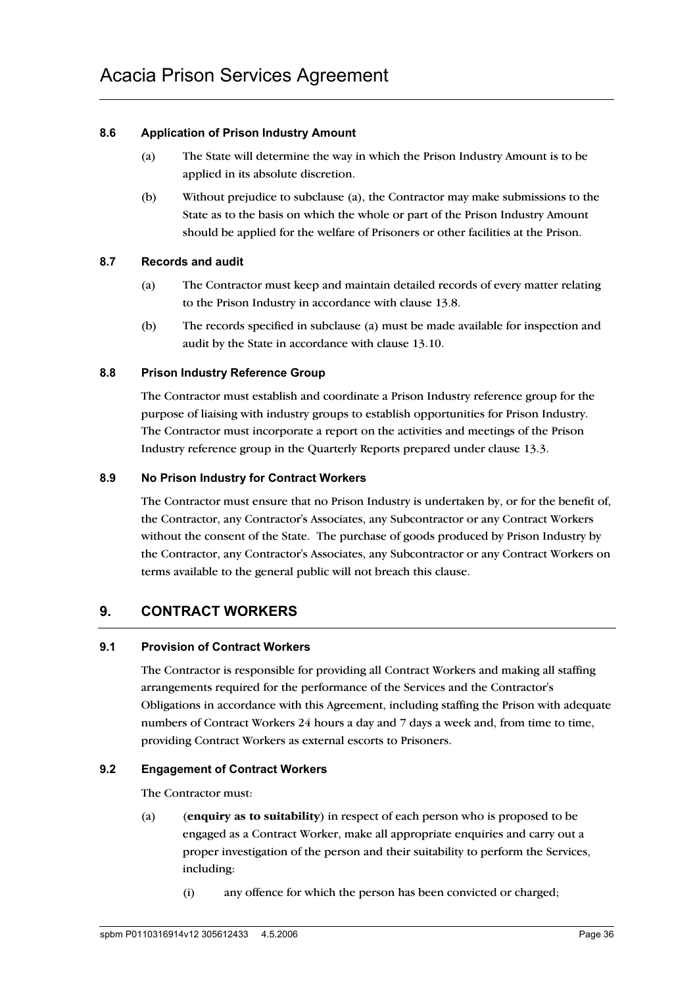## **8.6 Application of Prison Industry Amount**

- (a) The State will determine the way in which the Prison Industry Amount is to be applied in its absolute discretion.
- (b) Without prejudice to subclause (a), the Contractor may make submissions to the State as to the basis on which the whole or part of the Prison Industry Amount should be applied for the welfare of Prisoners or other facilities at the Prison.

## **8.7 Records and audit**

- (a) The Contractor must keep and maintain detailed records of every matter relating to the Prison Industry in accordance with clause 13.8.
- (b) The records specified in subclause (a) must be made available for inspection and audit by the State in accordance with clause 13.10.

## **8.8 Prison Industry Reference Group**

The Contractor must establish and coordinate a Prison Industry reference group for the purpose of liaising with industry groups to establish opportunities for Prison Industry. The Contractor must incorporate a report on the activities and meetings of the Prison Industry reference group in the Quarterly Reports prepared under clause 13.3.

## **8.9 No Prison Industry for Contract Workers**

The Contractor must ensure that no Prison Industry is undertaken by, or for the benefit of, the Contractor, any Contractor's Associates, any Subcontractor or any Contract Workers without the consent of the State. The purchase of goods produced by Prison Industry by the Contractor, any Contractor's Associates, any Subcontractor or any Contract Workers on terms available to the general public will not breach this clause.

# **9. CONTRACT WORKERS**

## **9.1 Provision of Contract Workers**

The Contractor is responsible for providing all Contract Workers and making all staffing arrangements required for the performance of the Services and the Contractor's Obligations in accordance with this Agreement, including staffing the Prison with adequate numbers of Contract Workers 24 hours a day and 7 days a week and, from time to time, providing Contract Workers as external escorts to Prisoners.

## **9.2 Engagement of Contract Workers**

The Contractor must:

- (a) (**enquiry as to suitability**) in respect of each person who is proposed to be engaged as a Contract Worker, make all appropriate enquiries and carry out a proper investigation of the person and their suitability to perform the Services, including:
	- (i) any offence for which the person has been convicted or charged;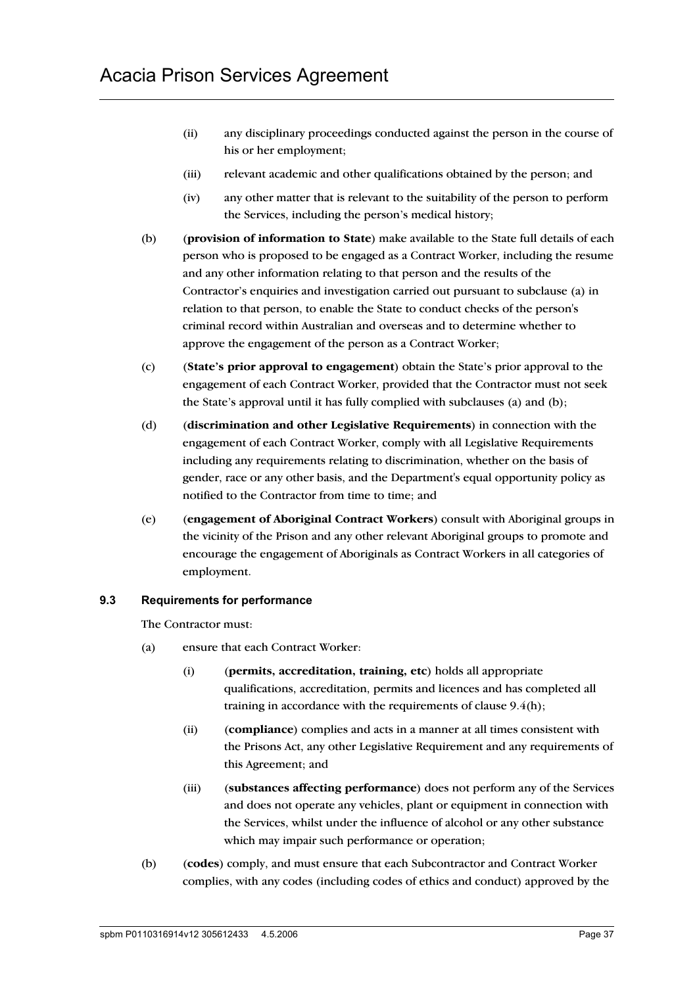- (ii) any disciplinary proceedings conducted against the person in the course of his or her employment;
- (iii) relevant academic and other qualifications obtained by the person; and
- (iv) any other matter that is relevant to the suitability of the person to perform the Services, including the person's medical history;
- (b) (**provision of information to State**) make available to the State full details of each person who is proposed to be engaged as a Contract Worker, including the resume and any other information relating to that person and the results of the Contractor's enquiries and investigation carried out pursuant to subclause (a) in relation to that person, to enable the State to conduct checks of the person's criminal record within Australian and overseas and to determine whether to approve the engagement of the person as a Contract Worker;
- (c) (**State's prior approval to engagement**) obtain the State's prior approval to the engagement of each Contract Worker, provided that the Contractor must not seek the State's approval until it has fully complied with subclauses (a) and (b);
- (d) (**discrimination and other Legislative Requirements**) in connection with the engagement of each Contract Worker, comply with all Legislative Requirements including any requirements relating to discrimination, whether on the basis of gender, race or any other basis, and the Department's equal opportunity policy as notified to the Contractor from time to time; and
- (e) (**engagement of Aboriginal Contract Workers**) consult with Aboriginal groups in the vicinity of the Prison and any other relevant Aboriginal groups to promote and encourage the engagement of Aboriginals as Contract Workers in all categories of employment.

## **9.3 Requirements for performance**

The Contractor must:

- (a) ensure that each Contract Worker:
	- (i) (**permits, accreditation, training, etc**) holds all appropriate qualifications, accreditation, permits and licences and has completed all training in accordance with the requirements of clause  $9.4(h)$ ;
	- (ii) (**compliance**) complies and acts in a manner at all times consistent with the Prisons Act, any other Legislative Requirement and any requirements of this Agreement; and
	- (iii) (**substances affecting performance**) does not perform any of the Services and does not operate any vehicles, plant or equipment in connection with the Services, whilst under the influence of alcohol or any other substance which may impair such performance or operation;
- (b) (**codes**) comply, and must ensure that each Subcontractor and Contract Worker complies, with any codes (including codes of ethics and conduct) approved by the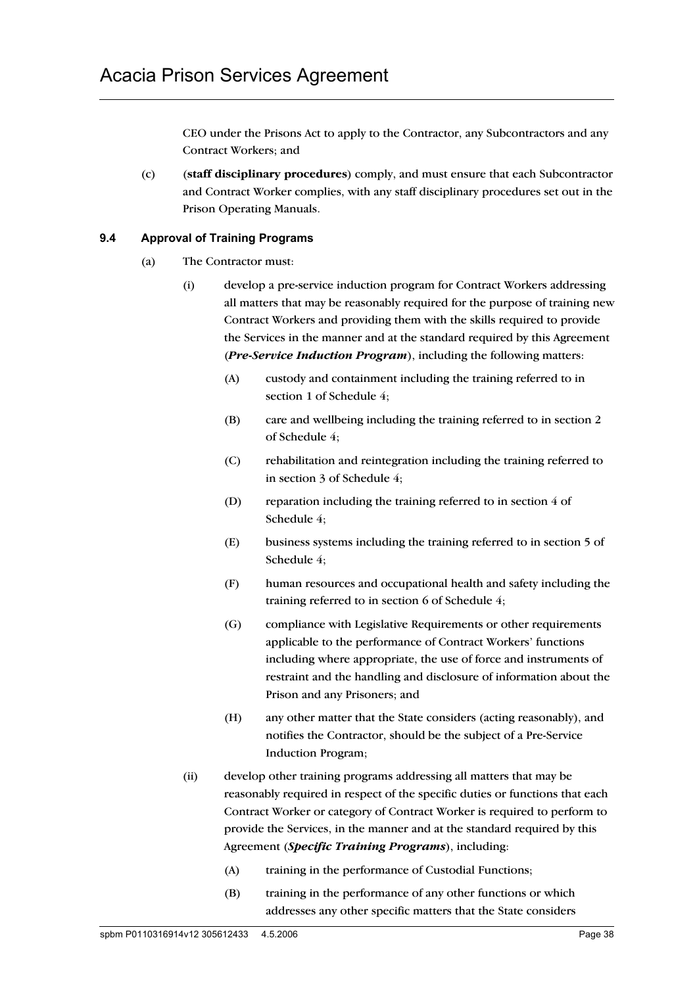CEO under the Prisons Act to apply to the Contractor, any Subcontractors and any Contract Workers; and

(c) (**staff disciplinary procedures**) comply, and must ensure that each Subcontractor and Contract Worker complies, with any staff disciplinary procedures set out in the Prison Operating Manuals.

## **9.4 Approval of Training Programs**

- (a) The Contractor must:
	- (i) develop a pre-service induction program for Contract Workers addressing all matters that may be reasonably required for the purpose of training new Contract Workers and providing them with the skills required to provide the Services in the manner and at the standard required by this Agreement (*Pre-Service Induction Program*), including the following matters:
		- (A) custody and containment including the training referred to in section 1 of Schedule 4;
		- (B) care and wellbeing including the training referred to in section 2 of Schedule 4;
		- (C) rehabilitation and reintegration including the training referred to in section 3 of Schedule 4;
		- (D) reparation including the training referred to in section 4 of Schedule 4;
		- (E) business systems including the training referred to in section 5 of Schedule 4;
		- (F) human resources and occupational health and safety including the training referred to in section 6 of Schedule 4;
		- (G) compliance with Legislative Requirements or other requirements applicable to the performance of Contract Workers' functions including where appropriate, the use of force and instruments of restraint and the handling and disclosure of information about the Prison and any Prisoners; and
		- (H) any other matter that the State considers (acting reasonably), and notifies the Contractor, should be the subject of a Pre-Service Induction Program;
	- (ii) develop other training programs addressing all matters that may be reasonably required in respect of the specific duties or functions that each Contract Worker or category of Contract Worker is required to perform to provide the Services, in the manner and at the standard required by this Agreement (*Specific Training Programs*), including:
		- (A) training in the performance of Custodial Functions;
		- (B) training in the performance of any other functions or which addresses any other specific matters that the State considers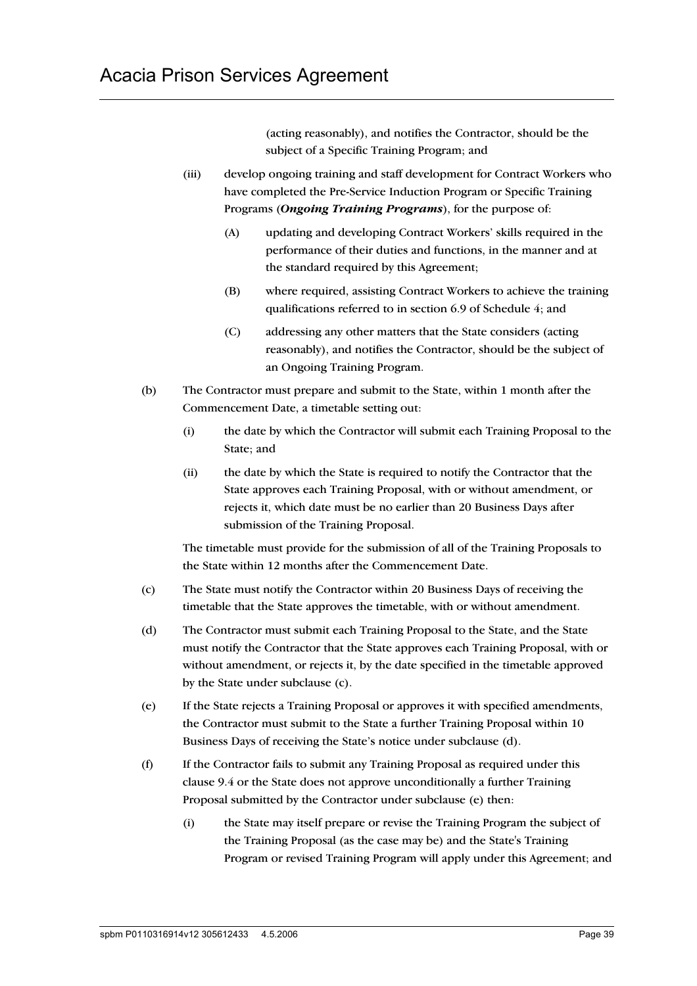(acting reasonably), and notifies the Contractor, should be the subject of a Specific Training Program; and

- (iii) develop ongoing training and staff development for Contract Workers who have completed the Pre-Service Induction Program or Specific Training Programs (*Ongoing Training Programs*), for the purpose of:
	- (A) updating and developing Contract Workers' skills required in the performance of their duties and functions, in the manner and at the standard required by this Agreement;
	- (B) where required, assisting Contract Workers to achieve the training qualifications referred to in section 6.9 of Schedule 4; and
	- (C) addressing any other matters that the State considers (acting reasonably), and notifies the Contractor, should be the subject of an Ongoing Training Program.
- (b) The Contractor must prepare and submit to the State, within 1 month after the Commencement Date, a timetable setting out:
	- (i) the date by which the Contractor will submit each Training Proposal to the State; and
	- (ii) the date by which the State is required to notify the Contractor that the State approves each Training Proposal, with or without amendment, or rejects it, which date must be no earlier than 20 Business Days after submission of the Training Proposal.

The timetable must provide for the submission of all of the Training Proposals to the State within 12 months after the Commencement Date.

- (c) The State must notify the Contractor within 20 Business Days of receiving the timetable that the State approves the timetable, with or without amendment.
- (d) The Contractor must submit each Training Proposal to the State, and the State must notify the Contractor that the State approves each Training Proposal, with or without amendment, or rejects it, by the date specified in the timetable approved by the State under subclause (c).
- (e) If the State rejects a Training Proposal or approves it with specified amendments, the Contractor must submit to the State a further Training Proposal within 10 Business Days of receiving the State's notice under subclause (d).
- (f) If the Contractor fails to submit any Training Proposal as required under this clause 9.4 or the State does not approve unconditionally a further Training Proposal submitted by the Contractor under subclause (e) then:
	- (i) the State may itself prepare or revise the Training Program the subject of the Training Proposal (as the case may be) and the State's Training Program or revised Training Program will apply under this Agreement; and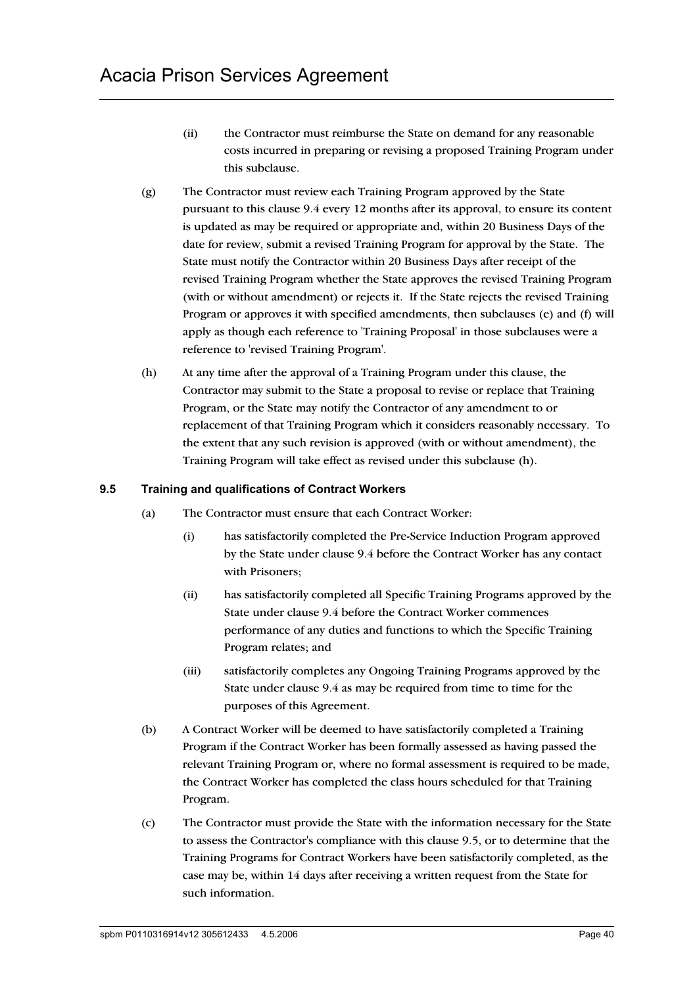- (ii) the Contractor must reimburse the State on demand for any reasonable costs incurred in preparing or revising a proposed Training Program under this subclause.
- (g) The Contractor must review each Training Program approved by the State pursuant to this clause 9.4 every 12 months after its approval, to ensure its content is updated as may be required or appropriate and, within 20 Business Days of the date for review, submit a revised Training Program for approval by the State. The State must notify the Contractor within 20 Business Days after receipt of the revised Training Program whether the State approves the revised Training Program (with or without amendment) or rejects it. If the State rejects the revised Training Program or approves it with specified amendments, then subclauses (e) and (f) will apply as though each reference to 'Training Proposal' in those subclauses were a reference to 'revised Training Program'.
- (h) At any time after the approval of a Training Program under this clause, the Contractor may submit to the State a proposal to revise or replace that Training Program, or the State may notify the Contractor of any amendment to or replacement of that Training Program which it considers reasonably necessary. To the extent that any such revision is approved (with or without amendment), the Training Program will take effect as revised under this subclause (h).

## **9.5 Training and qualifications of Contract Workers**

- (a) The Contractor must ensure that each Contract Worker:
	- (i) has satisfactorily completed the Pre-Service Induction Program approved by the State under clause 9.4 before the Contract Worker has any contact with Prisoners;
	- (ii) has satisfactorily completed all Specific Training Programs approved by the State under clause 9.4 before the Contract Worker commences performance of any duties and functions to which the Specific Training Program relates; and
	- (iii) satisfactorily completes any Ongoing Training Programs approved by the State under clause 9.4 as may be required from time to time for the purposes of this Agreement.
- (b) A Contract Worker will be deemed to have satisfactorily completed a Training Program if the Contract Worker has been formally assessed as having passed the relevant Training Program or, where no formal assessment is required to be made, the Contract Worker has completed the class hours scheduled for that Training Program.
- (c) The Contractor must provide the State with the information necessary for the State to assess the Contractor's compliance with this clause 9.5, or to determine that the Training Programs for Contract Workers have been satisfactorily completed, as the case may be, within 14 days after receiving a written request from the State for such information.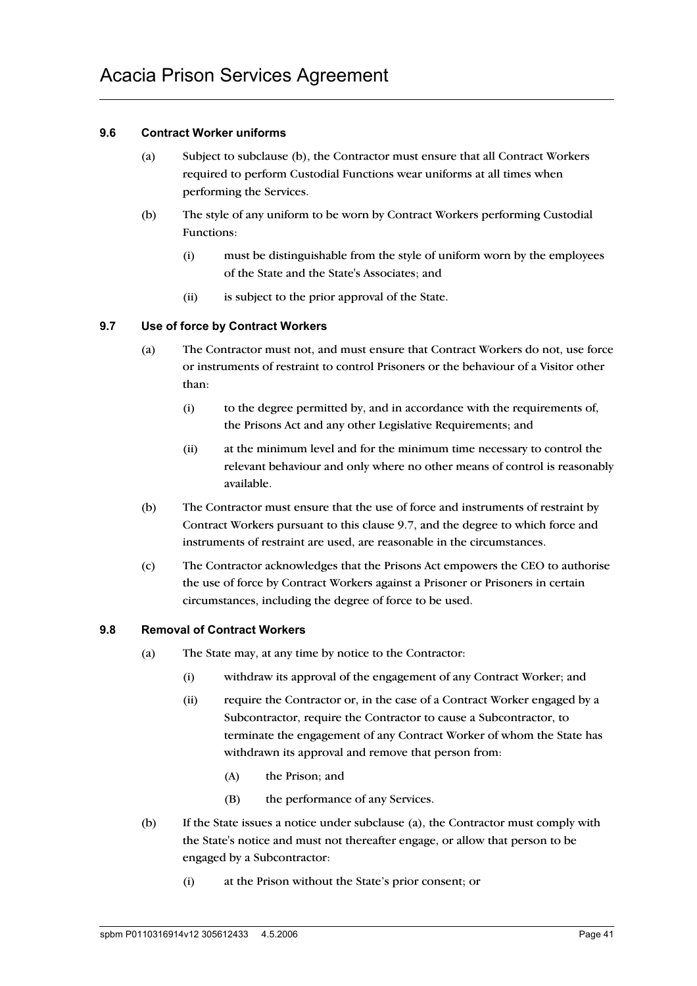## **9.6 Contract Worker uniforms**

- (a) Subject to subclause (b), the Contractor must ensure that all Contract Workers required to perform Custodial Functions wear uniforms at all times when performing the Services.
- (b) The style of any uniform to be worn by Contract Workers performing Custodial Functions:
	- (i) must be distinguishable from the style of uniform worn by the employees of the State and the State's Associates; and
	- (ii) is subject to the prior approval of the State.

## **9.7 Use of force by Contract Workers**

- (a) The Contractor must not, and must ensure that Contract Workers do not, use force or instruments of restraint to control Prisoners or the behaviour of a Visitor other than:
	- (i) to the degree permitted by, and in accordance with the requirements of, the Prisons Act and any other Legislative Requirements; and
	- (ii) at the minimum level and for the minimum time necessary to control the relevant behaviour and only where no other means of control is reasonably available.
- (b) The Contractor must ensure that the use of force and instruments of restraint by Contract Workers pursuant to this clause 9.7, and the degree to which force and instruments of restraint are used, are reasonable in the circumstances.
- (c) The Contractor acknowledges that the Prisons Act empowers the CEO to authorise the use of force by Contract Workers against a Prisoner or Prisoners in certain circumstances, including the degree of force to be used.

## **9.8 Removal of Contract Workers**

- (a) The State may, at any time by notice to the Contractor:
	- (i) withdraw its approval of the engagement of any Contract Worker; and
	- (ii) require the Contractor or, in the case of a Contract Worker engaged by a Subcontractor, require the Contractor to cause a Subcontractor, to terminate the engagement of any Contract Worker of whom the State has withdrawn its approval and remove that person from:
		- (A) the Prison; and
		- (B) the performance of any Services.
- (b) If the State issues a notice under subclause (a), the Contractor must comply with the State's notice and must not thereafter engage, or allow that person to be engaged by a Subcontractor:
	- (i) at the Prison without the State's prior consent; or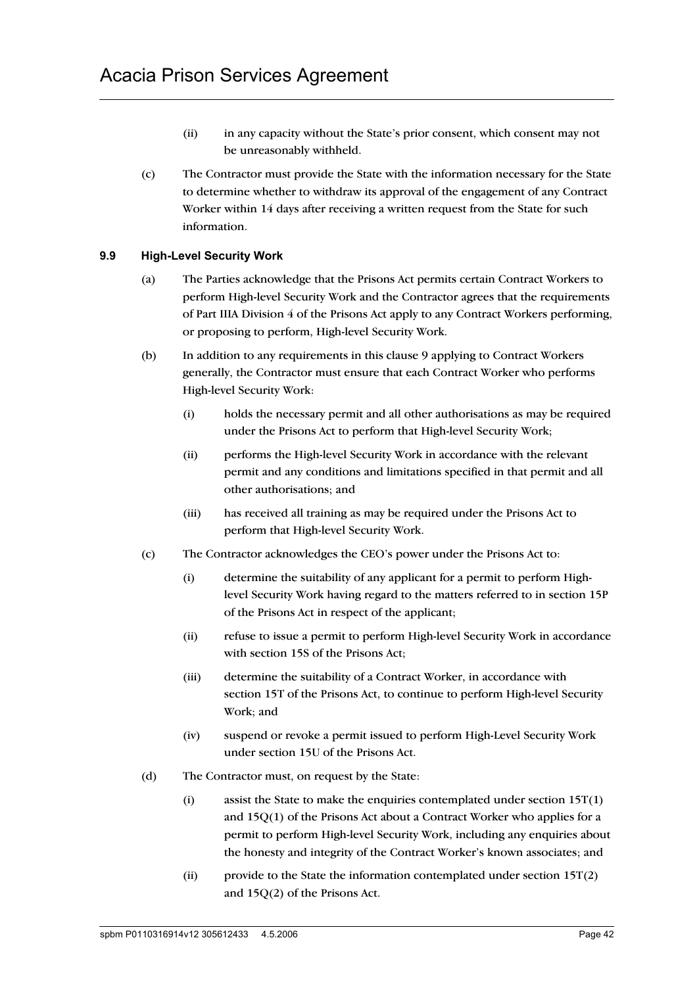- (ii) in any capacity without the State's prior consent, which consent may not be unreasonably withheld.
- (c) The Contractor must provide the State with the information necessary for the State to determine whether to withdraw its approval of the engagement of any Contract Worker within 14 days after receiving a written request from the State for such information.

## **9.9 High-Level Security Work**

- (a) The Parties acknowledge that the Prisons Act permits certain Contract Workers to perform High-level Security Work and the Contractor agrees that the requirements of Part IIIA Division 4 of the Prisons Act apply to any Contract Workers performing, or proposing to perform, High-level Security Work.
- (b) In addition to any requirements in this clause 9 applying to Contract Workers generally, the Contractor must ensure that each Contract Worker who performs High-level Security Work:
	- (i) holds the necessary permit and all other authorisations as may be required under the Prisons Act to perform that High-level Security Work;
	- (ii) performs the High-level Security Work in accordance with the relevant permit and any conditions and limitations specified in that permit and all other authorisations; and
	- (iii) has received all training as may be required under the Prisons Act to perform that High-level Security Work.
- (c) The Contractor acknowledges the CEO's power under the Prisons Act to:
	- (i) determine the suitability of any applicant for a permit to perform Highlevel Security Work having regard to the matters referred to in section 15P of the Prisons Act in respect of the applicant;
	- (ii) refuse to issue a permit to perform High-level Security Work in accordance with section 15S of the Prisons Act;
	- (iii) determine the suitability of a Contract Worker, in accordance with section 15T of the Prisons Act, to continue to perform High-level Security Work; and
	- (iv) suspend or revoke a permit issued to perform High-Level Security Work under section 15U of the Prisons Act.
- (d) The Contractor must, on request by the State:
	- (i) assist the State to make the enquiries contemplated under section  $15T(1)$ and 15Q(1) of the Prisons Act about a Contract Worker who applies for a permit to perform High-level Security Work, including any enquiries about the honesty and integrity of the Contract Worker's known associates; and
	- (ii) provide to the State the information contemplated under section  $15T(2)$ and 15Q(2) of the Prisons Act.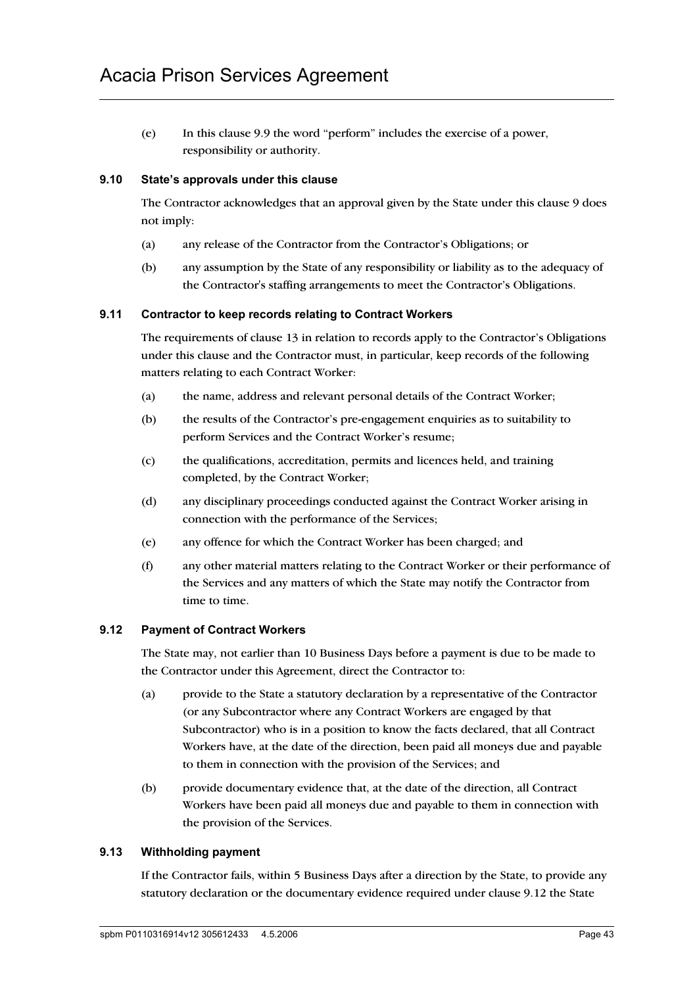(e) In this clause 9.9 the word "perform" includes the exercise of a power, responsibility or authority.

## **9.10 State's approvals under this clause**

The Contractor acknowledges that an approval given by the State under this clause 9 does not imply:

- (a) any release of the Contractor from the Contractor's Obligations; or
- (b) any assumption by the State of any responsibility or liability as to the adequacy of the Contractor's staffing arrangements to meet the Contractor's Obligations.

#### **9.11 Contractor to keep records relating to Contract Workers**

The requirements of clause 13 in relation to records apply to the Contractor's Obligations under this clause and the Contractor must, in particular, keep records of the following matters relating to each Contract Worker:

- (a) the name, address and relevant personal details of the Contract Worker;
- (b) the results of the Contractor's pre-engagement enquiries as to suitability to perform Services and the Contract Worker's resume;
- (c) the qualifications, accreditation, permits and licences held, and training completed, by the Contract Worker;
- (d) any disciplinary proceedings conducted against the Contract Worker arising in connection with the performance of the Services;
- (e) any offence for which the Contract Worker has been charged; and
- (f) any other material matters relating to the Contract Worker or their performance of the Services and any matters of which the State may notify the Contractor from time to time.

## **9.12 Payment of Contract Workers**

The State may, not earlier than 10 Business Days before a payment is due to be made to the Contractor under this Agreement, direct the Contractor to:

- (a) provide to the State a statutory declaration by a representative of the Contractor (or any Subcontractor where any Contract Workers are engaged by that Subcontractor) who is in a position to know the facts declared, that all Contract Workers have, at the date of the direction, been paid all moneys due and payable to them in connection with the provision of the Services; and
- (b) provide documentary evidence that, at the date of the direction, all Contract Workers have been paid all moneys due and payable to them in connection with the provision of the Services.

## **9.13 Withholding payment**

If the Contractor fails, within 5 Business Days after a direction by the State, to provide any statutory declaration or the documentary evidence required under clause 9.12 the State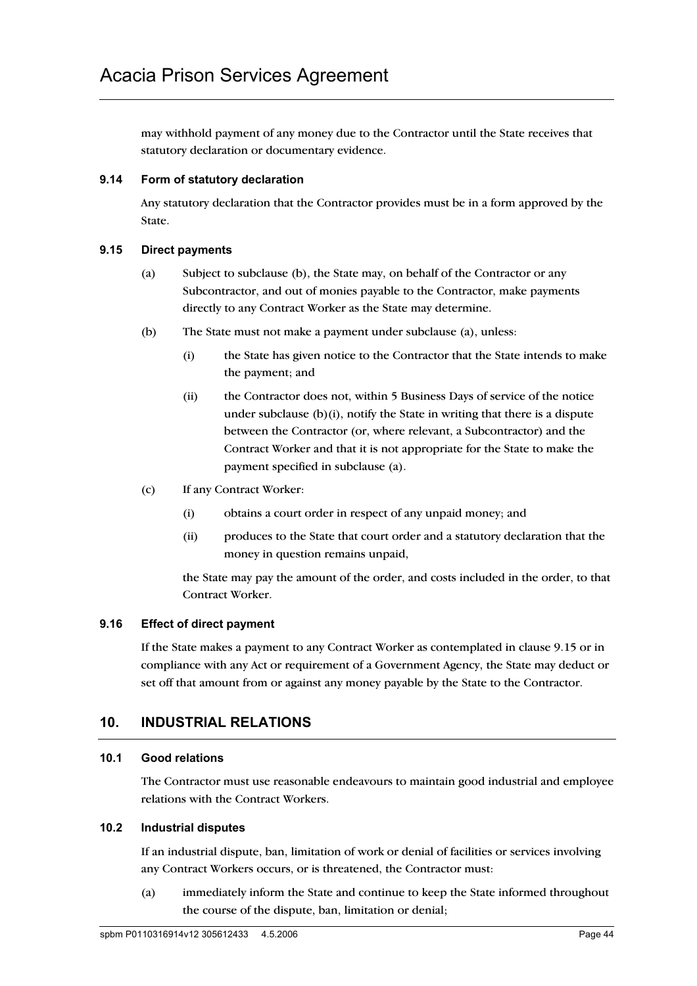may withhold payment of any money due to the Contractor until the State receives that statutory declaration or documentary evidence.

## **9.14 Form of statutory declaration**

Any statutory declaration that the Contractor provides must be in a form approved by the State.

## **9.15 Direct payments**

- (a) Subject to subclause (b), the State may, on behalf of the Contractor or any Subcontractor, and out of monies payable to the Contractor, make payments directly to any Contract Worker as the State may determine.
- (b) The State must not make a payment under subclause (a), unless:
	- (i) the State has given notice to the Contractor that the State intends to make the payment; and
	- (ii) the Contractor does not, within 5 Business Days of service of the notice under subclause  $(b)(i)$ , notify the State in writing that there is a dispute between the Contractor (or, where relevant, a Subcontractor) and the Contract Worker and that it is not appropriate for the State to make the payment specified in subclause (a).
- (c) If any Contract Worker:
	- (i) obtains a court order in respect of any unpaid money; and
	- (ii) produces to the State that court order and a statutory declaration that the money in question remains unpaid,

the State may pay the amount of the order, and costs included in the order, to that Contract Worker.

## **9.16 Effect of direct payment**

If the State makes a payment to any Contract Worker as contemplated in clause 9.15 or in compliance with any Act or requirement of a Government Agency, the State may deduct or set off that amount from or against any money payable by the State to the Contractor.

# **10. INDUSTRIAL RELATIONS**

## **10.1 Good relations**

The Contractor must use reasonable endeavours to maintain good industrial and employee relations with the Contract Workers.

## **10.2 Industrial disputes**

If an industrial dispute, ban, limitation of work or denial of facilities or services involving any Contract Workers occurs, or is threatened, the Contractor must:

(a) immediately inform the State and continue to keep the State informed throughout the course of the dispute, ban, limitation or denial;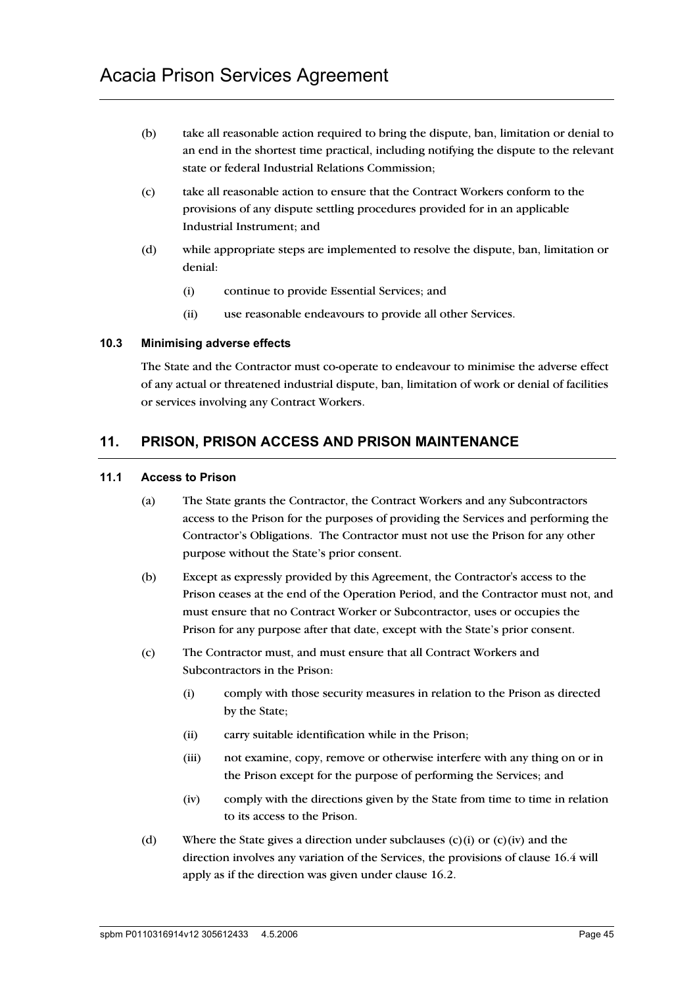- (b) take all reasonable action required to bring the dispute, ban, limitation or denial to an end in the shortest time practical, including notifying the dispute to the relevant state or federal Industrial Relations Commission;
- (c) take all reasonable action to ensure that the Contract Workers conform to the provisions of any dispute settling procedures provided for in an applicable Industrial Instrument; and
- (d) while appropriate steps are implemented to resolve the dispute, ban, limitation or denial:
	- (i) continue to provide Essential Services; and
	- (ii) use reasonable endeavours to provide all other Services.

## **10.3 Minimising adverse effects**

The State and the Contractor must co-operate to endeavour to minimise the adverse effect of any actual or threatened industrial dispute, ban, limitation of work or denial of facilities or services involving any Contract Workers.

## **11. PRISON, PRISON ACCESS AND PRISON MAINTENANCE**

#### **11.1 Access to Prison**

- (a) The State grants the Contractor, the Contract Workers and any Subcontractors access to the Prison for the purposes of providing the Services and performing the Contractor's Obligations. The Contractor must not use the Prison for any other purpose without the State's prior consent.
- (b) Except as expressly provided by this Agreement, the Contractor's access to the Prison ceases at the end of the Operation Period, and the Contractor must not, and must ensure that no Contract Worker or Subcontractor, uses or occupies the Prison for any purpose after that date, except with the State's prior consent.
- (c) The Contractor must, and must ensure that all Contract Workers and Subcontractors in the Prison:
	- (i) comply with those security measures in relation to the Prison as directed by the State;
	- (ii) carry suitable identification while in the Prison;
	- (iii) not examine, copy, remove or otherwise interfere with any thing on or in the Prison except for the purpose of performing the Services; and
	- (iv) comply with the directions given by the State from time to time in relation to its access to the Prison.
- (d) Where the State gives a direction under subclauses  $(c)(i)$  or  $(c)(iv)$  and the direction involves any variation of the Services, the provisions of clause 16.4 will apply as if the direction was given under clause 16.2.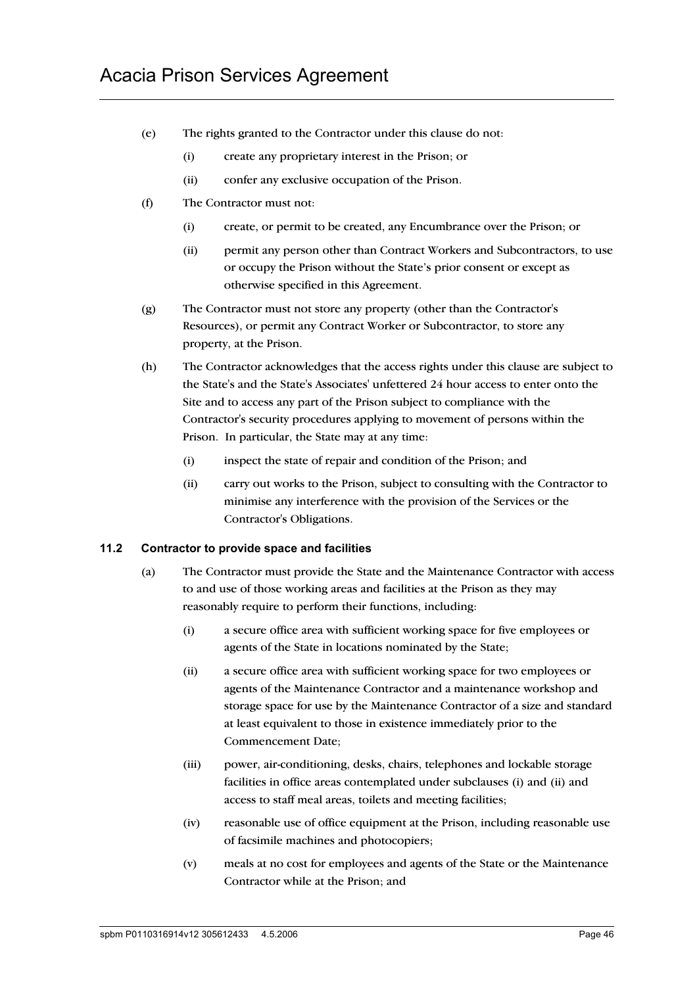- (e) The rights granted to the Contractor under this clause do not:
	- (i) create any proprietary interest in the Prison; or
	- (ii) confer any exclusive occupation of the Prison.
- (f) The Contractor must not:
	- (i) create, or permit to be created, any Encumbrance over the Prison; or
	- (ii) permit any person other than Contract Workers and Subcontractors, to use or occupy the Prison without the State's prior consent or except as otherwise specified in this Agreement.
- (g) The Contractor must not store any property (other than the Contractor's Resources), or permit any Contract Worker or Subcontractor, to store any property, at the Prison.
- (h) The Contractor acknowledges that the access rights under this clause are subject to the State's and the State's Associates' unfettered 24 hour access to enter onto the Site and to access any part of the Prison subject to compliance with the Contractor's security procedures applying to movement of persons within the Prison. In particular, the State may at any time:
	- (i) inspect the state of repair and condition of the Prison; and
	- (ii) carry out works to the Prison, subject to consulting with the Contractor to minimise any interference with the provision of the Services or the Contractor's Obligations.

## **11.2 Contractor to provide space and facilities**

- (a) The Contractor must provide the State and the Maintenance Contractor with access to and use of those working areas and facilities at the Prison as they may reasonably require to perform their functions, including:
	- (i) a secure office area with sufficient working space for five employees or agents of the State in locations nominated by the State;
	- (ii) a secure office area with sufficient working space for two employees or agents of the Maintenance Contractor and a maintenance workshop and storage space for use by the Maintenance Contractor of a size and standard at least equivalent to those in existence immediately prior to the Commencement Date;
	- (iii) power, air-conditioning, desks, chairs, telephones and lockable storage facilities in office areas contemplated under subclauses (i) and (ii) and access to staff meal areas, toilets and meeting facilities;
	- (iv) reasonable use of office equipment at the Prison, including reasonable use of facsimile machines and photocopiers;
	- (v) meals at no cost for employees and agents of the State or the Maintenance Contractor while at the Prison; and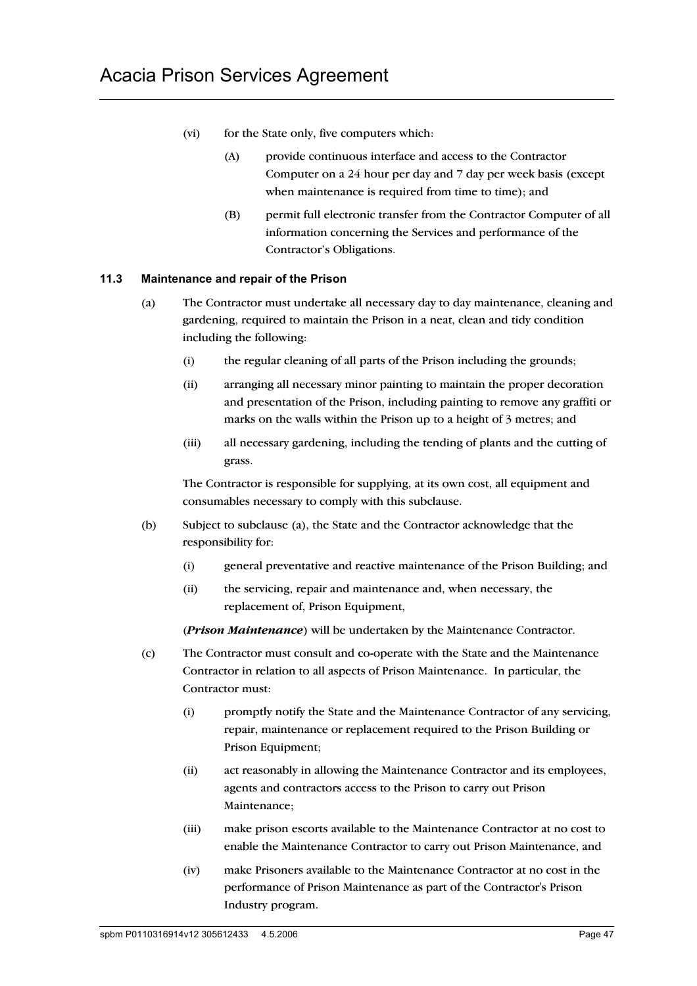- (vi) for the State only, five computers which:
	- (A) provide continuous interface and access to the Contractor Computer on a 24 hour per day and 7 day per week basis (except when maintenance is required from time to time); and
	- (B) permit full electronic transfer from the Contractor Computer of all information concerning the Services and performance of the Contractor's Obligations.

## **11.3 Maintenance and repair of the Prison**

- (a) The Contractor must undertake all necessary day to day maintenance, cleaning and gardening, required to maintain the Prison in a neat, clean and tidy condition including the following:
	- (i) the regular cleaning of all parts of the Prison including the grounds;
	- (ii) arranging all necessary minor painting to maintain the proper decoration and presentation of the Prison, including painting to remove any graffiti or marks on the walls within the Prison up to a height of 3 metres; and
	- (iii) all necessary gardening, including the tending of plants and the cutting of grass.

The Contractor is responsible for supplying, at its own cost, all equipment and consumables necessary to comply with this subclause.

- (b) Subject to subclause (a), the State and the Contractor acknowledge that the responsibility for:
	- (i) general preventative and reactive maintenance of the Prison Building; and
	- (ii) the servicing, repair and maintenance and, when necessary, the replacement of, Prison Equipment,

(*Prison Maintenance*) will be undertaken by the Maintenance Contractor.

- (c) The Contractor must consult and co-operate with the State and the Maintenance Contractor in relation to all aspects of Prison Maintenance. In particular, the Contractor must:
	- (i) promptly notify the State and the Maintenance Contractor of any servicing, repair, maintenance or replacement required to the Prison Building or Prison Equipment;
	- (ii) act reasonably in allowing the Maintenance Contractor and its employees, agents and contractors access to the Prison to carry out Prison Maintenance;
	- (iii) make prison escorts available to the Maintenance Contractor at no cost to enable the Maintenance Contractor to carry out Prison Maintenance, and
	- (iv) make Prisoners available to the Maintenance Contractor at no cost in the performance of Prison Maintenance as part of the Contractor's Prison Industry program.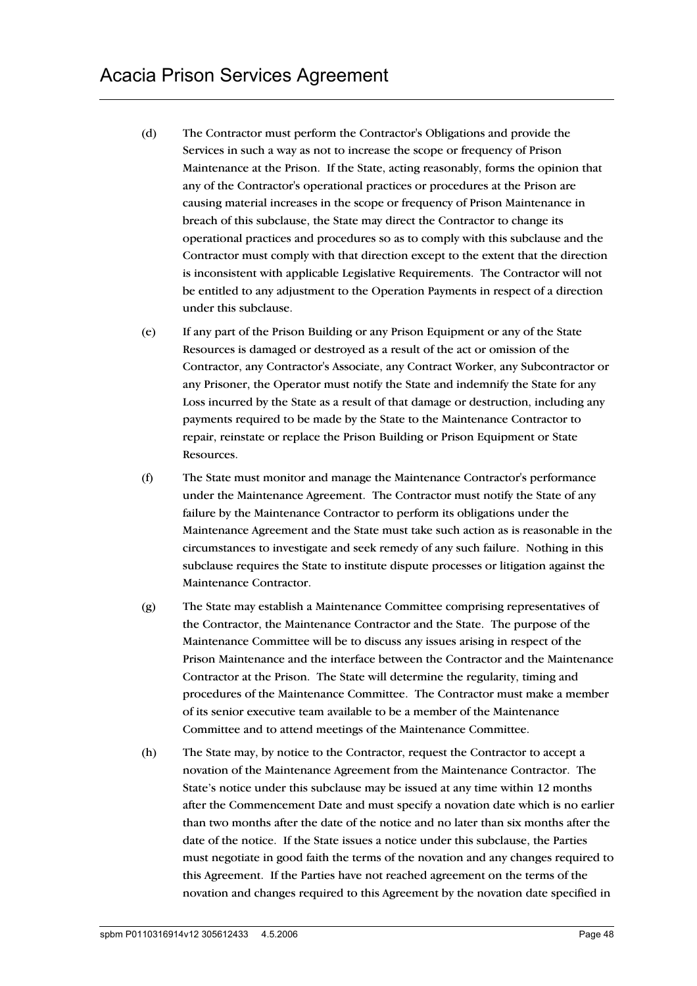- (d) The Contractor must perform the Contractor's Obligations and provide the Services in such a way as not to increase the scope or frequency of Prison Maintenance at the Prison. If the State, acting reasonably, forms the opinion that any of the Contractor's operational practices or procedures at the Prison are causing material increases in the scope or frequency of Prison Maintenance in breach of this subclause, the State may direct the Contractor to change its operational practices and procedures so as to comply with this subclause and the Contractor must comply with that direction except to the extent that the direction is inconsistent with applicable Legislative Requirements. The Contractor will not be entitled to any adjustment to the Operation Payments in respect of a direction under this subclause.
- (e) If any part of the Prison Building or any Prison Equipment or any of the State Resources is damaged or destroyed as a result of the act or omission of the Contractor, any Contractor's Associate, any Contract Worker, any Subcontractor or any Prisoner, the Operator must notify the State and indemnify the State for any Loss incurred by the State as a result of that damage or destruction, including any payments required to be made by the State to the Maintenance Contractor to repair, reinstate or replace the Prison Building or Prison Equipment or State Resources.
- (f) The State must monitor and manage the Maintenance Contractor's performance under the Maintenance Agreement. The Contractor must notify the State of any failure by the Maintenance Contractor to perform its obligations under the Maintenance Agreement and the State must take such action as is reasonable in the circumstances to investigate and seek remedy of any such failure. Nothing in this subclause requires the State to institute dispute processes or litigation against the Maintenance Contractor.
- (g) The State may establish a Maintenance Committee comprising representatives of the Contractor, the Maintenance Contractor and the State. The purpose of the Maintenance Committee will be to discuss any issues arising in respect of the Prison Maintenance and the interface between the Contractor and the Maintenance Contractor at the Prison. The State will determine the regularity, timing and procedures of the Maintenance Committee. The Contractor must make a member of its senior executive team available to be a member of the Maintenance Committee and to attend meetings of the Maintenance Committee.
- (h) The State may, by notice to the Contractor, request the Contractor to accept a novation of the Maintenance Agreement from the Maintenance Contractor. The State's notice under this subclause may be issued at any time within 12 months after the Commencement Date and must specify a novation date which is no earlier than two months after the date of the notice and no later than six months after the date of the notice. If the State issues a notice under this subclause, the Parties must negotiate in good faith the terms of the novation and any changes required to this Agreement. If the Parties have not reached agreement on the terms of the novation and changes required to this Agreement by the novation date specified in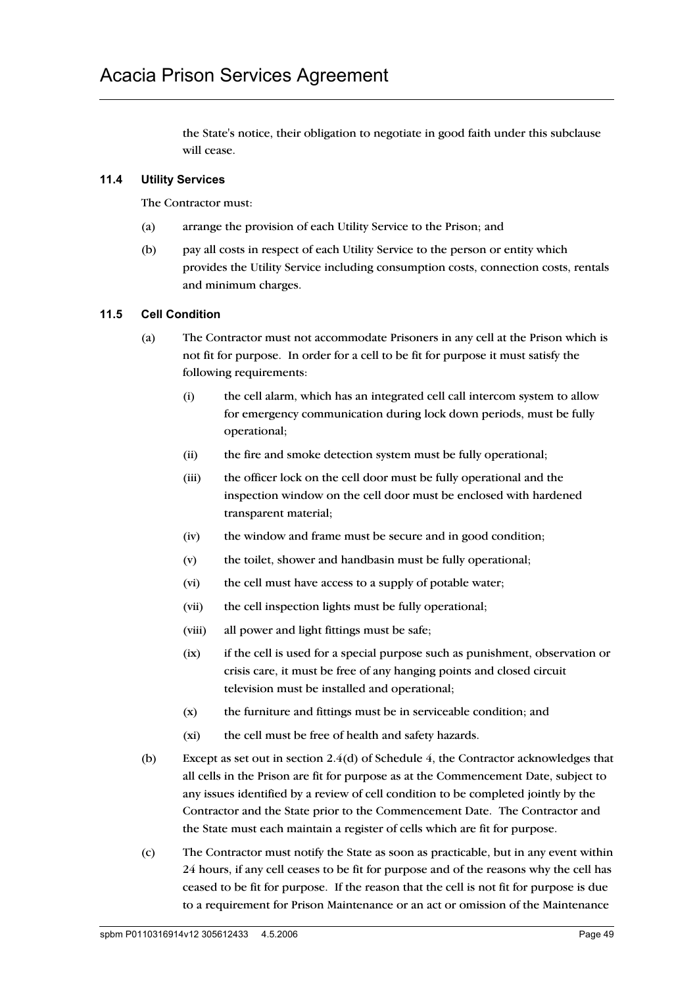the State's notice, their obligation to negotiate in good faith under this subclause will cease.

## **11.4 Utility Services**

The Contractor must:

- (a) arrange the provision of each Utility Service to the Prison; and
- (b) pay all costs in respect of each Utility Service to the person or entity which provides the Utility Service including consumption costs, connection costs, rentals and minimum charges.

#### **11.5 Cell Condition**

- (a) The Contractor must not accommodate Prisoners in any cell at the Prison which is not fit for purpose. In order for a cell to be fit for purpose it must satisfy the following requirements:
	- (i) the cell alarm, which has an integrated cell call intercom system to allow for emergency communication during lock down periods, must be fully operational;
	- (ii) the fire and smoke detection system must be fully operational;
	- (iii) the officer lock on the cell door must be fully operational and the inspection window on the cell door must be enclosed with hardened transparent material;
	- (iv) the window and frame must be secure and in good condition;
	- (v) the toilet, shower and handbasin must be fully operational;
	- (vi) the cell must have access to a supply of potable water;
	- (vii) the cell inspection lights must be fully operational;
	- (viii) all power and light fittings must be safe;
	- (ix) if the cell is used for a special purpose such as punishment, observation or crisis care, it must be free of any hanging points and closed circuit television must be installed and operational;
	- (x) the furniture and fittings must be in serviceable condition; and
	- (xi) the cell must be free of health and safety hazards.
- (b) Except as set out in section  $2.4(d)$  of Schedule 4, the Contractor acknowledges that all cells in the Prison are fit for purpose as at the Commencement Date, subject to any issues identified by a review of cell condition to be completed jointly by the Contractor and the State prior to the Commencement Date. The Contractor and the State must each maintain a register of cells which are fit for purpose.
- (c) The Contractor must notify the State as soon as practicable, but in any event within 24 hours, if any cell ceases to be fit for purpose and of the reasons why the cell has ceased to be fit for purpose. If the reason that the cell is not fit for purpose is due to a requirement for Prison Maintenance or an act or omission of the Maintenance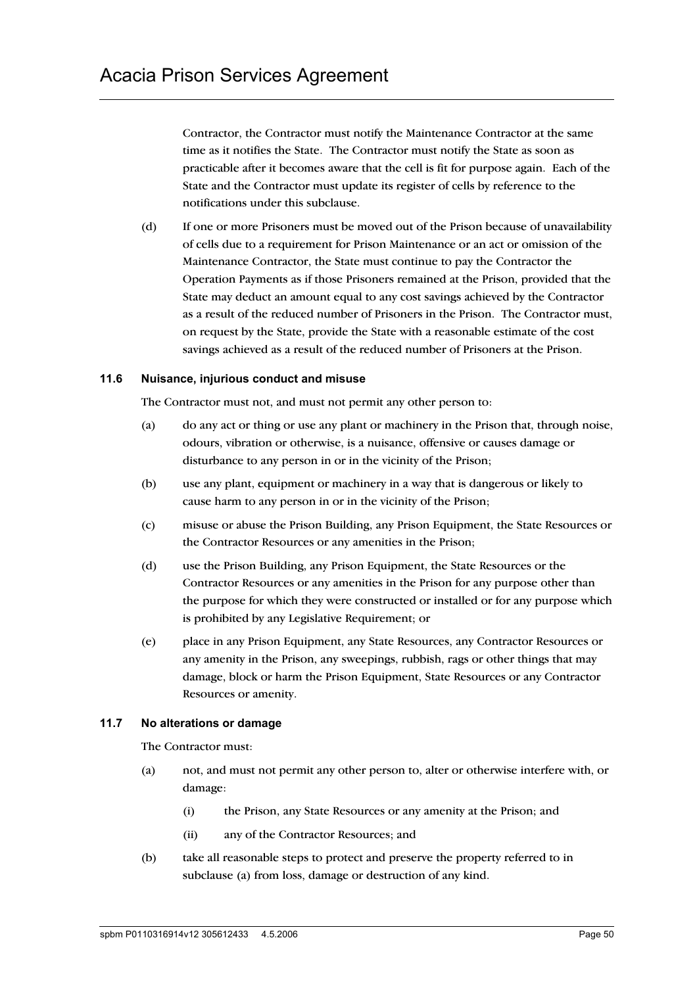Contractor, the Contractor must notify the Maintenance Contractor at the same time as it notifies the State. The Contractor must notify the State as soon as practicable after it becomes aware that the cell is fit for purpose again. Each of the State and the Contractor must update its register of cells by reference to the notifications under this subclause.

(d) If one or more Prisoners must be moved out of the Prison because of unavailability of cells due to a requirement for Prison Maintenance or an act or omission of the Maintenance Contractor, the State must continue to pay the Contractor the Operation Payments as if those Prisoners remained at the Prison, provided that the State may deduct an amount equal to any cost savings achieved by the Contractor as a result of the reduced number of Prisoners in the Prison. The Contractor must, on request by the State, provide the State with a reasonable estimate of the cost savings achieved as a result of the reduced number of Prisoners at the Prison.

#### **11.6 Nuisance, injurious conduct and misuse**

The Contractor must not, and must not permit any other person to:

- (a) do any act or thing or use any plant or machinery in the Prison that, through noise, odours, vibration or otherwise, is a nuisance, offensive or causes damage or disturbance to any person in or in the vicinity of the Prison;
- (b) use any plant, equipment or machinery in a way that is dangerous or likely to cause harm to any person in or in the vicinity of the Prison;
- (c) misuse or abuse the Prison Building, any Prison Equipment, the State Resources or the Contractor Resources or any amenities in the Prison;
- (d) use the Prison Building, any Prison Equipment, the State Resources or the Contractor Resources or any amenities in the Prison for any purpose other than the purpose for which they were constructed or installed or for any purpose which is prohibited by any Legislative Requirement; or
- (e) place in any Prison Equipment, any State Resources, any Contractor Resources or any amenity in the Prison, any sweepings, rubbish, rags or other things that may damage, block or harm the Prison Equipment, State Resources or any Contractor Resources or amenity.

#### **11.7 No alterations or damage**

The Contractor must:

- (a) not, and must not permit any other person to, alter or otherwise interfere with, or damage:
	- (i) the Prison, any State Resources or any amenity at the Prison; and
	- (ii) any of the Contractor Resources; and
- (b) take all reasonable steps to protect and preserve the property referred to in subclause (a) from loss, damage or destruction of any kind.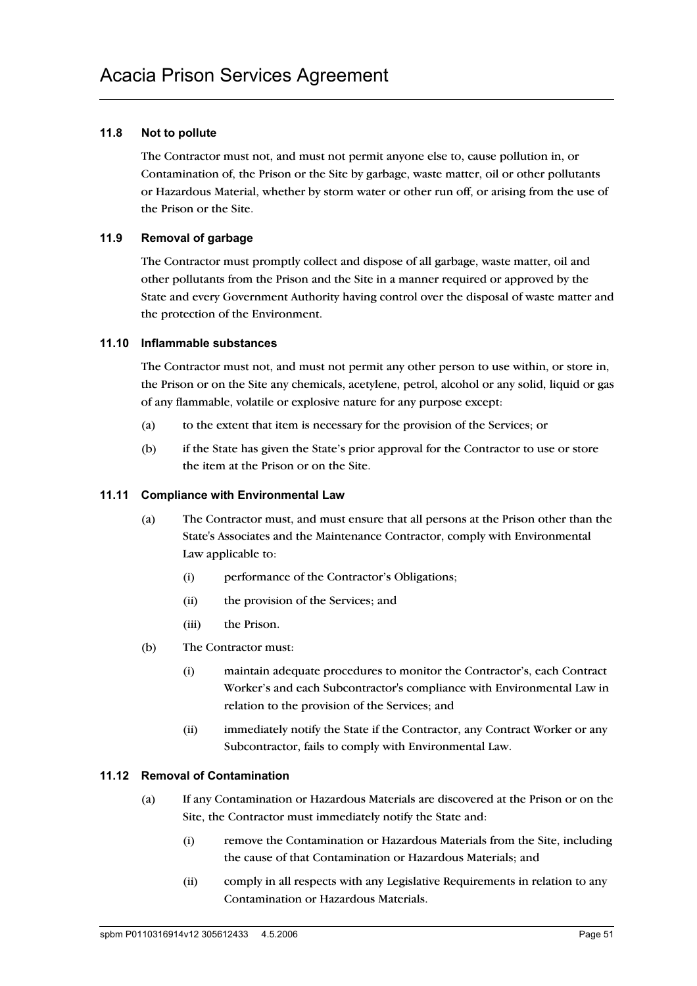## **11.8 Not to pollute**

The Contractor must not, and must not permit anyone else to, cause pollution in, or Contamination of, the Prison or the Site by garbage, waste matter, oil or other pollutants or Hazardous Material, whether by storm water or other run off, or arising from the use of the Prison or the Site.

## **11.9 Removal of garbage**

The Contractor must promptly collect and dispose of all garbage, waste matter, oil and other pollutants from the Prison and the Site in a manner required or approved by the State and every Government Authority having control over the disposal of waste matter and the protection of the Environment.

## **11.10 Inflammable substances**

The Contractor must not, and must not permit any other person to use within, or store in, the Prison or on the Site any chemicals, acetylene, petrol, alcohol or any solid, liquid or gas of any flammable, volatile or explosive nature for any purpose except:

- (a) to the extent that item is necessary for the provision of the Services; or
- (b) if the State has given the State's prior approval for the Contractor to use or store the item at the Prison or on the Site.

### **11.11 Compliance with Environmental Law**

- (a) The Contractor must, and must ensure that all persons at the Prison other than the State's Associates and the Maintenance Contractor, comply with Environmental Law applicable to:
	- (i) performance of the Contractor's Obligations;
	- (ii) the provision of the Services; and
	- (iii) the Prison.
- (b) The Contractor must:
	- (i) maintain adequate procedures to monitor the Contractor's, each Contract Worker's and each Subcontractor's compliance with Environmental Law in relation to the provision of the Services; and
	- (ii) immediately notify the State if the Contractor, any Contract Worker or any Subcontractor, fails to comply with Environmental Law.

## **11.12 Removal of Contamination**

- (a) If any Contamination or Hazardous Materials are discovered at the Prison or on the Site, the Contractor must immediately notify the State and:
	- (i) remove the Contamination or Hazardous Materials from the Site, including the cause of that Contamination or Hazardous Materials; and
	- (ii) comply in all respects with any Legislative Requirements in relation to any Contamination or Hazardous Materials.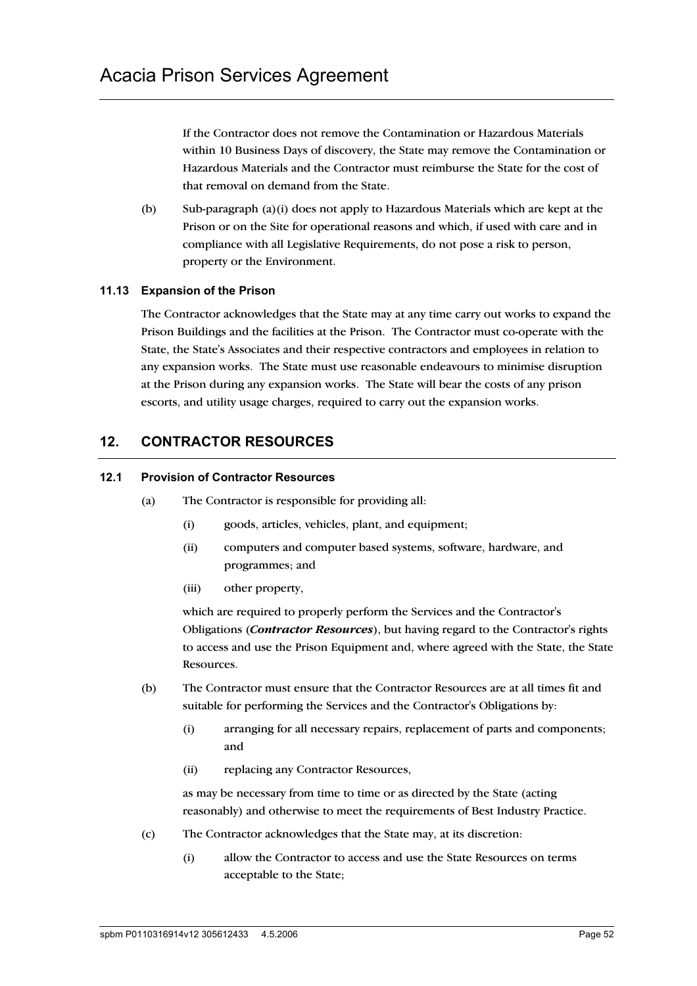If the Contractor does not remove the Contamination or Hazardous Materials within 10 Business Days of discovery, the State may remove the Contamination or Hazardous Materials and the Contractor must reimburse the State for the cost of that removal on demand from the State.

(b) Sub-paragraph (a)(i) does not apply to Hazardous Materials which are kept at the Prison or on the Site for operational reasons and which, if used with care and in compliance with all Legislative Requirements, do not pose a risk to person, property or the Environment.

## **11.13 Expansion of the Prison**

The Contractor acknowledges that the State may at any time carry out works to expand the Prison Buildings and the facilities at the Prison. The Contractor must co-operate with the State, the State's Associates and their respective contractors and employees in relation to any expansion works. The State must use reasonable endeavours to minimise disruption at the Prison during any expansion works. The State will bear the costs of any prison escorts, and utility usage charges, required to carry out the expansion works.

## **12. CONTRACTOR RESOURCES**

#### **12.1 Provision of Contractor Resources**

- (a) The Contractor is responsible for providing all:
	- (i) goods, articles, vehicles, plant, and equipment;
	- (ii) computers and computer based systems, software, hardware, and programmes; and
	- (iii) other property,

which are required to properly perform the Services and the Contractor's Obligations (*Contractor Resources*), but having regard to the Contractor's rights to access and use the Prison Equipment and, where agreed with the State, the State Resources.

- (b) The Contractor must ensure that the Contractor Resources are at all times fit and suitable for performing the Services and the Contractor's Obligations by:
	- (i) arranging for all necessary repairs, replacement of parts and components; and
	- (ii) replacing any Contractor Resources,

as may be necessary from time to time or as directed by the State (acting reasonably) and otherwise to meet the requirements of Best Industry Practice.

- (c) The Contractor acknowledges that the State may, at its discretion:
	- (i) allow the Contractor to access and use the State Resources on terms acceptable to the State;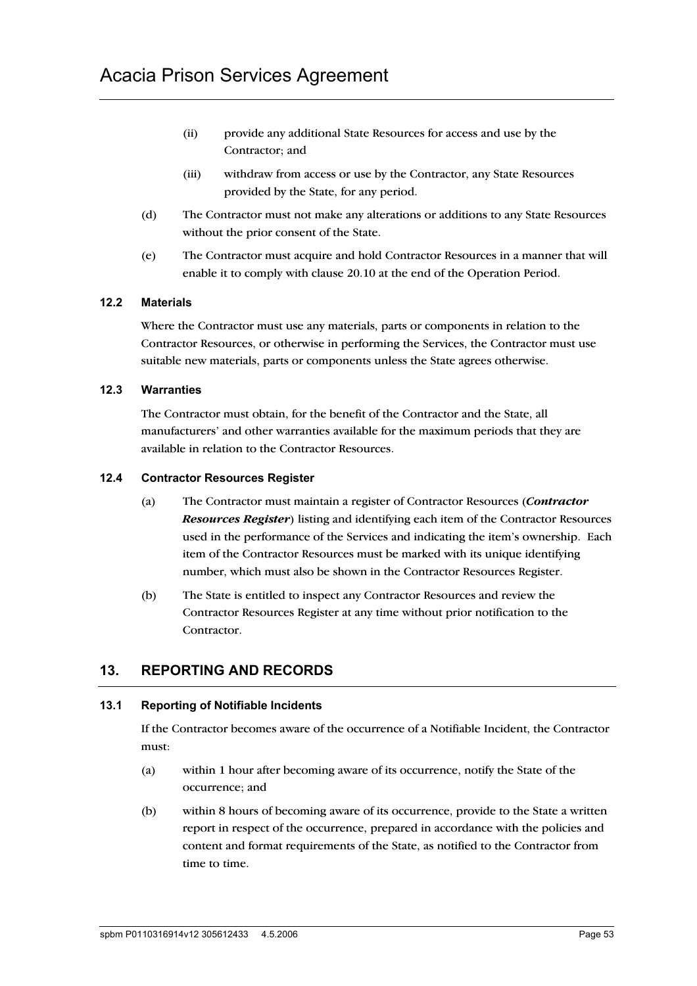- (ii) provide any additional State Resources for access and use by the Contractor; and
- (iii) withdraw from access or use by the Contractor, any State Resources provided by the State, for any period.
- (d) The Contractor must not make any alterations or additions to any State Resources without the prior consent of the State.
- (e) The Contractor must acquire and hold Contractor Resources in a manner that will enable it to comply with clause 20.10 at the end of the Operation Period.

## **12.2 Materials**

Where the Contractor must use any materials, parts or components in relation to the Contractor Resources, or otherwise in performing the Services, the Contractor must use suitable new materials, parts or components unless the State agrees otherwise.

## **12.3 Warranties**

The Contractor must obtain, for the benefit of the Contractor and the State, all manufacturers' and other warranties available for the maximum periods that they are available in relation to the Contractor Resources.

#### **12.4 Contractor Resources Register**

- (a) The Contractor must maintain a register of Contractor Resources (*Contractor Resources Register*) listing and identifying each item of the Contractor Resources used in the performance of the Services and indicating the item's ownership. Each item of the Contractor Resources must be marked with its unique identifying number, which must also be shown in the Contractor Resources Register.
- (b) The State is entitled to inspect any Contractor Resources and review the Contractor Resources Register at any time without prior notification to the Contractor.

## **13. REPORTING AND RECORDS**

## **13.1 Reporting of Notifiable Incidents**

If the Contractor becomes aware of the occurrence of a Notifiable Incident, the Contractor must:

- (a) within 1 hour after becoming aware of its occurrence, notify the State of the occurrence; and
- (b) within 8 hours of becoming aware of its occurrence, provide to the State a written report in respect of the occurrence, prepared in accordance with the policies and content and format requirements of the State, as notified to the Contractor from time to time.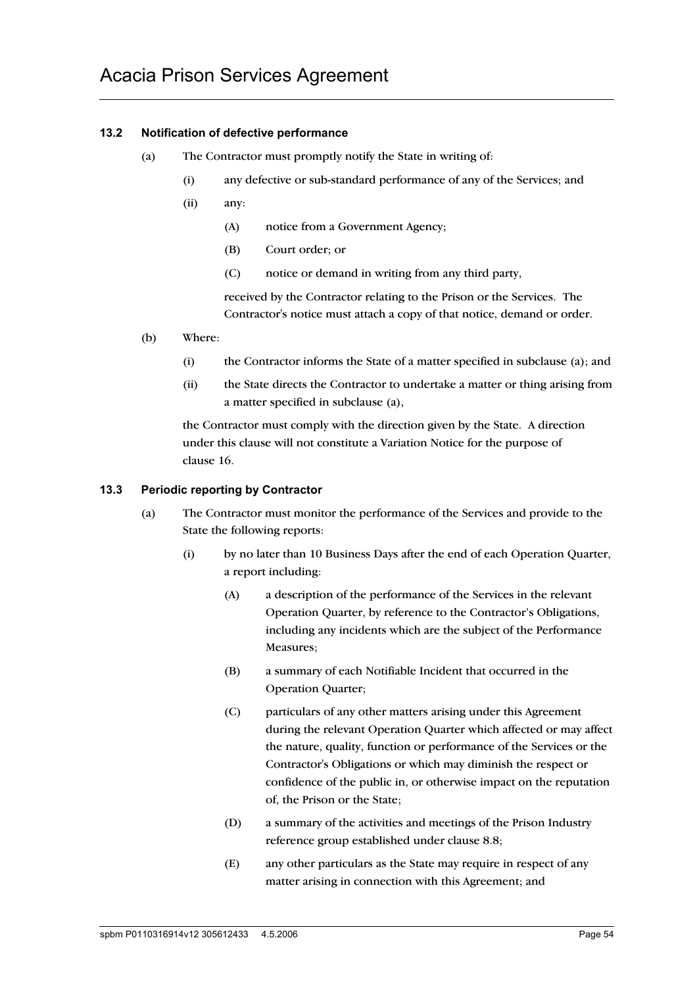## **13.2 Notification of defective performance**

- (a) The Contractor must promptly notify the State in writing of:
	- (i) any defective or sub-standard performance of any of the Services; and
	- (ii) any:
		- (A) notice from a Government Agency;
		- (B) Court order; or
		- (C) notice or demand in writing from any third party,

received by the Contractor relating to the Prison or the Services. The Contractor's notice must attach a copy of that notice, demand or order.

- (b) Where:
	- (i) the Contractor informs the State of a matter specified in subclause (a); and
	- (ii) the State directs the Contractor to undertake a matter or thing arising from a matter specified in subclause (a),

the Contractor must comply with the direction given by the State. A direction under this clause will not constitute a Variation Notice for the purpose of clause 16.

#### **13.3 Periodic reporting by Contractor**

- (a) The Contractor must monitor the performance of the Services and provide to the State the following reports:
	- (i) by no later than 10 Business Days after the end of each Operation Quarter, a report including:
		- (A) a description of the performance of the Services in the relevant Operation Quarter, by reference to the Contractor's Obligations, including any incidents which are the subject of the Performance Measures;
		- (B) a summary of each Notifiable Incident that occurred in the Operation Quarter;
		- (C) particulars of any other matters arising under this Agreement during the relevant Operation Quarter which affected or may affect the nature, quality, function or performance of the Services or the Contractor's Obligations or which may diminish the respect or confidence of the public in, or otherwise impact on the reputation of, the Prison or the State;
		- (D) a summary of the activities and meetings of the Prison Industry reference group established under clause 8.8;
		- (E) any other particulars as the State may require in respect of any matter arising in connection with this Agreement; and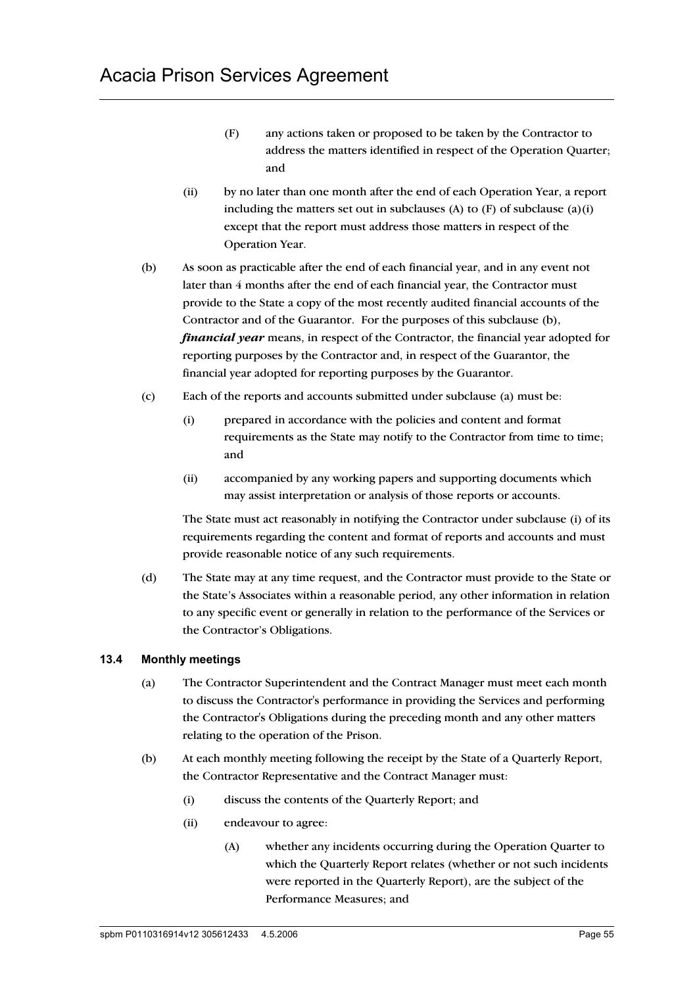- (F) any actions taken or proposed to be taken by the Contractor to address the matters identified in respect of the Operation Quarter; and
- (ii) by no later than one month after the end of each Operation Year, a report including the matters set out in subclauses (A) to  $(F)$  of subclause  $(a)(i)$ except that the report must address those matters in respect of the Operation Year.
- (b) As soon as practicable after the end of each financial year, and in any event not later than 4 months after the end of each financial year, the Contractor must provide to the State a copy of the most recently audited financial accounts of the Contractor and of the Guarantor. For the purposes of this subclause (b), *financial year* means, in respect of the Contractor, the financial year adopted for reporting purposes by the Contractor and, in respect of the Guarantor, the financial year adopted for reporting purposes by the Guarantor.
- (c) Each of the reports and accounts submitted under subclause (a) must be:
	- (i) prepared in accordance with the policies and content and format requirements as the State may notify to the Contractor from time to time; and
	- (ii) accompanied by any working papers and supporting documents which may assist interpretation or analysis of those reports or accounts.

The State must act reasonably in notifying the Contractor under subclause (i) of its requirements regarding the content and format of reports and accounts and must provide reasonable notice of any such requirements.

(d) The State may at any time request, and the Contractor must provide to the State or the State's Associates within a reasonable period, any other information in relation to any specific event or generally in relation to the performance of the Services or the Contractor's Obligations.

## **13.4 Monthly meetings**

- (a) The Contractor Superintendent and the Contract Manager must meet each month to discuss the Contractor's performance in providing the Services and performing the Contractor's Obligations during the preceding month and any other matters relating to the operation of the Prison.
- (b) At each monthly meeting following the receipt by the State of a Quarterly Report, the Contractor Representative and the Contract Manager must:
	- (i) discuss the contents of the Quarterly Report; and
	- (ii) endeavour to agree:
		- (A) whether any incidents occurring during the Operation Quarter to which the Quarterly Report relates (whether or not such incidents were reported in the Quarterly Report), are the subject of the Performance Measures; and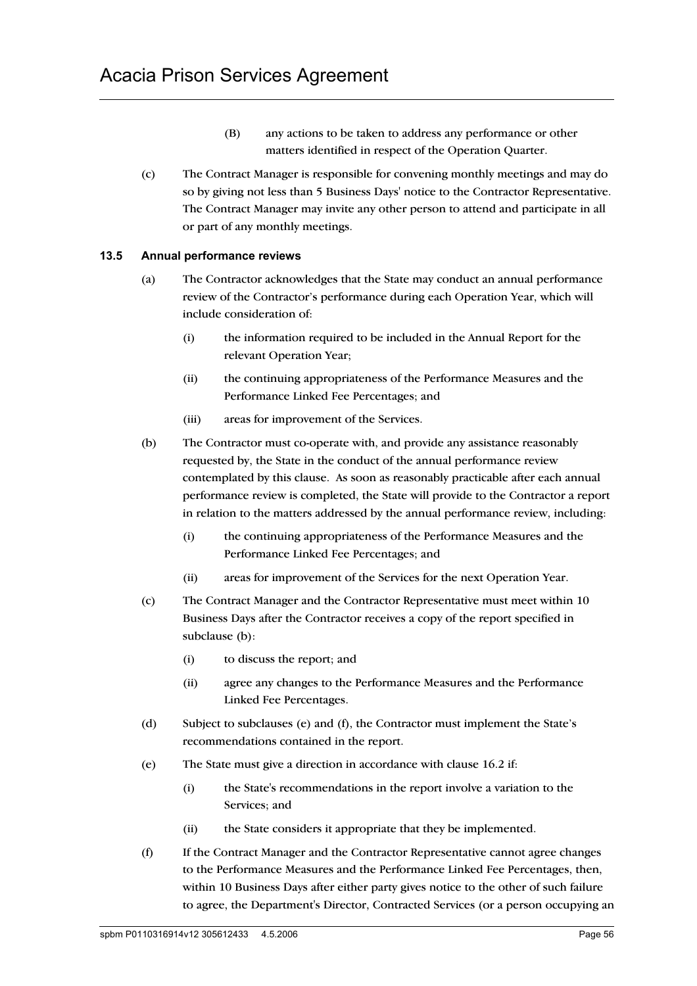- (B) any actions to be taken to address any performance or other matters identified in respect of the Operation Quarter.
- (c) The Contract Manager is responsible for convening monthly meetings and may do so by giving not less than 5 Business Days' notice to the Contractor Representative. The Contract Manager may invite any other person to attend and participate in all or part of any monthly meetings.

## **13.5 Annual performance reviews**

- (a) The Contractor acknowledges that the State may conduct an annual performance review of the Contractor's performance during each Operation Year, which will include consideration of:
	- (i) the information required to be included in the Annual Report for the relevant Operation Year;
	- (ii) the continuing appropriateness of the Performance Measures and the Performance Linked Fee Percentages; and
	- (iii) areas for improvement of the Services.
- (b) The Contractor must co-operate with, and provide any assistance reasonably requested by, the State in the conduct of the annual performance review contemplated by this clause. As soon as reasonably practicable after each annual performance review is completed, the State will provide to the Contractor a report in relation to the matters addressed by the annual performance review, including:
	- (i) the continuing appropriateness of the Performance Measures and the Performance Linked Fee Percentages; and
	- (ii) areas for improvement of the Services for the next Operation Year.
- (c) The Contract Manager and the Contractor Representative must meet within 10 Business Days after the Contractor receives a copy of the report specified in subclause (b):
	- (i) to discuss the report; and
	- (ii) agree any changes to the Performance Measures and the Performance Linked Fee Percentages.
- (d) Subject to subclauses (e) and (f), the Contractor must implement the State's recommendations contained in the report.
- (e) The State must give a direction in accordance with clause 16.2 if:
	- (i) the State's recommendations in the report involve a variation to the Services; and
	- (ii) the State considers it appropriate that they be implemented.
- (f) If the Contract Manager and the Contractor Representative cannot agree changes to the Performance Measures and the Performance Linked Fee Percentages, then, within 10 Business Days after either party gives notice to the other of such failure to agree, the Department's Director, Contracted Services (or a person occupying an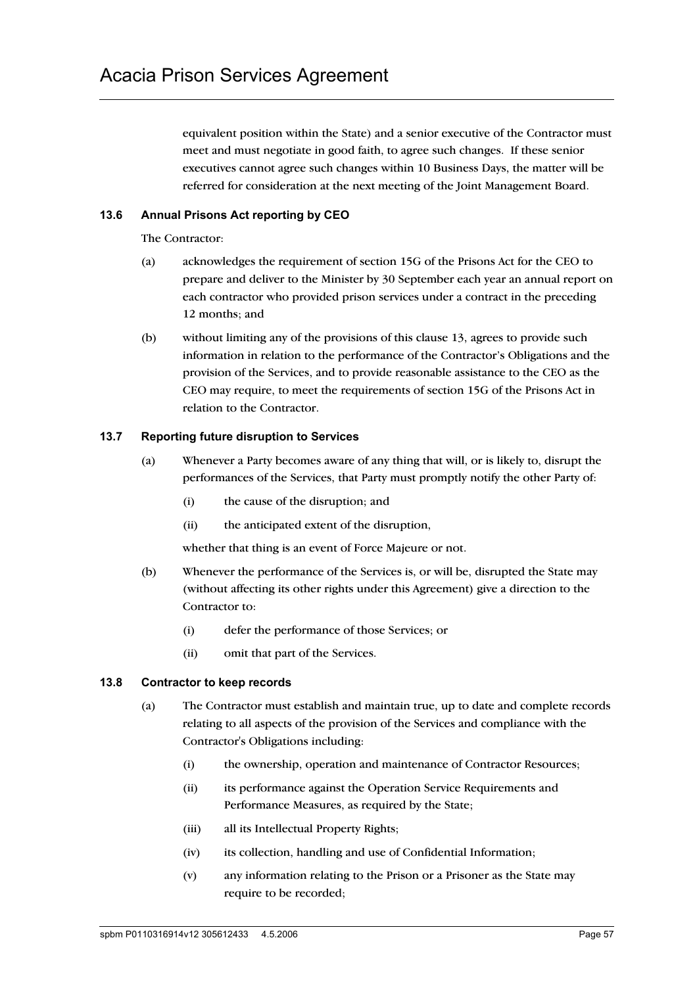equivalent position within the State) and a senior executive of the Contractor must meet and must negotiate in good faith, to agree such changes. If these senior executives cannot agree such changes within 10 Business Days, the matter will be referred for consideration at the next meeting of the Joint Management Board.

## **13.6 Annual Prisons Act reporting by CEO**

The Contractor:

- (a) acknowledges the requirement of section 15G of the Prisons Act for the CEO to prepare and deliver to the Minister by 30 September each year an annual report on each contractor who provided prison services under a contract in the preceding 12 months; and
- (b) without limiting any of the provisions of this clause 13, agrees to provide such information in relation to the performance of the Contractor's Obligations and the provision of the Services, and to provide reasonable assistance to the CEO as the CEO may require, to meet the requirements of section 15G of the Prisons Act in relation to the Contractor.

## **13.7 Reporting future disruption to Services**

- (a) Whenever a Party becomes aware of any thing that will, or is likely to, disrupt the performances of the Services, that Party must promptly notify the other Party of:
	- (i) the cause of the disruption; and
	- (ii) the anticipated extent of the disruption,

whether that thing is an event of Force Majeure or not.

- (b) Whenever the performance of the Services is, or will be, disrupted the State may (without affecting its other rights under this Agreement) give a direction to the Contractor to:
	- (i) defer the performance of those Services; or
	- (ii) omit that part of the Services.

## **13.8 Contractor to keep records**

- (a) The Contractor must establish and maintain true, up to date and complete records relating to all aspects of the provision of the Services and compliance with the Contractor's Obligations including:
	- (i) the ownership, operation and maintenance of Contractor Resources;
	- (ii) its performance against the Operation Service Requirements and Performance Measures, as required by the State;
	- (iii) all its Intellectual Property Rights;
	- (iv) its collection, handling and use of Confidential Information;
	- (v) any information relating to the Prison or a Prisoner as the State may require to be recorded;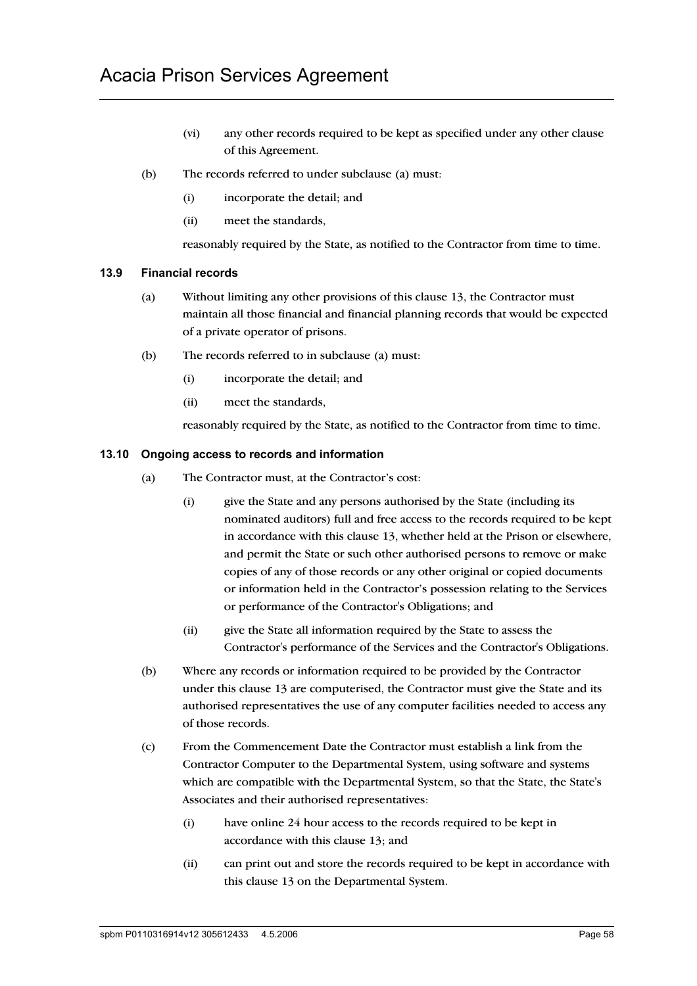- (vi) any other records required to be kept as specified under any other clause of this Agreement.
- (b) The records referred to under subclause (a) must:
	- (i) incorporate the detail; and
	- (ii) meet the standards,

reasonably required by the State, as notified to the Contractor from time to time.

#### **13.9 Financial records**

- (a) Without limiting any other provisions of this clause 13, the Contractor must maintain all those financial and financial planning records that would be expected of a private operator of prisons.
- (b) The records referred to in subclause (a) must:
	- (i) incorporate the detail; and
	- (ii) meet the standards,

reasonably required by the State, as notified to the Contractor from time to time.

#### **13.10 Ongoing access to records and information**

- (a) The Contractor must, at the Contractor's cost:
	- (i) give the State and any persons authorised by the State (including its nominated auditors) full and free access to the records required to be kept in accordance with this clause 13, whether held at the Prison or elsewhere, and permit the State or such other authorised persons to remove or make copies of any of those records or any other original or copied documents or information held in the Contractor's possession relating to the Services or performance of the Contractor's Obligations; and
	- (ii) give the State all information required by the State to assess the Contractor's performance of the Services and the Contractor's Obligations.
- (b) Where any records or information required to be provided by the Contractor under this clause 13 are computerised, the Contractor must give the State and its authorised representatives the use of any computer facilities needed to access any of those records.
- (c) From the Commencement Date the Contractor must establish a link from the Contractor Computer to the Departmental System, using software and systems which are compatible with the Departmental System, so that the State, the State's Associates and their authorised representatives:
	- (i) have online 24 hour access to the records required to be kept in accordance with this clause 13; and
	- (ii) can print out and store the records required to be kept in accordance with this clause 13 on the Departmental System.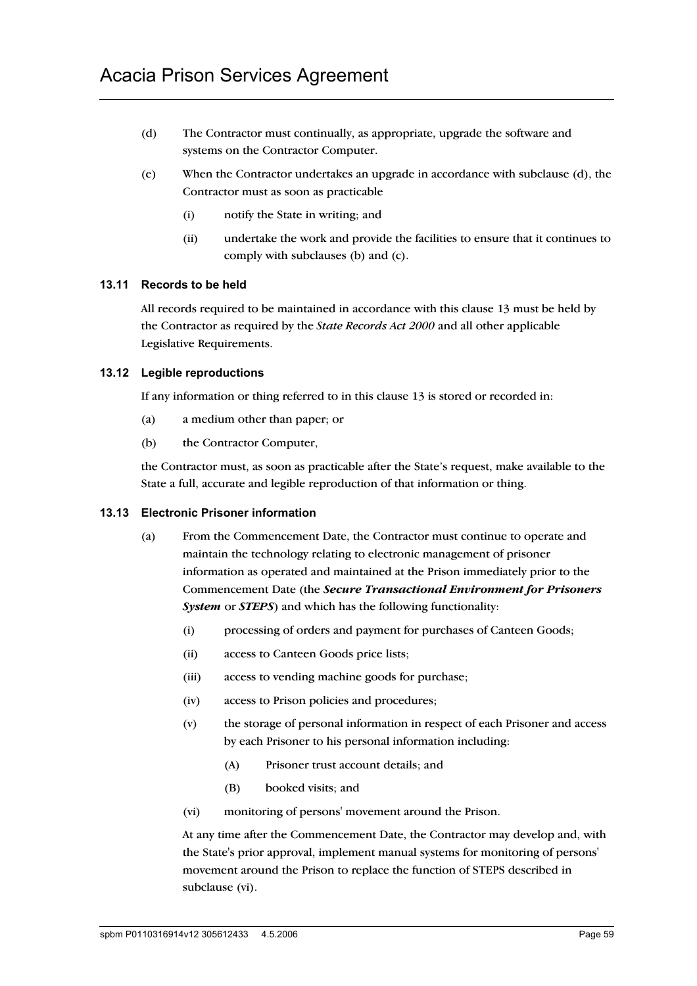- (d) The Contractor must continually, as appropriate, upgrade the software and systems on the Contractor Computer.
- (e) When the Contractor undertakes an upgrade in accordance with subclause (d), the Contractor must as soon as practicable
	- (i) notify the State in writing; and
	- (ii) undertake the work and provide the facilities to ensure that it continues to comply with subclauses (b) and (c).

#### **13.11 Records to be held**

All records required to be maintained in accordance with this clause 13 must be held by the Contractor as required by the *State Records Act 2000* and all other applicable Legislative Requirements.

#### **13.12 Legible reproductions**

If any information or thing referred to in this clause 13 is stored or recorded in:

- (a) a medium other than paper; or
- (b) the Contractor Computer,

the Contractor must, as soon as practicable after the State's request, make available to the State a full, accurate and legible reproduction of that information or thing.

## **13.13 Electronic Prisoner information**

- (a) From the Commencement Date, the Contractor must continue to operate and maintain the technology relating to electronic management of prisoner information as operated and maintained at the Prison immediately prior to the Commencement Date (the *Secure Transactional Environment for Prisoners System* or *STEPS*) and which has the following functionality:
	- (i) processing of orders and payment for purchases of Canteen Goods;
	- (ii) access to Canteen Goods price lists;
	- (iii) access to vending machine goods for purchase;
	- (iv) access to Prison policies and procedures;
	- (v) the storage of personal information in respect of each Prisoner and access by each Prisoner to his personal information including:
		- (A) Prisoner trust account details; and
		- (B) booked visits; and
	- (vi) monitoring of persons' movement around the Prison.

At any time after the Commencement Date, the Contractor may develop and, with the State's prior approval, implement manual systems for monitoring of persons' movement around the Prison to replace the function of STEPS described in subclause (vi).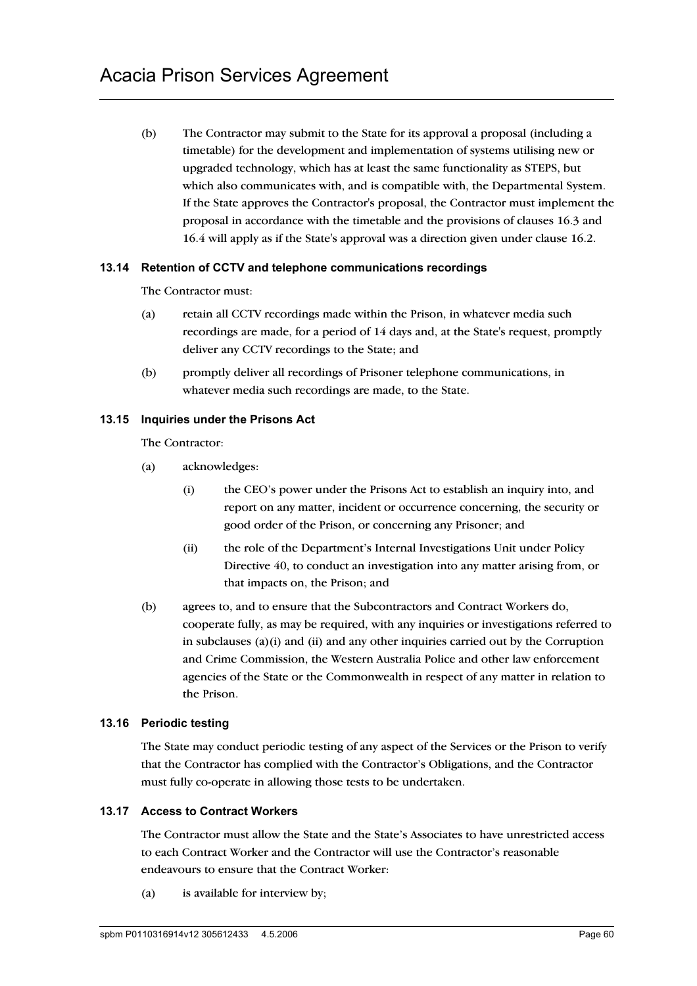(b) The Contractor may submit to the State for its approval a proposal (including a timetable) for the development and implementation of systems utilising new or upgraded technology, which has at least the same functionality as STEPS, but which also communicates with, and is compatible with, the Departmental System. If the State approves the Contractor's proposal, the Contractor must implement the proposal in accordance with the timetable and the provisions of clauses 16.3 and 16.4 will apply as if the State's approval was a direction given under clause 16.2.

#### **13.14 Retention of CCTV and telephone communications recordings**

The Contractor must:

- (a) retain all CCTV recordings made within the Prison, in whatever media such recordings are made, for a period of 14 days and, at the State's request, promptly deliver any CCTV recordings to the State; and
- (b) promptly deliver all recordings of Prisoner telephone communications, in whatever media such recordings are made, to the State.

#### **13.15 Inquiries under the Prisons Act**

The Contractor:

- (a) acknowledges:
	- (i) the CEO's power under the Prisons Act to establish an inquiry into, and report on any matter, incident or occurrence concerning, the security or good order of the Prison, or concerning any Prisoner; and
	- (ii) the role of the Department's Internal Investigations Unit under Policy Directive 40, to conduct an investigation into any matter arising from, or that impacts on, the Prison; and
- (b) agrees to, and to ensure that the Subcontractors and Contract Workers do, cooperate fully, as may be required, with any inquiries or investigations referred to in subclauses  $(a)(i)$  and  $(ii)$  and any other inquiries carried out by the Corruption and Crime Commission, the Western Australia Police and other law enforcement agencies of the State or the Commonwealth in respect of any matter in relation to the Prison.

## **13.16 Periodic testing**

The State may conduct periodic testing of any aspect of the Services or the Prison to verify that the Contractor has complied with the Contractor's Obligations, and the Contractor must fully co-operate in allowing those tests to be undertaken.

#### **13.17 Access to Contract Workers**

The Contractor must allow the State and the State's Associates to have unrestricted access to each Contract Worker and the Contractor will use the Contractor's reasonable endeavours to ensure that the Contract Worker:

(a) is available for interview by;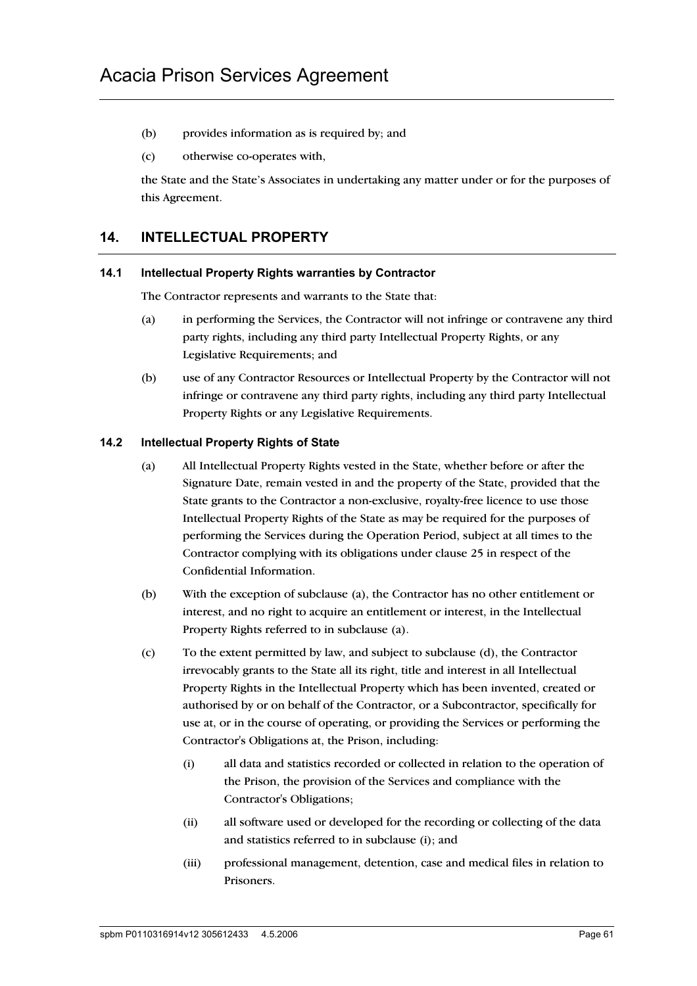- (b) provides information as is required by; and
- (c) otherwise co-operates with,

the State and the State's Associates in undertaking any matter under or for the purposes of this Agreement.

# **14. INTELLECTUAL PROPERTY**

#### **14.1 Intellectual Property Rights warranties by Contractor**

The Contractor represents and warrants to the State that:

- (a) in performing the Services, the Contractor will not infringe or contravene any third party rights, including any third party Intellectual Property Rights, or any Legislative Requirements; and
- (b) use of any Contractor Resources or Intellectual Property by the Contractor will not infringe or contravene any third party rights, including any third party Intellectual Property Rights or any Legislative Requirements.

## **14.2 Intellectual Property Rights of State**

- (a) All Intellectual Property Rights vested in the State, whether before or after the Signature Date, remain vested in and the property of the State, provided that the State grants to the Contractor a non-exclusive, royalty-free licence to use those Intellectual Property Rights of the State as may be required for the purposes of performing the Services during the Operation Period, subject at all times to the Contractor complying with its obligations under clause 25 in respect of the Confidential Information.
- (b) With the exception of subclause (a), the Contractor has no other entitlement or interest, and no right to acquire an entitlement or interest, in the Intellectual Property Rights referred to in subclause (a).
- (c) To the extent permitted by law, and subject to subclause (d), the Contractor irrevocably grants to the State all its right, title and interest in all Intellectual Property Rights in the Intellectual Property which has been invented, created or authorised by or on behalf of the Contractor, or a Subcontractor, specifically for use at, or in the course of operating, or providing the Services or performing the Contractor's Obligations at, the Prison, including:
	- (i) all data and statistics recorded or collected in relation to the operation of the Prison, the provision of the Services and compliance with the Contractor's Obligations;
	- (ii) all software used or developed for the recording or collecting of the data and statistics referred to in subclause (i); and
	- (iii) professional management, detention, case and medical files in relation to Prisoners.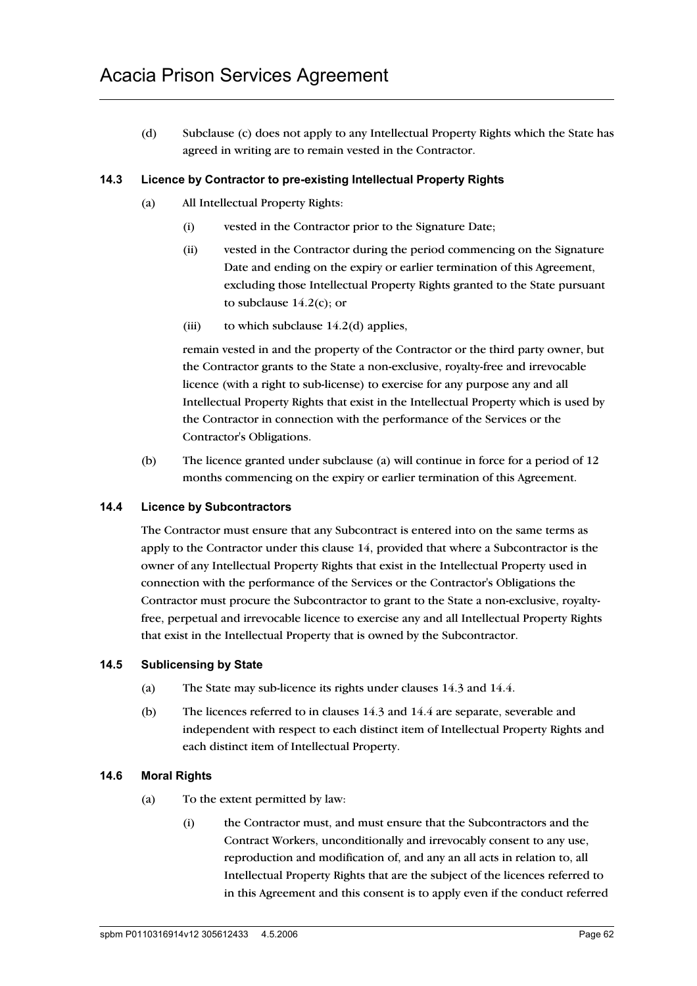(d) Subclause (c) does not apply to any Intellectual Property Rights which the State has agreed in writing are to remain vested in the Contractor.

## **14.3 Licence by Contractor to pre-existing Intellectual Property Rights**

- (a) All Intellectual Property Rights:
	- (i) vested in the Contractor prior to the Signature Date;
	- (ii) vested in the Contractor during the period commencing on the Signature Date and ending on the expiry or earlier termination of this Agreement, excluding those Intellectual Property Rights granted to the State pursuant to subclause  $14.2(c)$ ; or
	- (iii) to which subclause  $14.2(d)$  applies,

remain vested in and the property of the Contractor or the third party owner, but the Contractor grants to the State a non-exclusive, royalty-free and irrevocable licence (with a right to sub-license) to exercise for any purpose any and all Intellectual Property Rights that exist in the Intellectual Property which is used by the Contractor in connection with the performance of the Services or the Contractor's Obligations.

(b) The licence granted under subclause (a) will continue in force for a period of 12 months commencing on the expiry or earlier termination of this Agreement.

## **14.4 Licence by Subcontractors**

The Contractor must ensure that any Subcontract is entered into on the same terms as apply to the Contractor under this clause 14, provided that where a Subcontractor is the owner of any Intellectual Property Rights that exist in the Intellectual Property used in connection with the performance of the Services or the Contractor's Obligations the Contractor must procure the Subcontractor to grant to the State a non-exclusive, royaltyfree, perpetual and irrevocable licence to exercise any and all Intellectual Property Rights that exist in the Intellectual Property that is owned by the Subcontractor.

## **14.5 Sublicensing by State**

- (a) The State may sub-licence its rights under clauses 14.3 and 14.4.
- (b) The licences referred to in clauses 14.3 and 14.4 are separate, severable and independent with respect to each distinct item of Intellectual Property Rights and each distinct item of Intellectual Property.

## **14.6 Moral Rights**

- (a) To the extent permitted by law:
	- (i) the Contractor must, and must ensure that the Subcontractors and the Contract Workers, unconditionally and irrevocably consent to any use, reproduction and modification of, and any an all acts in relation to, all Intellectual Property Rights that are the subject of the licences referred to in this Agreement and this consent is to apply even if the conduct referred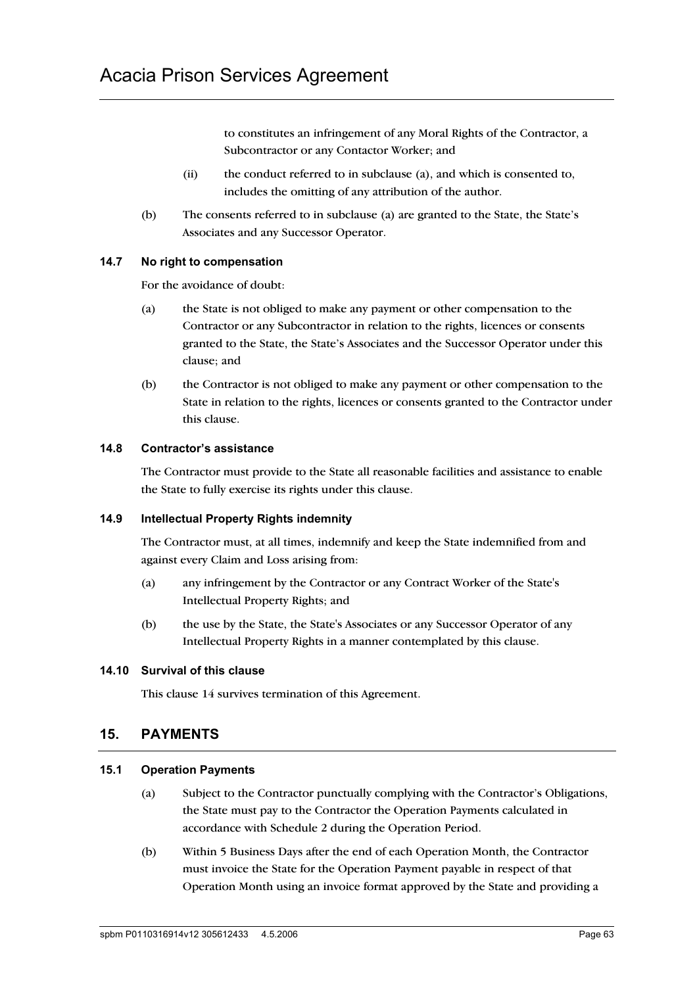to constitutes an infringement of any Moral Rights of the Contractor, a Subcontractor or any Contactor Worker; and

- (ii) the conduct referred to in subclause (a), and which is consented to, includes the omitting of any attribution of the author.
- (b) The consents referred to in subclause (a) are granted to the State, the State's Associates and any Successor Operator.

## **14.7 No right to compensation**

For the avoidance of doubt:

- (a) the State is not obliged to make any payment or other compensation to the Contractor or any Subcontractor in relation to the rights, licences or consents granted to the State, the State's Associates and the Successor Operator under this clause; and
- (b) the Contractor is not obliged to make any payment or other compensation to the State in relation to the rights, licences or consents granted to the Contractor under this clause.

### **14.8 Contractor's assistance**

The Contractor must provide to the State all reasonable facilities and assistance to enable the State to fully exercise its rights under this clause.

#### **14.9 Intellectual Property Rights indemnity**

The Contractor must, at all times, indemnify and keep the State indemnified from and against every Claim and Loss arising from:

- (a) any infringement by the Contractor or any Contract Worker of the State's Intellectual Property Rights; and
- (b) the use by the State, the State's Associates or any Successor Operator of any Intellectual Property Rights in a manner contemplated by this clause.

#### **14.10 Survival of this clause**

This clause 14 survives termination of this Agreement.

## **15. PAYMENTS**

#### **15.1 Operation Payments**

- (a) Subject to the Contractor punctually complying with the Contractor's Obligations, the State must pay to the Contractor the Operation Payments calculated in accordance with Schedule 2 during the Operation Period.
- (b) Within 5 Business Days after the end of each Operation Month, the Contractor must invoice the State for the Operation Payment payable in respect of that Operation Month using an invoice format approved by the State and providing a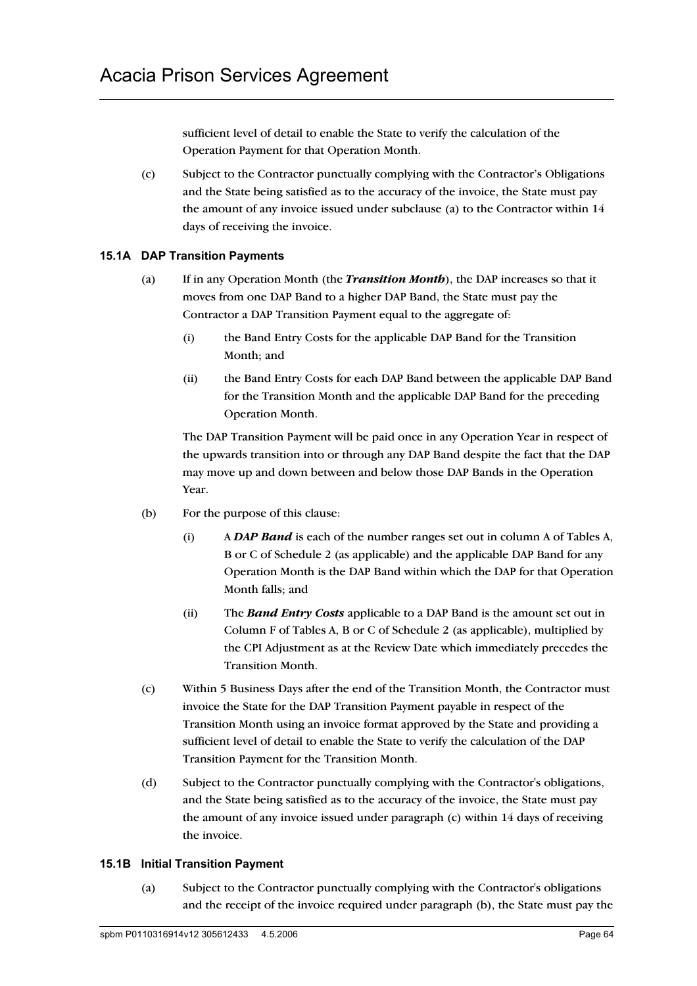sufficient level of detail to enable the State to verify the calculation of the Operation Payment for that Operation Month.

(c) Subject to the Contractor punctually complying with the Contractor's Obligations and the State being satisfied as to the accuracy of the invoice, the State must pay the amount of any invoice issued under subclause (a) to the Contractor within 14 days of receiving the invoice.

## **15.1A DAP Transition Payments**

- (a) If in any Operation Month (the *Transition Month*), the DAP increases so that it moves from one DAP Band to a higher DAP Band, the State must pay the Contractor a DAP Transition Payment equal to the aggregate of:
	- (i) the Band Entry Costs for the applicable DAP Band for the Transition Month; and
	- (ii) the Band Entry Costs for each DAP Band between the applicable DAP Band for the Transition Month and the applicable DAP Band for the preceding Operation Month.

The DAP Transition Payment will be paid once in any Operation Year in respect of the upwards transition into or through any DAP Band despite the fact that the DAP may move up and down between and below those DAP Bands in the Operation Year.

- (b) For the purpose of this clause:
	- (i) A *DAP Band* is each of the number ranges set out in column A of Tables A, B or C of Schedule 2 (as applicable) and the applicable DAP Band for any Operation Month is the DAP Band within which the DAP for that Operation Month falls; and
	- (ii) The *Band Entry Costs* applicable to a DAP Band is the amount set out in Column F of Tables A, B or C of Schedule 2 (as applicable), multiplied by the CPI Adjustment as at the Review Date which immediately precedes the Transition Month.
- (c) Within 5 Business Days after the end of the Transition Month, the Contractor must invoice the State for the DAP Transition Payment payable in respect of the Transition Month using an invoice format approved by the State and providing a sufficient level of detail to enable the State to verify the calculation of the DAP Transition Payment for the Transition Month.
- (d) Subject to the Contractor punctually complying with the Contractor's obligations, and the State being satisfied as to the accuracy of the invoice, the State must pay the amount of any invoice issued under paragraph (c) within 14 days of receiving the invoice.

### **15.1B Initial Transition Payment**

(a) Subject to the Contractor punctually complying with the Contractor's obligations and the receipt of the invoice required under paragraph (b), the State must pay the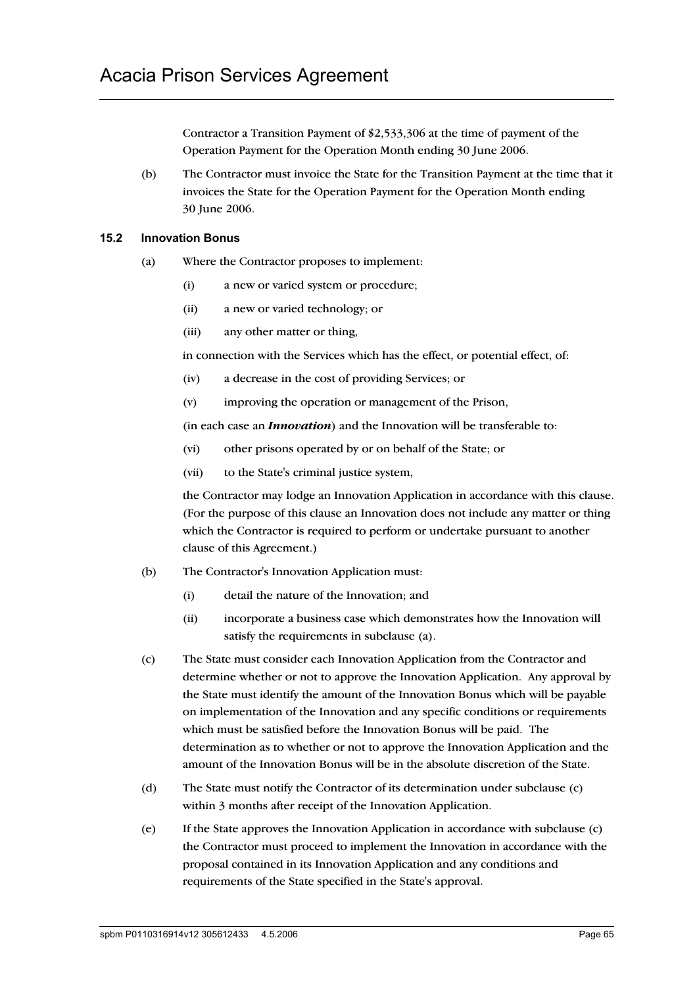Contractor a Transition Payment of \$2,533,306 at the time of payment of the Operation Payment for the Operation Month ending 30 June 2006.

(b) The Contractor must invoice the State for the Transition Payment at the time that it invoices the State for the Operation Payment for the Operation Month ending 30 June 2006.

## **15.2 Innovation Bonus**

- (a) Where the Contractor proposes to implement:
	- (i) a new or varied system or procedure;
	- (ii) a new or varied technology; or
	- (iii) any other matter or thing,

in connection with the Services which has the effect, or potential effect, of:

- (iv) a decrease in the cost of providing Services; or
- (v) improving the operation or management of the Prison,

(in each case an *Innovation*) and the Innovation will be transferable to:

- (vi) other prisons operated by or on behalf of the State; or
- (vii) to the State's criminal justice system,

the Contractor may lodge an Innovation Application in accordance with this clause. (For the purpose of this clause an Innovation does not include any matter or thing which the Contractor is required to perform or undertake pursuant to another clause of this Agreement.)

- (b) The Contractor's Innovation Application must:
	- (i) detail the nature of the Innovation; and
	- (ii) incorporate a business case which demonstrates how the Innovation will satisfy the requirements in subclause (a).
- (c) The State must consider each Innovation Application from the Contractor and determine whether or not to approve the Innovation Application. Any approval by the State must identify the amount of the Innovation Bonus which will be payable on implementation of the Innovation and any specific conditions or requirements which must be satisfied before the Innovation Bonus will be paid. The determination as to whether or not to approve the Innovation Application and the amount of the Innovation Bonus will be in the absolute discretion of the State.
- (d) The State must notify the Contractor of its determination under subclause (c) within 3 months after receipt of the Innovation Application.
- (e) If the State approves the Innovation Application in accordance with subclause (c) the Contractor must proceed to implement the Innovation in accordance with the proposal contained in its Innovation Application and any conditions and requirements of the State specified in the State's approval.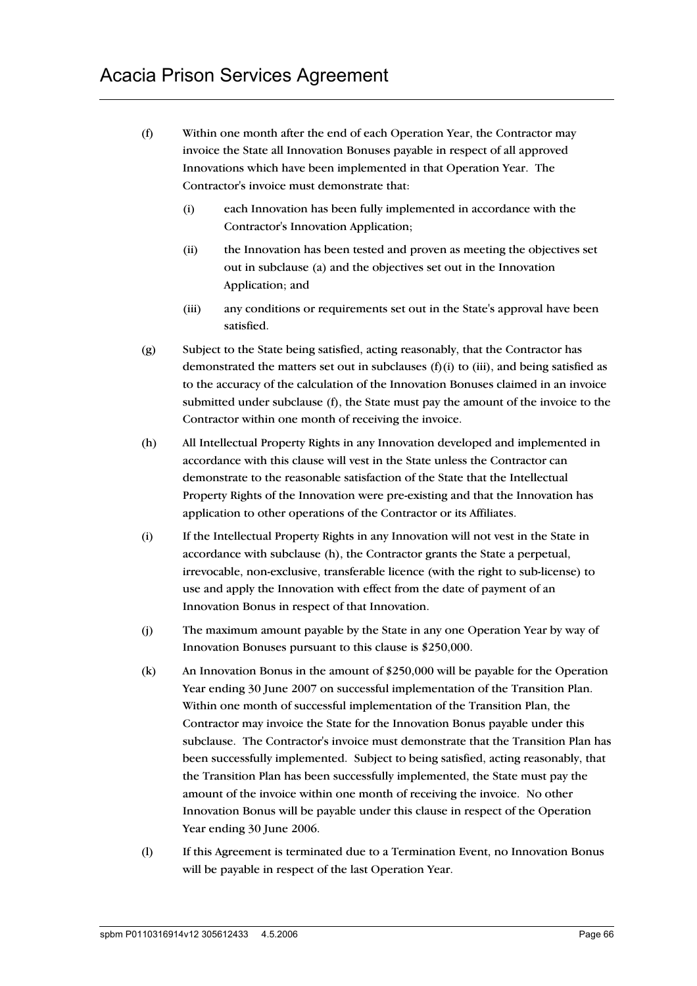- (f) Within one month after the end of each Operation Year, the Contractor may invoice the State all Innovation Bonuses payable in respect of all approved Innovations which have been implemented in that Operation Year. The Contractor's invoice must demonstrate that:
	- (i) each Innovation has been fully implemented in accordance with the Contractor's Innovation Application;
	- (ii) the Innovation has been tested and proven as meeting the objectives set out in subclause (a) and the objectives set out in the Innovation Application; and
	- (iii) any conditions or requirements set out in the State's approval have been satisfied.
- (g) Subject to the State being satisfied, acting reasonably, that the Contractor has demonstrated the matters set out in subclauses  $(f)(i)$  to (iii), and being satisfied as to the accuracy of the calculation of the Innovation Bonuses claimed in an invoice submitted under subclause (f), the State must pay the amount of the invoice to the Contractor within one month of receiving the invoice.
- (h) All Intellectual Property Rights in any Innovation developed and implemented in accordance with this clause will vest in the State unless the Contractor can demonstrate to the reasonable satisfaction of the State that the Intellectual Property Rights of the Innovation were pre-existing and that the Innovation has application to other operations of the Contractor or its Affiliates.
- (i) If the Intellectual Property Rights in any Innovation will not vest in the State in accordance with subclause (h), the Contractor grants the State a perpetual, irrevocable, non-exclusive, transferable licence (with the right to sub-license) to use and apply the Innovation with effect from the date of payment of an Innovation Bonus in respect of that Innovation.
- (j) The maximum amount payable by the State in any one Operation Year by way of Innovation Bonuses pursuant to this clause is \$250,000.
- (k) An Innovation Bonus in the amount of \$250,000 will be payable for the Operation Year ending 30 June 2007 on successful implementation of the Transition Plan. Within one month of successful implementation of the Transition Plan, the Contractor may invoice the State for the Innovation Bonus payable under this subclause. The Contractor's invoice must demonstrate that the Transition Plan has been successfully implemented. Subject to being satisfied, acting reasonably, that the Transition Plan has been successfully implemented, the State must pay the amount of the invoice within one month of receiving the invoice. No other Innovation Bonus will be payable under this clause in respect of the Operation Year ending 30 June 2006.
- (l) If this Agreement is terminated due to a Termination Event, no Innovation Bonus will be payable in respect of the last Operation Year.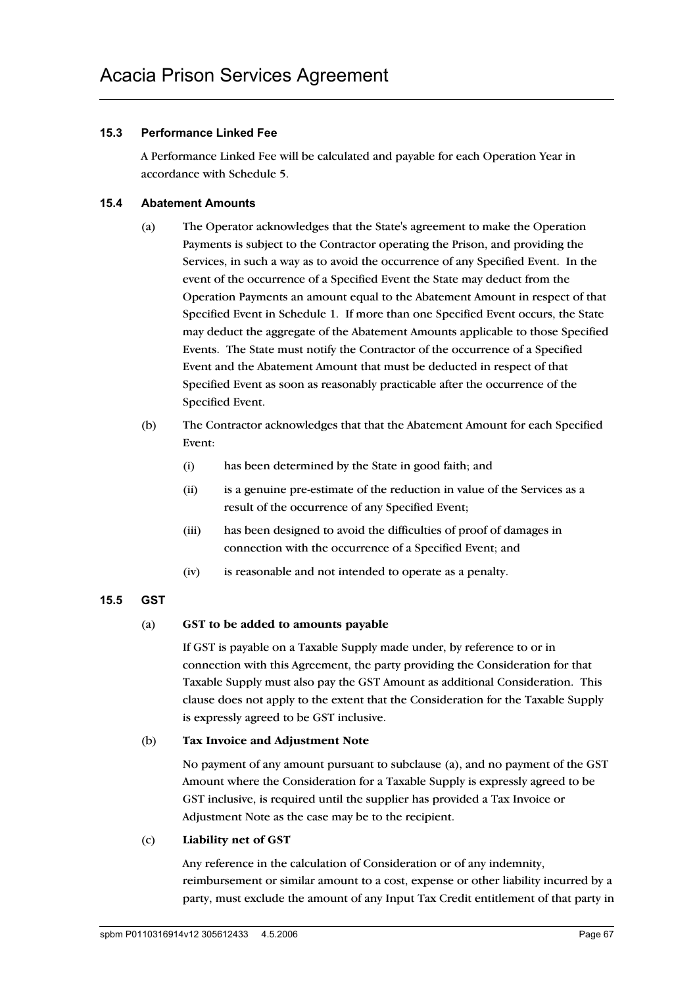## **15.3 Performance Linked Fee**

A Performance Linked Fee will be calculated and payable for each Operation Year in accordance with Schedule 5.

## **15.4 Abatement Amounts**

- (a) The Operator acknowledges that the State's agreement to make the Operation Payments is subject to the Contractor operating the Prison, and providing the Services, in such a way as to avoid the occurrence of any Specified Event. In the event of the occurrence of a Specified Event the State may deduct from the Operation Payments an amount equal to the Abatement Amount in respect of that Specified Event in Schedule 1. If more than one Specified Event occurs, the State may deduct the aggregate of the Abatement Amounts applicable to those Specified Events. The State must notify the Contractor of the occurrence of a Specified Event and the Abatement Amount that must be deducted in respect of that Specified Event as soon as reasonably practicable after the occurrence of the Specified Event.
- (b) The Contractor acknowledges that that the Abatement Amount for each Specified Event:
	- (i) has been determined by the State in good faith; and
	- (ii) is a genuine pre-estimate of the reduction in value of the Services as a result of the occurrence of any Specified Event;
	- (iii) has been designed to avoid the difficulties of proof of damages in connection with the occurrence of a Specified Event; and
	- (iv) is reasonable and not intended to operate as a penalty.

# **15.5 GST**

### (a) **GST to be added to amounts payable**

If GST is payable on a Taxable Supply made under, by reference to or in connection with this Agreement, the party providing the Consideration for that Taxable Supply must also pay the GST Amount as additional Consideration. This clause does not apply to the extent that the Consideration for the Taxable Supply is expressly agreed to be GST inclusive.

### (b) **Tax Invoice and Adjustment Note**

No payment of any amount pursuant to subclause (a), and no payment of the GST Amount where the Consideration for a Taxable Supply is expressly agreed to be GST inclusive, is required until the supplier has provided a Tax Invoice or Adjustment Note as the case may be to the recipient.

### (c) **Liability net of GST**

Any reference in the calculation of Consideration or of any indemnity, reimbursement or similar amount to a cost, expense or other liability incurred by a party, must exclude the amount of any Input Tax Credit entitlement of that party in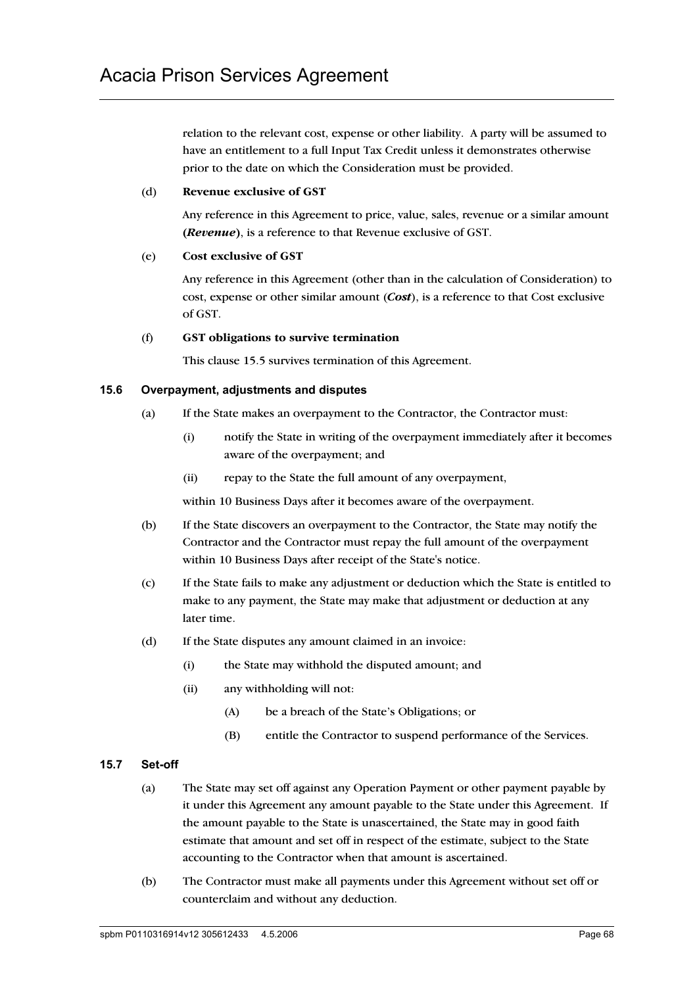relation to the relevant cost, expense or other liability. A party will be assumed to have an entitlement to a full Input Tax Credit unless it demonstrates otherwise prior to the date on which the Consideration must be provided.

#### (d) **Revenue exclusive of GST**

Any reference in this Agreement to price, value, sales, revenue or a similar amount **(***Revenue***)**, is a reference to that Revenue exclusive of GST.

#### (e) **Cost exclusive of GST**

Any reference in this Agreement (other than in the calculation of Consideration) to cost, expense or other similar amount (*Cost*), is a reference to that Cost exclusive of GST.

#### (f) **GST obligations to survive termination**

This clause 15.5 survives termination of this Agreement.

### **15.6 Overpayment, adjustments and disputes**

- (a) If the State makes an overpayment to the Contractor, the Contractor must:
	- (i) notify the State in writing of the overpayment immediately after it becomes aware of the overpayment; and
	- (ii) repay to the State the full amount of any overpayment,

within 10 Business Days after it becomes aware of the overpayment.

- (b) If the State discovers an overpayment to the Contractor, the State may notify the Contractor and the Contractor must repay the full amount of the overpayment within 10 Business Days after receipt of the State's notice.
- (c) If the State fails to make any adjustment or deduction which the State is entitled to make to any payment, the State may make that adjustment or deduction at any later time.
- (d) If the State disputes any amount claimed in an invoice:
	- (i) the State may withhold the disputed amount; and
	- (ii) any withholding will not:
		- (A) be a breach of the State's Obligations; or
		- (B) entitle the Contractor to suspend performance of the Services.

### **15.7 Set-off**

- (a) The State may set off against any Operation Payment or other payment payable by it under this Agreement any amount payable to the State under this Agreement. If the amount payable to the State is unascertained, the State may in good faith estimate that amount and set off in respect of the estimate, subject to the State accounting to the Contractor when that amount is ascertained.
- (b) The Contractor must make all payments under this Agreement without set off or counterclaim and without any deduction.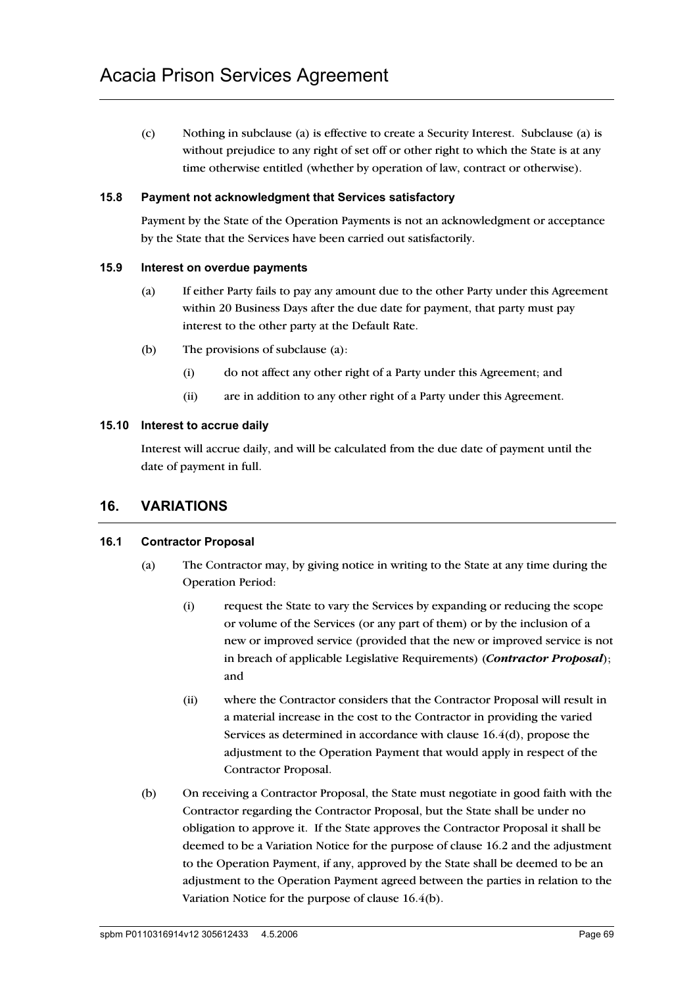(c) Nothing in subclause (a) is effective to create a Security Interest. Subclause (a) is without prejudice to any right of set off or other right to which the State is at any time otherwise entitled (whether by operation of law, contract or otherwise).

#### **15.8 Payment not acknowledgment that Services satisfactory**

Payment by the State of the Operation Payments is not an acknowledgment or acceptance by the State that the Services have been carried out satisfactorily.

#### **15.9 Interest on overdue payments**

- (a) If either Party fails to pay any amount due to the other Party under this Agreement within 20 Business Days after the due date for payment, that party must pay interest to the other party at the Default Rate.
- (b) The provisions of subclause (a):
	- (i) do not affect any other right of a Party under this Agreement; and
	- (ii) are in addition to any other right of a Party under this Agreement.

#### **15.10 Interest to accrue daily**

Interest will accrue daily, and will be calculated from the due date of payment until the date of payment in full.

# **16. VARIATIONS**

### **16.1 Contractor Proposal**

- (a) The Contractor may, by giving notice in writing to the State at any time during the Operation Period:
	- (i) request the State to vary the Services by expanding or reducing the scope or volume of the Services (or any part of them) or by the inclusion of a new or improved service (provided that the new or improved service is not in breach of applicable Legislative Requirements) (*Contractor Proposal*); and
	- (ii) where the Contractor considers that the Contractor Proposal will result in a material increase in the cost to the Contractor in providing the varied Services as determined in accordance with clause 16.4(d), propose the adjustment to the Operation Payment that would apply in respect of the Contractor Proposal.
- (b) On receiving a Contractor Proposal, the State must negotiate in good faith with the Contractor regarding the Contractor Proposal, but the State shall be under no obligation to approve it. If the State approves the Contractor Proposal it shall be deemed to be a Variation Notice for the purpose of clause 16.2 and the adjustment to the Operation Payment, if any, approved by the State shall be deemed to be an adjustment to the Operation Payment agreed between the parties in relation to the Variation Notice for the purpose of clause 16.4(b).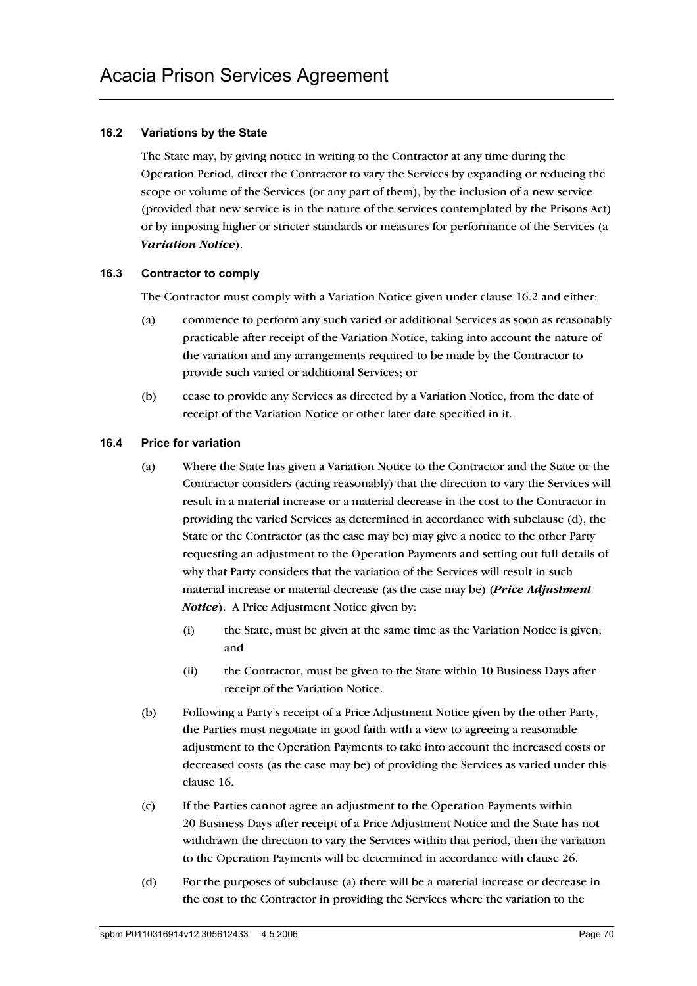## **16.2 Variations by the State**

The State may, by giving notice in writing to the Contractor at any time during the Operation Period, direct the Contractor to vary the Services by expanding or reducing the scope or volume of the Services (or any part of them), by the inclusion of a new service (provided that new service is in the nature of the services contemplated by the Prisons Act) or by imposing higher or stricter standards or measures for performance of the Services (a *Variation Notice*).

### **16.3 Contractor to comply**

The Contractor must comply with a Variation Notice given under clause 16.2 and either:

- (a) commence to perform any such varied or additional Services as soon as reasonably practicable after receipt of the Variation Notice, taking into account the nature of the variation and any arrangements required to be made by the Contractor to provide such varied or additional Services; or
- (b) cease to provide any Services as directed by a Variation Notice, from the date of receipt of the Variation Notice or other later date specified in it.

#### **16.4 Price for variation**

- (a) Where the State has given a Variation Notice to the Contractor and the State or the Contractor considers (acting reasonably) that the direction to vary the Services will result in a material increase or a material decrease in the cost to the Contractor in providing the varied Services as determined in accordance with subclause (d), the State or the Contractor (as the case may be) may give a notice to the other Party requesting an adjustment to the Operation Payments and setting out full details of why that Party considers that the variation of the Services will result in such material increase or material decrease (as the case may be) (*Price Adjustment Notice*). A Price Adjustment Notice given by:
	- (i) the State, must be given at the same time as the Variation Notice is given; and
	- (ii) the Contractor, must be given to the State within 10 Business Days after receipt of the Variation Notice.
- (b) Following a Party's receipt of a Price Adjustment Notice given by the other Party, the Parties must negotiate in good faith with a view to agreeing a reasonable adjustment to the Operation Payments to take into account the increased costs or decreased costs (as the case may be) of providing the Services as varied under this clause 16.
- (c) If the Parties cannot agree an adjustment to the Operation Payments within 20 Business Days after receipt of a Price Adjustment Notice and the State has not withdrawn the direction to vary the Services within that period, then the variation to the Operation Payments will be determined in accordance with clause 26.
- (d) For the purposes of subclause (a) there will be a material increase or decrease in the cost to the Contractor in providing the Services where the variation to the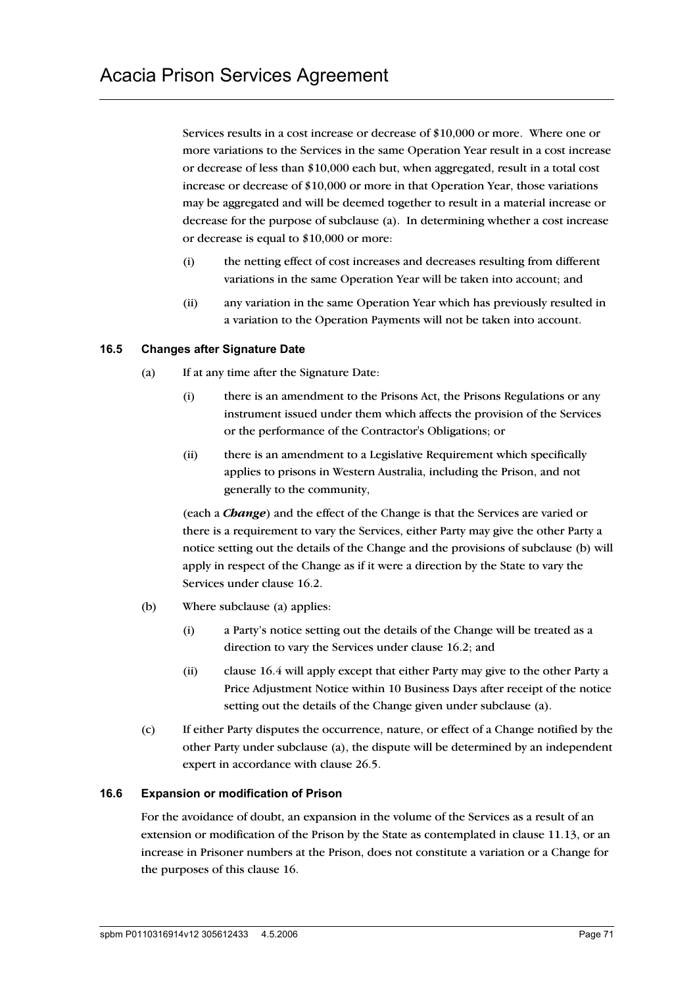Services results in a cost increase or decrease of \$10,000 or more. Where one or more variations to the Services in the same Operation Year result in a cost increase or decrease of less than \$10,000 each but, when aggregated, result in a total cost increase or decrease of \$10,000 or more in that Operation Year, those variations may be aggregated and will be deemed together to result in a material increase or decrease for the purpose of subclause (a). In determining whether a cost increase or decrease is equal to \$10,000 or more:

- (i) the netting effect of cost increases and decreases resulting from different variations in the same Operation Year will be taken into account; and
- (ii) any variation in the same Operation Year which has previously resulted in a variation to the Operation Payments will not be taken into account.

### **16.5 Changes after Signature Date**

- (a) If at any time after the Signature Date:
	- (i) there is an amendment to the Prisons Act, the Prisons Regulations or any instrument issued under them which affects the provision of the Services or the performance of the Contractor's Obligations; or
	- (ii) there is an amendment to a Legislative Requirement which specifically applies to prisons in Western Australia, including the Prison, and not generally to the community,

(each a *Change*) and the effect of the Change is that the Services are varied or there is a requirement to vary the Services, either Party may give the other Party a notice setting out the details of the Change and the provisions of subclause (b) will apply in respect of the Change as if it were a direction by the State to vary the Services under clause 16.2.

- (b) Where subclause (a) applies:
	- (i) a Party's notice setting out the details of the Change will be treated as a direction to vary the Services under clause 16.2; and
	- (ii) clause 16.4 will apply except that either Party may give to the other Party a Price Adjustment Notice within 10 Business Days after receipt of the notice setting out the details of the Change given under subclause (a).
- (c) If either Party disputes the occurrence, nature, or effect of a Change notified by the other Party under subclause (a), the dispute will be determined by an independent expert in accordance with clause 26.5.

### **16.6 Expansion or modification of Prison**

For the avoidance of doubt, an expansion in the volume of the Services as a result of an extension or modification of the Prison by the State as contemplated in clause 11.13, or an increase in Prisoner numbers at the Prison, does not constitute a variation or a Change for the purposes of this clause 16.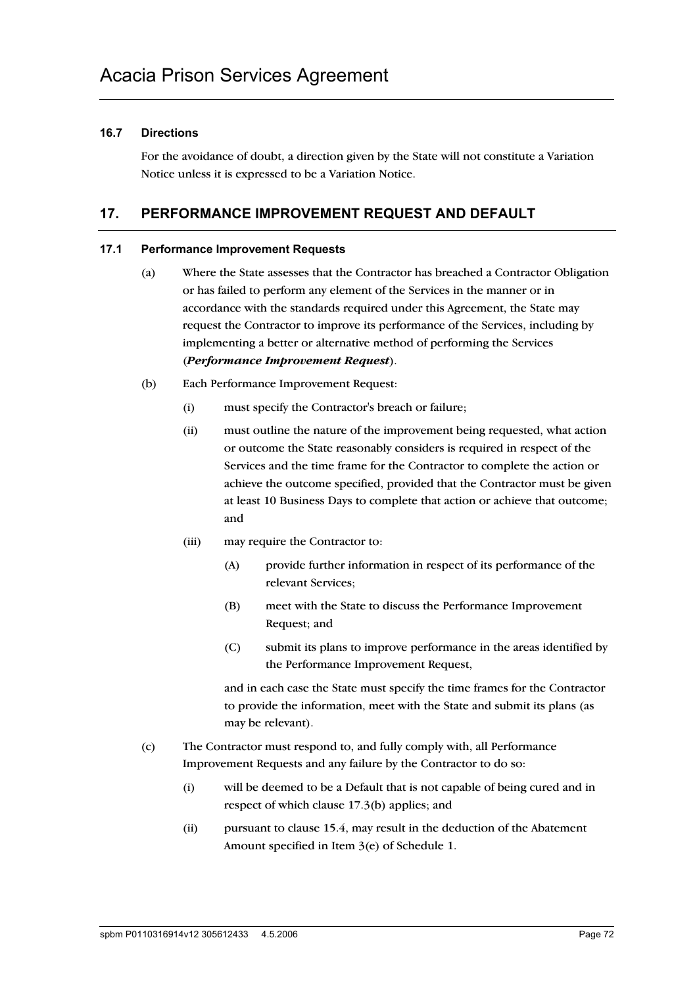## **16.7 Directions**

For the avoidance of doubt, a direction given by the State will not constitute a Variation Notice unless it is expressed to be a Variation Notice.

# **17. PERFORMANCE IMPROVEMENT REQUEST AND DEFAULT**

### **17.1 Performance Improvement Requests**

- (a) Where the State assesses that the Contractor has breached a Contractor Obligation or has failed to perform any element of the Services in the manner or in accordance with the standards required under this Agreement, the State may request the Contractor to improve its performance of the Services, including by implementing a better or alternative method of performing the Services (*Performance Improvement Request*).
- (b) Each Performance Improvement Request:
	- (i) must specify the Contractor's breach or failure;
	- (ii) must outline the nature of the improvement being requested, what action or outcome the State reasonably considers is required in respect of the Services and the time frame for the Contractor to complete the action or achieve the outcome specified, provided that the Contractor must be given at least 10 Business Days to complete that action or achieve that outcome; and
	- (iii) may require the Contractor to:
		- (A) provide further information in respect of its performance of the relevant Services;
		- (B) meet with the State to discuss the Performance Improvement Request; and
		- (C) submit its plans to improve performance in the areas identified by the Performance Improvement Request,

and in each case the State must specify the time frames for the Contractor to provide the information, meet with the State and submit its plans (as may be relevant).

- (c) The Contractor must respond to, and fully comply with, all Performance Improvement Requests and any failure by the Contractor to do so:
	- (i) will be deemed to be a Default that is not capable of being cured and in respect of which clause 17.3(b) applies; and
	- (ii) pursuant to clause 15.4, may result in the deduction of the Abatement Amount specified in Item 3(e) of Schedule 1.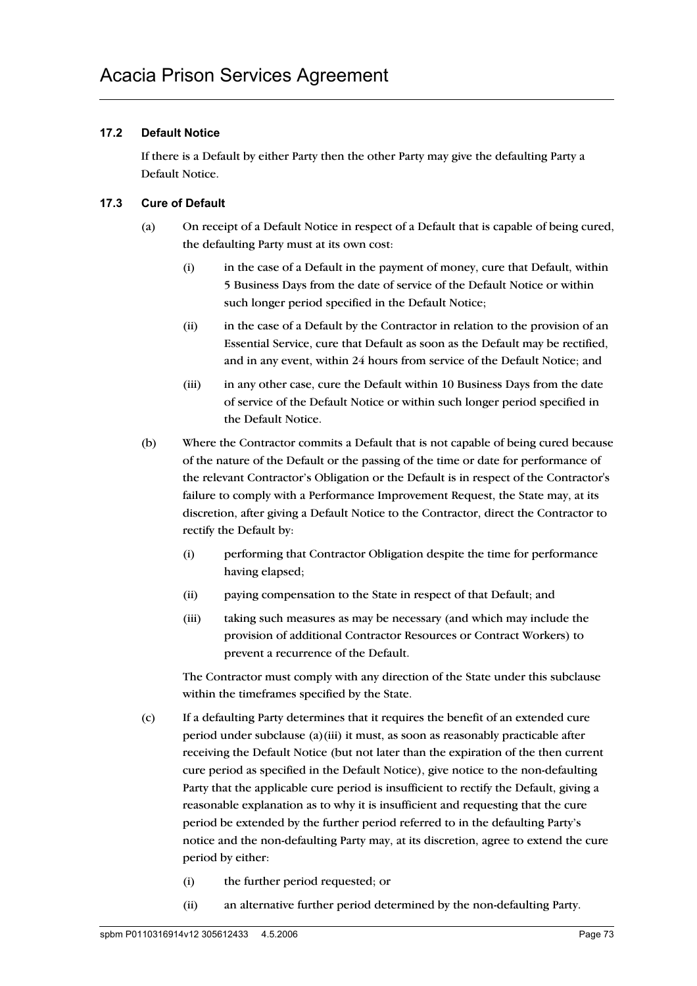## **17.2 Default Notice**

If there is a Default by either Party then the other Party may give the defaulting Party a Default Notice.

## **17.3 Cure of Default**

- (a) On receipt of a Default Notice in respect of a Default that is capable of being cured, the defaulting Party must at its own cost:
	- (i) in the case of a Default in the payment of money, cure that Default, within 5 Business Days from the date of service of the Default Notice or within such longer period specified in the Default Notice;
	- (ii) in the case of a Default by the Contractor in relation to the provision of an Essential Service, cure that Default as soon as the Default may be rectified, and in any event, within 24 hours from service of the Default Notice; and
	- (iii) in any other case, cure the Default within 10 Business Days from the date of service of the Default Notice or within such longer period specified in the Default Notice.
- (b) Where the Contractor commits a Default that is not capable of being cured because of the nature of the Default or the passing of the time or date for performance of the relevant Contractor's Obligation or the Default is in respect of the Contractor's failure to comply with a Performance Improvement Request, the State may, at its discretion, after giving a Default Notice to the Contractor, direct the Contractor to rectify the Default by:
	- (i) performing that Contractor Obligation despite the time for performance having elapsed;
	- (ii) paying compensation to the State in respect of that Default; and
	- (iii) taking such measures as may be necessary (and which may include the provision of additional Contractor Resources or Contract Workers) to prevent a recurrence of the Default.

The Contractor must comply with any direction of the State under this subclause within the timeframes specified by the State.

- (c) If a defaulting Party determines that it requires the benefit of an extended cure period under subclause (a)(iii) it must, as soon as reasonably practicable after receiving the Default Notice (but not later than the expiration of the then current cure period as specified in the Default Notice), give notice to the non-defaulting Party that the applicable cure period is insufficient to rectify the Default, giving a reasonable explanation as to why it is insufficient and requesting that the cure period be extended by the further period referred to in the defaulting Party's notice and the non-defaulting Party may, at its discretion, agree to extend the cure period by either:
	- (i) the further period requested; or
	- (ii) an alternative further period determined by the non-defaulting Party.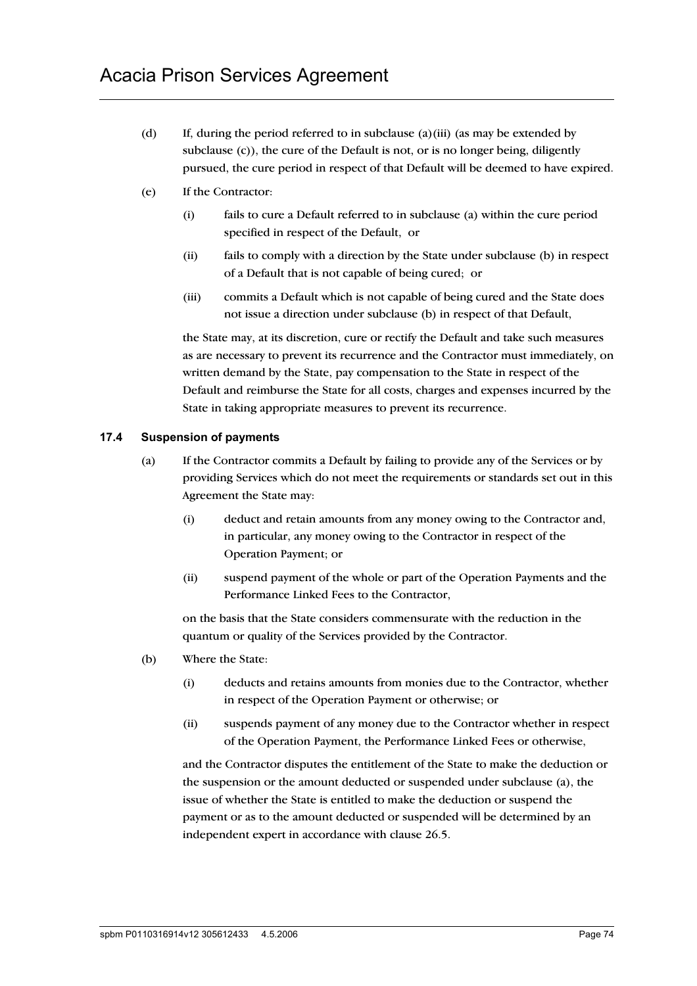- (d) If, during the period referred to in subclause (a)(iii) (as may be extended by subclause (c)), the cure of the Default is not, or is no longer being, diligently pursued, the cure period in respect of that Default will be deemed to have expired.
- (e) If the Contractor:
	- (i) fails to cure a Default referred to in subclause (a) within the cure period specified in respect of the Default, or
	- (ii) fails to comply with a direction by the State under subclause (b) in respect of a Default that is not capable of being cured; or
	- (iii) commits a Default which is not capable of being cured and the State does not issue a direction under subclause (b) in respect of that Default,

the State may, at its discretion, cure or rectify the Default and take such measures as are necessary to prevent its recurrence and the Contractor must immediately, on written demand by the State, pay compensation to the State in respect of the Default and reimburse the State for all costs, charges and expenses incurred by the State in taking appropriate measures to prevent its recurrence.

## **17.4 Suspension of payments**

- (a) If the Contractor commits a Default by failing to provide any of the Services or by providing Services which do not meet the requirements or standards set out in this Agreement the State may:
	- (i) deduct and retain amounts from any money owing to the Contractor and, in particular, any money owing to the Contractor in respect of the Operation Payment; or
	- (ii) suspend payment of the whole or part of the Operation Payments and the Performance Linked Fees to the Contractor,

on the basis that the State considers commensurate with the reduction in the quantum or quality of the Services provided by the Contractor.

- (b) Where the State:
	- (i) deducts and retains amounts from monies due to the Contractor, whether in respect of the Operation Payment or otherwise; or
	- (ii) suspends payment of any money due to the Contractor whether in respect of the Operation Payment, the Performance Linked Fees or otherwise,

and the Contractor disputes the entitlement of the State to make the deduction or the suspension or the amount deducted or suspended under subclause (a), the issue of whether the State is entitled to make the deduction or suspend the payment or as to the amount deducted or suspended will be determined by an independent expert in accordance with clause 26.5.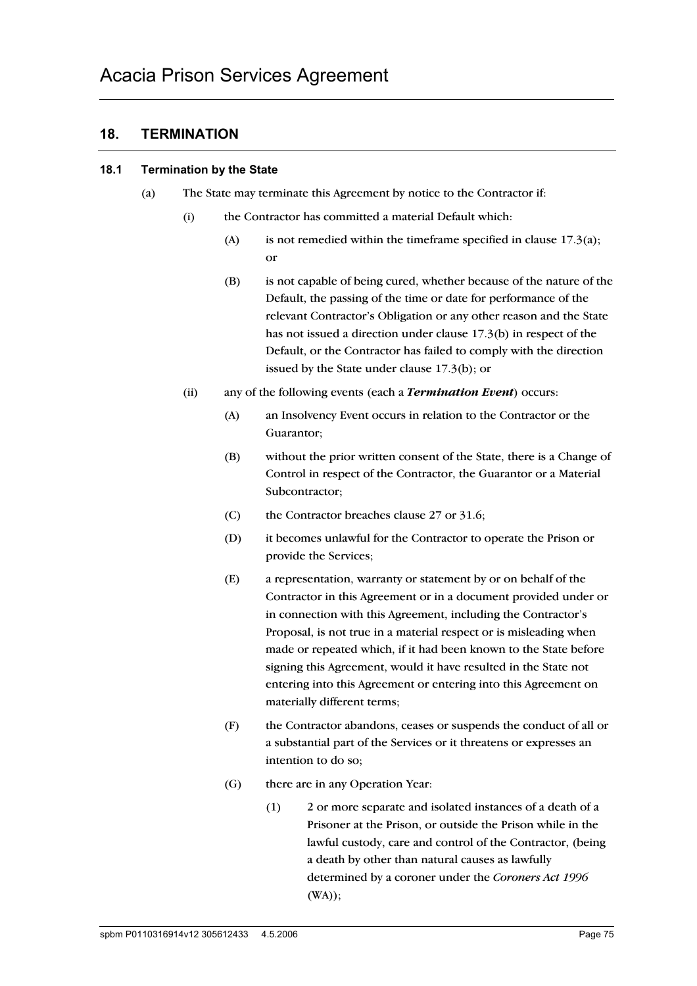# **18. TERMINATION**

#### **18.1 Termination by the State**

- (a) The State may terminate this Agreement by notice to the Contractor if:
	- (i) the Contractor has committed a material Default which:
		- (A) is not remedied within the timeframe specified in clause  $17.3(a)$ ; or
		- (B) is not capable of being cured, whether because of the nature of the Default, the passing of the time or date for performance of the relevant Contractor's Obligation or any other reason and the State has not issued a direction under clause 17.3(b) in respect of the Default, or the Contractor has failed to comply with the direction issued by the State under clause 17.3(b); or
	- (ii) any of the following events (each a *Termination Event*) occurs:
		- (A) an Insolvency Event occurs in relation to the Contractor or the Guarantor;
		- (B) without the prior written consent of the State, there is a Change of Control in respect of the Contractor, the Guarantor or a Material Subcontractor;
		- (C) the Contractor breaches clause 27 or 31.6;
		- (D) it becomes unlawful for the Contractor to operate the Prison or provide the Services;
		- (E) a representation, warranty or statement by or on behalf of the Contractor in this Agreement or in a document provided under or in connection with this Agreement, including the Contractor's Proposal, is not true in a material respect or is misleading when made or repeated which, if it had been known to the State before signing this Agreement, would it have resulted in the State not entering into this Agreement or entering into this Agreement on materially different terms;
		- (F) the Contractor abandons, ceases or suspends the conduct of all or a substantial part of the Services or it threatens or expresses an intention to do so;
		- (G) there are in any Operation Year:
			- (1) 2 or more separate and isolated instances of a death of a Prisoner at the Prison, or outside the Prison while in the lawful custody, care and control of the Contractor, (being a death by other than natural causes as lawfully determined by a coroner under the *Coroners Act 1996* (WA));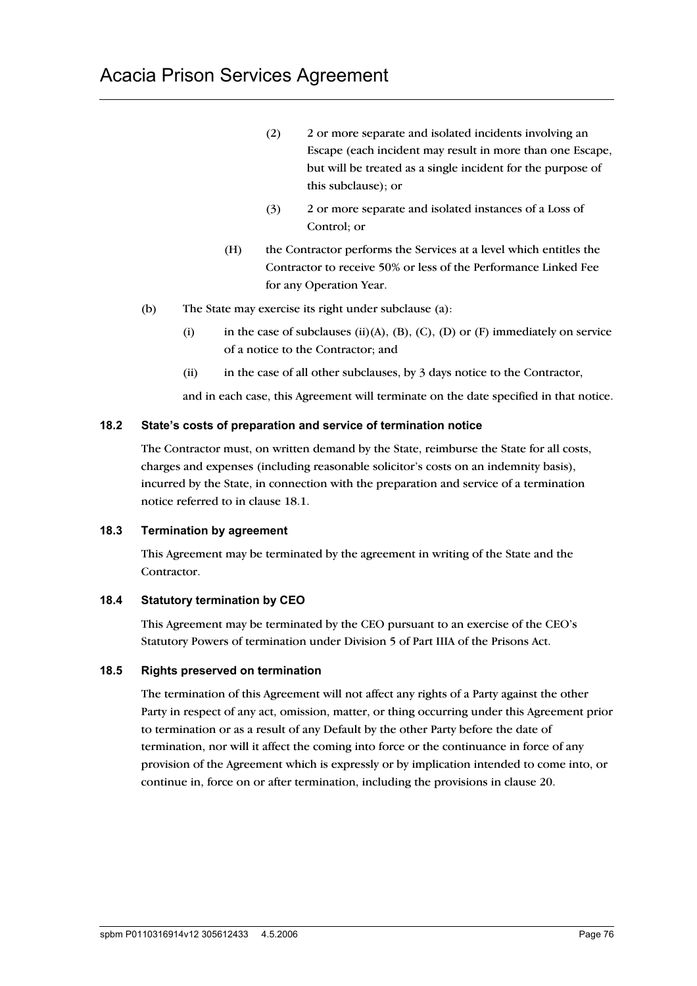- (2) 2 or more separate and isolated incidents involving an Escape (each incident may result in more than one Escape, but will be treated as a single incident for the purpose of this subclause); or
- (3) 2 or more separate and isolated instances of a Loss of Control; or
- (H) the Contractor performs the Services at a level which entitles the Contractor to receive 50% or less of the Performance Linked Fee for any Operation Year.
- (b) The State may exercise its right under subclause (a):
	- (i) in the case of subclauses (ii)(A), (B), (C), (D) or (F) immediately on service of a notice to the Contractor; and
	- (ii) in the case of all other subclauses, by 3 days notice to the Contractor,

and in each case, this Agreement will terminate on the date specified in that notice.

### **18.2 State's costs of preparation and service of termination notice**

The Contractor must, on written demand by the State, reimburse the State for all costs, charges and expenses (including reasonable solicitor's costs on an indemnity basis), incurred by the State, in connection with the preparation and service of a termination notice referred to in clause 18.1.

### **18.3 Termination by agreement**

This Agreement may be terminated by the agreement in writing of the State and the Contractor.

### **18.4 Statutory termination by CEO**

This Agreement may be terminated by the CEO pursuant to an exercise of the CEO's Statutory Powers of termination under Division 5 of Part IIIA of the Prisons Act.

### **18.5 Rights preserved on termination**

The termination of this Agreement will not affect any rights of a Party against the other Party in respect of any act, omission, matter, or thing occurring under this Agreement prior to termination or as a result of any Default by the other Party before the date of termination, nor will it affect the coming into force or the continuance in force of any provision of the Agreement which is expressly or by implication intended to come into, or continue in, force on or after termination, including the provisions in clause 20.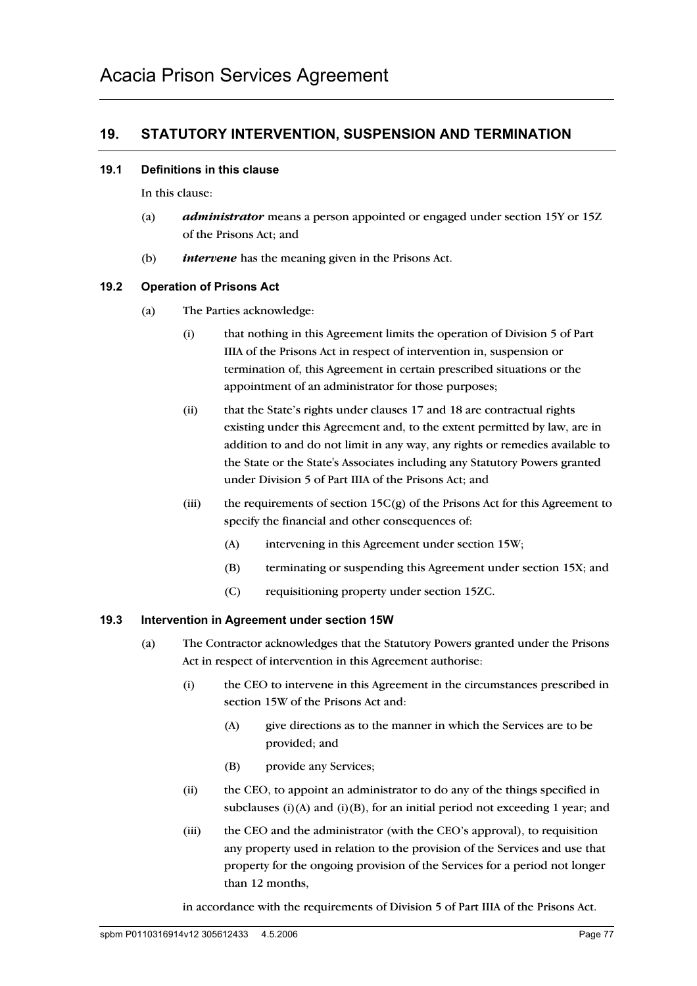# **19. STATUTORY INTERVENTION, SUSPENSION AND TERMINATION**

#### **19.1 Definitions in this clause**

In this clause:

- (a) *administrator* means a person appointed or engaged under section 15Y or 15Z of the Prisons Act; and
- (b) *intervene* has the meaning given in the Prisons Act.

### **19.2 Operation of Prisons Act**

- (a) The Parties acknowledge:
	- (i) that nothing in this Agreement limits the operation of Division 5 of Part IIIA of the Prisons Act in respect of intervention in, suspension or termination of, this Agreement in certain prescribed situations or the appointment of an administrator for those purposes;
	- (ii) that the State's rights under clauses 17 and 18 are contractual rights existing under this Agreement and, to the extent permitted by law, are in addition to and do not limit in any way, any rights or remedies available to the State or the State's Associates including any Statutory Powers granted under Division 5 of Part IIIA of the Prisons Act; and
	- (iii) the requirements of section 15C(g) of the Prisons Act for this Agreement to specify the financial and other consequences of:
		- (A) intervening in this Agreement under section 15W;
		- (B) terminating or suspending this Agreement under section 15X; and
		- (C) requisitioning property under section 15ZC.

### **19.3 Intervention in Agreement under section 15W**

- (a) The Contractor acknowledges that the Statutory Powers granted under the Prisons Act in respect of intervention in this Agreement authorise:
	- (i) the CEO to intervene in this Agreement in the circumstances prescribed in section 15W of the Prisons Act and:
		- (A) give directions as to the manner in which the Services are to be provided; and
		- (B) provide any Services;
	- (ii) the CEO, to appoint an administrator to do any of the things specified in subclauses (i)(A) and (i)(B), for an initial period not exceeding 1 year; and
	- (iii) the CEO and the administrator (with the CEO's approval), to requisition any property used in relation to the provision of the Services and use that property for the ongoing provision of the Services for a period not longer than 12 months,

in accordance with the requirements of Division 5 of Part IIIA of the Prisons Act.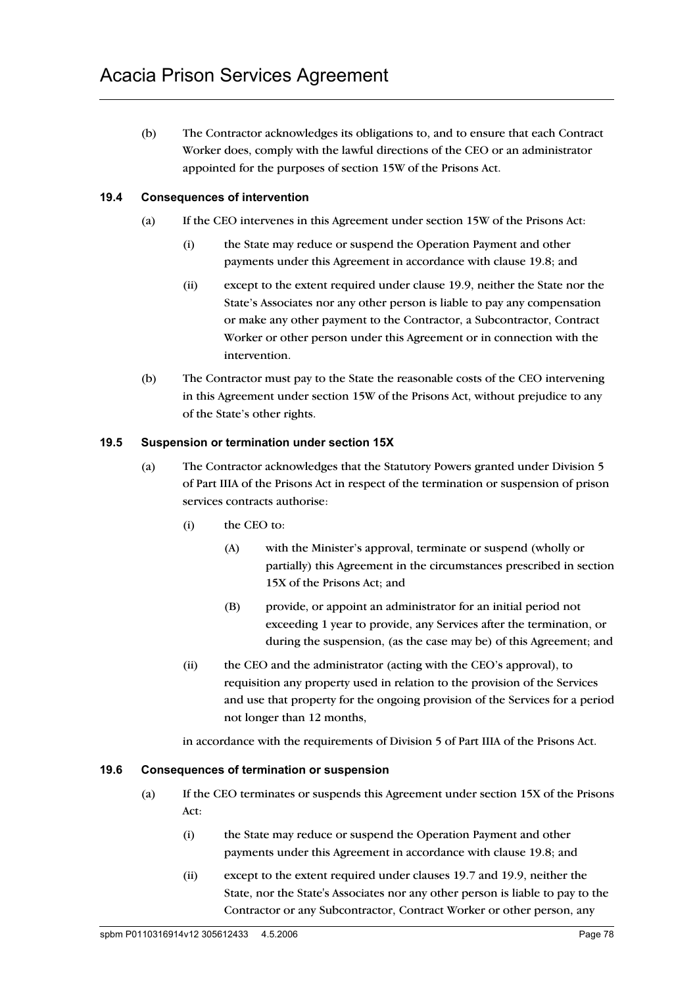(b) The Contractor acknowledges its obligations to, and to ensure that each Contract Worker does, comply with the lawful directions of the CEO or an administrator appointed for the purposes of section 15W of the Prisons Act.

## **19.4 Consequences of intervention**

- (a) If the CEO intervenes in this Agreement under section 15W of the Prisons Act:
	- (i) the State may reduce or suspend the Operation Payment and other payments under this Agreement in accordance with clause 19.8; and
	- (ii) except to the extent required under clause 19.9, neither the State nor the State's Associates nor any other person is liable to pay any compensation or make any other payment to the Contractor, a Subcontractor, Contract Worker or other person under this Agreement or in connection with the intervention.
- (b) The Contractor must pay to the State the reasonable costs of the CEO intervening in this Agreement under section 15W of the Prisons Act, without prejudice to any of the State's other rights.

### **19.5 Suspension or termination under section 15X**

- (a) The Contractor acknowledges that the Statutory Powers granted under Division 5 of Part IIIA of the Prisons Act in respect of the termination or suspension of prison services contracts authorise:
	- (i) the CEO to:
		- (A) with the Minister's approval, terminate or suspend (wholly or partially) this Agreement in the circumstances prescribed in section 15X of the Prisons Act; and
		- (B) provide, or appoint an administrator for an initial period not exceeding 1 year to provide, any Services after the termination, or during the suspension, (as the case may be) of this Agreement; and
	- (ii) the CEO and the administrator (acting with the CEO's approval), to requisition any property used in relation to the provision of the Services and use that property for the ongoing provision of the Services for a period not longer than 12 months,

in accordance with the requirements of Division 5 of Part IIIA of the Prisons Act.

#### **19.6 Consequences of termination or suspension**

- (a) If the CEO terminates or suspends this Agreement under section 15X of the Prisons Act:
	- (i) the State may reduce or suspend the Operation Payment and other payments under this Agreement in accordance with clause 19.8; and
	- (ii) except to the extent required under clauses 19.7 and 19.9, neither the State, nor the State's Associates nor any other person is liable to pay to the Contractor or any Subcontractor, Contract Worker or other person, any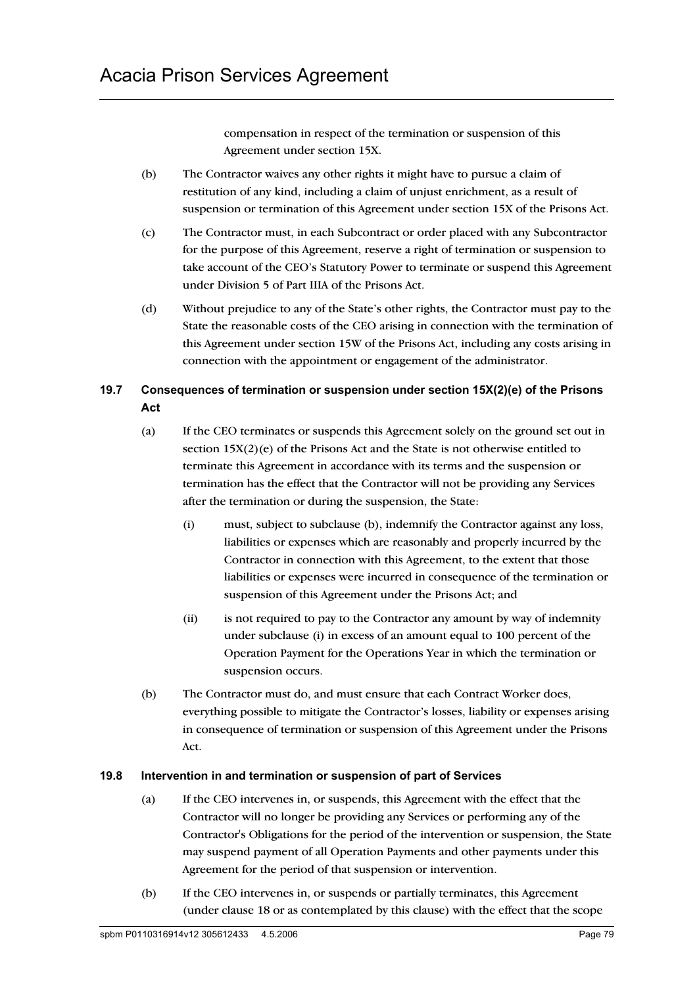compensation in respect of the termination or suspension of this Agreement under section 15X.

- (b) The Contractor waives any other rights it might have to pursue a claim of restitution of any kind, including a claim of unjust enrichment, as a result of suspension or termination of this Agreement under section 15X of the Prisons Act.
- (c) The Contractor must, in each Subcontract or order placed with any Subcontractor for the purpose of this Agreement, reserve a right of termination or suspension to take account of the CEO's Statutory Power to terminate or suspend this Agreement under Division 5 of Part IIIA of the Prisons Act.
- (d) Without prejudice to any of the State's other rights, the Contractor must pay to the State the reasonable costs of the CEO arising in connection with the termination of this Agreement under section 15W of the Prisons Act, including any costs arising in connection with the appointment or engagement of the administrator.

# **19.7 Consequences of termination or suspension under section 15X(2)(e) of the Prisons Act**

- (a) If the CEO terminates or suspends this Agreement solely on the ground set out in section 15X(2)(e) of the Prisons Act and the State is not otherwise entitled to terminate this Agreement in accordance with its terms and the suspension or termination has the effect that the Contractor will not be providing any Services after the termination or during the suspension, the State:
	- (i) must, subject to subclause (b), indemnify the Contractor against any loss, liabilities or expenses which are reasonably and properly incurred by the Contractor in connection with this Agreement, to the extent that those liabilities or expenses were incurred in consequence of the termination or suspension of this Agreement under the Prisons Act; and
	- (ii) is not required to pay to the Contractor any amount by way of indemnity under subclause (i) in excess of an amount equal to 100 percent of the Operation Payment for the Operations Year in which the termination or suspension occurs.
- (b) The Contractor must do, and must ensure that each Contract Worker does, everything possible to mitigate the Contractor's losses, liability or expenses arising in consequence of termination or suspension of this Agreement under the Prisons Act.

# **19.8 Intervention in and termination or suspension of part of Services**

- (a) If the CEO intervenes in, or suspends, this Agreement with the effect that the Contractor will no longer be providing any Services or performing any of the Contractor's Obligations for the period of the intervention or suspension, the State may suspend payment of all Operation Payments and other payments under this Agreement for the period of that suspension or intervention.
- (b) If the CEO intervenes in, or suspends or partially terminates, this Agreement (under clause 18 or as contemplated by this clause) with the effect that the scope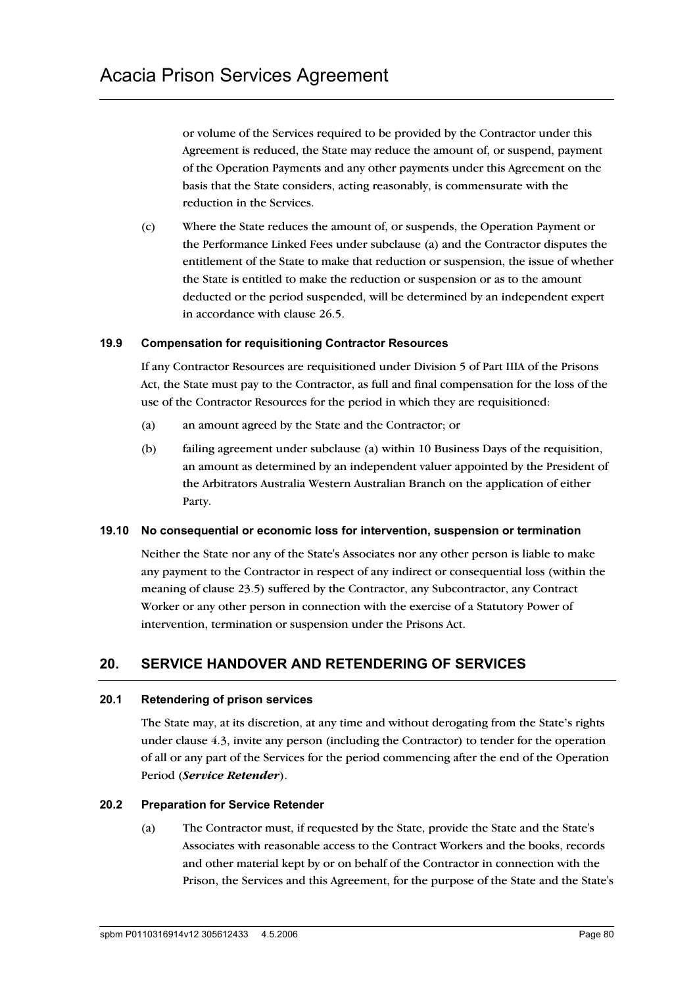or volume of the Services required to be provided by the Contractor under this Agreement is reduced, the State may reduce the amount of, or suspend, payment of the Operation Payments and any other payments under this Agreement on the basis that the State considers, acting reasonably, is commensurate with the reduction in the Services.

(c) Where the State reduces the amount of, or suspends, the Operation Payment or the Performance Linked Fees under subclause (a) and the Contractor disputes the entitlement of the State to make that reduction or suspension, the issue of whether the State is entitled to make the reduction or suspension or as to the amount deducted or the period suspended, will be determined by an independent expert in accordance with clause 26.5.

### **19.9 Compensation for requisitioning Contractor Resources**

If any Contractor Resources are requisitioned under Division 5 of Part IIIA of the Prisons Act, the State must pay to the Contractor, as full and final compensation for the loss of the use of the Contractor Resources for the period in which they are requisitioned:

- (a) an amount agreed by the State and the Contractor; or
- (b) failing agreement under subclause (a) within 10 Business Days of the requisition, an amount as determined by an independent valuer appointed by the President of the Arbitrators Australia Western Australian Branch on the application of either Party.

### **19.10 No consequential or economic loss for intervention, suspension or termination**

Neither the State nor any of the State's Associates nor any other person is liable to make any payment to the Contractor in respect of any indirect or consequential loss (within the meaning of clause 23.5) suffered by the Contractor, any Subcontractor, any Contract Worker or any other person in connection with the exercise of a Statutory Power of intervention, termination or suspension under the Prisons Act.

# **20. SERVICE HANDOVER AND RETENDERING OF SERVICES**

### **20.1 Retendering of prison services**

The State may, at its discretion, at any time and without derogating from the State's rights under clause 4.3, invite any person (including the Contractor) to tender for the operation of all or any part of the Services for the period commencing after the end of the Operation Period (*Service Retender*).

### **20.2 Preparation for Service Retender**

(a) The Contractor must, if requested by the State, provide the State and the State's Associates with reasonable access to the Contract Workers and the books, records and other material kept by or on behalf of the Contractor in connection with the Prison, the Services and this Agreement, for the purpose of the State and the State's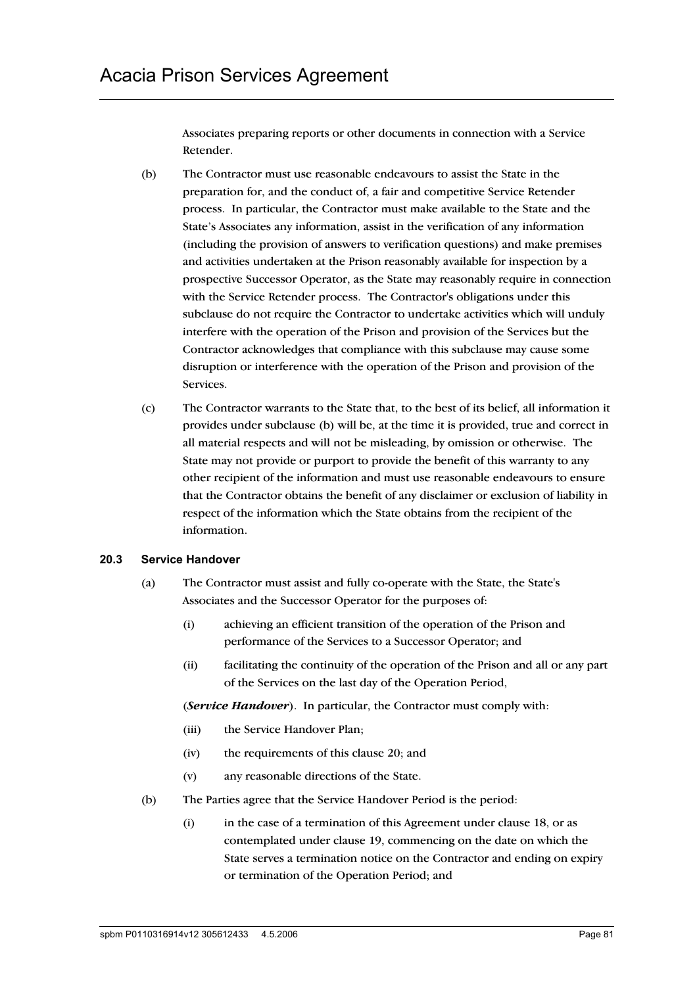Associates preparing reports or other documents in connection with a Service Retender.

- (b) The Contractor must use reasonable endeavours to assist the State in the preparation for, and the conduct of, a fair and competitive Service Retender process. In particular, the Contractor must make available to the State and the State's Associates any information, assist in the verification of any information (including the provision of answers to verification questions) and make premises and activities undertaken at the Prison reasonably available for inspection by a prospective Successor Operator, as the State may reasonably require in connection with the Service Retender process. The Contractor's obligations under this subclause do not require the Contractor to undertake activities which will unduly interfere with the operation of the Prison and provision of the Services but the Contractor acknowledges that compliance with this subclause may cause some disruption or interference with the operation of the Prison and provision of the Services.
- (c) The Contractor warrants to the State that, to the best of its belief, all information it provides under subclause (b) will be, at the time it is provided, true and correct in all material respects and will not be misleading, by omission or otherwise. The State may not provide or purport to provide the benefit of this warranty to any other recipient of the information and must use reasonable endeavours to ensure that the Contractor obtains the benefit of any disclaimer or exclusion of liability in respect of the information which the State obtains from the recipient of the information.

### **20.3 Service Handover**

- (a) The Contractor must assist and fully co-operate with the State, the State's Associates and the Successor Operator for the purposes of:
	- (i) achieving an efficient transition of the operation of the Prison and performance of the Services to a Successor Operator; and
	- (ii) facilitating the continuity of the operation of the Prison and all or any part of the Services on the last day of the Operation Period,

(*Service Handover*). In particular, the Contractor must comply with:

- (iii) the Service Handover Plan;
- (iv) the requirements of this clause 20; and
- (v) any reasonable directions of the State.
- (b) The Parties agree that the Service Handover Period is the period:
	- (i) in the case of a termination of this Agreement under clause 18, or as contemplated under clause 19, commencing on the date on which the State serves a termination notice on the Contractor and ending on expiry or termination of the Operation Period; and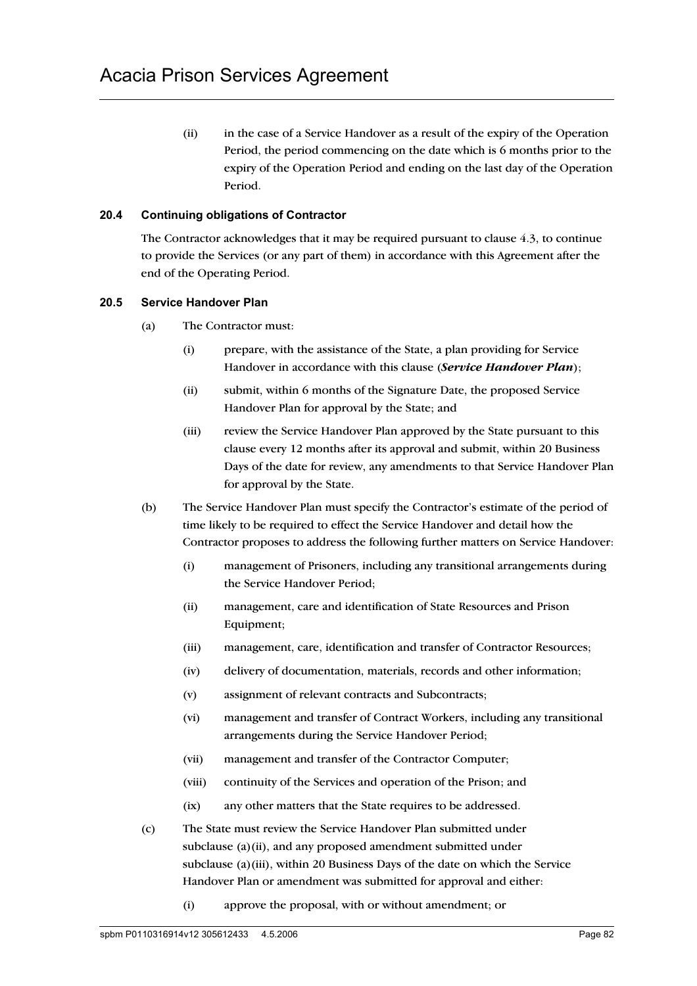(ii) in the case of a Service Handover as a result of the expiry of the Operation Period, the period commencing on the date which is 6 months prior to the expiry of the Operation Period and ending on the last day of the Operation Period.

## **20.4 Continuing obligations of Contractor**

The Contractor acknowledges that it may be required pursuant to clause 4.3, to continue to provide the Services (or any part of them) in accordance with this Agreement after the end of the Operating Period.

### **20.5 Service Handover Plan**

- (a) The Contractor must:
	- (i) prepare, with the assistance of the State, a plan providing for Service Handover in accordance with this clause (*Service Handover Plan*);
	- (ii) submit, within 6 months of the Signature Date, the proposed Service Handover Plan for approval by the State; and
	- (iii) review the Service Handover Plan approved by the State pursuant to this clause every 12 months after its approval and submit, within 20 Business Days of the date for review, any amendments to that Service Handover Plan for approval by the State.
- (b) The Service Handover Plan must specify the Contractor's estimate of the period of time likely to be required to effect the Service Handover and detail how the Contractor proposes to address the following further matters on Service Handover:
	- (i) management of Prisoners, including any transitional arrangements during the Service Handover Period;
	- (ii) management, care and identification of State Resources and Prison Equipment;
	- (iii) management, care, identification and transfer of Contractor Resources;
	- (iv) delivery of documentation, materials, records and other information;
	- (v) assignment of relevant contracts and Subcontracts;
	- (vi) management and transfer of Contract Workers, including any transitional arrangements during the Service Handover Period;
	- (vii) management and transfer of the Contractor Computer;
	- (viii) continuity of the Services and operation of the Prison; and
	- (ix) any other matters that the State requires to be addressed.
- (c) The State must review the Service Handover Plan submitted under subclause (a)(ii), and any proposed amendment submitted under subclause (a)(iii), within 20 Business Days of the date on which the Service Handover Plan or amendment was submitted for approval and either:
	- (i) approve the proposal, with or without amendment; or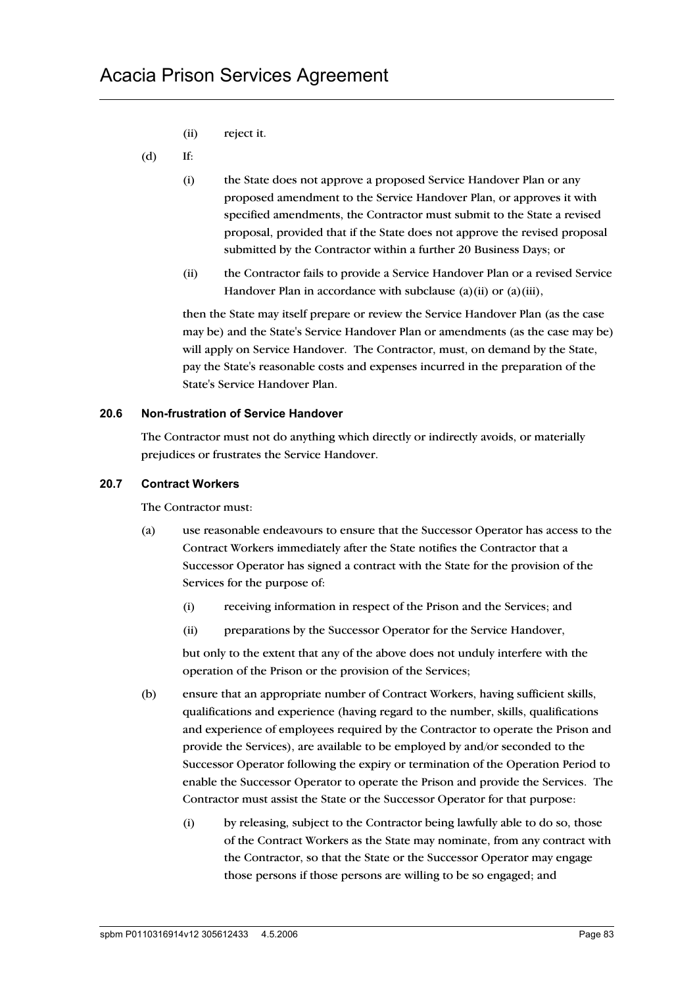(ii) reject it.

### (d) If:

- (i) the State does not approve a proposed Service Handover Plan or any proposed amendment to the Service Handover Plan, or approves it with specified amendments, the Contractor must submit to the State a revised proposal, provided that if the State does not approve the revised proposal submitted by the Contractor within a further 20 Business Days; or
- (ii) the Contractor fails to provide a Service Handover Plan or a revised Service Handover Plan in accordance with subclause (a)(ii) or (a)(iii),

then the State may itself prepare or review the Service Handover Plan (as the case may be) and the State's Service Handover Plan or amendments (as the case may be) will apply on Service Handover. The Contractor, must, on demand by the State, pay the State's reasonable costs and expenses incurred in the preparation of the State's Service Handover Plan.

#### **20.6 Non-frustration of Service Handover**

The Contractor must not do anything which directly or indirectly avoids, or materially prejudices or frustrates the Service Handover.

#### **20.7 Contract Workers**

The Contractor must:

- (a) use reasonable endeavours to ensure that the Successor Operator has access to the Contract Workers immediately after the State notifies the Contractor that a Successor Operator has signed a contract with the State for the provision of the Services for the purpose of:
	- (i) receiving information in respect of the Prison and the Services; and
	- (ii) preparations by the Successor Operator for the Service Handover,

but only to the extent that any of the above does not unduly interfere with the operation of the Prison or the provision of the Services;

- (b) ensure that an appropriate number of Contract Workers, having sufficient skills, qualifications and experience (having regard to the number, skills, qualifications and experience of employees required by the Contractor to operate the Prison and provide the Services), are available to be employed by and/or seconded to the Successor Operator following the expiry or termination of the Operation Period to enable the Successor Operator to operate the Prison and provide the Services. The Contractor must assist the State or the Successor Operator for that purpose:
	- (i) by releasing, subject to the Contractor being lawfully able to do so, those of the Contract Workers as the State may nominate, from any contract with the Contractor, so that the State or the Successor Operator may engage those persons if those persons are willing to be so engaged; and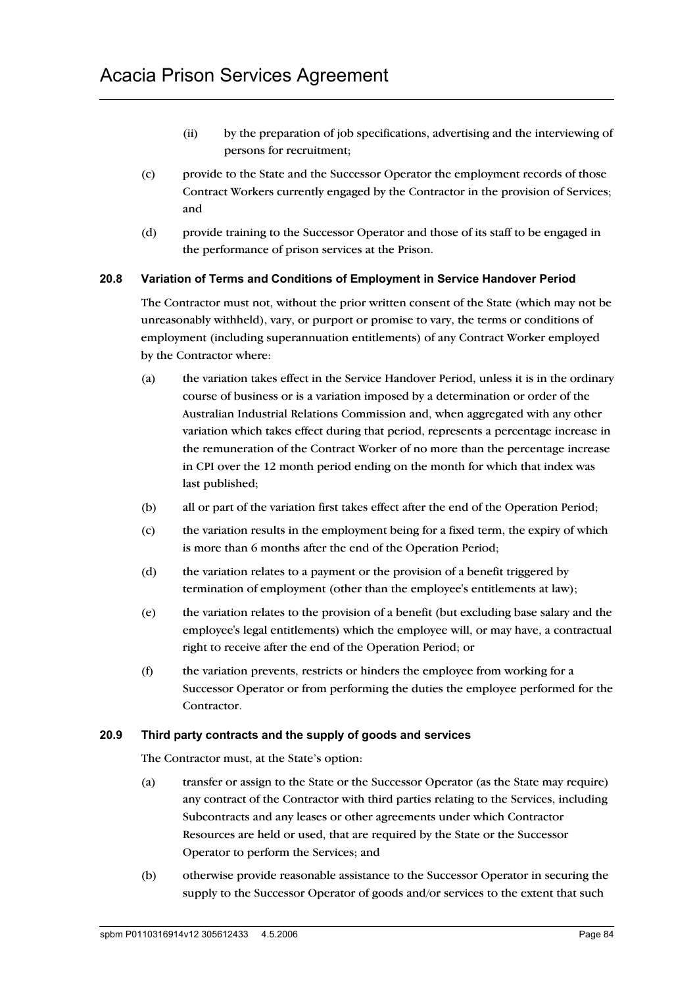- (ii) by the preparation of job specifications, advertising and the interviewing of persons for recruitment;
- (c) provide to the State and the Successor Operator the employment records of those Contract Workers currently engaged by the Contractor in the provision of Services; and
- (d) provide training to the Successor Operator and those of its staff to be engaged in the performance of prison services at the Prison.

### **20.8 Variation of Terms and Conditions of Employment in Service Handover Period**

The Contractor must not, without the prior written consent of the State (which may not be unreasonably withheld), vary, or purport or promise to vary, the terms or conditions of employment (including superannuation entitlements) of any Contract Worker employed by the Contractor where:

- (a) the variation takes effect in the Service Handover Period, unless it is in the ordinary course of business or is a variation imposed by a determination or order of the Australian Industrial Relations Commission and, when aggregated with any other variation which takes effect during that period, represents a percentage increase in the remuneration of the Contract Worker of no more than the percentage increase in CPI over the 12 month period ending on the month for which that index was last published;
- (b) all or part of the variation first takes effect after the end of the Operation Period;
- (c) the variation results in the employment being for a fixed term, the expiry of which is more than 6 months after the end of the Operation Period;
- (d) the variation relates to a payment or the provision of a benefit triggered by termination of employment (other than the employee's entitlements at law);
- (e) the variation relates to the provision of a benefit (but excluding base salary and the employee's legal entitlements) which the employee will, or may have, a contractual right to receive after the end of the Operation Period; or
- (f) the variation prevents, restricts or hinders the employee from working for a Successor Operator or from performing the duties the employee performed for the Contractor.

#### **20.9 Third party contracts and the supply of goods and services**

The Contractor must, at the State's option:

- (a) transfer or assign to the State or the Successor Operator (as the State may require) any contract of the Contractor with third parties relating to the Services, including Subcontracts and any leases or other agreements under which Contractor Resources are held or used, that are required by the State or the Successor Operator to perform the Services; and
- (b) otherwise provide reasonable assistance to the Successor Operator in securing the supply to the Successor Operator of goods and/or services to the extent that such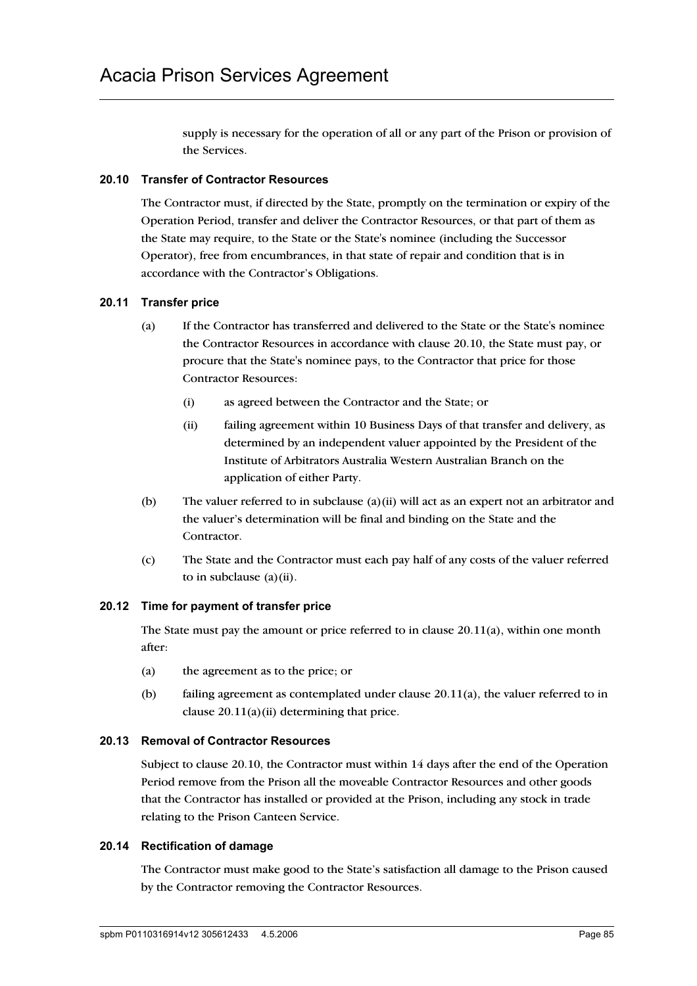supply is necessary for the operation of all or any part of the Prison or provision of the Services.

### **20.10 Transfer of Contractor Resources**

The Contractor must, if directed by the State, promptly on the termination or expiry of the Operation Period, transfer and deliver the Contractor Resources, or that part of them as the State may require, to the State or the State's nominee (including the Successor Operator), free from encumbrances, in that state of repair and condition that is in accordance with the Contractor's Obligations.

### **20.11 Transfer price**

- (a) If the Contractor has transferred and delivered to the State or the State's nominee the Contractor Resources in accordance with clause 20.10, the State must pay, or procure that the State's nominee pays, to the Contractor that price for those Contractor Resources:
	- (i) as agreed between the Contractor and the State; or
	- (ii) failing agreement within 10 Business Days of that transfer and delivery, as determined by an independent valuer appointed by the President of the Institute of Arbitrators Australia Western Australian Branch on the application of either Party.
- (b) The valuer referred to in subclause (a)(ii) will act as an expert not an arbitrator and the valuer's determination will be final and binding on the State and the Contractor.
- (c) The State and the Contractor must each pay half of any costs of the valuer referred to in subclause (a)(ii).

### **20.12 Time for payment of transfer price**

The State must pay the amount or price referred to in clause  $20.11(a)$ , within one month after:

- (a) the agreement as to the price; or
- (b) failing agreement as contemplated under clause 20.11(a), the valuer referred to in clause  $20.11(a)(ii)$  determining that price.

## **20.13 Removal of Contractor Resources**

Subject to clause 20.10, the Contractor must within 14 days after the end of the Operation Period remove from the Prison all the moveable Contractor Resources and other goods that the Contractor has installed or provided at the Prison, including any stock in trade relating to the Prison Canteen Service.

### **20.14 Rectification of damage**

The Contractor must make good to the State's satisfaction all damage to the Prison caused by the Contractor removing the Contractor Resources.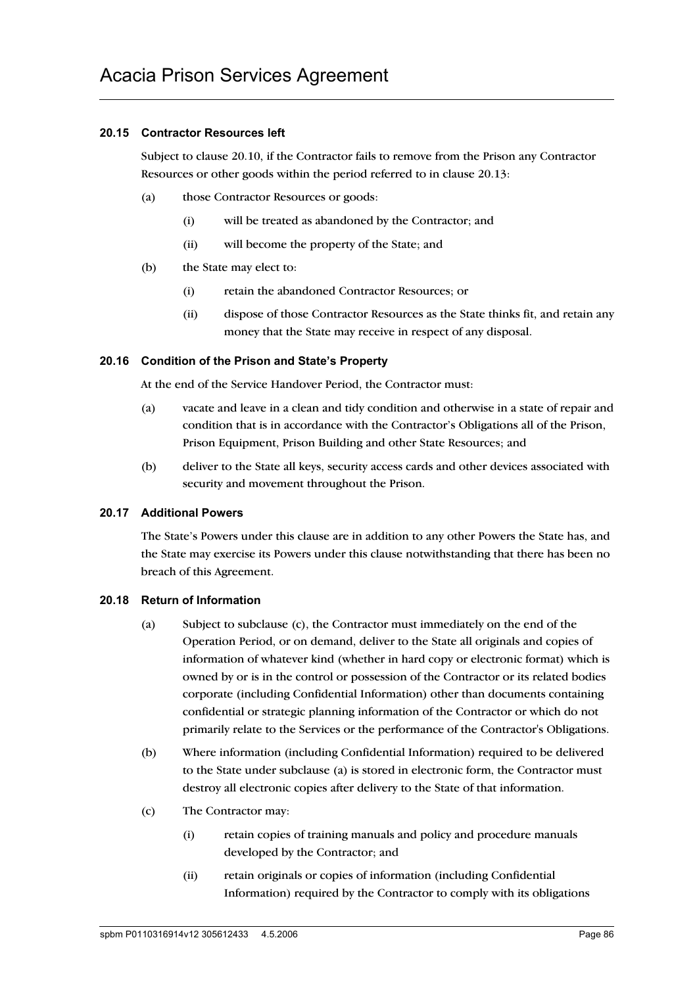## **20.15 Contractor Resources left**

Subject to clause 20.10, if the Contractor fails to remove from the Prison any Contractor Resources or other goods within the period referred to in clause 20.13:

- (a) those Contractor Resources or goods:
	- (i) will be treated as abandoned by the Contractor; and
	- (ii) will become the property of the State; and
- (b) the State may elect to:
	- (i) retain the abandoned Contractor Resources; or
	- (ii) dispose of those Contractor Resources as the State thinks fit, and retain any money that the State may receive in respect of any disposal.

### **20.16 Condition of the Prison and State's Property**

At the end of the Service Handover Period, the Contractor must:

- (a) vacate and leave in a clean and tidy condition and otherwise in a state of repair and condition that is in accordance with the Contractor's Obligations all of the Prison, Prison Equipment, Prison Building and other State Resources; and
- (b) deliver to the State all keys, security access cards and other devices associated with security and movement throughout the Prison.

#### **20.17 Additional Powers**

The State's Powers under this clause are in addition to any other Powers the State has, and the State may exercise its Powers under this clause notwithstanding that there has been no breach of this Agreement.

### **20.18 Return of Information**

- (a) Subject to subclause (c), the Contractor must immediately on the end of the Operation Period, or on demand, deliver to the State all originals and copies of information of whatever kind (whether in hard copy or electronic format) which is owned by or is in the control or possession of the Contractor or its related bodies corporate (including Confidential Information) other than documents containing confidential or strategic planning information of the Contractor or which do not primarily relate to the Services or the performance of the Contractor's Obligations.
- (b) Where information (including Confidential Information) required to be delivered to the State under subclause (a) is stored in electronic form, the Contractor must destroy all electronic copies after delivery to the State of that information.
- (c) The Contractor may:
	- (i) retain copies of training manuals and policy and procedure manuals developed by the Contractor; and
	- (ii) retain originals or copies of information (including Confidential Information) required by the Contractor to comply with its obligations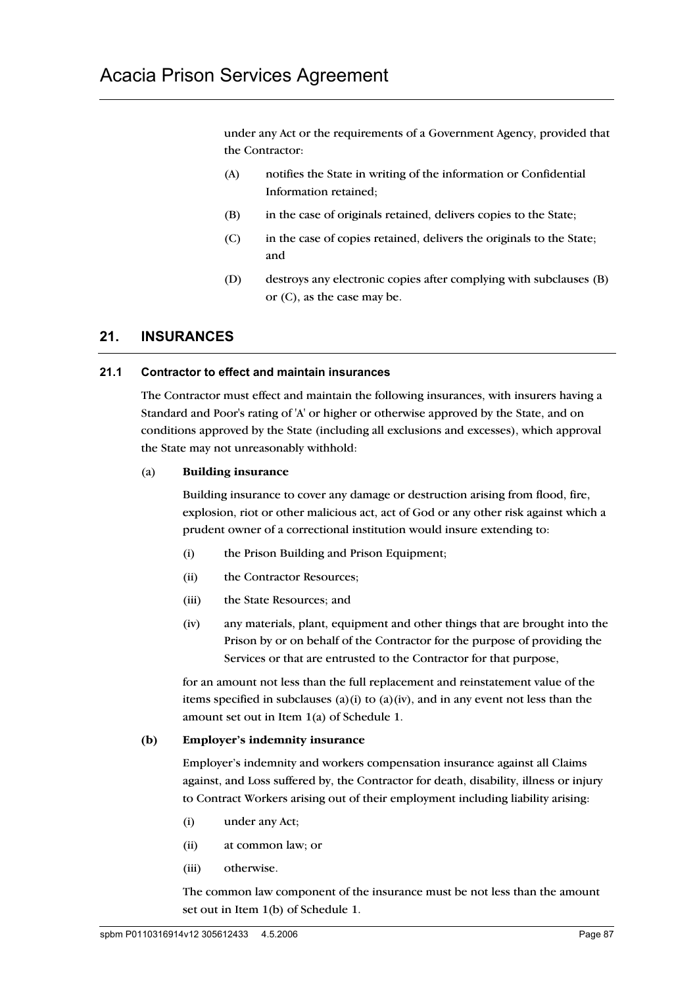under any Act or the requirements of a Government Agency, provided that the Contractor:

- (A) notifies the State in writing of the information or Confidential Information retained;
- (B) in the case of originals retained, delivers copies to the State;
- (C) in the case of copies retained, delivers the originals to the State; and
- (D) destroys any electronic copies after complying with subclauses (B) or (C), as the case may be.

# **21. INSURANCES**

#### **21.1 Contractor to effect and maintain insurances**

The Contractor must effect and maintain the following insurances, with insurers having a Standard and Poor's rating of 'A' or higher or otherwise approved by the State, and on conditions approved by the State (including all exclusions and excesses), which approval the State may not unreasonably withhold:

#### (a) **Building insurance**

Building insurance to cover any damage or destruction arising from flood, fire, explosion, riot or other malicious act, act of God or any other risk against which a prudent owner of a correctional institution would insure extending to:

- (i) the Prison Building and Prison Equipment;
- (ii) the Contractor Resources;
- (iii) the State Resources; and
- (iv) any materials, plant, equipment and other things that are brought into the Prison by or on behalf of the Contractor for the purpose of providing the Services or that are entrusted to the Contractor for that purpose,

for an amount not less than the full replacement and reinstatement value of the items specified in subclauses (a)(i) to (a)(iv), and in any event not less than the amount set out in Item 1(a) of Schedule 1.

#### **(b) Employer's indemnity insurance**

Employer's indemnity and workers compensation insurance against all Claims against, and Loss suffered by, the Contractor for death, disability, illness or injury to Contract Workers arising out of their employment including liability arising:

- (i) under any Act;
- (ii) at common law; or
- (iii) otherwise.

The common law component of the insurance must be not less than the amount set out in Item 1(b) of Schedule 1.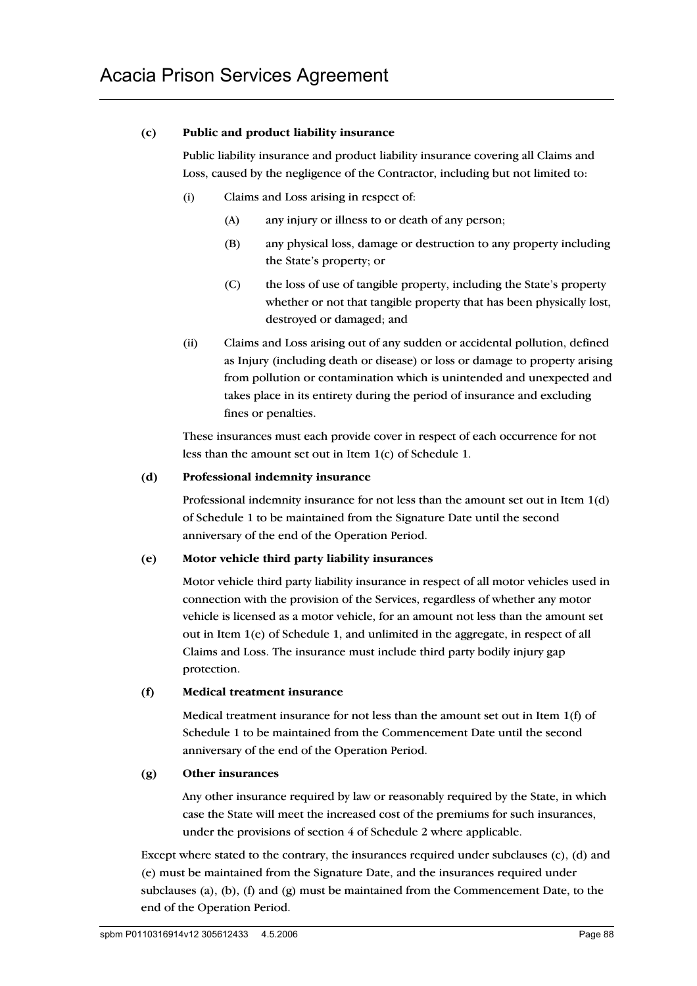#### **(c) Public and product liability insurance**

Public liability insurance and product liability insurance covering all Claims and Loss, caused by the negligence of the Contractor, including but not limited to:

- (i) Claims and Loss arising in respect of:
	- (A) any injury or illness to or death of any person;
	- (B) any physical loss, damage or destruction to any property including the State's property; or
	- (C) the loss of use of tangible property, including the State's property whether or not that tangible property that has been physically lost, destroyed or damaged; and
- (ii) Claims and Loss arising out of any sudden or accidental pollution, defined as Injury (including death or disease) or loss or damage to property arising from pollution or contamination which is unintended and unexpected and takes place in its entirety during the period of insurance and excluding fines or penalties.

These insurances must each provide cover in respect of each occurrence for not less than the amount set out in Item 1(c) of Schedule 1.

#### **(d) Professional indemnity insurance**

Professional indemnity insurance for not less than the amount set out in Item 1(d) of Schedule 1 to be maintained from the Signature Date until the second anniversary of the end of the Operation Period.

#### **(e) Motor vehicle third party liability insurances**

Motor vehicle third party liability insurance in respect of all motor vehicles used in connection with the provision of the Services, regardless of whether any motor vehicle is licensed as a motor vehicle, for an amount not less than the amount set out in Item 1(e) of Schedule 1, and unlimited in the aggregate, in respect of all Claims and Loss. The insurance must include third party bodily injury gap protection.

### **(f) Medical treatment insurance**

Medical treatment insurance for not less than the amount set out in Item  $1(f)$  of Schedule 1 to be maintained from the Commencement Date until the second anniversary of the end of the Operation Period.

### **(g) Other insurances**

Any other insurance required by law or reasonably required by the State, in which case the State will meet the increased cost of the premiums for such insurances, under the provisions of section 4 of Schedule 2 where applicable.

Except where stated to the contrary, the insurances required under subclauses (c), (d) and (e) must be maintained from the Signature Date, and the insurances required under subclauses (a), (b), (f) and (g) must be maintained from the Commencement Date, to the end of the Operation Period.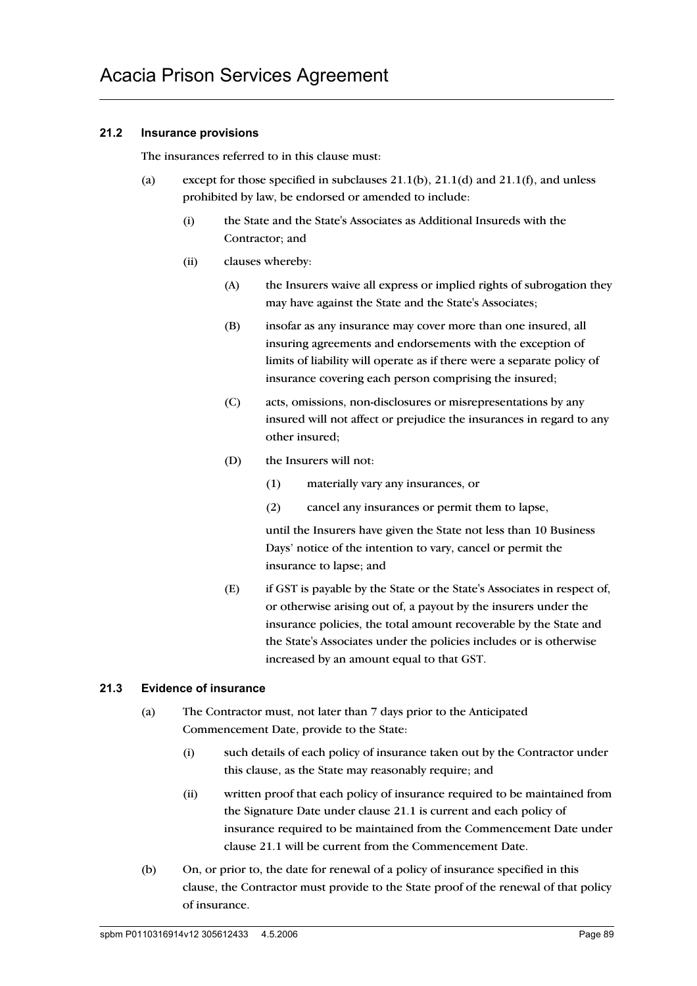## **21.2 Insurance provisions**

The insurances referred to in this clause must:

- (a) except for those specified in subclauses  $21.1(b)$ ,  $21.1(d)$  and  $21.1(f)$ , and unless prohibited by law, be endorsed or amended to include:
	- (i) the State and the State's Associates as Additional Insureds with the Contractor; and
	- (ii) clauses whereby:
		- (A) the Insurers waive all express or implied rights of subrogation they may have against the State and the State's Associates;
		- (B) insofar as any insurance may cover more than one insured, all insuring agreements and endorsements with the exception of limits of liability will operate as if there were a separate policy of insurance covering each person comprising the insured;
		- (C) acts, omissions, non-disclosures or misrepresentations by any insured will not affect or prejudice the insurances in regard to any other insured;
		- (D) the Insurers will not:
			- (1) materially vary any insurances, or
			- (2) cancel any insurances or permit them to lapse,

until the Insurers have given the State not less than 10 Business Days' notice of the intention to vary, cancel or permit the insurance to lapse; and

(E) if GST is payable by the State or the State's Associates in respect of, or otherwise arising out of, a payout by the insurers under the insurance policies, the total amount recoverable by the State and the State's Associates under the policies includes or is otherwise increased by an amount equal to that GST.

### **21.3 Evidence of insurance**

- (a) The Contractor must, not later than 7 days prior to the Anticipated Commencement Date, provide to the State:
	- (i) such details of each policy of insurance taken out by the Contractor under this clause, as the State may reasonably require; and
	- (ii) written proof that each policy of insurance required to be maintained from the Signature Date under clause 21.1 is current and each policy of insurance required to be maintained from the Commencement Date under clause 21.1 will be current from the Commencement Date.
- (b) On, or prior to, the date for renewal of a policy of insurance specified in this clause, the Contractor must provide to the State proof of the renewal of that policy of insurance.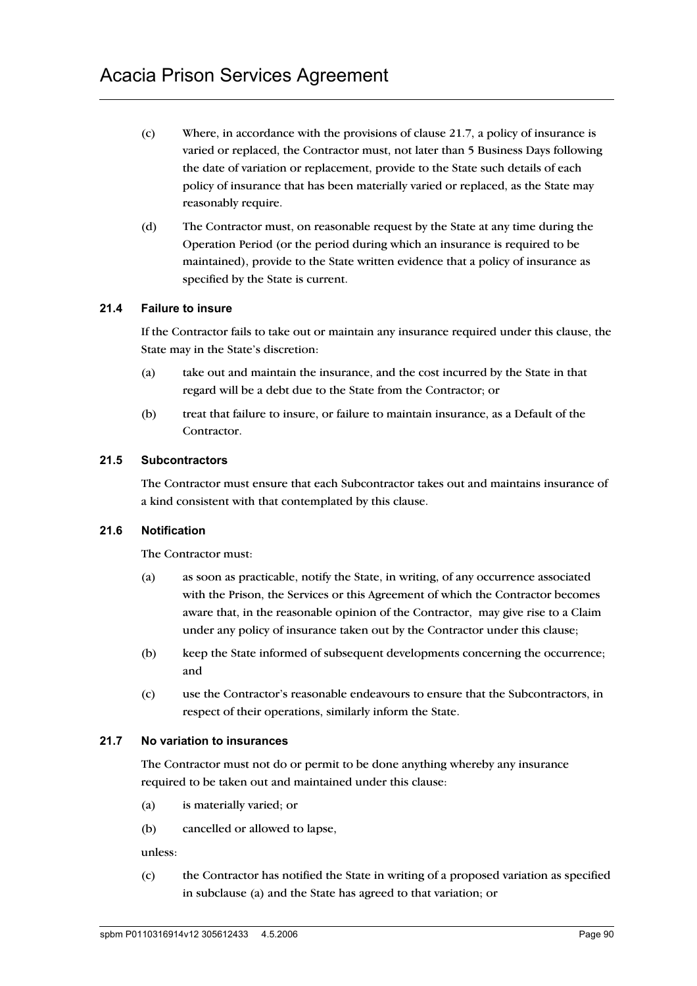- (c) Where, in accordance with the provisions of clause 21.7, a policy of insurance is varied or replaced, the Contractor must, not later than 5 Business Days following the date of variation or replacement, provide to the State such details of each policy of insurance that has been materially varied or replaced, as the State may reasonably require.
- (d) The Contractor must, on reasonable request by the State at any time during the Operation Period (or the period during which an insurance is required to be maintained), provide to the State written evidence that a policy of insurance as specified by the State is current.

#### **21.4 Failure to insure**

If the Contractor fails to take out or maintain any insurance required under this clause, the State may in the State's discretion:

- (a) take out and maintain the insurance, and the cost incurred by the State in that regard will be a debt due to the State from the Contractor; or
- (b) treat that failure to insure, or failure to maintain insurance, as a Default of the Contractor.

#### **21.5 Subcontractors**

The Contractor must ensure that each Subcontractor takes out and maintains insurance of a kind consistent with that contemplated by this clause.

### **21.6 Notification**

The Contractor must:

- (a) as soon as practicable, notify the State, in writing, of any occurrence associated with the Prison, the Services or this Agreement of which the Contractor becomes aware that, in the reasonable opinion of the Contractor, may give rise to a Claim under any policy of insurance taken out by the Contractor under this clause;
- (b) keep the State informed of subsequent developments concerning the occurrence; and
- (c) use the Contractor's reasonable endeavours to ensure that the Subcontractors, in respect of their operations, similarly inform the State.

## **21.7 No variation to insurances**

The Contractor must not do or permit to be done anything whereby any insurance required to be taken out and maintained under this clause:

- (a) is materially varied; or
- (b) cancelled or allowed to lapse,

unless:

(c) the Contractor has notified the State in writing of a proposed variation as specified in subclause (a) and the State has agreed to that variation; or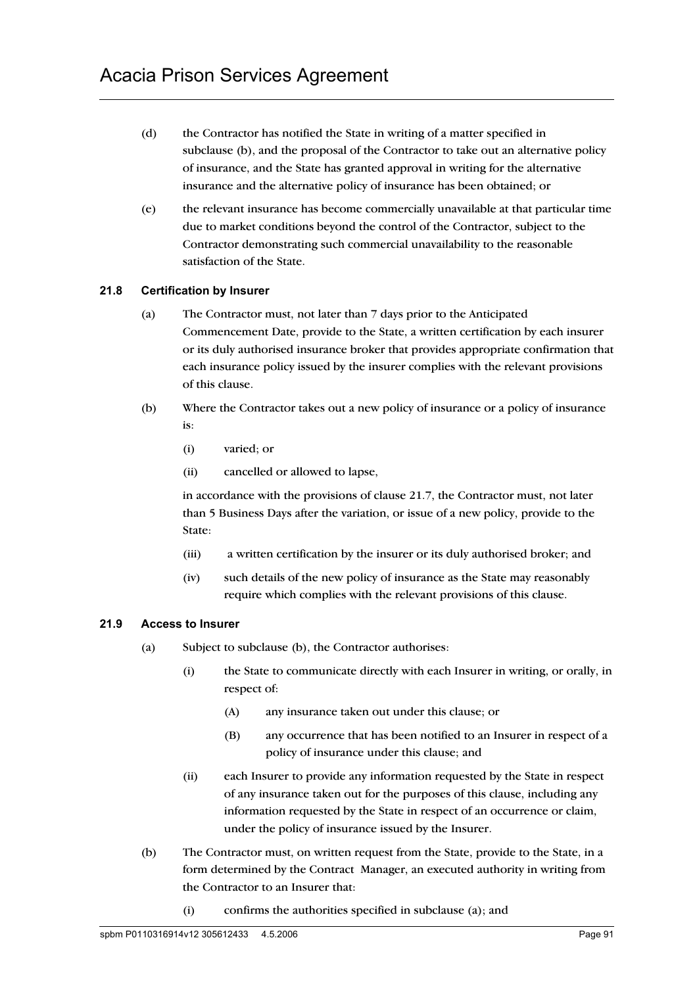- (d) the Contractor has notified the State in writing of a matter specified in subclause (b), and the proposal of the Contractor to take out an alternative policy of insurance, and the State has granted approval in writing for the alternative insurance and the alternative policy of insurance has been obtained; or
- (e) the relevant insurance has become commercially unavailable at that particular time due to market conditions beyond the control of the Contractor, subject to the Contractor demonstrating such commercial unavailability to the reasonable satisfaction of the State.

### **21.8 Certification by Insurer**

- (a) The Contractor must, not later than 7 days prior to the Anticipated Commencement Date, provide to the State, a written certification by each insurer or its duly authorised insurance broker that provides appropriate confirmation that each insurance policy issued by the insurer complies with the relevant provisions of this clause.
- (b) Where the Contractor takes out a new policy of insurance or a policy of insurance is:
	- (i) varied; or
	- (ii) cancelled or allowed to lapse,

in accordance with the provisions of clause 21.7, the Contractor must, not later than 5 Business Days after the variation, or issue of a new policy, provide to the State:

- (iii) a written certification by the insurer or its duly authorised broker; and
- (iv) such details of the new policy of insurance as the State may reasonably require which complies with the relevant provisions of this clause.

### **21.9 Access to Insurer**

- (a) Subject to subclause (b), the Contractor authorises:
	- (i) the State to communicate directly with each Insurer in writing, or orally, in respect of:
		- (A) any insurance taken out under this clause; or
		- (B) any occurrence that has been notified to an Insurer in respect of a policy of insurance under this clause; and
	- (ii) each Insurer to provide any information requested by the State in respect of any insurance taken out for the purposes of this clause, including any information requested by the State in respect of an occurrence or claim, under the policy of insurance issued by the Insurer.
- (b) The Contractor must, on written request from the State, provide to the State, in a form determined by the Contract Manager, an executed authority in writing from the Contractor to an Insurer that:
	- (i) confirms the authorities specified in subclause (a); and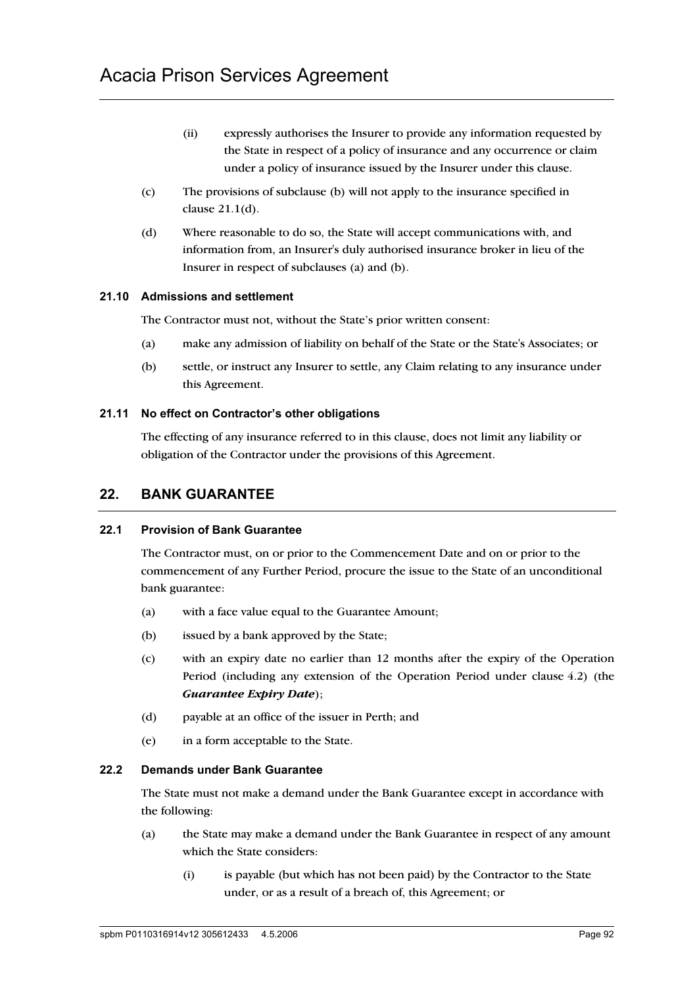- (ii) expressly authorises the Insurer to provide any information requested by the State in respect of a policy of insurance and any occurrence or claim under a policy of insurance issued by the Insurer under this clause.
- (c) The provisions of subclause (b) will not apply to the insurance specified in clause 21.1(d).
- (d) Where reasonable to do so, the State will accept communications with, and information from, an Insurer's duly authorised insurance broker in lieu of the Insurer in respect of subclauses (a) and (b).

### **21.10 Admissions and settlement**

The Contractor must not, without the State's prior written consent:

- (a) make any admission of liability on behalf of the State or the State's Associates; or
- (b) settle, or instruct any Insurer to settle, any Claim relating to any insurance under this Agreement.

### **21.11 No effect on Contractor's other obligations**

The effecting of any insurance referred to in this clause, does not limit any liability or obligation of the Contractor under the provisions of this Agreement.

# **22. BANK GUARANTEE**

### **22.1 Provision of Bank Guarantee**

The Contractor must, on or prior to the Commencement Date and on or prior to the commencement of any Further Period, procure the issue to the State of an unconditional bank guarantee:

- (a) with a face value equal to the Guarantee Amount;
- (b) issued by a bank approved by the State;
- (c) with an expiry date no earlier than 12 months after the expiry of the Operation Period (including any extension of the Operation Period under clause 4.2) (the *Guarantee Expiry Date*);
- (d) payable at an office of the issuer in Perth; and
- (e) in a form acceptable to the State.

### **22.2 Demands under Bank Guarantee**

The State must not make a demand under the Bank Guarantee except in accordance with the following:

- (a) the State may make a demand under the Bank Guarantee in respect of any amount which the State considers:
	- (i) is payable (but which has not been paid) by the Contractor to the State under, or as a result of a breach of, this Agreement; or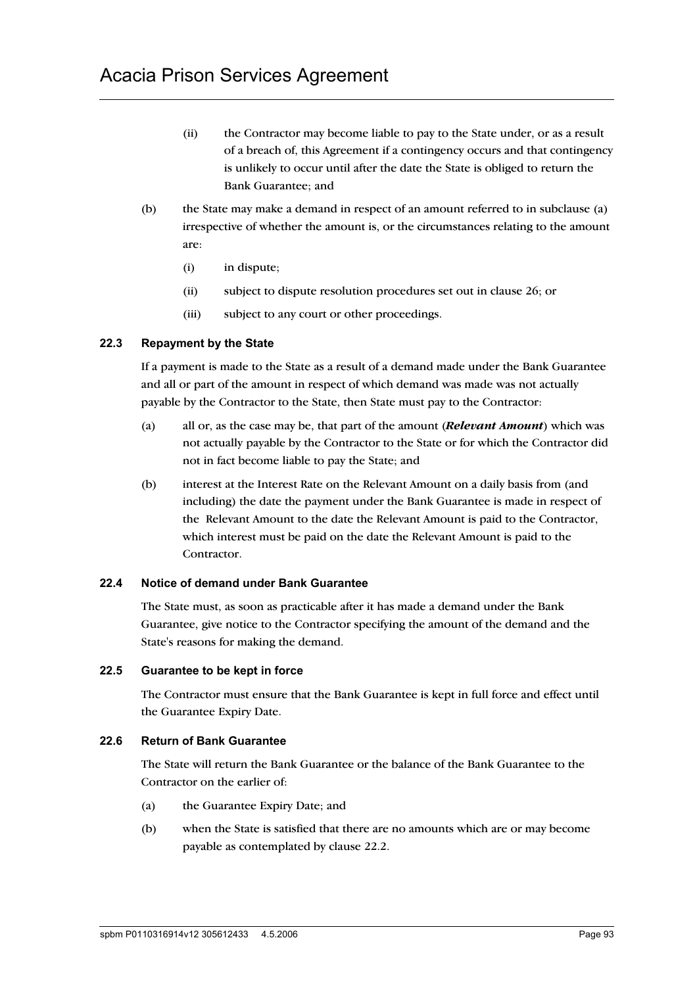- (ii) the Contractor may become liable to pay to the State under, or as a result of a breach of, this Agreement if a contingency occurs and that contingency is unlikely to occur until after the date the State is obliged to return the Bank Guarantee; and
- (b) the State may make a demand in respect of an amount referred to in subclause (a) irrespective of whether the amount is, or the circumstances relating to the amount are:
	- (i) in dispute;
	- (ii) subject to dispute resolution procedures set out in clause 26; or
	- (iii) subject to any court or other proceedings.

### **22.3 Repayment by the State**

If a payment is made to the State as a result of a demand made under the Bank Guarantee and all or part of the amount in respect of which demand was made was not actually payable by the Contractor to the State, then State must pay to the Contractor:

- (a) all or, as the case may be, that part of the amount (*Relevant Amount*) which was not actually payable by the Contractor to the State or for which the Contractor did not in fact become liable to pay the State; and
- (b) interest at the Interest Rate on the Relevant Amount on a daily basis from (and including) the date the payment under the Bank Guarantee is made in respect of the Relevant Amount to the date the Relevant Amount is paid to the Contractor, which interest must be paid on the date the Relevant Amount is paid to the Contractor.

#### **22.4 Notice of demand under Bank Guarantee**

The State must, as soon as practicable after it has made a demand under the Bank Guarantee, give notice to the Contractor specifying the amount of the demand and the State's reasons for making the demand.

#### **22.5 Guarantee to be kept in force**

The Contractor must ensure that the Bank Guarantee is kept in full force and effect until the Guarantee Expiry Date.

#### **22.6 Return of Bank Guarantee**

The State will return the Bank Guarantee or the balance of the Bank Guarantee to the Contractor on the earlier of:

- (a) the Guarantee Expiry Date; and
- (b) when the State is satisfied that there are no amounts which are or may become payable as contemplated by clause 22.2.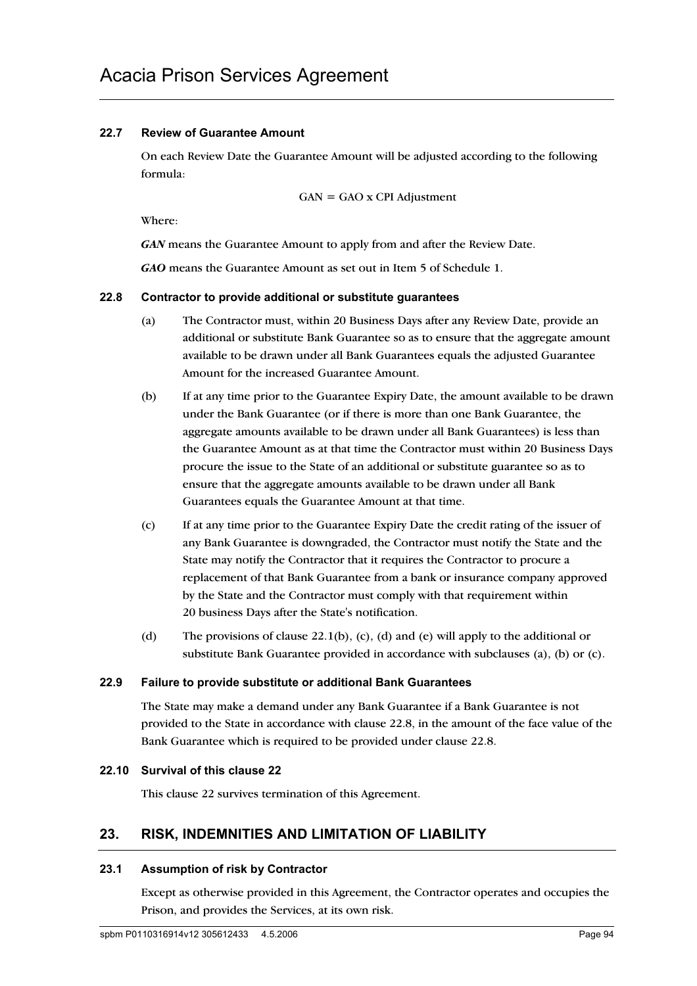## **22.7 Review of Guarantee Amount**

On each Review Date the Guarantee Amount will be adjusted according to the following formula:

GAN = GAO x CPI Adjustment

Where:

*GAN* means the Guarantee Amount to apply from and after the Review Date.

*GAO* means the Guarantee Amount as set out in Item 5 of Schedule 1.

### **22.8 Contractor to provide additional or substitute guarantees**

- (a) The Contractor must, within 20 Business Days after any Review Date, provide an additional or substitute Bank Guarantee so as to ensure that the aggregate amount available to be drawn under all Bank Guarantees equals the adjusted Guarantee Amount for the increased Guarantee Amount.
- (b) If at any time prior to the Guarantee Expiry Date, the amount available to be drawn under the Bank Guarantee (or if there is more than one Bank Guarantee, the aggregate amounts available to be drawn under all Bank Guarantees) is less than the Guarantee Amount as at that time the Contractor must within 20 Business Days procure the issue to the State of an additional or substitute guarantee so as to ensure that the aggregate amounts available to be drawn under all Bank Guarantees equals the Guarantee Amount at that time.
- (c) If at any time prior to the Guarantee Expiry Date the credit rating of the issuer of any Bank Guarantee is downgraded, the Contractor must notify the State and the State may notify the Contractor that it requires the Contractor to procure a replacement of that Bank Guarantee from a bank or insurance company approved by the State and the Contractor must comply with that requirement within 20 business Days after the State's notification.
- (d) The provisions of clause  $22.1(b)$ , (c), (d) and (e) will apply to the additional or substitute Bank Guarantee provided in accordance with subclauses (a), (b) or (c).

### **22.9 Failure to provide substitute or additional Bank Guarantees**

The State may make a demand under any Bank Guarantee if a Bank Guarantee is not provided to the State in accordance with clause 22.8, in the amount of the face value of the Bank Guarantee which is required to be provided under clause 22.8.

### **22.10 Survival of this clause 22**

This clause 22 survives termination of this Agreement.

# **23. RISK, INDEMNITIES AND LIMITATION OF LIABILITY**

### **23.1 Assumption of risk by Contractor**

Except as otherwise provided in this Agreement, the Contractor operates and occupies the Prison, and provides the Services, at its own risk.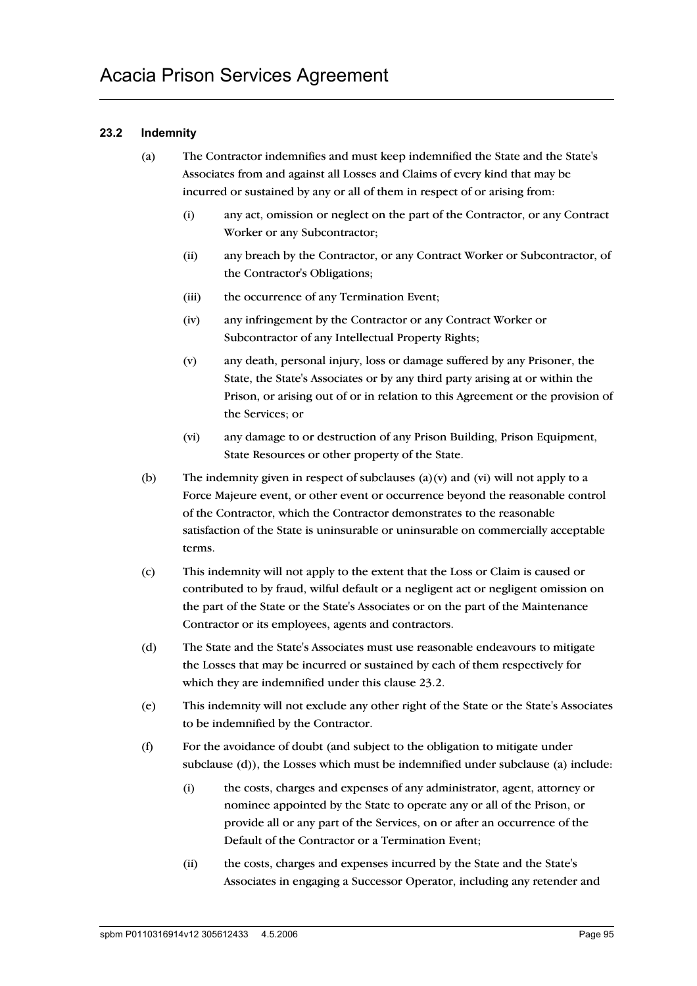## **23.2 Indemnity**

- (a) The Contractor indemnifies and must keep indemnified the State and the State's Associates from and against all Losses and Claims of every kind that may be incurred or sustained by any or all of them in respect of or arising from:
	- (i) any act, omission or neglect on the part of the Contractor, or any Contract Worker or any Subcontractor;
	- (ii) any breach by the Contractor, or any Contract Worker or Subcontractor, of the Contractor's Obligations;
	- (iii) the occurrence of any Termination Event;
	- (iv) any infringement by the Contractor or any Contract Worker or Subcontractor of any Intellectual Property Rights;
	- (v) any death, personal injury, loss or damage suffered by any Prisoner, the State, the State's Associates or by any third party arising at or within the Prison, or arising out of or in relation to this Agreement or the provision of the Services; or
	- (vi) any damage to or destruction of any Prison Building, Prison Equipment, State Resources or other property of the State.
- (b) The indemnity given in respect of subclauses  $(a)(v)$  and  $(vi)$  will not apply to a Force Majeure event, or other event or occurrence beyond the reasonable control of the Contractor, which the Contractor demonstrates to the reasonable satisfaction of the State is uninsurable or uninsurable on commercially acceptable terms.
- (c) This indemnity will not apply to the extent that the Loss or Claim is caused or contributed to by fraud, wilful default or a negligent act or negligent omission on the part of the State or the State's Associates or on the part of the Maintenance Contractor or its employees, agents and contractors.
- (d) The State and the State's Associates must use reasonable endeavours to mitigate the Losses that may be incurred or sustained by each of them respectively for which they are indemnified under this clause 23.2.
- (e) This indemnity will not exclude any other right of the State or the State's Associates to be indemnified by the Contractor.
- (f) For the avoidance of doubt (and subject to the obligation to mitigate under subclause (d)), the Losses which must be indemnified under subclause (a) include:
	- (i) the costs, charges and expenses of any administrator, agent, attorney or nominee appointed by the State to operate any or all of the Prison, or provide all or any part of the Services, on or after an occurrence of the Default of the Contractor or a Termination Event;
	- (ii) the costs, charges and expenses incurred by the State and the State's Associates in engaging a Successor Operator, including any retender and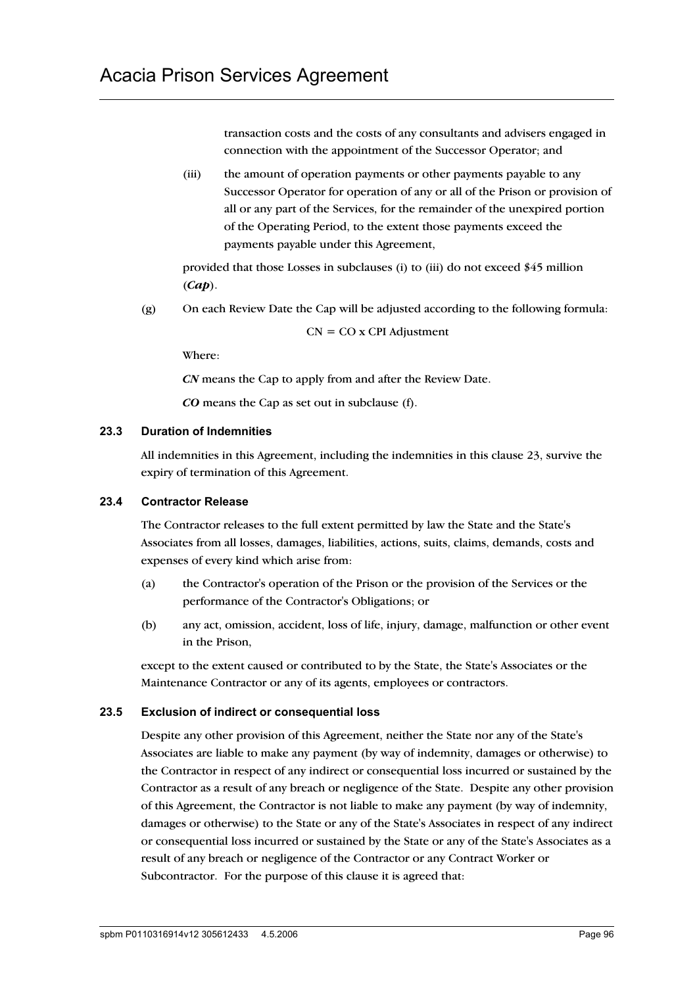transaction costs and the costs of any consultants and advisers engaged in connection with the appointment of the Successor Operator; and

(iii) the amount of operation payments or other payments payable to any Successor Operator for operation of any or all of the Prison or provision of all or any part of the Services, for the remainder of the unexpired portion of the Operating Period, to the extent those payments exceed the payments payable under this Agreement,

provided that those Losses in subclauses (i) to (iii) do not exceed \$45 million (*Cap*).

(g) On each Review Date the Cap will be adjusted according to the following formula:

$$
CN = CO x CPI Adjustment
$$

Where:

*CN* means the Cap to apply from and after the Review Date.

*CO* means the Cap as set out in subclause (f).

#### **23.3 Duration of Indemnities**

All indemnities in this Agreement, including the indemnities in this clause 23, survive the expiry of termination of this Agreement.

### **23.4 Contractor Release**

The Contractor releases to the full extent permitted by law the State and the State's Associates from all losses, damages, liabilities, actions, suits, claims, demands, costs and expenses of every kind which arise from:

- (a) the Contractor's operation of the Prison or the provision of the Services or the performance of the Contractor's Obligations; or
- (b) any act, omission, accident, loss of life, injury, damage, malfunction or other event in the Prison,

except to the extent caused or contributed to by the State, the State's Associates or the Maintenance Contractor or any of its agents, employees or contractors.

### **23.5 Exclusion of indirect or consequential loss**

Despite any other provision of this Agreement, neither the State nor any of the State's Associates are liable to make any payment (by way of indemnity, damages or otherwise) to the Contractor in respect of any indirect or consequential loss incurred or sustained by the Contractor as a result of any breach or negligence of the State. Despite any other provision of this Agreement, the Contractor is not liable to make any payment (by way of indemnity, damages or otherwise) to the State or any of the State's Associates in respect of any indirect or consequential loss incurred or sustained by the State or any of the State's Associates as a result of any breach or negligence of the Contractor or any Contract Worker or Subcontractor. For the purpose of this clause it is agreed that: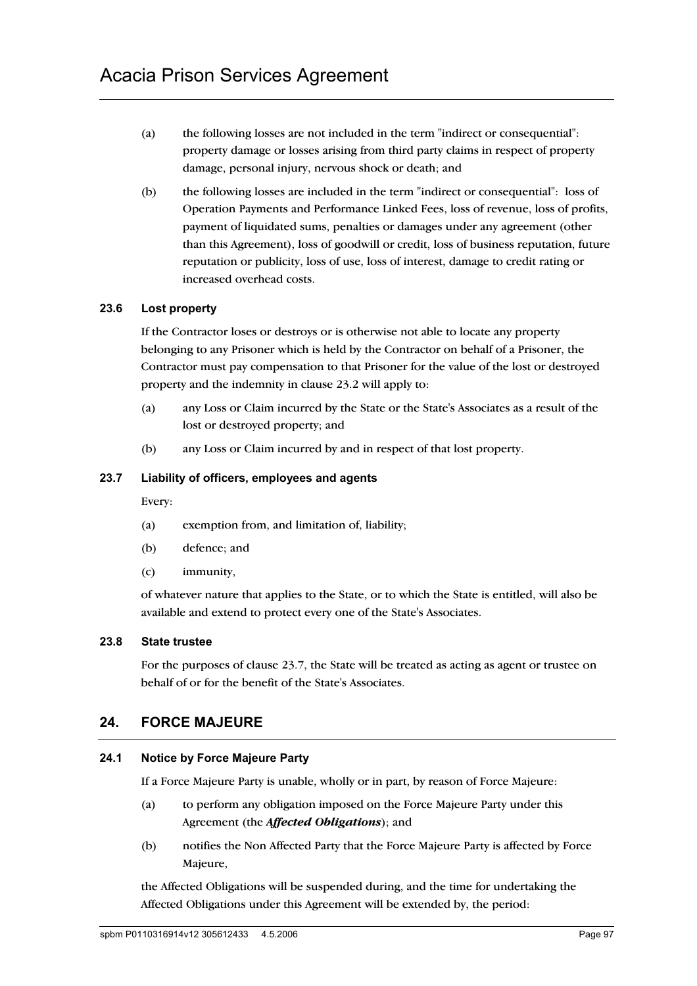- (a) the following losses are not included in the term "indirect or consequential": property damage or losses arising from third party claims in respect of property damage, personal injury, nervous shock or death; and
- (b) the following losses are included in the term "indirect or consequential": loss of Operation Payments and Performance Linked Fees, loss of revenue, loss of profits, payment of liquidated sums, penalties or damages under any agreement (other than this Agreement), loss of goodwill or credit, loss of business reputation, future reputation or publicity, loss of use, loss of interest, damage to credit rating or increased overhead costs.

## **23.6 Lost property**

If the Contractor loses or destroys or is otherwise not able to locate any property belonging to any Prisoner which is held by the Contractor on behalf of a Prisoner, the Contractor must pay compensation to that Prisoner for the value of the lost or destroyed property and the indemnity in clause 23.2 will apply to:

- (a) any Loss or Claim incurred by the State or the State's Associates as a result of the lost or destroyed property; and
- (b) any Loss or Claim incurred by and in respect of that lost property.

## **23.7 Liability of officers, employees and agents**

Every:

- (a) exemption from, and limitation of, liability;
- (b) defence; and
- (c) immunity,

of whatever nature that applies to the State, or to which the State is entitled, will also be available and extend to protect every one of the State's Associates.

### **23.8 State trustee**

For the purposes of clause 23.7, the State will be treated as acting as agent or trustee on behalf of or for the benefit of the State's Associates.

# **24. FORCE MAJEURE**

# **24.1 Notice by Force Majeure Party**

If a Force Majeure Party is unable, wholly or in part, by reason of Force Majeure:

- (a) to perform any obligation imposed on the Force Majeure Party under this Agreement (the *Affected Obligations*); and
- (b) notifies the Non Affected Party that the Force Majeure Party is affected by Force Majeure,

the Affected Obligations will be suspended during, and the time for undertaking the Affected Obligations under this Agreement will be extended by, the period: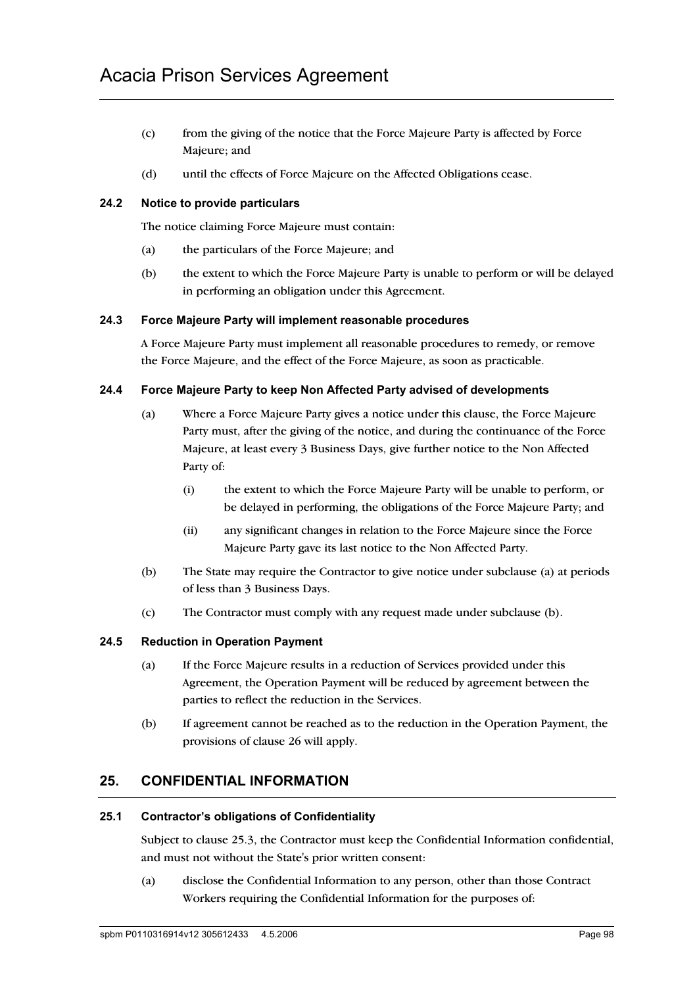- (c) from the giving of the notice that the Force Majeure Party is affected by Force Majeure; and
- (d) until the effects of Force Majeure on the Affected Obligations cease.

### **24.2 Notice to provide particulars**

The notice claiming Force Majeure must contain:

- (a) the particulars of the Force Majeure; and
- (b) the extent to which the Force Majeure Party is unable to perform or will be delayed in performing an obligation under this Agreement.

#### **24.3 Force Majeure Party will implement reasonable procedures**

A Force Majeure Party must implement all reasonable procedures to remedy, or remove the Force Majeure, and the effect of the Force Majeure, as soon as practicable.

#### **24.4 Force Majeure Party to keep Non Affected Party advised of developments**

- (a) Where a Force Majeure Party gives a notice under this clause, the Force Majeure Party must, after the giving of the notice, and during the continuance of the Force Majeure, at least every 3 Business Days, give further notice to the Non Affected Party of:
	- (i) the extent to which the Force Majeure Party will be unable to perform, or be delayed in performing, the obligations of the Force Majeure Party; and
	- (ii) any significant changes in relation to the Force Majeure since the Force Majeure Party gave its last notice to the Non Affected Party.
- (b) The State may require the Contractor to give notice under subclause (a) at periods of less than 3 Business Days.
- (c) The Contractor must comply with any request made under subclause (b).

#### **24.5 Reduction in Operation Payment**

- (a) If the Force Majeure results in a reduction of Services provided under this Agreement, the Operation Payment will be reduced by agreement between the parties to reflect the reduction in the Services.
- (b) If agreement cannot be reached as to the reduction in the Operation Payment, the provisions of clause 26 will apply.

# **25. CONFIDENTIAL INFORMATION**

#### **25.1 Contractor's obligations of Confidentiality**

Subject to clause 25.3, the Contractor must keep the Confidential Information confidential, and must not without the State's prior written consent:

(a) disclose the Confidential Information to any person, other than those Contract Workers requiring the Confidential Information for the purposes of: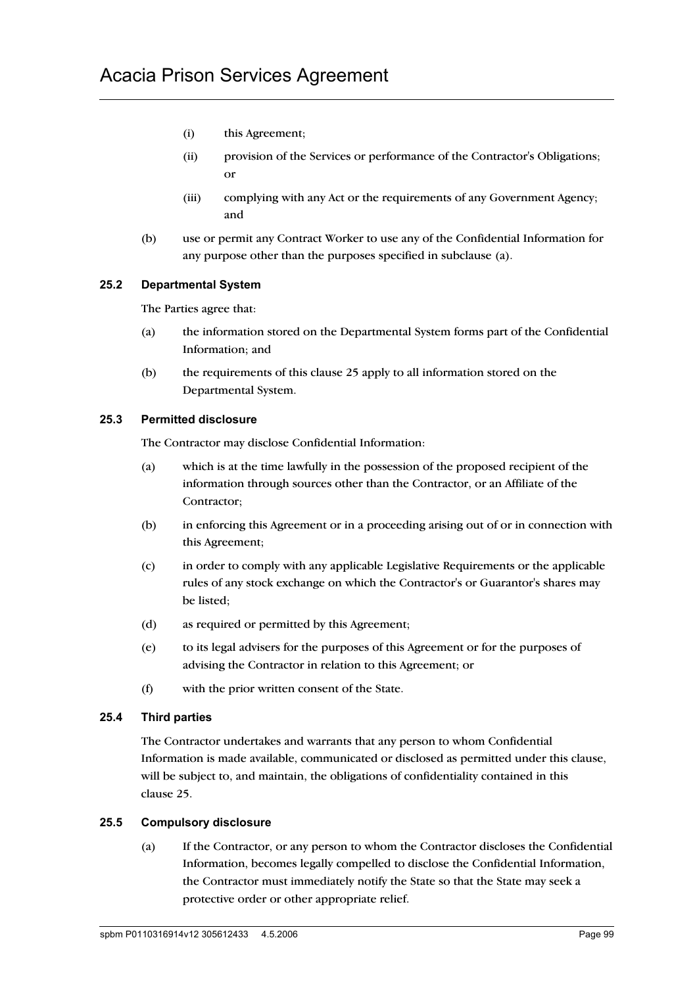- (i) this Agreement;
- (ii) provision of the Services or performance of the Contractor's Obligations; or
- (iii) complying with any Act or the requirements of any Government Agency; and
- (b) use or permit any Contract Worker to use any of the Confidential Information for any purpose other than the purposes specified in subclause (a).

### **25.2 Departmental System**

The Parties agree that:

- (a) the information stored on the Departmental System forms part of the Confidential Information; and
- (b) the requirements of this clause 25 apply to all information stored on the Departmental System.

### **25.3 Permitted disclosure**

The Contractor may disclose Confidential Information:

- (a) which is at the time lawfully in the possession of the proposed recipient of the information through sources other than the Contractor, or an Affiliate of the Contractor;
- (b) in enforcing this Agreement or in a proceeding arising out of or in connection with this Agreement;
- (c) in order to comply with any applicable Legislative Requirements or the applicable rules of any stock exchange on which the Contractor's or Guarantor's shares may be listed;
- (d) as required or permitted by this Agreement;
- (e) to its legal advisers for the purposes of this Agreement or for the purposes of advising the Contractor in relation to this Agreement; or
- (f) with the prior written consent of the State.

### **25.4 Third parties**

The Contractor undertakes and warrants that any person to whom Confidential Information is made available, communicated or disclosed as permitted under this clause, will be subject to, and maintain, the obligations of confidentiality contained in this clause 25.

### **25.5 Compulsory disclosure**

(a) If the Contractor, or any person to whom the Contractor discloses the Confidential Information, becomes legally compelled to disclose the Confidential Information, the Contractor must immediately notify the State so that the State may seek a protective order or other appropriate relief.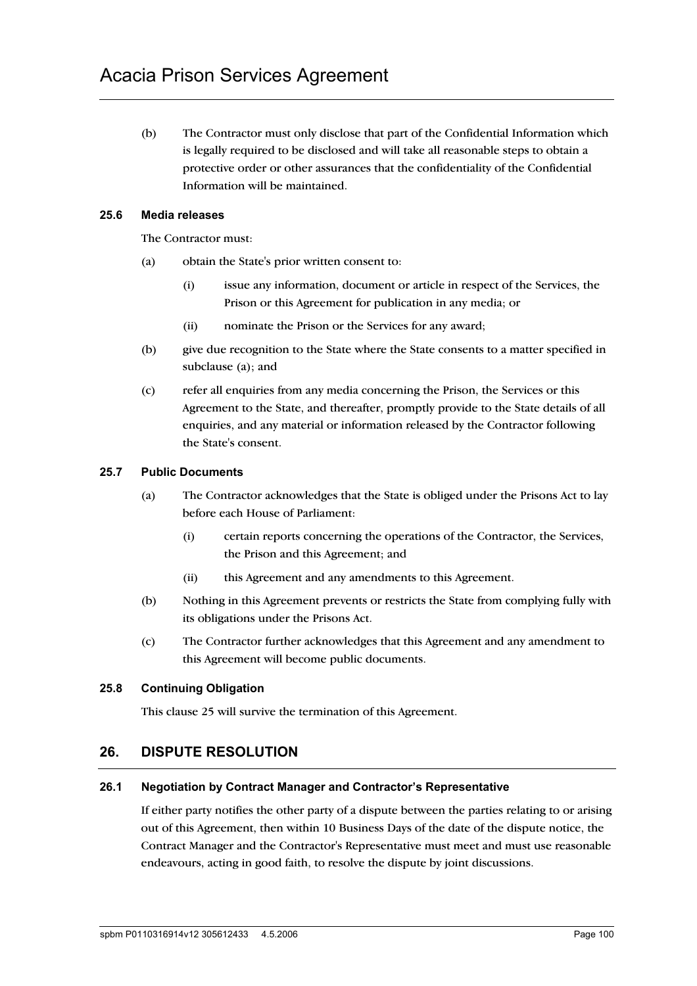(b) The Contractor must only disclose that part of the Confidential Information which is legally required to be disclosed and will take all reasonable steps to obtain a protective order or other assurances that the confidentiality of the Confidential Information will be maintained.

#### **25.6 Media releases**

The Contractor must:

- (a) obtain the State's prior written consent to:
	- (i) issue any information, document or article in respect of the Services, the Prison or this Agreement for publication in any media; or
	- (ii) nominate the Prison or the Services for any award;
- (b) give due recognition to the State where the State consents to a matter specified in subclause (a); and
- (c) refer all enquiries from any media concerning the Prison, the Services or this Agreement to the State, and thereafter, promptly provide to the State details of all enquiries, and any material or information released by the Contractor following the State's consent.

#### **25.7 Public Documents**

- (a) The Contractor acknowledges that the State is obliged under the Prisons Act to lay before each House of Parliament:
	- (i) certain reports concerning the operations of the Contractor, the Services, the Prison and this Agreement; and
	- (ii) this Agreement and any amendments to this Agreement.
- (b) Nothing in this Agreement prevents or restricts the State from complying fully with its obligations under the Prisons Act.
- (c) The Contractor further acknowledges that this Agreement and any amendment to this Agreement will become public documents.

#### **25.8 Continuing Obligation**

This clause 25 will survive the termination of this Agreement.

### **26. DISPUTE RESOLUTION**

#### **26.1 Negotiation by Contract Manager and Contractor's Representative**

If either party notifies the other party of a dispute between the parties relating to or arising out of this Agreement, then within 10 Business Days of the date of the dispute notice, the Contract Manager and the Contractor's Representative must meet and must use reasonable endeavours, acting in good faith, to resolve the dispute by joint discussions.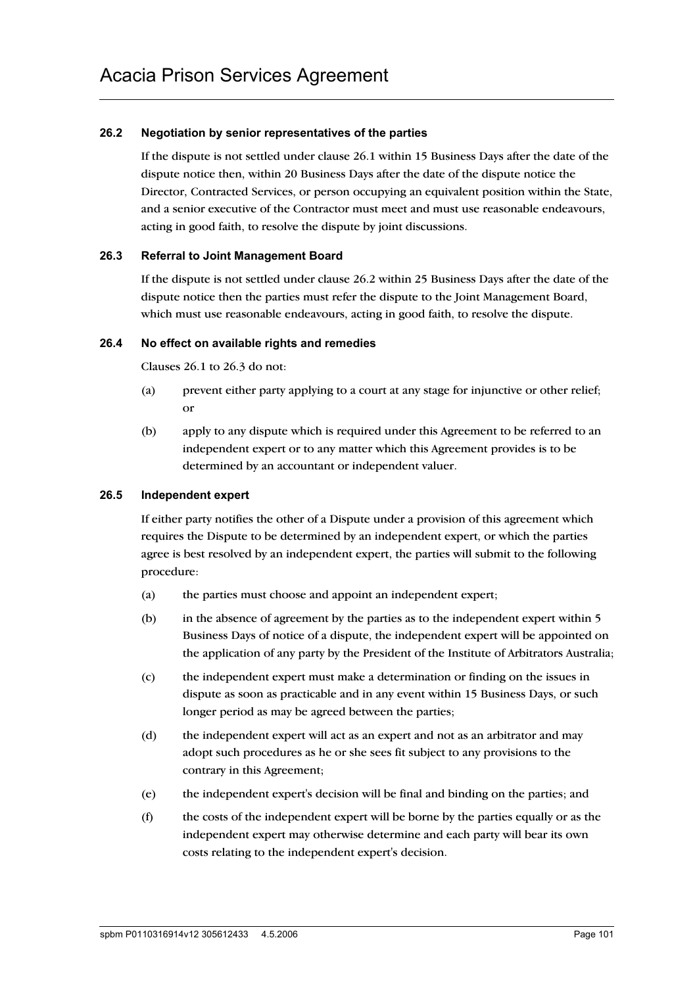#### **26.2 Negotiation by senior representatives of the parties**

If the dispute is not settled under clause 26.1 within 15 Business Days after the date of the dispute notice then, within 20 Business Days after the date of the dispute notice the Director, Contracted Services, or person occupying an equivalent position within the State, and a senior executive of the Contractor must meet and must use reasonable endeavours, acting in good faith, to resolve the dispute by joint discussions.

#### **26.3 Referral to Joint Management Board**

If the dispute is not settled under clause 26.2 within 25 Business Days after the date of the dispute notice then the parties must refer the dispute to the Joint Management Board, which must use reasonable endeavours, acting in good faith, to resolve the dispute.

#### **26.4 No effect on available rights and remedies**

Clauses 26.1 to 26.3 do not:

- (a) prevent either party applying to a court at any stage for injunctive or other relief; or
- (b) apply to any dispute which is required under this Agreement to be referred to an independent expert or to any matter which this Agreement provides is to be determined by an accountant or independent valuer.

#### **26.5 Independent expert**

If either party notifies the other of a Dispute under a provision of this agreement which requires the Dispute to be determined by an independent expert, or which the parties agree is best resolved by an independent expert, the parties will submit to the following procedure:

- (a) the parties must choose and appoint an independent expert;
- (b) in the absence of agreement by the parties as to the independent expert within 5 Business Days of notice of a dispute, the independent expert will be appointed on the application of any party by the President of the Institute of Arbitrators Australia;
- (c) the independent expert must make a determination or finding on the issues in dispute as soon as practicable and in any event within 15 Business Days, or such longer period as may be agreed between the parties;
- (d) the independent expert will act as an expert and not as an arbitrator and may adopt such procedures as he or she sees fit subject to any provisions to the contrary in this Agreement;
- (e) the independent expert's decision will be final and binding on the parties; and
- (f) the costs of the independent expert will be borne by the parties equally or as the independent expert may otherwise determine and each party will bear its own costs relating to the independent expert's decision.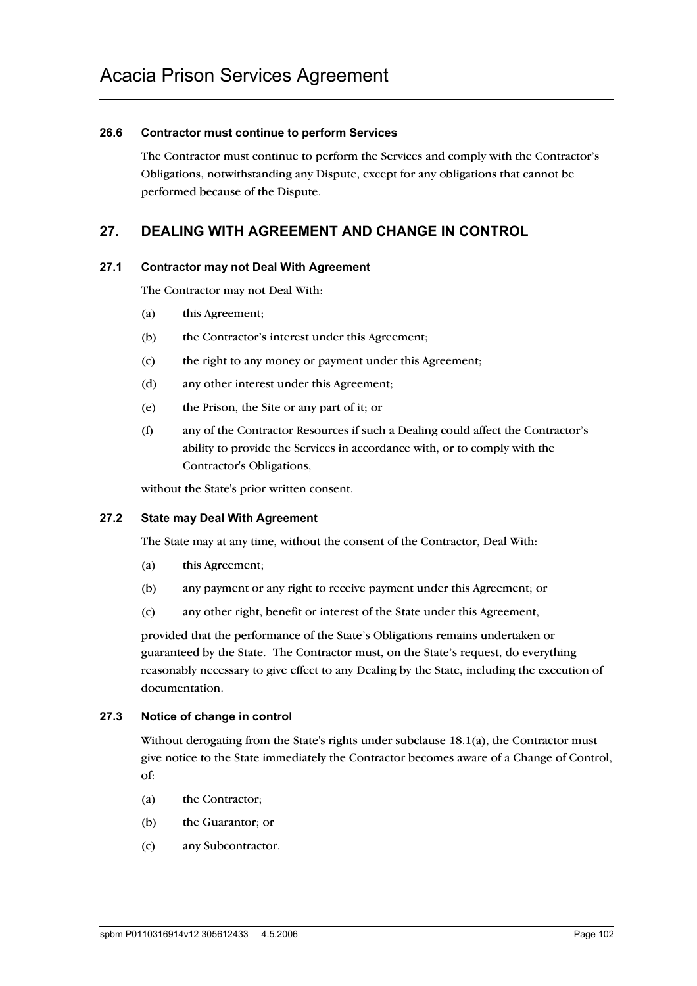#### **26.6 Contractor must continue to perform Services**

The Contractor must continue to perform the Services and comply with the Contractor's Obligations, notwithstanding any Dispute, except for any obligations that cannot be performed because of the Dispute.

# **27. DEALING WITH AGREEMENT AND CHANGE IN CONTROL**

#### **27.1 Contractor may not Deal With Agreement**

The Contractor may not Deal With:

- (a) this Agreement;
- (b) the Contractor's interest under this Agreement;
- (c) the right to any money or payment under this Agreement;
- (d) any other interest under this Agreement;
- (e) the Prison, the Site or any part of it; or
- (f) any of the Contractor Resources if such a Dealing could affect the Contractor's ability to provide the Services in accordance with, or to comply with the Contractor's Obligations,

without the State's prior written consent.

#### **27.2 State may Deal With Agreement**

The State may at any time, without the consent of the Contractor, Deal With:

- (a) this Agreement;
- (b) any payment or any right to receive payment under this Agreement; or
- (c) any other right, benefit or interest of the State under this Agreement,

provided that the performance of the State's Obligations remains undertaken or guaranteed by the State. The Contractor must, on the State's request, do everything reasonably necessary to give effect to any Dealing by the State, including the execution of documentation.

#### **27.3 Notice of change in control**

Without derogating from the State's rights under subclause 18.1(a), the Contractor must give notice to the State immediately the Contractor becomes aware of a Change of Control, of:

- (a) the Contractor;
- (b) the Guarantor; or
- (c) any Subcontractor.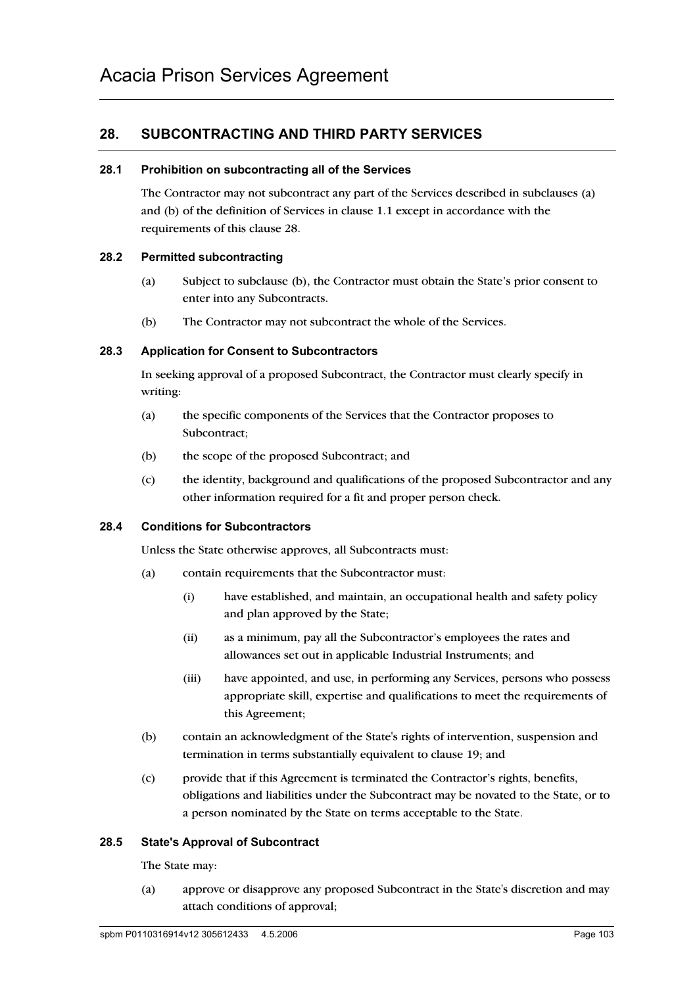# **28. SUBCONTRACTING AND THIRD PARTY SERVICES**

#### **28.1 Prohibition on subcontracting all of the Services**

The Contractor may not subcontract any part of the Services described in subclauses (a) and (b) of the definition of Services in clause 1.1 except in accordance with the requirements of this clause 28.

#### **28.2 Permitted subcontracting**

- (a) Subject to subclause (b), the Contractor must obtain the State's prior consent to enter into any Subcontracts.
- (b) The Contractor may not subcontract the whole of the Services.

#### **28.3 Application for Consent to Subcontractors**

In seeking approval of a proposed Subcontract, the Contractor must clearly specify in writing:

- (a) the specific components of the Services that the Contractor proposes to Subcontract;
- (b) the scope of the proposed Subcontract; and
- (c) the identity, background and qualifications of the proposed Subcontractor and any other information required for a fit and proper person check.

#### **28.4 Conditions for Subcontractors**

Unless the State otherwise approves, all Subcontracts must:

- (a) contain requirements that the Subcontractor must:
	- (i) have established, and maintain, an occupational health and safety policy and plan approved by the State;
	- (ii) as a minimum, pay all the Subcontractor's employees the rates and allowances set out in applicable Industrial Instruments; and
	- (iii) have appointed, and use, in performing any Services, persons who possess appropriate skill, expertise and qualifications to meet the requirements of this Agreement;
- (b) contain an acknowledgment of the State's rights of intervention, suspension and termination in terms substantially equivalent to clause 19; and
- (c) provide that if this Agreement is terminated the Contractor's rights, benefits, obligations and liabilities under the Subcontract may be novated to the State, or to a person nominated by the State on terms acceptable to the State.

#### **28.5 State's Approval of Subcontract**

The State may:

(a) approve or disapprove any proposed Subcontract in the State's discretion and may attach conditions of approval;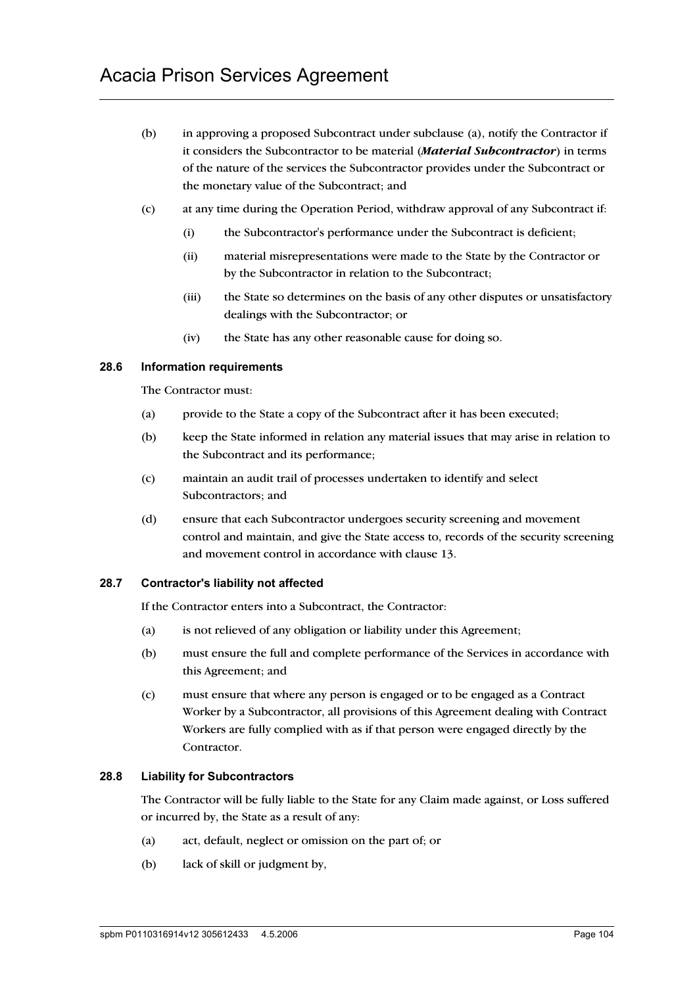- (b) in approving a proposed Subcontract under subclause (a), notify the Contractor if it considers the Subcontractor to be material (*Material Subcontractor*) in terms of the nature of the services the Subcontractor provides under the Subcontract or the monetary value of the Subcontract; and
- (c) at any time during the Operation Period, withdraw approval of any Subcontract if:
	- (i) the Subcontractor's performance under the Subcontract is deficient;
	- (ii) material misrepresentations were made to the State by the Contractor or by the Subcontractor in relation to the Subcontract;
	- (iii) the State so determines on the basis of any other disputes or unsatisfactory dealings with the Subcontractor; or
	- (iv) the State has any other reasonable cause for doing so.

#### **28.6 Information requirements**

The Contractor must:

- (a) provide to the State a copy of the Subcontract after it has been executed;
- (b) keep the State informed in relation any material issues that may arise in relation to the Subcontract and its performance;
- (c) maintain an audit trail of processes undertaken to identify and select Subcontractors; and
- (d) ensure that each Subcontractor undergoes security screening and movement control and maintain, and give the State access to, records of the security screening and movement control in accordance with clause 13.

#### **28.7 Contractor's liability not affected**

If the Contractor enters into a Subcontract, the Contractor:

- (a) is not relieved of any obligation or liability under this Agreement;
- (b) must ensure the full and complete performance of the Services in accordance with this Agreement; and
- (c) must ensure that where any person is engaged or to be engaged as a Contract Worker by a Subcontractor, all provisions of this Agreement dealing with Contract Workers are fully complied with as if that person were engaged directly by the Contractor.

#### **28.8 Liability for Subcontractors**

The Contractor will be fully liable to the State for any Claim made against, or Loss suffered or incurred by, the State as a result of any:

- (a) act, default, neglect or omission on the part of; or
- (b) lack of skill or judgment by,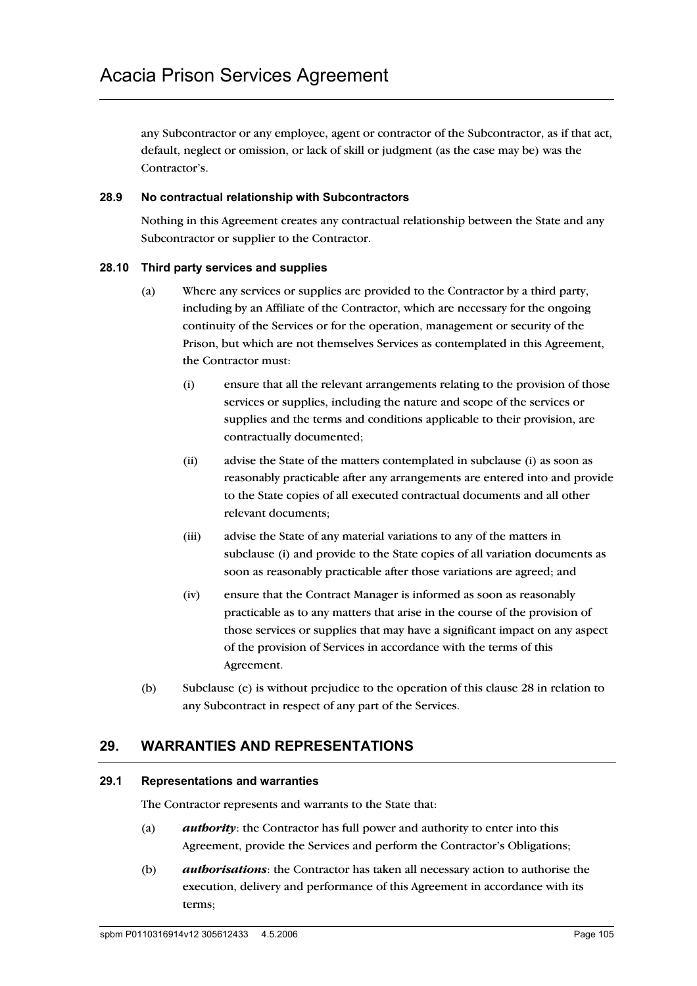any Subcontractor or any employee, agent or contractor of the Subcontractor, as if that act, default, neglect or omission, or lack of skill or judgment (as the case may be) was the Contractor's.

#### **28.9 No contractual relationship with Subcontractors**

Nothing in this Agreement creates any contractual relationship between the State and any Subcontractor or supplier to the Contractor.

#### **28.10 Third party services and supplies**

- (a) Where any services or supplies are provided to the Contractor by a third party, including by an Affiliate of the Contractor, which are necessary for the ongoing continuity of the Services or for the operation, management or security of the Prison, but which are not themselves Services as contemplated in this Agreement, the Contractor must:
	- (i) ensure that all the relevant arrangements relating to the provision of those services or supplies, including the nature and scope of the services or supplies and the terms and conditions applicable to their provision, are contractually documented;
	- (ii) advise the State of the matters contemplated in subclause (i) as soon as reasonably practicable after any arrangements are entered into and provide to the State copies of all executed contractual documents and all other relevant documents;
	- (iii) advise the State of any material variations to any of the matters in subclause (i) and provide to the State copies of all variation documents as soon as reasonably practicable after those variations are agreed; and
	- (iv) ensure that the Contract Manager is informed as soon as reasonably practicable as to any matters that arise in the course of the provision of those services or supplies that may have a significant impact on any aspect of the provision of Services in accordance with the terms of this Agreement.
- (b) Subclause (e) is without prejudice to the operation of this clause 28 in relation to any Subcontract in respect of any part of the Services.

# **29. WARRANTIES AND REPRESENTATIONS**

#### **29.1 Representations and warranties**

The Contractor represents and warrants to the State that:

- (a) *authority*: the Contractor has full power and authority to enter into this Agreement, provide the Services and perform the Contractor's Obligations;
- (b) *authorisations*: the Contractor has taken all necessary action to authorise the execution, delivery and performance of this Agreement in accordance with its terms;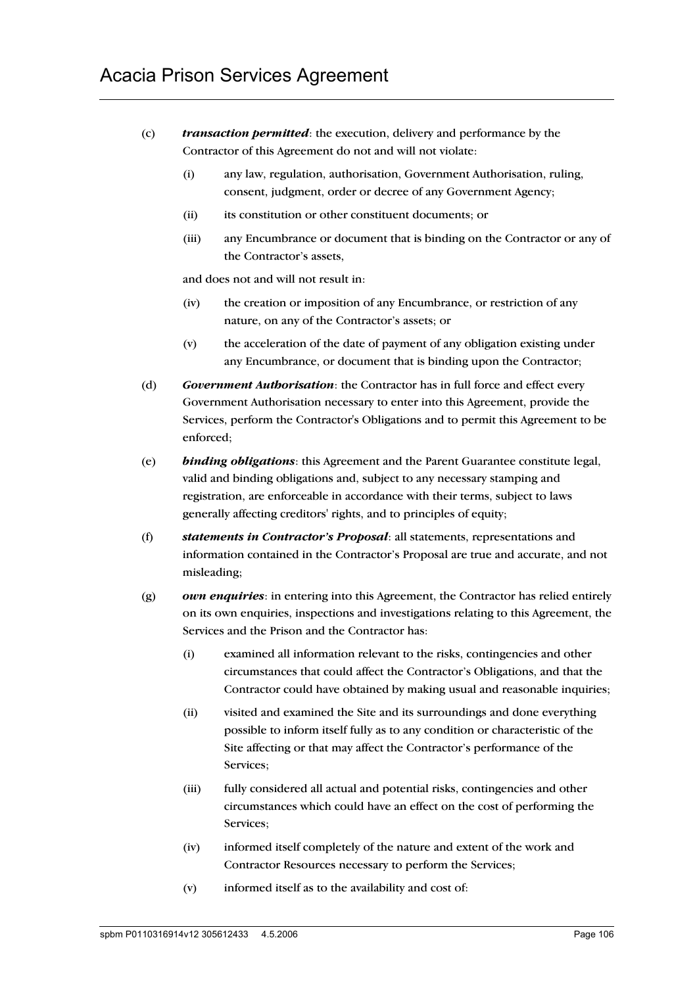- (c) *transaction permitted*: the execution, delivery and performance by the Contractor of this Agreement do not and will not violate:
	- (i) any law, regulation, authorisation, Government Authorisation, ruling, consent, judgment, order or decree of any Government Agency;
	- (ii) its constitution or other constituent documents; or
	- (iii) any Encumbrance or document that is binding on the Contractor or any of the Contractor's assets,

and does not and will not result in:

- (iv) the creation or imposition of any Encumbrance, or restriction of any nature, on any of the Contractor's assets; or
- (v) the acceleration of the date of payment of any obligation existing under any Encumbrance, or document that is binding upon the Contractor;
- (d) *Government Authorisation*: the Contractor has in full force and effect every Government Authorisation necessary to enter into this Agreement, provide the Services, perform the Contractor's Obligations and to permit this Agreement to be enforced;
- (e) *binding obligations*: this Agreement and the Parent Guarantee constitute legal, valid and binding obligations and, subject to any necessary stamping and registration, are enforceable in accordance with their terms, subject to laws generally affecting creditors' rights, and to principles of equity;
- (f) *statements in Contractor's Proposal*: all statements, representations and information contained in the Contractor's Proposal are true and accurate, and not misleading;
- (g) *own enquiries*: in entering into this Agreement, the Contractor has relied entirely on its own enquiries, inspections and investigations relating to this Agreement, the Services and the Prison and the Contractor has:
	- (i) examined all information relevant to the risks, contingencies and other circumstances that could affect the Contractor's Obligations, and that the Contractor could have obtained by making usual and reasonable inquiries;
	- (ii) visited and examined the Site and its surroundings and done everything possible to inform itself fully as to any condition or characteristic of the Site affecting or that may affect the Contractor's performance of the Services;
	- (iii) fully considered all actual and potential risks, contingencies and other circumstances which could have an effect on the cost of performing the Services;
	- (iv) informed itself completely of the nature and extent of the work and Contractor Resources necessary to perform the Services;
	- (v) informed itself as to the availability and cost of: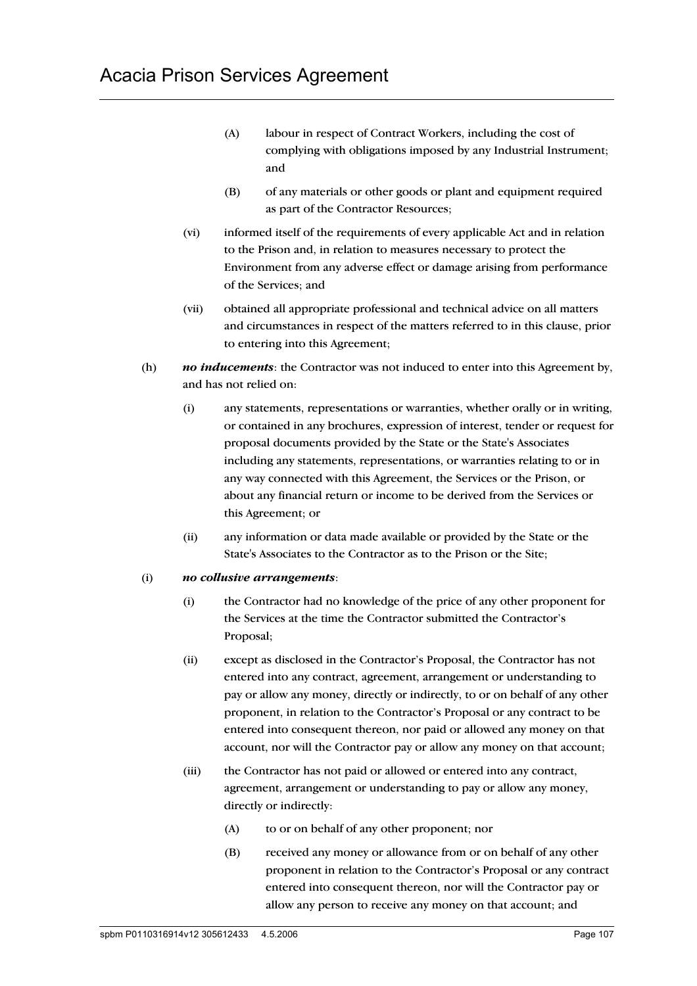- (A) labour in respect of Contract Workers, including the cost of complying with obligations imposed by any Industrial Instrument; and
- (B) of any materials or other goods or plant and equipment required as part of the Contractor Resources;
- (vi) informed itself of the requirements of every applicable Act and in relation to the Prison and, in relation to measures necessary to protect the Environment from any adverse effect or damage arising from performance of the Services; and
- (vii) obtained all appropriate professional and technical advice on all matters and circumstances in respect of the matters referred to in this clause, prior to entering into this Agreement;
- (h) *no inducements*: the Contractor was not induced to enter into this Agreement by, and has not relied on:
	- (i) any statements, representations or warranties, whether orally or in writing, or contained in any brochures, expression of interest, tender or request for proposal documents provided by the State or the State's Associates including any statements, representations, or warranties relating to or in any way connected with this Agreement, the Services or the Prison, or about any financial return or income to be derived from the Services or this Agreement; or
	- (ii) any information or data made available or provided by the State or the State's Associates to the Contractor as to the Prison or the Site;

#### (i) *no collusive arrangements*:

- (i) the Contractor had no knowledge of the price of any other proponent for the Services at the time the Contractor submitted the Contractor's Proposal;
- (ii) except as disclosed in the Contractor's Proposal, the Contractor has not entered into any contract, agreement, arrangement or understanding to pay or allow any money, directly or indirectly, to or on behalf of any other proponent, in relation to the Contractor's Proposal or any contract to be entered into consequent thereon, nor paid or allowed any money on that account, nor will the Contractor pay or allow any money on that account;
- (iii) the Contractor has not paid or allowed or entered into any contract, agreement, arrangement or understanding to pay or allow any money, directly or indirectly:
	- (A) to or on behalf of any other proponent; nor
	- (B) received any money or allowance from or on behalf of any other proponent in relation to the Contractor's Proposal or any contract entered into consequent thereon, nor will the Contractor pay or allow any person to receive any money on that account; and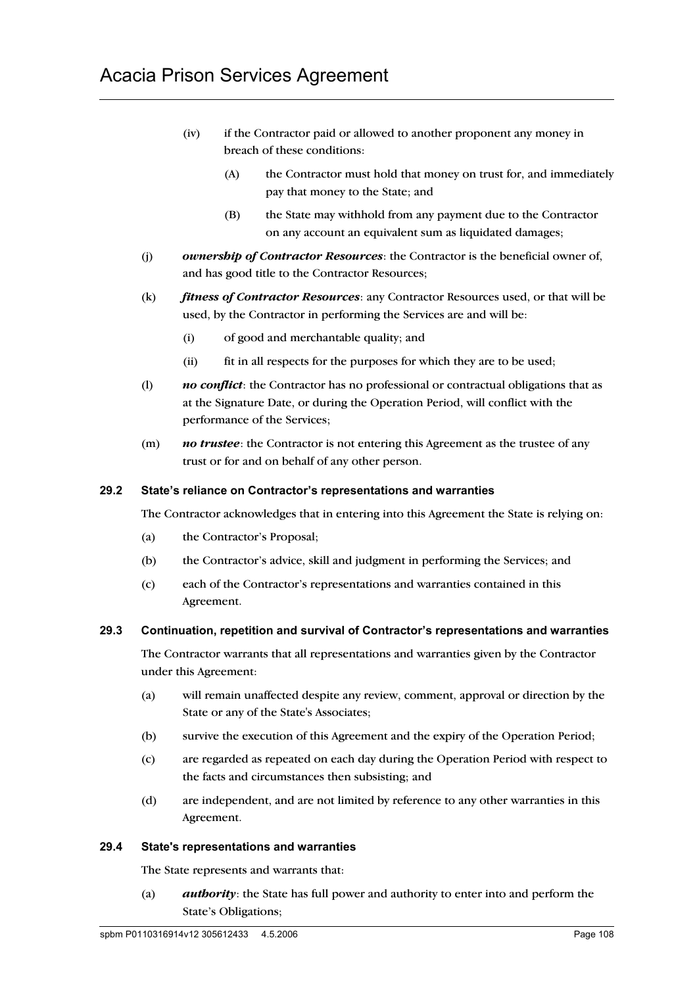- (iv) if the Contractor paid or allowed to another proponent any money in breach of these conditions:
	- (A) the Contractor must hold that money on trust for, and immediately pay that money to the State; and
	- (B) the State may withhold from any payment due to the Contractor on any account an equivalent sum as liquidated damages;
- (j) *ownership of Contractor Resources*: the Contractor is the beneficial owner of, and has good title to the Contractor Resources;
- (k) *fitness of Contractor Resources*: any Contractor Resources used, or that will be used, by the Contractor in performing the Services are and will be:
	- (i) of good and merchantable quality; and
	- (ii) fit in all respects for the purposes for which they are to be used;
- (l) *no conflict*: the Contractor has no professional or contractual obligations that as at the Signature Date, or during the Operation Period, will conflict with the performance of the Services;
- (m) *no trustee*: the Contractor is not entering this Agreement as the trustee of any trust or for and on behalf of any other person.

#### **29.2 State's reliance on Contractor's representations and warranties**

The Contractor acknowledges that in entering into this Agreement the State is relying on:

- (a) the Contractor's Proposal;
- (b) the Contractor's advice, skill and judgment in performing the Services; and
- (c) each of the Contractor's representations and warranties contained in this Agreement.

#### **29.3 Continuation, repetition and survival of Contractor's representations and warranties**

The Contractor warrants that all representations and warranties given by the Contractor under this Agreement:

- (a) will remain unaffected despite any review, comment, approval or direction by the State or any of the State's Associates;
- (b) survive the execution of this Agreement and the expiry of the Operation Period;
- (c) are regarded as repeated on each day during the Operation Period with respect to the facts and circumstances then subsisting; and
- (d) are independent, and are not limited by reference to any other warranties in this Agreement.

#### **29.4 State's representations and warranties**

The State represents and warrants that:

(a) *authority*: the State has full power and authority to enter into and perform the State's Obligations;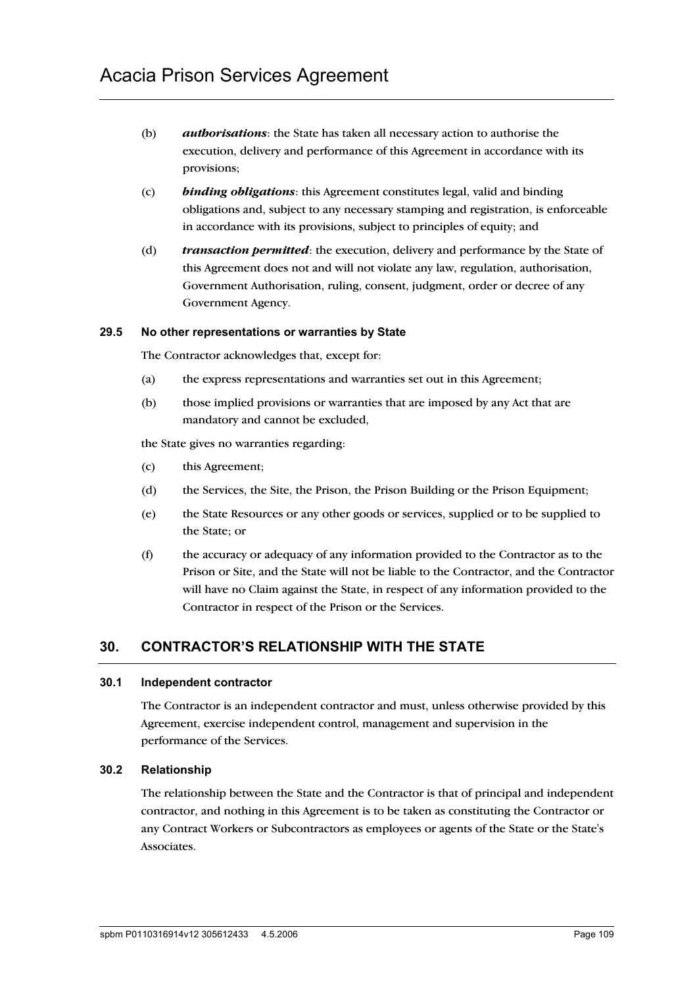- (b) *authorisations*: the State has taken all necessary action to authorise the execution, delivery and performance of this Agreement in accordance with its provisions;
- (c) *binding obligations*: this Agreement constitutes legal, valid and binding obligations and, subject to any necessary stamping and registration, is enforceable in accordance with its provisions, subject to principles of equity; and
- (d) *transaction permitted*: the execution, delivery and performance by the State of this Agreement does not and will not violate any law, regulation, authorisation, Government Authorisation, ruling, consent, judgment, order or decree of any Government Agency.

#### **29.5 No other representations or warranties by State**

The Contractor acknowledges that, except for:

- (a) the express representations and warranties set out in this Agreement;
- (b) those implied provisions or warranties that are imposed by any Act that are mandatory and cannot be excluded,

the State gives no warranties regarding:

- (c) this Agreement;
- (d) the Services, the Site, the Prison, the Prison Building or the Prison Equipment;
- (e) the State Resources or any other goods or services, supplied or to be supplied to the State; or
- (f) the accuracy or adequacy of any information provided to the Contractor as to the Prison or Site, and the State will not be liable to the Contractor, and the Contractor will have no Claim against the State, in respect of any information provided to the Contractor in respect of the Prison or the Services.

# **30. CONTRACTOR'S RELATIONSHIP WITH THE STATE**

#### **30.1 Independent contractor**

The Contractor is an independent contractor and must, unless otherwise provided by this Agreement, exercise independent control, management and supervision in the performance of the Services.

#### **30.2 Relationship**

The relationship between the State and the Contractor is that of principal and independent contractor, and nothing in this Agreement is to be taken as constituting the Contractor or any Contract Workers or Subcontractors as employees or agents of the State or the State's Associates.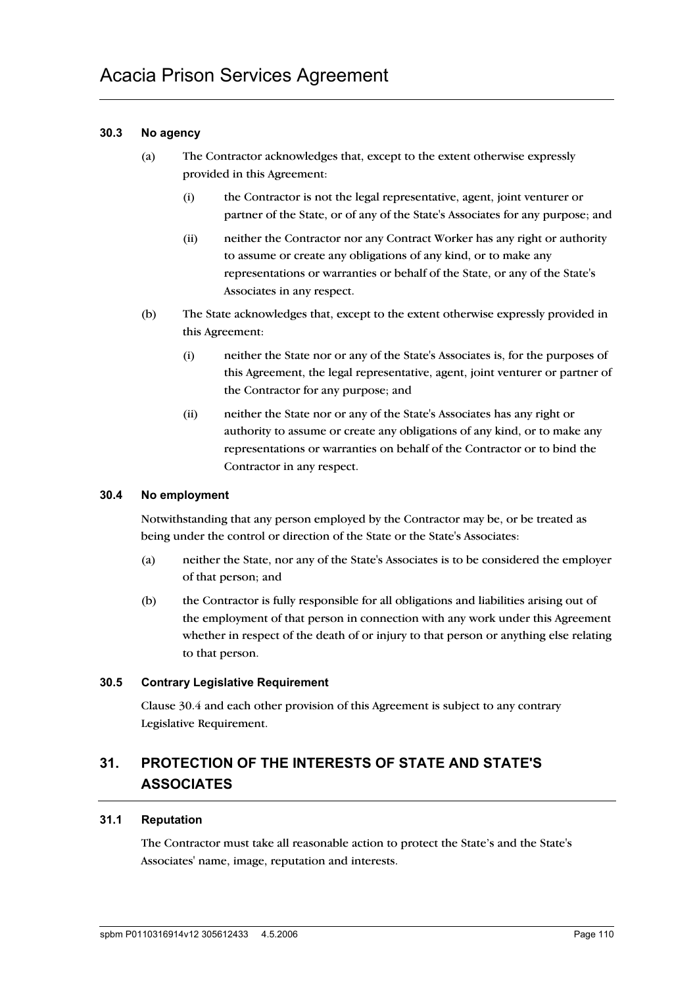#### **30.3 No agency**

- (a) The Contractor acknowledges that, except to the extent otherwise expressly provided in this Agreement:
	- (i) the Contractor is not the legal representative, agent, joint venturer or partner of the State, or of any of the State's Associates for any purpose; and
	- (ii) neither the Contractor nor any Contract Worker has any right or authority to assume or create any obligations of any kind, or to make any representations or warranties or behalf of the State, or any of the State's Associates in any respect.
- (b) The State acknowledges that, except to the extent otherwise expressly provided in this Agreement:
	- (i) neither the State nor or any of the State's Associates is, for the purposes of this Agreement, the legal representative, agent, joint venturer or partner of the Contractor for any purpose; and
	- (ii) neither the State nor or any of the State's Associates has any right or authority to assume or create any obligations of any kind, or to make any representations or warranties on behalf of the Contractor or to bind the Contractor in any respect.

#### **30.4 No employment**

Notwithstanding that any person employed by the Contractor may be, or be treated as being under the control or direction of the State or the State's Associates:

- (a) neither the State, nor any of the State's Associates is to be considered the employer of that person; and
- (b) the Contractor is fully responsible for all obligations and liabilities arising out of the employment of that person in connection with any work under this Agreement whether in respect of the death of or injury to that person or anything else relating to that person.

#### **30.5 Contrary Legislative Requirement**

Clause 30.4 and each other provision of this Agreement is subject to any contrary Legislative Requirement.

# **31. PROTECTION OF THE INTERESTS OF STATE AND STATE'S ASSOCIATES**

#### **31.1 Reputation**

The Contractor must take all reasonable action to protect the State's and the State's Associates' name, image, reputation and interests.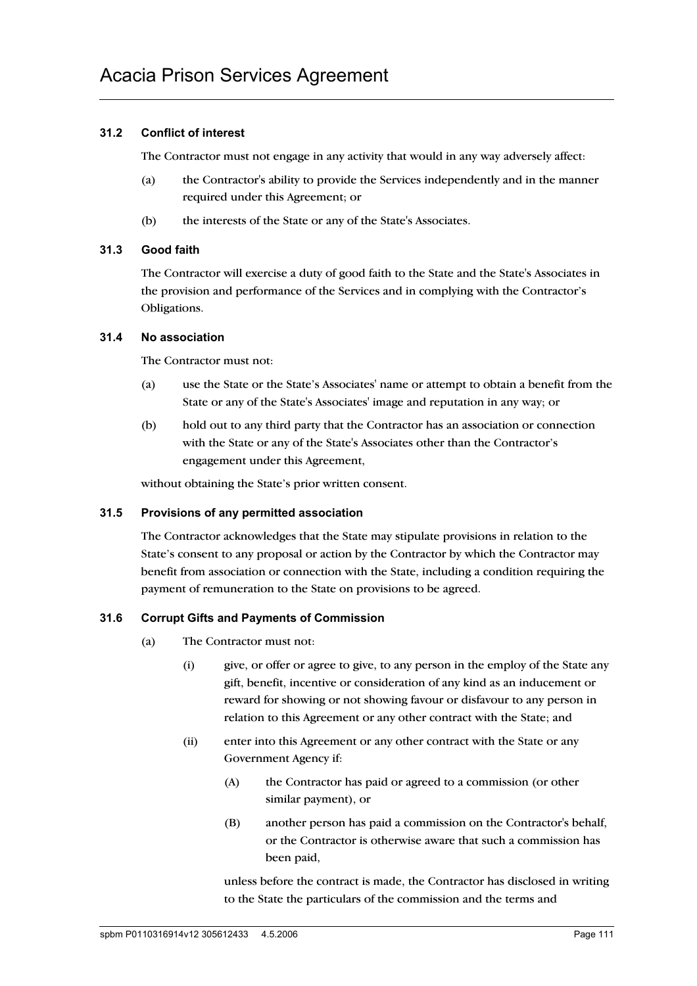#### **31.2 Conflict of interest**

The Contractor must not engage in any activity that would in any way adversely affect:

- (a) the Contractor's ability to provide the Services independently and in the manner required under this Agreement; or
- (b) the interests of the State or any of the State's Associates.

#### **31.3 Good faith**

The Contractor will exercise a duty of good faith to the State and the State's Associates in the provision and performance of the Services and in complying with the Contractor's Obligations.

#### **31.4 No association**

The Contractor must not:

- (a) use the State or the State's Associates' name or attempt to obtain a benefit from the State or any of the State's Associates' image and reputation in any way; or
- (b) hold out to any third party that the Contractor has an association or connection with the State or any of the State's Associates other than the Contractor's engagement under this Agreement,

without obtaining the State's prior written consent.

#### **31.5 Provisions of any permitted association**

The Contractor acknowledges that the State may stipulate provisions in relation to the State's consent to any proposal or action by the Contractor by which the Contractor may benefit from association or connection with the State, including a condition requiring the payment of remuneration to the State on provisions to be agreed.

#### **31.6 Corrupt Gifts and Payments of Commission**

- (a) The Contractor must not:
	- (i) give, or offer or agree to give, to any person in the employ of the State any gift, benefit, incentive or consideration of any kind as an inducement or reward for showing or not showing favour or disfavour to any person in relation to this Agreement or any other contract with the State; and
	- (ii) enter into this Agreement or any other contract with the State or any Government Agency if:
		- (A) the Contractor has paid or agreed to a commission (or other similar payment), or
		- (B) another person has paid a commission on the Contractor's behalf, or the Contractor is otherwise aware that such a commission has been paid,

unless before the contract is made, the Contractor has disclosed in writing to the State the particulars of the commission and the terms and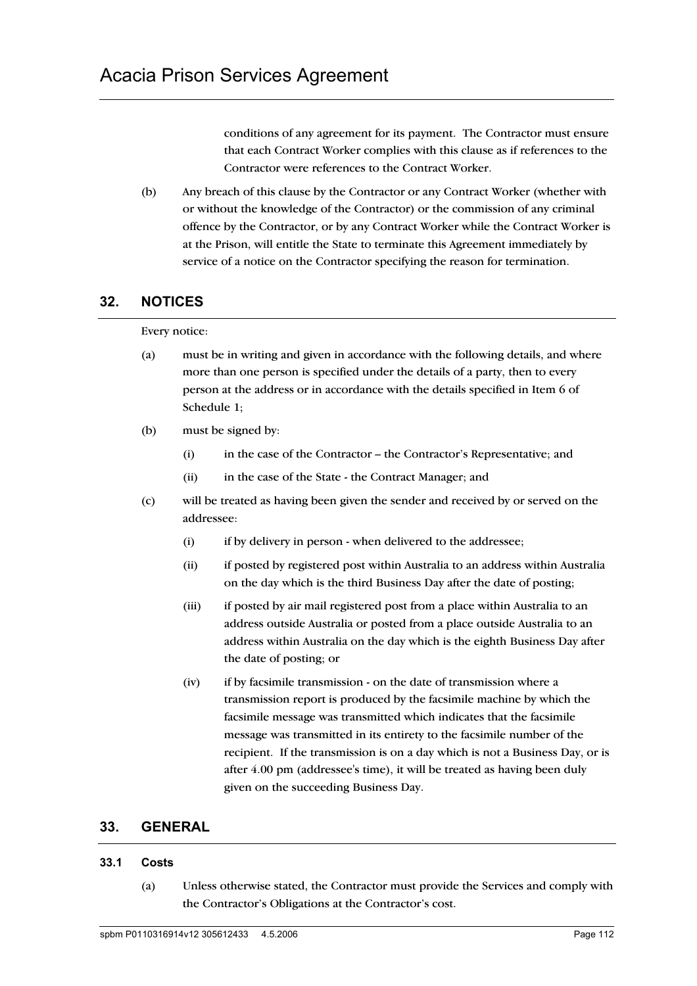conditions of any agreement for its payment. The Contractor must ensure that each Contract Worker complies with this clause as if references to the Contractor were references to the Contract Worker.

(b) Any breach of this clause by the Contractor or any Contract Worker (whether with or without the knowledge of the Contractor) or the commission of any criminal offence by the Contractor, or by any Contract Worker while the Contract Worker is at the Prison, will entitle the State to terminate this Agreement immediately by service of a notice on the Contractor specifying the reason for termination.

# **32. NOTICES**

#### Every notice:

- (a) must be in writing and given in accordance with the following details, and where more than one person is specified under the details of a party, then to every person at the address or in accordance with the details specified in Item 6 of Schedule 1;
- (b) must be signed by:
	- (i) in the case of the Contractor the Contractor's Representative; and
	- (ii) in the case of the State the Contract Manager; and
- (c) will be treated as having been given the sender and received by or served on the addressee:
	- (i) if by delivery in person when delivered to the addressee;
	- (ii) if posted by registered post within Australia to an address within Australia on the day which is the third Business Day after the date of posting;
	- (iii) if posted by air mail registered post from a place within Australia to an address outside Australia or posted from a place outside Australia to an address within Australia on the day which is the eighth Business Day after the date of posting; or
	- (iv) if by facsimile transmission on the date of transmission where a transmission report is produced by the facsimile machine by which the facsimile message was transmitted which indicates that the facsimile message was transmitted in its entirety to the facsimile number of the recipient. If the transmission is on a day which is not a Business Day, or is after 4.00 pm (addressee's time), it will be treated as having been duly given on the succeeding Business Day.

# **33. GENERAL**

#### **33.1 Costs**

(a) Unless otherwise stated, the Contractor must provide the Services and comply with the Contractor's Obligations at the Contractor's cost.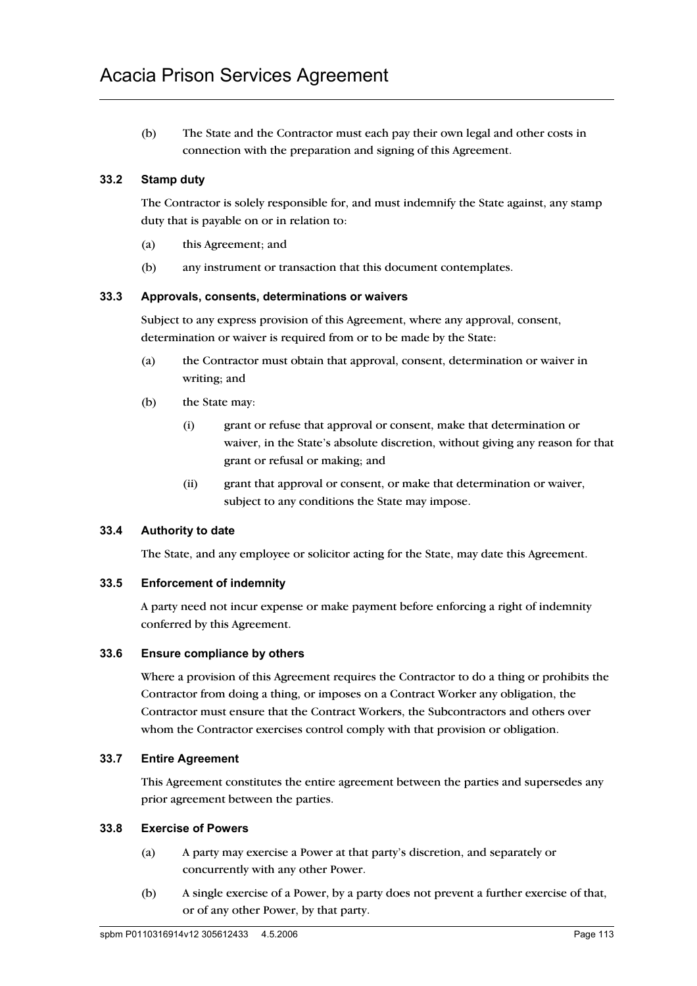(b) The State and the Contractor must each pay their own legal and other costs in connection with the preparation and signing of this Agreement.

#### **33.2 Stamp duty**

The Contractor is solely responsible for, and must indemnify the State against, any stamp duty that is payable on or in relation to:

- (a) this Agreement; and
- (b) any instrument or transaction that this document contemplates.

#### **33.3 Approvals, consents, determinations or waivers**

Subject to any express provision of this Agreement, where any approval, consent, determination or waiver is required from or to be made by the State:

- (a) the Contractor must obtain that approval, consent, determination or waiver in writing; and
- (b) the State may:
	- (i) grant or refuse that approval or consent, make that determination or waiver, in the State's absolute discretion, without giving any reason for that grant or refusal or making; and
	- (ii) grant that approval or consent, or make that determination or waiver, subject to any conditions the State may impose.

#### **33.4 Authority to date**

The State, and any employee or solicitor acting for the State, may date this Agreement.

#### **33.5 Enforcement of indemnity**

A party need not incur expense or make payment before enforcing a right of indemnity conferred by this Agreement.

#### **33.6 Ensure compliance by others**

Where a provision of this Agreement requires the Contractor to do a thing or prohibits the Contractor from doing a thing, or imposes on a Contract Worker any obligation, the Contractor must ensure that the Contract Workers, the Subcontractors and others over whom the Contractor exercises control comply with that provision or obligation.

#### **33.7 Entire Agreement**

This Agreement constitutes the entire agreement between the parties and supersedes any prior agreement between the parties.

#### **33.8 Exercise of Powers**

- (a) A party may exercise a Power at that party's discretion, and separately or concurrently with any other Power.
- (b) A single exercise of a Power, by a party does not prevent a further exercise of that, or of any other Power, by that party.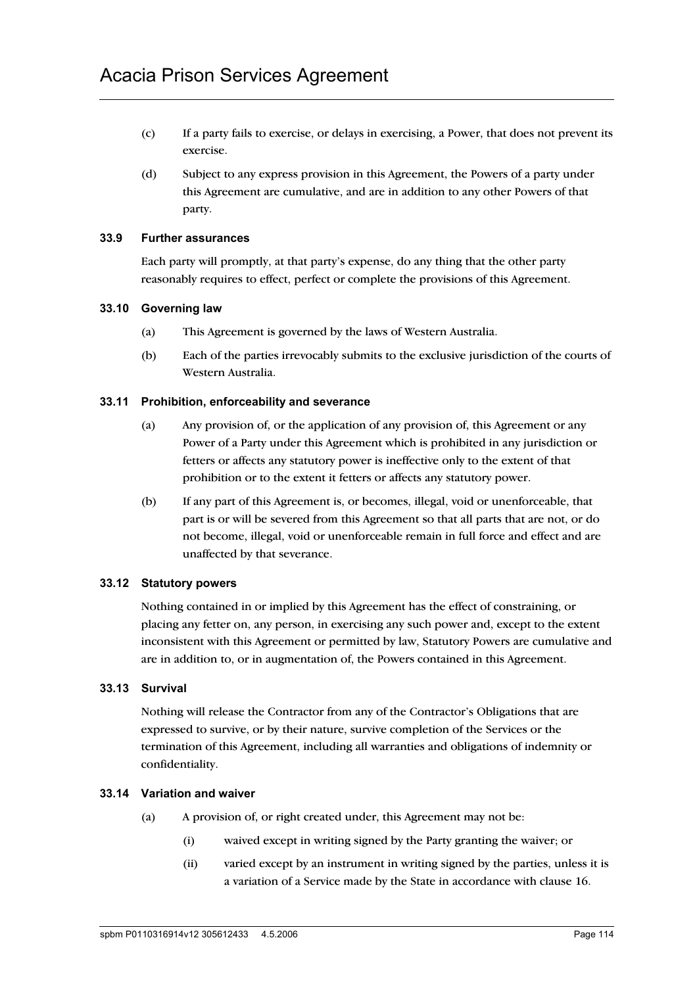- (c) If a party fails to exercise, or delays in exercising, a Power, that does not prevent its exercise.
- (d) Subject to any express provision in this Agreement, the Powers of a party under this Agreement are cumulative, and are in addition to any other Powers of that party.

#### **33.9 Further assurances**

Each party will promptly, at that party's expense, do any thing that the other party reasonably requires to effect, perfect or complete the provisions of this Agreement.

#### **33.10 Governing law**

- (a) This Agreement is governed by the laws of Western Australia.
- (b) Each of the parties irrevocably submits to the exclusive jurisdiction of the courts of Western Australia.

#### **33.11 Prohibition, enforceability and severance**

- (a) Any provision of, or the application of any provision of, this Agreement or any Power of a Party under this Agreement which is prohibited in any jurisdiction or fetters or affects any statutory power is ineffective only to the extent of that prohibition or to the extent it fetters or affects any statutory power.
- (b) If any part of this Agreement is, or becomes, illegal, void or unenforceable, that part is or will be severed from this Agreement so that all parts that are not, or do not become, illegal, void or unenforceable remain in full force and effect and are unaffected by that severance.

#### **33.12 Statutory powers**

Nothing contained in or implied by this Agreement has the effect of constraining, or placing any fetter on, any person, in exercising any such power and, except to the extent inconsistent with this Agreement or permitted by law, Statutory Powers are cumulative and are in addition to, or in augmentation of, the Powers contained in this Agreement.

#### **33.13 Survival**

Nothing will release the Contractor from any of the Contractor's Obligations that are expressed to survive, or by their nature, survive completion of the Services or the termination of this Agreement, including all warranties and obligations of indemnity or confidentiality.

#### **33.14 Variation and waiver**

- (a) A provision of, or right created under, this Agreement may not be:
	- (i) waived except in writing signed by the Party granting the waiver; or
	- (ii) varied except by an instrument in writing signed by the parties, unless it is a variation of a Service made by the State in accordance with clause 16.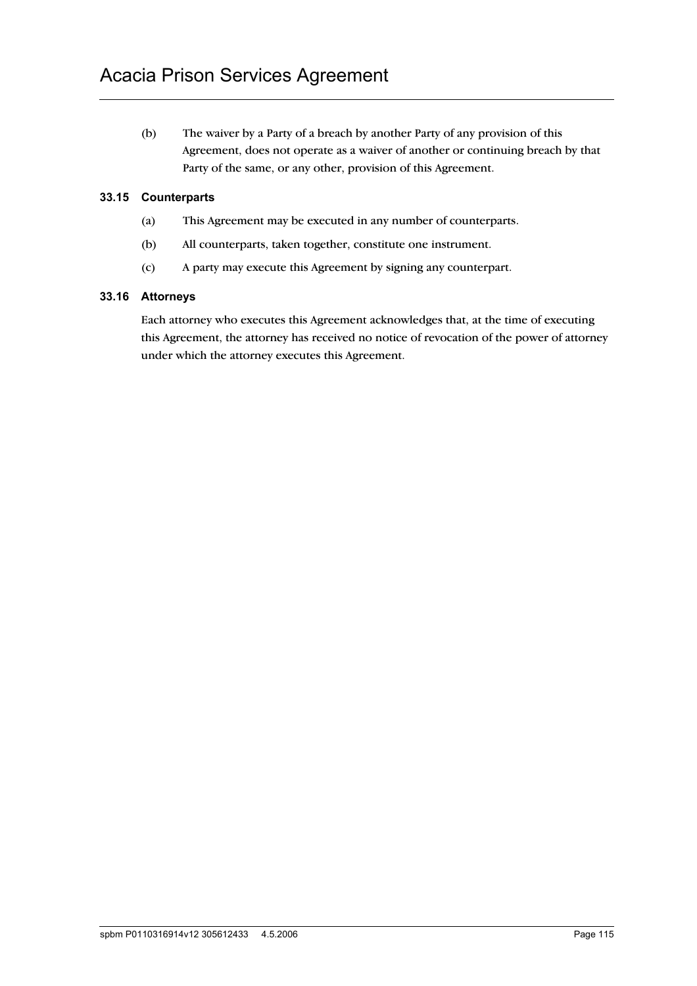(b) The waiver by a Party of a breach by another Party of any provision of this Agreement, does not operate as a waiver of another or continuing breach by that Party of the same, or any other, provision of this Agreement.

#### **33.15 Counterparts**

- (a) This Agreement may be executed in any number of counterparts.
- (b) All counterparts, taken together, constitute one instrument.
- (c) A party may execute this Agreement by signing any counterpart.

#### **33.16 Attorneys**

Each attorney who executes this Agreement acknowledges that, at the time of executing this Agreement, the attorney has received no notice of revocation of the power of attorney under which the attorney executes this Agreement.